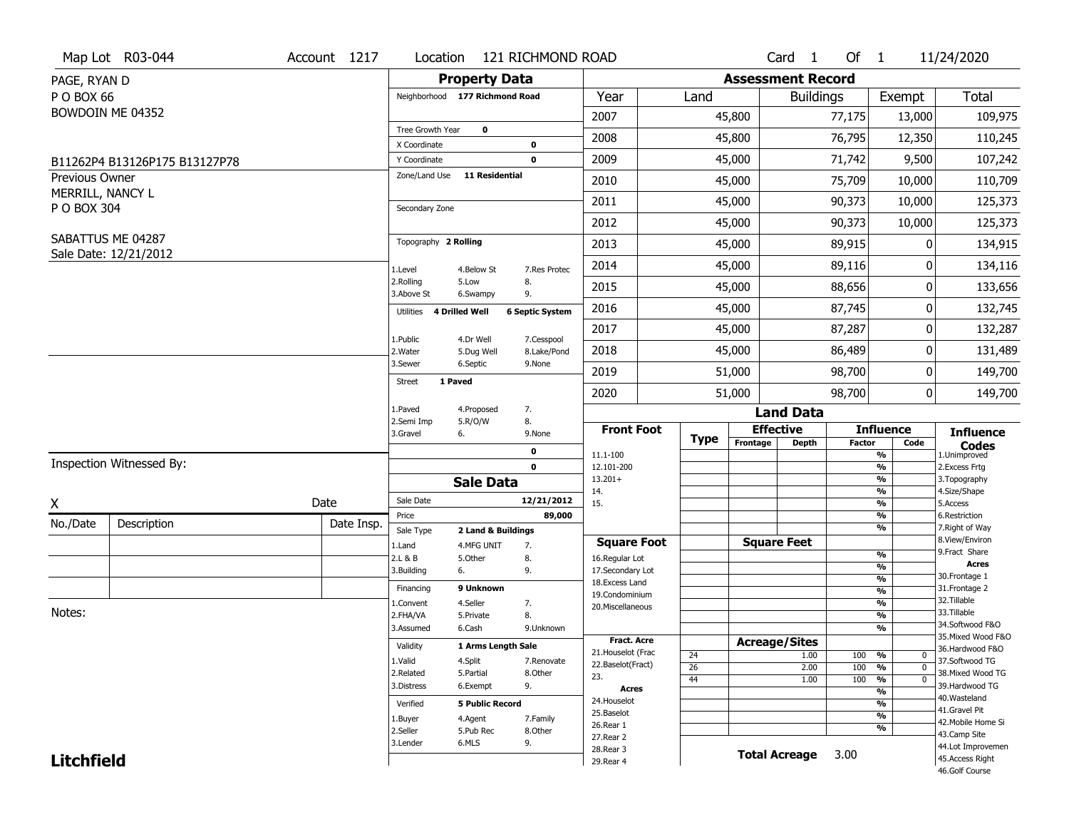|                                 | Map Lot R03-044               | Account 1217 | Location                       |                         | 121 RICHMOND ROAD         |                                      |             |                          | Card <sub>1</sub>    | Of 1          |                                | 11/24/2020                          |
|---------------------------------|-------------------------------|--------------|--------------------------------|-------------------------|---------------------------|--------------------------------------|-------------|--------------------------|----------------------|---------------|--------------------------------|-------------------------------------|
| PAGE, RYAN D                    |                               |              |                                | <b>Property Data</b>    |                           |                                      |             | <b>Assessment Record</b> |                      |               |                                |                                     |
| P O BOX 66                      |                               |              | Neighborhood 177 Richmond Road |                         |                           | Year                                 | Land        |                          | <b>Buildings</b>     |               | Exempt                         | <b>Total</b>                        |
|                                 | BOWDOIN ME 04352              |              |                                |                         |                           | 2007                                 |             | 45,800                   |                      | 77,175        | 13,000                         | 109,975                             |
|                                 |                               |              | Tree Growth Year               | $\mathbf 0$             |                           | 2008                                 |             |                          |                      | 76,795        |                                |                                     |
|                                 |                               |              | X Coordinate                   |                         | $\mathbf 0$               |                                      |             | 45,800                   |                      |               | 12,350                         | 110,245                             |
|                                 | B11262P4 B13126P175 B13127P78 |              | Y Coordinate                   |                         | $\mathbf 0$               | 2009                                 |             | 45,000                   |                      | 71,742        | 9,500                          | 107,242                             |
| <b>Previous Owner</b>           |                               |              | Zone/Land Use                  | <b>11 Residential</b>   |                           | 2010                                 |             | 45,000                   |                      | 75,709        | 10,000                         | 110,709                             |
| MERRILL, NANCY L<br>P O BOX 304 |                               |              | Secondary Zone                 |                         |                           | 2011                                 |             | 45,000                   |                      | 90,373        | 10,000                         | 125,373                             |
|                                 |                               |              |                                |                         |                           | 2012                                 |             | 45,000                   |                      | 90,373        | 10,000                         | 125,373                             |
|                                 | SABATTUS ME 04287             |              | Topography 2 Rolling           |                         |                           | 2013                                 |             | 45,000                   |                      | 89,915        | 0                              | 134,915                             |
|                                 | Sale Date: 12/21/2012         |              | 1.Level                        | 4.Below St              | 7.Res Protec              | 2014                                 |             | 45,000                   |                      | 89,116        | 0                              | 134,116                             |
|                                 |                               |              | 2.Rolling<br>3.Above St        | 5.Low<br>6.Swampy       | 8.<br>9.                  | 2015                                 |             | 45,000                   |                      | 88,656        | 0                              | 133,656                             |
|                                 |                               |              | Utilities 4 Drilled Well       |                         | <b>6 Septic System</b>    | 2016                                 |             | 45,000                   |                      | 87,745        | 0                              | 132,745                             |
|                                 |                               |              |                                |                         |                           | 2017                                 |             | 45,000                   |                      | 87,287        | 0                              | 132,287                             |
|                                 |                               |              | 1.Public<br>2. Water           | 4.Dr Well<br>5.Dug Well | 7.Cesspool<br>8.Lake/Pond | 2018                                 |             | 45,000                   |                      | 86,489        | 0                              | 131,489                             |
|                                 |                               |              | 3.Sewer                        | 6.Septic                | 9.None                    | 2019                                 |             | 51,000                   |                      | 98,700        | 0                              | 149,700                             |
|                                 |                               |              | 1 Paved<br><b>Street</b>       |                         |                           | 2020                                 |             | 51,000                   |                      | 98,700        | 0                              | 149,700                             |
|                                 |                               |              | 1.Paved                        | 4.Proposed              | 7.                        |                                      |             |                          | <b>Land Data</b>     |               |                                |                                     |
|                                 |                               |              | 2.Semi Imp<br>3.Gravel         | 5.R/O/W<br>6.           | 8.<br>9.None              | <b>Front Foot</b>                    |             | <b>Effective</b>         |                      |               | <b>Influence</b>               | <b>Influence</b>                    |
|                                 |                               |              |                                |                         | 0                         | 11.1-100                             | <b>Type</b> | Frontage                 | <b>Depth</b>         | <b>Factor</b> | Code<br>%                      | <b>Codes</b><br>1.Unimproved        |
|                                 | Inspection Witnessed By:      |              |                                |                         | $\mathbf 0$               | 12.101-200                           |             |                          |                      |               | $\frac{9}{6}$                  | 2.Excess Frtg                       |
|                                 |                               |              |                                | <b>Sale Data</b>        |                           | $13.201+$                            |             |                          |                      |               | %                              | 3. Topography                       |
| X                               |                               | Date         | Sale Date                      |                         | 12/21/2012                | 14.<br>15.                           |             |                          |                      |               | %<br>$\frac{9}{6}$             | 4.Size/Shape<br>5.Access            |
| No./Date                        | Description                   |              | Price                          |                         | 89,000                    |                                      |             |                          |                      |               | %                              | 6.Restriction                       |
|                                 |                               | Date Insp.   | Sale Type                      | 2 Land & Buildings      |                           |                                      |             |                          |                      |               | %                              | 7. Right of Way<br>8.View/Environ   |
|                                 |                               |              | 1.Land<br>2.L & B              | 4.MFG UNIT<br>5.Other   | 7.<br>8.                  | <b>Square Foot</b><br>16.Regular Lot |             | <b>Square Feet</b>       |                      |               | $\frac{9}{6}$                  | 9.Fract Share                       |
|                                 |                               |              | 3.Building                     | 6.                      | 9.                        | 17.Secondary Lot                     |             |                          |                      |               | $\frac{9}{6}$                  | <b>Acres</b>                        |
|                                 |                               |              | Financing                      | 9 Unknown               |                           | 18.Excess Land                       |             |                          |                      |               | $\frac{9}{6}$                  | 30.Frontage 1<br>31. Frontage 2     |
|                                 |                               |              | 1.Convent                      | 4.Seller                | 7.                        | 19.Condominium                       |             |                          |                      |               | $\frac{9}{6}$<br>$\frac{9}{6}$ | 32. Tillable                        |
| Notes:                          |                               |              | 2.FHA/VA                       | 5.Private               | 8.                        | 20.Miscellaneous                     |             |                          |                      |               | $\frac{9}{6}$                  | 33.Tillable                         |
|                                 |                               |              |                                | 6.Cash                  | 9.Unknown                 |                                      |             |                          |                      |               | $\%$                           | 34.Softwood F&O                     |
|                                 |                               |              | 3.Assumed                      |                         |                           |                                      |             |                          |                      |               |                                |                                     |
|                                 |                               |              | Validity                       |                         |                           | <b>Fract, Acre</b>                   |             | <b>Acreage/Sites</b>     |                      |               |                                | 35. Mixed Wood F&O                  |
|                                 |                               |              |                                | 1 Arms Length Sale      |                           | 21. Houselot (Frac                   | 24          |                          | 1.00                 | 100           | %<br>0                         | 36.Hardwood F&O                     |
|                                 |                               |              | 1.Valid<br>2.Related           | 4.Split<br>5.Partial    | 7.Renovate<br>8.Other     | 22.Baselot(Fract)                    | 26          |                          | 2.00                 | 100           | $\frac{9}{6}$<br>$\mathbf 0$   | 37.Softwood TG<br>38. Mixed Wood TG |
|                                 |                               |              | 3.Distress                     | 6.Exempt                | 9.                        | 23.<br><b>Acres</b>                  | 44          |                          | 1.00                 | 100           | %<br>$\mathbf 0$               | 39.Hardwood TG                      |
|                                 |                               |              | Verified                       | <b>5 Public Record</b>  |                           | 24. Houselot                         |             |                          |                      |               | $\frac{9}{6}$<br>$\frac{9}{6}$ | 40. Wasteland                       |
|                                 |                               |              |                                |                         |                           | 25.Baselot                           |             |                          |                      |               | $\frac{9}{6}$                  | 41.Gravel Pit                       |
|                                 |                               |              | 1.Buyer<br>2.Seller            | 4.Agent<br>5.Pub Rec    | 7.Family<br>8.Other       | 26.Rear 1                            |             |                          |                      |               | %                              | 42. Mobile Home Si                  |
|                                 |                               |              | 3.Lender                       | 6.MLS                   | 9.                        | 27.Rear 2                            |             |                          |                      |               |                                | 43.Camp Site<br>44.Lot Improvemen   |
| <b>Litchfield</b>               |                               |              |                                |                         |                           | 28. Rear 3<br>29. Rear 4             |             |                          | <b>Total Acreage</b> | 3.00          |                                | 45.Access Right<br>46.Golf Course   |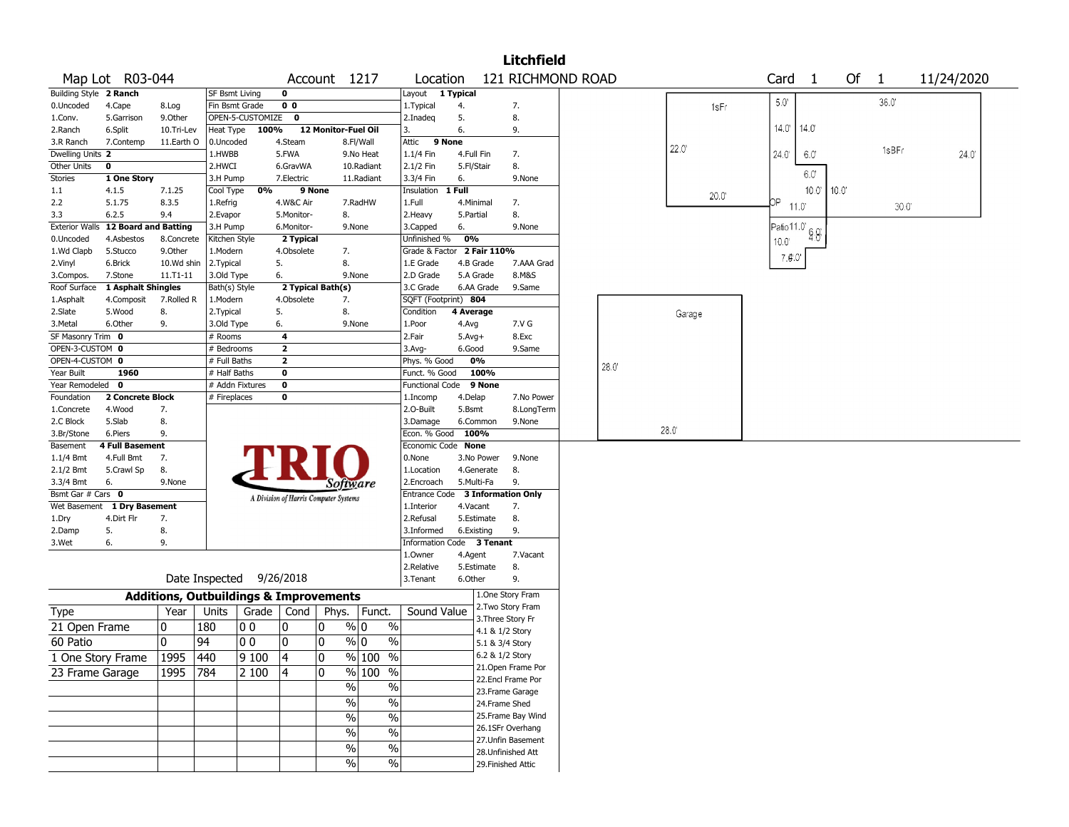|                       |                             |                    |                                                   |                  |                                       |           |                                |                            |              |                 | Litchfield         |      |                |       |                |                |      |                |            |
|-----------------------|-----------------------------|--------------------|---------------------------------------------------|------------------|---------------------------------------|-----------|--------------------------------|----------------------------|--------------|-----------------|--------------------|------|----------------|-------|----------------|----------------|------|----------------|------------|
|                       | Map Lot R03-044             |                    |                                                   |                  |                                       |           | Account 1217                   | Location                   |              |                 | 121 RICHMOND ROAD  |      |                |       | Card           | $\overline{1}$ | Of 1 |                | 11/24/2020 |
| <b>Building Style</b> | 2 Ranch                     |                    | <b>SF Bsmt Living</b>                             |                  | 0                                     |           |                                | Layout 1 Typical           |              |                 |                    |      |                |       |                |                |      |                |            |
| 0.Uncoded             | 4.Cape                      | 8.Log              | Fin Bsmt Grade                                    |                  | 0 <sub>0</sub>                        |           |                                | 1. Typical                 | 4.           |                 | 7.                 |      |                | 1sFr  | $5.0^\circ$    |                |      | 36.0           |            |
| 1.Conv.               | 5.Garrison                  | 9.Other            |                                                   | OPEN-5-CUSTOMIZE | $\mathbf 0$                           |           |                                | 2.Inadeq                   | 5.           |                 | 8.                 |      |                |       |                |                |      |                |            |
| 2.Ranch               | 6.Split                     | 10.Tri-Lev         | Heat Type                                         | 100%             |                                       |           | 12 Monitor-Fuel Oil            | 3.                         | 6.           |                 | 9.                 |      |                |       | 14.0' 14.0'    |                |      |                |            |
| 3.R Ranch             | 7.Contemp                   | 11.Earth O         | 0.Uncoded                                         |                  | 4.Steam                               |           | 8.Fl/Wall                      | Attic                      | 9 None       |                 |                    |      | 22.0'          |       |                |                |      |                |            |
| Dwelling Units 2      |                             |                    | 1.HWBB                                            |                  | 5.FWA                                 |           | 9.No Heat                      | 1.1/4 Fin                  | 4.Full Fin   |                 | 7.                 |      |                |       | $24.0^{\circ}$ | 6.0'           |      | 1sBFr          | 24.0       |
| Other Units           | 0                           |                    | 2.HWCI                                            |                  | 6.GravWA                              |           | 10.Radiant                     | 2.1/2 Fin                  | 5.Fl/Stair   |                 | 8.                 |      |                |       |                | 6.0            |      |                |            |
| Stories               | 1 One Story                 |                    | 3.H Pump                                          |                  | 7.Electric                            |           | 11.Radiant                     | 3.3/4 Fin                  | 6.           |                 | 9.None             |      |                |       |                |                |      |                |            |
| 1.1                   | 4.1.5                       | 7.1.25             | Cool Type                                         | 0%               |                                       | 9 None    |                                | Insulation                 | $1$ Full     |                 |                    |      |                | 20.0" |                | $10.0$ "       | 10.0 |                |            |
| 2.2                   | 5.1.75                      | 8.3.5              | 1.Refrig                                          |                  | 4.W&C Air                             |           | 7.RadHW                        | 1.Full                     | 4.Minimal    |                 | 7.                 |      |                |       | ОP             | 11.0           |      | $30.0^{\circ}$ |            |
| 3.3                   | 6.2.5                       | 9.4                | 2.Evapor                                          |                  | 5.Monitor-                            |           | 8.                             | 2.Heavy                    | 5.Partial    |                 | 8.                 |      |                |       |                |                |      |                |            |
| <b>Exterior Walls</b> | <b>12 Board and Batting</b> |                    | 3.H Pump                                          |                  | 6.Monitor-                            |           | 9.None                         | 3.Capped                   | 6.           |                 | 9.None             |      |                |       | Patio 11.0     | 6.0            |      |                |            |
| 0.Uncoded             | 4.Asbestos                  | 8.Concrete         | Kitchen Style                                     |                  | 2 Typical                             |           |                                | Unfinished %               | 0%           |                 |                    |      |                |       | 10.0'          |                |      |                |            |
| 1.Wd Clapb            | 5.Stucco                    | 9.0ther            | 1.Modern                                          |                  | 4.Obsolete                            |           | 7.                             | Grade & Factor 2 Fair 110% |              |                 |                    |      |                |       | 7.0.0          |                |      |                |            |
| 2.Vinyl               | 6.Brick                     | 10.Wd shin         | 2.Typical                                         |                  | 5.                                    |           | 8.                             | 1.E Grade                  |              | 4.B Grade       | 7.AAA Grad         |      |                |       |                |                |      |                |            |
| 3.Compos.             | 7.Stone                     | $11.71 - 11$       | 3.Old Type                                        |                  | 6.                                    |           | 9.None                         | 2.D Grade                  |              | 5.A Grade       | 8.M&S              |      |                |       |                |                |      |                |            |
| Roof Surface          | 1 Asphalt Shingles          |                    | Bath(s) Style                                     |                  | 2 Typical Bath(s)                     |           |                                | 3.C Grade                  |              | 6.AA Grade      | 9.Same             |      |                |       |                |                |      |                |            |
| 1.Asphalt             | 4.Composit                  | 7.Rolled R         | 1.Modern                                          |                  | 4.Obsolete                            |           | 7.                             | SQFT (Footprint) 804       |              |                 |                    |      |                |       |                |                |      |                |            |
| 2.Slate               | 5.Wood                      | 8.                 | 2. Typical                                        |                  | 5.                                    |           | 8.                             | Condition                  | 4 Average    |                 |                    |      | Garage         |       |                |                |      |                |            |
| 3.Metal               | 6.Other                     | 9.                 | 3.Old Type                                        |                  | 6.                                    |           | 9.None                         | 1.Poor                     | 4.Avg        |                 | 7.V G              |      |                |       |                |                |      |                |            |
| SF Masonry Trim 0     |                             |                    | # Rooms                                           |                  | 4                                     |           |                                | 2.Fair                     | $5.$ Avg $+$ |                 | 8.Exc              |      |                |       |                |                |      |                |            |
| OPEN-3-CUSTOM 0       |                             |                    | # Bedrooms                                        |                  | $\overline{\mathbf{2}}$               |           |                                | 3.Avg-                     | 6.Good       |                 | 9.Same             |      |                |       |                |                |      |                |            |
| OPEN-4-CUSTOM 0       |                             |                    | # Full Baths                                      |                  | $\mathbf{z}$                          |           |                                | Phys. % Good               |              | 0%              |                    | 28.0 |                |       |                |                |      |                |            |
| Year Built            | 1960                        |                    | # Half Baths                                      |                  | 0                                     |           |                                | Funct. % Good              |              | 100%            |                    |      |                |       |                |                |      |                |            |
| Year Remodeled        | 0                           |                    |                                                   | # Addn Fixtures  | 0                                     |           |                                | <b>Functional Code</b>     |              | 9 None          |                    |      |                |       |                |                |      |                |            |
| Foundation            | 2 Concrete Block            |                    | # Fireplaces                                      |                  | 0                                     |           |                                | 1.Incomp                   | 4.Delap      |                 | 7.No Power         |      |                |       |                |                |      |                |            |
| 1.Concrete            | 4.Wood                      | 7.                 |                                                   |                  |                                       |           |                                | 2.0-Built                  | 5.Bsmt       |                 | 8.LongTerm         |      |                |       |                |                |      |                |            |
| 2.C Block             | 5.Slab                      | 8.                 |                                                   |                  |                                       |           |                                | 3.Damage                   |              | 6.Common        | 9.None             |      |                |       |                |                |      |                |            |
| 3.Br/Stone            | 6.Piers                     | 9.                 |                                                   |                  |                                       |           |                                | Econ. % Good               |              | 100%            |                    |      | $28.0^{\circ}$ |       |                |                |      |                |            |
| Basement              | <b>4 Full Basement</b>      |                    |                                                   |                  |                                       |           |                                | Economic Code None         |              |                 |                    |      |                |       |                |                |      |                |            |
| 1.1/4 Bmt             | 4.Full Bmt                  | 7.                 |                                                   |                  |                                       |           |                                | 0.None                     |              | 3.No Power      | 9.None             |      |                |       |                |                |      |                |            |
| 2.1/2 Bmt             | 5.Crawl Sp                  | 8.                 |                                                   |                  |                                       |           |                                | 1.Location                 |              | 4.Generate      | 8.                 |      |                |       |                |                |      |                |            |
| 3.3/4 Bmt             | 6.                          | 9.None             |                                                   |                  |                                       |           | Software                       | 2.Encroach                 |              | 5.Multi-Fa      | 9.                 |      |                |       |                |                |      |                |            |
| Bsmt Gar # Cars 0     |                             |                    |                                                   |                  | A Division of Harris Computer Systems |           |                                | Entrance Code              |              |                 | 3 Information Only |      |                |       |                |                |      |                |            |
| Wet Basement          | 1 Dry Basement              |                    |                                                   |                  |                                       |           |                                | 1.Interior                 | 4.Vacant     |                 | 7.                 |      |                |       |                |                |      |                |            |
| 1.Dry                 | 4.Dirt Flr                  | 7.                 |                                                   |                  |                                       |           |                                | 2.Refusal                  |              | 5.Estimate      | 8.                 |      |                |       |                |                |      |                |            |
| 2.Damp                | 5.                          | 8.                 |                                                   |                  |                                       |           |                                | 3.Informed                 |              | 6.Existing      | 9.                 |      |                |       |                |                |      |                |            |
| 3.Wet                 | 6.                          | 9.                 |                                                   |                  |                                       |           |                                | <b>Information Code</b>    |              | 3 Tenant        |                    |      |                |       |                |                |      |                |            |
|                       |                             |                    |                                                   |                  |                                       |           |                                | 1.Owner                    | 4.Agent      |                 | 7.Vacant           |      |                |       |                |                |      |                |            |
|                       |                             |                    |                                                   |                  |                                       |           |                                | 2.Relative                 |              | 5.Estimate      | 8.                 |      |                |       |                |                |      |                |            |
|                       |                             |                    | Date Inspected                                    |                  | 9/26/2018                             |           |                                | 3.Tenant                   | 6.Other      |                 | 9.                 |      |                |       |                |                |      |                |            |
|                       |                             |                    | <b>Additions, Outbuildings &amp; Improvements</b> |                  |                                       |           |                                |                            |              |                 | 1.One Story Fram   |      |                |       |                |                |      |                |            |
| Type                  |                             | Year               | Units                                             |                  | Grade   Cond                          | Phys.     | Funct.                         | Sound Value                |              |                 | 2. Two Story Fram  |      |                |       |                |                |      |                |            |
| 21 Open Frame         |                             | 0                  | 180                                               | O O              | 0                                     | 0         | % 0<br>$\%$                    |                            |              |                 | 3. Three Story Fr  |      |                |       |                |                |      |                |            |
|                       |                             |                    |                                                   |                  |                                       |           |                                |                            |              | 4.1 & 1/2 Story |                    |      |                |       |                |                |      |                |            |
| 60 Patio              |                             | $\mathbf{0}$       | 94                                                | 00               | 0                                     | 0         | % 0<br>%                       |                            |              | 5.1 & 3/4 Story |                    |      |                |       |                |                |      |                |            |
|                       | 1 One Story Frame           | $\overline{1}$ 995 | 440                                               | 9100             | 4                                     | $\pmb{0}$ | % 100<br>$\%$                  |                            |              | 6.2 & 1/2 Story |                    |      |                |       |                |                |      |                |            |
| 23 Frame Garage       |                             | 1995               | 784                                               | 2 100            | 4                                     | 0         | % 100<br>$\frac{0}{0}$         |                            |              |                 | 21. Open Frame Por |      |                |       |                |                |      |                |            |
|                       |                             |                    |                                                   |                  |                                       |           | $\frac{1}{2}$<br>$\%$          |                            |              |                 | 22.Encl Frame Por  |      |                |       |                |                |      |                |            |
|                       |                             |                    |                                                   |                  |                                       |           |                                |                            |              |                 | 23.Frame Garage    |      |                |       |                |                |      |                |            |
|                       |                             |                    |                                                   |                  |                                       |           | $\frac{0}{6}$<br>$\frac{1}{2}$ |                            |              | 24.Frame Shed   |                    |      |                |       |                |                |      |                |            |
|                       |                             |                    |                                                   |                  |                                       |           | $\frac{9}{6}$<br>$\frac{1}{2}$ |                            |              |                 | 25. Frame Bay Wind |      |                |       |                |                |      |                |            |
|                       |                             |                    |                                                   |                  |                                       |           | $\sqrt{6}$<br>$\%$             |                            |              |                 | 26.1SFr Overhang   |      |                |       |                |                |      |                |            |
|                       |                             |                    |                                                   |                  |                                       |           |                                |                            |              |                 | 27.Unfin Basement  |      |                |       |                |                |      |                |            |
|                       |                             |                    |                                                   |                  |                                       |           | $\sqrt{6}$<br>$\%$             |                            |              |                 | 28. Unfinished Att |      |                |       |                |                |      |                |            |
|                       |                             |                    |                                                   |                  |                                       |           | $\sqrt{6}$<br>$\frac{0}{0}$    |                            |              |                 | 29. Finished Attic |      |                |       |                |                |      |                |            |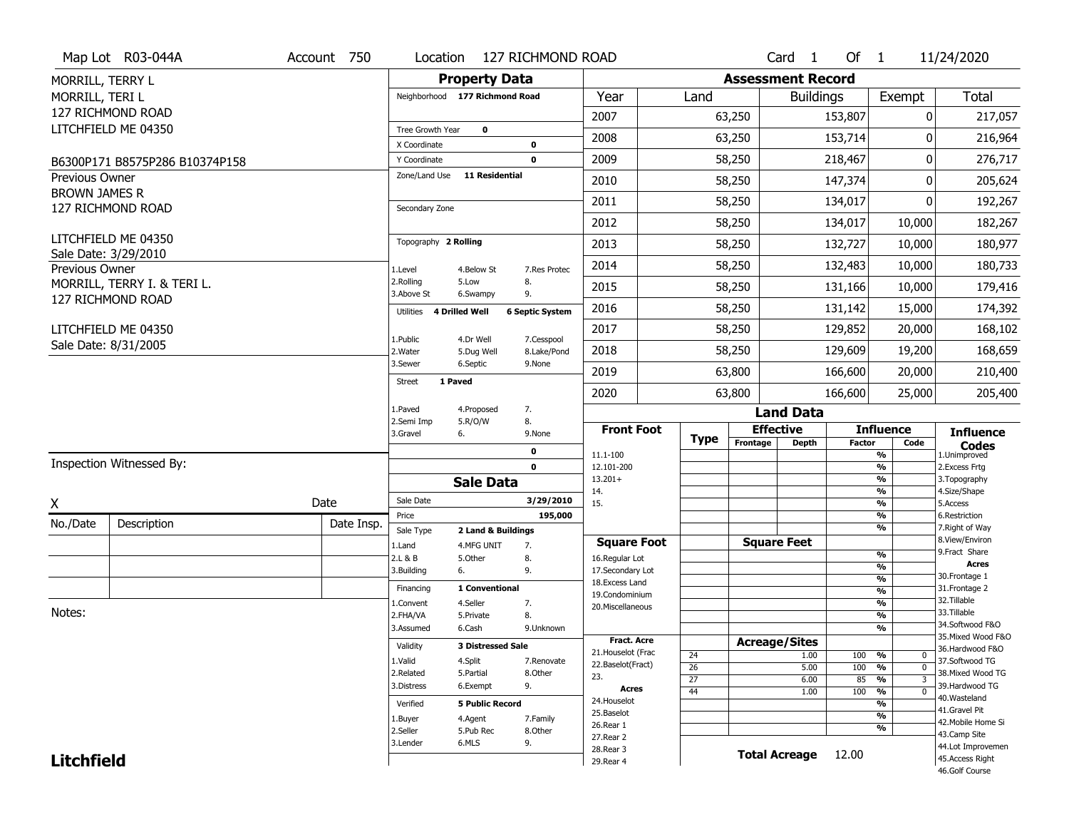|                      | Map Lot R03-044A               | Account 750 | Location                |                                | 127 RICHMOND ROAD         |                                     |                 |          | Card <sub>1</sub>        | Of $1$        |                                | 11/24/2020                           |
|----------------------|--------------------------------|-------------|-------------------------|--------------------------------|---------------------------|-------------------------------------|-----------------|----------|--------------------------|---------------|--------------------------------|--------------------------------------|
| MORRILL, TERRY L     |                                |             |                         | <b>Property Data</b>           |                           |                                     |                 |          | <b>Assessment Record</b> |               |                                |                                      |
| MORRILL, TERI L      |                                |             |                         | Neighborhood 177 Richmond Road |                           | Year                                | Land            |          | <b>Buildings</b>         |               | Exempt                         | <b>Total</b>                         |
|                      | 127 RICHMOND ROAD              |             |                         |                                |                           | 2007                                |                 | 63,250   |                          | 153,807       | 0                              | 217,057                              |
|                      | LITCHFIELD ME 04350            |             | Tree Growth Year        | $\mathbf 0$                    |                           |                                     |                 |          |                          |               |                                |                                      |
|                      |                                |             | X Coordinate            |                                | 0                         | 2008                                |                 | 63,250   |                          | 153,714       | $\Omega$                       | 216,964                              |
|                      | B6300P171 B8575P286 B10374P158 |             | Y Coordinate            |                                | 0                         | 2009                                |                 | 58,250   |                          | 218,467       | 0                              | 276,717                              |
| Previous Owner       |                                |             | Zone/Land Use           | <b>11 Residential</b>          |                           | 2010                                |                 | 58,250   |                          | 147,374       | $\Omega$                       | 205,624                              |
| <b>BROWN JAMES R</b> | 127 RICHMOND ROAD              |             | Secondary Zone          |                                |                           | 2011                                |                 | 58,250   |                          | 134,017       | 0                              | 192,267                              |
|                      |                                |             |                         |                                |                           | 2012                                |                 | 58,250   |                          | 134,017       | 10,000                         | 182,267                              |
|                      | LITCHFIELD ME 04350            |             | Topography 2 Rolling    |                                |                           | 2013                                |                 | 58,250   |                          | 132,727       | 10,000                         | 180,977                              |
| Previous Owner       | Sale Date: 3/29/2010           |             | 1.Level                 | 4.Below St                     | 7.Res Protec              | 2014                                |                 | 58,250   |                          | 132,483       | 10,000                         | 180,733                              |
|                      | MORRILL, TERRY I. & TERI L.    |             | 2.Rolling<br>3.Above St | 5.Low<br>6.Swampy              | 8.<br>9.                  | 2015                                |                 | 58,250   |                          | 131,166       | 10,000                         | 179,416                              |
|                      | 127 RICHMOND ROAD              |             | Utilities               | <b>4 Drilled Well</b>          | <b>6 Septic System</b>    | 2016                                |                 | 58,250   |                          | 131,142       | 15,000                         | 174,392                              |
|                      | LITCHFIELD ME 04350            |             |                         |                                |                           | 2017                                |                 | 58,250   |                          | 129,852       | 20,000                         | 168,102                              |
|                      | Sale Date: 8/31/2005           |             | 1.Public<br>2. Water    | 4.Dr Well<br>5.Dug Well        | 7.Cesspool<br>8.Lake/Pond | 2018                                |                 | 58,250   |                          | 129,609       | 19,200                         | 168,659                              |
|                      |                                |             | 3.Sewer                 | 6.Septic                       | 9.None                    | 2019                                |                 | 63,800   |                          | 166,600       | 20,000                         | 210,400                              |
|                      |                                |             | <b>Street</b>           | 1 Paved                        |                           | 2020                                |                 | 63,800   |                          | 166,600       | 25,000                         | 205,400                              |
|                      |                                |             | 1.Paved                 | 4.Proposed                     | 7.                        |                                     |                 |          | <b>Land Data</b>         |               |                                |                                      |
|                      |                                |             | 2.Semi Imp              | 5.R/O/W                        | 8.                        |                                     |                 |          |                          |               |                                |                                      |
|                      |                                |             |                         |                                |                           | <b>Front Foot</b>                   |                 |          | <b>Effective</b>         |               | <b>Influence</b>               |                                      |
|                      |                                |             | 3.Gravel                | 6.                             | 9.None                    |                                     | <b>Type</b>     | Frontage | <b>Depth</b>             | <b>Factor</b> | Code                           | <b>Influence</b><br><b>Codes</b>     |
|                      | Inspection Witnessed By:       |             |                         |                                | 0<br>$\mathbf 0$          | 11.1-100<br>12.101-200              |                 |          |                          |               | %<br>$\frac{9}{6}$             | 1.Unimproved                         |
|                      |                                |             |                         |                                |                           | $13.201+$                           |                 |          |                          |               | %                              | 2. Excess Frtg<br>3. Topography      |
|                      |                                |             | Sale Date               | <b>Sale Data</b>               | 3/29/2010                 | 14.                                 |                 |          |                          |               | %                              | 4.Size/Shape                         |
| Χ                    |                                | Date        | Price                   |                                | 195,000                   | 15.                                 |                 |          |                          |               | %<br>%                         | 5.Access<br>6.Restriction            |
| No./Date             | Description                    | Date Insp.  | Sale Type               | 2 Land & Buildings             |                           |                                     |                 |          |                          |               | %                              | 7. Right of Way                      |
|                      |                                |             | 1.Land                  | 4.MFG UNIT                     | 7.                        | <b>Square Foot</b>                  |                 |          | <b>Square Feet</b>       |               |                                | 8.View/Environ<br>9.Fract Share      |
|                      |                                |             | 2.L & B                 | 5.Other                        | 8.                        | 16.Regular Lot                      |                 |          |                          |               | $\frac{9}{6}$<br>$\frac{9}{6}$ | <b>Acres</b>                         |
|                      |                                |             | 3.Building              | 6.                             | 9.                        | 17.Secondary Lot<br>18. Excess Land |                 |          |                          |               | $\frac{9}{6}$                  | 30.Frontage 1                        |
|                      |                                |             | Financing               | 1 Conventional                 |                           | 19.Condominium                      |                 |          |                          |               | $\frac{9}{6}$                  | 31. Frontage 2                       |
| Notes:               |                                |             | 1.Convent               | 4.Seller                       | 7.                        | 20.Miscellaneous                    |                 |          |                          |               | $\frac{9}{6}$                  | 32. Tillable<br>33.Tillable          |
|                      |                                |             | 2.FHA/VA<br>3.Assumed   | 5.Private<br>6.Cash            | 8.<br>9.Unknown           |                                     |                 |          |                          |               | $\frac{9}{6}$<br>$\frac{9}{6}$ | 34.Softwood F&O                      |
|                      |                                |             |                         |                                |                           | Fract. Acre                         |                 |          | <b>Acreage/Sites</b>     |               |                                | 35. Mixed Wood F&O                   |
|                      |                                |             | Validity                | <b>3 Distressed Sale</b>       |                           | 21. Houselot (Frac                  | 24              |          | 1.00                     | 100           | %<br>0                         | 36.Hardwood F&O                      |
|                      |                                |             | 1.Valid                 | 4.Split<br>5.Partial           | 7.Renovate<br>8.Other     | 22.Baselot(Fract)                   | 26              |          | 5.00                     | 100           | $\frac{9}{6}$<br>$\mathbf 0$   | 37.Softwood TG<br>38. Mixed Wood TG  |
|                      |                                |             | 2.Related<br>3.Distress | 6.Exempt                       | 9.                        | 23.                                 | $\overline{27}$ |          | 6.00                     | 85            | %<br>3                         | 39.Hardwood TG                       |
|                      |                                |             |                         |                                |                           | Acres<br>24. Houselot               | 44              |          | 1.00                     | 100           | %<br>$\mathbf 0$               | 40.Wasteland                         |
|                      |                                |             | Verified                | <b>5 Public Record</b>         |                           | 25.Baselot                          |                 |          |                          |               | %<br>$\frac{9}{6}$             | 41.Gravel Pit                        |
|                      |                                |             | 1.Buyer<br>2.Seller     | 4.Agent<br>5.Pub Rec           | 7.Family<br>8.Other       | 26.Rear 1                           |                 |          |                          |               | %                              | 42. Mobile Home Si                   |
|                      |                                |             | 3.Lender                | 6.MLS                          | 9.                        | 27.Rear 2                           |                 |          |                          |               |                                | 43.Camp Site                         |
| <b>Litchfield</b>    |                                |             |                         |                                |                           | 28. Rear 3<br>29. Rear 4            |                 |          | <b>Total Acreage</b>     | 12.00         |                                | 44.Lot Improvemen<br>45.Access Right |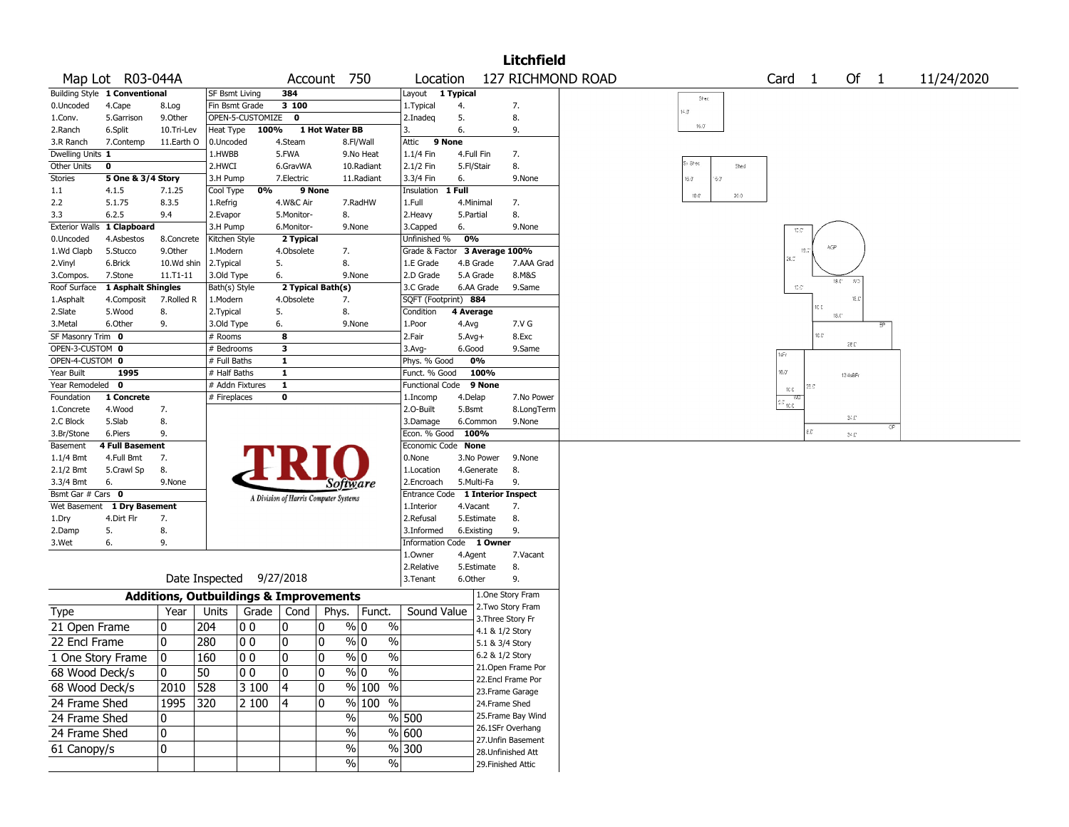|                         |                               |                       |                                                   |                    |                  |                                       |                              |                                            |            |                   | Litchfield                             |                             |          |                   |                               |                     |    |            |
|-------------------------|-------------------------------|-----------------------|---------------------------------------------------|--------------------|------------------|---------------------------------------|------------------------------|--------------------------------------------|------------|-------------------|----------------------------------------|-----------------------------|----------|-------------------|-------------------------------|---------------------|----|------------|
|                         | Map Lot R03-044A              |                       |                                                   |                    | Account          |                                       | 750                          | Location                                   |            |                   |                                        | 127 RICHMOND ROAD           |          | Card <sub>1</sub> |                               | Of $1$              |    | 11/24/2020 |
|                         | Building Style 1 Conventional |                       | <b>SF Bsmt Living</b>                             |                    | 384              |                                       |                              | Layout 1 Typical                           |            |                   |                                        | Shed                        |          |                   |                               |                     |    |            |
| 0.Uncoded               | 4.Cape                        | 8.Log                 | Fin Bsmt Grade                                    |                    | 3 100            |                                       |                              | 1.Typical                                  | 4.         |                   | 7.                                     | 14.3                        |          |                   |                               |                     |    |            |
| 1.Conv.                 | 5.Garrison                    | 9.0ther               |                                                   | OPEN-5-CUSTOMIZE 0 |                  |                                       |                              | 2.Inadeg                                   | 5.         |                   | 8.                                     |                             |          |                   |                               |                     |    |            |
| 2.Ranch                 | 6.Split                       | 10.Tri-Lev            | Heat Type                                         | 100%               |                  | 1 Hot Water BB                        |                              | 3.                                         | 6.         |                   | 9.                                     | $16.0^\circ$                |          |                   |                               |                     |    |            |
| 3.R Ranch               | 7.Contemp                     | 11.Earth O            | 0.Uncoded                                         |                    | 4.Steam          |                                       | 8.Fl/Wall                    | Attic 9 None                               |            |                   |                                        |                             |          |                   |                               |                     |    |            |
| Dwelling Units 1        |                               |                       | 1.HWBB                                            |                    | 5.FWA            |                                       | 9.No Heat                    | 1.1/4 Fin                                  | 4.Full Fin |                   | 7.                                     |                             |          |                   |                               |                     |    |            |
| Other Units             | 0                             |                       | 2.HWCI                                            |                    | 6.GravWA         |                                       | 10.Radiant                   | 2.1/2 Fin                                  | 5.Fl/Stair |                   | 8.                                     | Sy Shed                     | Shed     |                   |                               |                     |    |            |
| <b>Stories</b>          | 5 One & 3/4 Story             |                       | 3.H Pump                                          |                    | 7.Electric       |                                       | 11.Radiant                   | 3.3/4 Fin                                  | 6.         |                   | 9.None                                 | $9.6^\circ$<br>$16.0^\circ$ |          |                   |                               |                     |    |            |
| 1.1                     | 4.1.5                         | 7.1.25                | Cool Type                                         | 0%                 |                  | 9 None                                |                              | Insulation 1 Full                          |            |                   |                                        | 10.0                        | $20.0\,$ |                   |                               |                     |    |            |
| 2.2                     | 5.1.75                        | 8.3.5                 | 1.Refrig                                          |                    | 4.W&C Air        |                                       | 7.RadHW                      | 1.Full                                     | 4.Minimal  |                   | 7.                                     |                             |          |                   |                               |                     |    |            |
| 3.3                     | 6.2.5                         | 9.4                   | 2.Evapor                                          |                    | 5.Monitor-       | 8.                                    |                              | 2.Heavy                                    | 5.Partial  |                   | 8.                                     |                             |          |                   |                               |                     |    |            |
| <b>Exterior Walls</b>   | 1 Clapboard                   |                       | 3.H Pump                                          |                    | 6.Monitor-       |                                       | 9.None                       | 3.Capped                                   | 6.         |                   | 9.None                                 |                             |          | 10.01             |                               |                     |    |            |
| 0.Uncoded<br>1.Wd Clapb | 4.Asbestos<br>5.Stucco        | 8.Concrete<br>9.Other | Kitchen Style                                     |                    | 2 Typical        |                                       |                              | Unfinished %                               | 0%         |                   |                                        |                             |          |                   | AGP<br>18.3                   |                     |    |            |
|                         | 6.Brick                       | 10.Wd shin            | 1.Modern                                          |                    | 4.Obsolete<br>5. | 7.<br>8.                              |                              | Grade & Factor 3 Average 100%<br>1.E Grade | 4.B Grade  |                   | 7.AAA Grad                             |                             |          | 4.0               |                               |                     |    |            |
| 2.Vinyl<br>3.Compos.    | 7.Stone                       | $11. T1 - 11$         | 2.Typical<br>3.Old Type                           |                    | 6.               |                                       | 9.None                       | 2.D Grade                                  | 5.A Grade  |                   | 8.M&S                                  |                             |          |                   |                               |                     |    |            |
| Roof Surface            | 1 Asphalt Shingles            |                       | Bath(s) Style                                     |                    |                  | 2 Typical Bath(s)                     |                              | 3.C Grade                                  |            | 6.AA Grade        | 9.Same                                 |                             |          | $10.0^\circ$      |                               | $18.0^\circ$<br>-80 |    |            |
| 1.Asphalt               | 4.Composit                    | 7.Rolled R            | 1.Modern                                          |                    | 4.Obsolete       | 7.                                    |                              | SQFT (Footprint) 884                       |            |                   |                                        |                             |          |                   |                               | 18.0                |    |            |
| 2.Slate                 | 5.Wood                        | 8.                    | 2. Typical                                        |                    | 5.               | 8.                                    |                              | Condition                                  | 4 Average  |                   |                                        |                             |          |                   | 10 C                          |                     |    |            |
| 3.Metal                 | 6.Other                       | 9.                    | 3.Old Type                                        |                    | 6.               |                                       | 9.None                       | 1.Poor                                     | 4.Avg      |                   | 7.V G                                  |                             |          |                   |                               | $18.0^\circ$        |    |            |
| SF Masonry Trim 0       |                               |                       | # Rooms                                           |                    | 8                |                                       |                              | 2.Fair                                     | $5.Avg+$   |                   | 8.Exc                                  |                             |          |                   | 10.0°                         |                     |    |            |
| OPEN-3-CUSTOM 0         |                               |                       | # Bedrooms                                        |                    | 3                |                                       |                              | $3.$ Avg-                                  | 6.Good     |                   | 9.Same                                 |                             |          |                   |                               | $28.0^{\circ}$      |    |            |
| OPEN-4-CUSTOM 0         |                               |                       | # Full Baths                                      |                    | $\mathbf{1}$     |                                       |                              | Phys. % Good                               |            | 0%                |                                        |                             |          | 1sFr              |                               |                     |    |            |
| Year Built              | 1995                          |                       | # Half Baths                                      |                    | $\mathbf{1}$     |                                       |                              | Funct. % Good                              |            | 100%              |                                        |                             |          | $16.0^\circ$      |                               | 13/4sBFr            |    |            |
| Year Remodeled 0        |                               |                       | # Addn Fixtures                                   |                    | $\mathbf{1}$     |                                       |                              | Functional Code 9 None                     |            |                   |                                        |                             |          | $10.0$            |                               |                     |    |            |
| Foundation              | 1 Concrete                    |                       | # Fireplaces                                      |                    | 0                |                                       |                              | 1.Incomp                                   | 4.Delap    |                   | 7.No Power                             |                             |          | ÷Ю                |                               |                     |    |            |
| 1.Concrete              | 4.Wood                        | 7.                    |                                                   |                    |                  |                                       |                              | 2.O-Built                                  | 5.Bsmt     |                   | 8.LongTerm                             |                             |          | 10.0              |                               |                     |    |            |
| 2.C Block               | 5.Slab                        | 8.                    |                                                   |                    |                  |                                       |                              | 3.Damage                                   |            | 6.Common          | 9.None                                 |                             |          |                   |                               | 34.0                | OP |            |
| 3.Br/Stone              | 6.Piers                       | 9.                    |                                                   |                    |                  |                                       |                              | Econ. % Good 100%                          |            |                   |                                        |                             |          |                   | $\varepsilon$ . $\varepsilon$ | $34.0^{\circ}$      |    |            |
| Basement                | <b>4 Full Basement</b>        |                       |                                                   |                    |                  |                                       |                              | Economic Code None                         |            |                   |                                        |                             |          |                   |                               |                     |    |            |
| 1.1/4 Bmt               | 4.Full Bmt                    | 7.                    |                                                   |                    |                  |                                       |                              | 0.None                                     |            | 3.No Power        | 9.None                                 |                             |          |                   |                               |                     |    |            |
| 2.1/2 Bmt               | 5.Crawl Sp                    | 8.                    |                                                   |                    |                  |                                       |                              | 1.Location                                 |            | 4.Generate        | 8.                                     |                             |          |                   |                               |                     |    |            |
| 3.3/4 Bmt               | 6.                            | 9.None                |                                                   |                    |                  | Software                              |                              | 2.Encroach                                 | 5.Multi-Fa |                   | 9.                                     |                             |          |                   |                               |                     |    |            |
| Bsmt Gar # Cars 0       |                               |                       |                                                   |                    |                  | A Division of Harris Computer Systems |                              | Entrance Code                              |            |                   | <b>1 Interior Inspect</b>              |                             |          |                   |                               |                     |    |            |
|                         | Wet Basement 1 Dry Basement   |                       |                                                   |                    |                  |                                       |                              | 1.Interior                                 | 4.Vacant   |                   | 7.                                     |                             |          |                   |                               |                     |    |            |
| 1.Dry                   | 4.Dirt Flr                    | 7.                    |                                                   |                    |                  |                                       |                              | 2.Refusal                                  |            | 5.Estimate        | 8.                                     |                             |          |                   |                               |                     |    |            |
| 2.Damp<br>3.Wet         | 5.<br>6.                      | 8.<br>9.              |                                                   |                    |                  |                                       |                              | 3.Informed<br>Information Code 1 Owner     | 6.Existing |                   | 9.                                     |                             |          |                   |                               |                     |    |            |
|                         |                               |                       |                                                   |                    |                  |                                       |                              | 1.0wner                                    | 4.Agent    |                   | 7.Vacant                               |                             |          |                   |                               |                     |    |            |
|                         |                               |                       |                                                   |                    |                  |                                       |                              | 2.Relative                                 |            | 5.Estimate        | 8.                                     |                             |          |                   |                               |                     |    |            |
|                         |                               |                       | Date Inspected 9/27/2018                          |                    |                  |                                       |                              | 3.Tenant                                   | 6.Other    |                   | 9.                                     |                             |          |                   |                               |                     |    |            |
|                         |                               |                       | <b>Additions, Outbuildings &amp; Improvements</b> |                    |                  |                                       |                              |                                            |            |                   | 1.One Story Fram                       |                             |          |                   |                               |                     |    |            |
|                         |                               | Year                  | Units                                             | Grade              | Cond             | Phys.                                 | Funct.                       | Sound Value                                |            |                   | 2. Two Story Fram                      |                             |          |                   |                               |                     |    |            |
| <b>Type</b>             |                               |                       |                                                   |                    |                  |                                       |                              |                                            |            | 3. Three Story Fr |                                        |                             |          |                   |                               |                     |    |            |
| 21 Open Frame           |                               | 0                     | 204                                               | O O                | 0                | 10                                    | % 0<br>$\%$                  |                                            |            | 4.1 & 1/2 Story   |                                        |                             |          |                   |                               |                     |    |            |
| 22 Encl Frame           |                               | ٥١                    | 280                                               | 00                 | 10               | 10                                    | $\%$ 0<br>$\frac{0}{0}$      |                                            |            | 5.1 & 3/4 Story   |                                        |                             |          |                   |                               |                     |    |            |
| 1 One Story Frame       |                               | 0                     | 160                                               | $ 00\rangle$       | 0                | 0                                     | $\frac{8}{10}$<br>$\sqrt{6}$ |                                            |            | 6.2 & 1/2 Story   |                                        |                             |          |                   |                               |                     |    |            |
| 68 Wood Deck/s          |                               | 10                    | 50                                                | 00                 | 0                | 10                                    | $\%$ 0<br>$\%$               |                                            |            |                   | 21.Open Frame Por                      |                             |          |                   |                               |                     |    |            |
| 68 Wood Deck/s          |                               | 2010                  | 528                                               | 3 100              | 4                | 10                                    | % 100 %                      |                                            |            |                   | 22.Encl Frame Por                      |                             |          |                   |                               |                     |    |            |
|                         |                               |                       |                                                   |                    |                  |                                       |                              |                                            |            |                   | 23. Frame Garage                       |                             |          |                   |                               |                     |    |            |
| 24 Frame Shed           |                               | 1995                  | 320                                               | 2 100              | 4                | 10                                    | % 100 %                      |                                            |            | 24.Frame Shed     |                                        |                             |          |                   |                               |                     |    |            |
| 24 Frame Shed           |                               | 10                    |                                                   |                    |                  | %                                     |                              | % 500                                      |            |                   | 25.Frame Bay Wind                      |                             |          |                   |                               |                     |    |            |
| 24 Frame Shed           |                               | 0                     |                                                   |                    |                  | $\%$                                  |                              | % 600                                      |            |                   | 26.1SFr Overhang<br>27. Unfin Basement |                             |          |                   |                               |                     |    |            |
| 61 Canopy/s             |                               | 0                     |                                                   |                    |                  | %                                     |                              | %300                                       |            |                   | 28. Unfinished Att                     |                             |          |                   |                               |                     |    |            |
|                         |                               |                       |                                                   |                    |                  | $\%$                                  | $\sqrt{6}$                   |                                            |            |                   | 29. Finished Attic                     |                             |          |                   |                               |                     |    |            |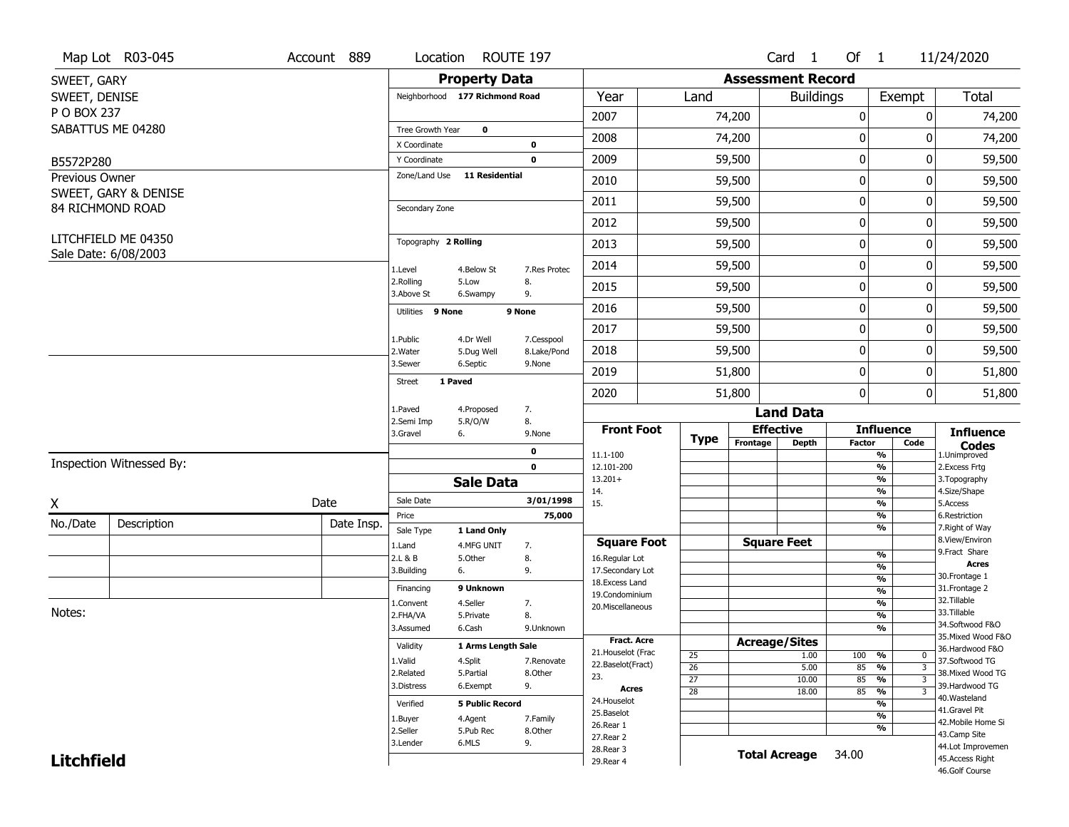|                             | Map Lot R03-045          | Account 889 | Location                       | ROUTE 197               |                           |                    |                 |                      | Card <sub>1</sub>        | Of $1$              |                                | 11/24/2020                        |
|-----------------------------|--------------------------|-------------|--------------------------------|-------------------------|---------------------------|--------------------|-----------------|----------------------|--------------------------|---------------------|--------------------------------|-----------------------------------|
| SWEET, GARY                 |                          |             |                                | <b>Property Data</b>    |                           |                    |                 |                      | <b>Assessment Record</b> |                     |                                |                                   |
| SWEET, DENISE               |                          |             | Neighborhood 177 Richmond Road |                         |                           | Year               | Land            |                      | <b>Buildings</b>         |                     | Exempt                         | Total                             |
| P O BOX 237                 |                          |             |                                |                         |                           | 2007               |                 | 74,200               |                          | 0                   | $\mathbf{0}$                   | 74,200                            |
|                             | SABATTUS ME 04280        |             | Tree Growth Year               | $\mathbf 0$             |                           | 2008               |                 | 74,200               |                          | 0                   | 0                              | 74,200                            |
|                             |                          |             | X Coordinate                   |                         | 0<br>$\mathbf 0$          | 2009               |                 |                      |                          | $\pmb{0}$           | 0                              |                                   |
| B5572P280<br>Previous Owner |                          |             | Y Coordinate<br>Zone/Land Use  | <b>11 Residential</b>   |                           |                    |                 | 59,500               |                          |                     |                                | 59,500                            |
|                             | SWEET, GARY & DENISE     |             |                                |                         |                           | 2010               |                 | 59,500               |                          | 0                   | 0                              | 59,500                            |
|                             | 84 RICHMOND ROAD         |             | Secondary Zone                 |                         |                           | 2011               |                 | 59,500               |                          | 0                   | 0                              | 59,500                            |
|                             |                          |             |                                |                         |                           | 2012               |                 | 59,500               |                          | 0                   | 0                              | 59,500                            |
|                             | LITCHFIELD ME 04350      |             | Topography 2 Rolling           |                         |                           | 2013               |                 | 59,500               |                          | 0                   | 0                              | 59,500                            |
|                             | Sale Date: 6/08/2003     |             | 1.Level                        | 4.Below St              | 7.Res Protec              | 2014               |                 | 59,500               |                          | $\pmb{0}$           | 0                              | 59,500                            |
|                             |                          |             | 2.Rolling<br>3.Above St        | 5.Low<br>6.Swampy       | 8.<br>9.                  | 2015               |                 | 59,500               |                          | 0                   | 0                              | 59,500                            |
|                             |                          |             | Utilities 9 None               |                         | 9 None                    | 2016               |                 | 59,500               |                          | 0                   | 0                              | 59,500                            |
|                             |                          |             |                                |                         |                           | 2017               |                 | 59,500               |                          | $\pmb{0}$           | 0                              | 59,500                            |
|                             |                          |             | 1.Public<br>2. Water           | 4.Dr Well<br>5.Dug Well | 7.Cesspool<br>8.Lake/Pond | 2018               |                 | 59,500               |                          | 0                   | 0                              | 59,500                            |
|                             |                          |             | 3.Sewer                        | 6.Septic                | 9.None                    | 2019               |                 | 51,800               |                          | 0                   | 0                              | 51,800                            |
|                             |                          |             | 1 Paved<br><b>Street</b>       |                         |                           | 2020               |                 | 51,800               |                          | 0                   | 0                              | 51,800                            |
|                             |                          |             | 1.Paved                        | 4.Proposed              | 7.                        |                    |                 |                      | <b>Land Data</b>         |                     |                                |                                   |
|                             |                          |             | 2.Semi Imp<br>3.Gravel         | 5.R/O/W<br>6.           | 8.<br>9.None              | <b>Front Foot</b>  |                 |                      | <b>Effective</b>         |                     | <b>Influence</b>               | <b>Influence</b>                  |
|                             |                          |             |                                |                         | 0                         | 11.1-100           | <b>Type</b>     | Frontage             | Depth                    | <b>Factor</b>       | Code<br>$\frac{9}{6}$          | <b>Codes</b><br>1.Unimproved      |
|                             | Inspection Witnessed By: |             |                                |                         | $\mathbf{0}$              | 12.101-200         |                 |                      |                          |                     | $\frac{9}{6}$                  | 2. Excess Frtg                    |
|                             |                          |             |                                | <b>Sale Data</b>        |                           | $13.201+$          |                 |                      |                          |                     | $\frac{9}{6}$                  | 3. Topography                     |
| X                           |                          | Date        | Sale Date                      |                         | 3/01/1998                 | 14.<br>15.         |                 |                      |                          |                     | $\frac{9}{6}$<br>$\frac{9}{6}$ | 4.Size/Shape<br>5.Access          |
| No./Date                    | Description              | Date Insp.  | Price                          |                         | 75,000                    |                    |                 |                      |                          |                     | %                              | 6.Restriction                     |
|                             |                          |             | Sale Type                      | 1 Land Only             |                           | <b>Square Foot</b> |                 |                      | <b>Square Feet</b>       |                     | $\frac{9}{6}$                  | 7. Right of Way<br>8.View/Environ |
|                             |                          |             | 1.Land<br>2.L & B              | 4.MFG UNIT<br>5.0ther   | 7.<br>8.                  | 16.Regular Lot     |                 |                      |                          | %                   |                                | 9. Fract Share                    |
|                             |                          |             | 3.Building                     | 6.                      | 9.                        | 17.Secondary Lot   |                 |                      |                          |                     | %                              | <b>Acres</b>                      |
|                             |                          |             | Financing                      | 9 Unknown               |                           | 18.Excess Land     |                 |                      |                          |                     | $\frac{9}{6}$                  | 30. Frontage 1<br>31. Frontage 2  |
|                             |                          |             | 1.Convent                      | 4.Seller                | 7.                        | 19.Condominium     |                 |                      |                          |                     | %<br>$\frac{9}{6}$             | 32.Tillable                       |
| Notes:                      |                          |             | 2.FHA/VA                       | 5.Private               | 8.                        | 20. Miscellaneous  |                 |                      |                          |                     | %                              | 33.Tillable                       |
|                             |                          |             | 3.Assumed                      | 6.Cash                  | 9.Unknown                 |                    |                 |                      |                          |                     | $\frac{9}{6}$                  | 34.Softwood F&O                   |
|                             |                          |             | Validity                       | 1 Arms Length Sale      |                           | <b>Fract. Acre</b> |                 | <b>Acreage/Sites</b> |                          |                     |                                | 35. Mixed Wood F&O                |
|                             |                          |             | 1.Valid                        | 4.Split                 | 7.Renovate                | 21. Houselot (Frac | 25              |                      | 1.00                     | 100<br>%            | 0                              | 36.Hardwood F&O<br>37.Softwood TG |
|                             |                          |             | 2.Related                      | 5.Partial               | 8.Other                   | 22.Baselot(Fract)  | $\overline{26}$ |                      | 5.00                     | 85<br>$\frac{9}{6}$ | $\overline{3}$                 | 38. Mixed Wood TG                 |
|                             |                          |             | 3.Distress                     | 6.Exempt                | 9.                        | 23.<br>Acres       | $\overline{27}$ |                      | 10.00                    | 85<br>$\frac{9}{6}$ | $\overline{3}$                 | 39.Hardwood TG                    |
|                             |                          |             |                                |                         |                           | 24. Houselot       | $\overline{28}$ |                      | 18.00                    | 85<br>$\frac{9}{6}$ | $\overline{3}$                 | 40. Wasteland                     |
|                             |                          |             | Verified                       | <b>5 Public Record</b>  |                           | 25.Baselot         |                 |                      |                          |                     | $\frac{9}{6}$<br>$\frac{9}{6}$ | 41.Gravel Pit                     |
|                             |                          |             | 1.Buyer<br>2.Seller            | 4.Agent                 | 7.Family<br>8.Other       | 26.Rear 1          |                 |                      |                          |                     | $\frac{9}{6}$                  | 42. Mobile Home Si                |
|                             |                          |             | 3.Lender                       | 5.Pub Rec<br>6.MLS      | 9.                        | 27.Rear 2          |                 |                      |                          |                     |                                | 43.Camp Site                      |
|                             |                          |             |                                |                         |                           | 28. Rear 3         |                 |                      | <b>Total Acreage</b>     | 34.00               |                                | 44.Lot Improvemen                 |
| <b>Litchfield</b>           |                          |             |                                |                         |                           | 29. Rear 4         |                 |                      |                          |                     |                                | 45.Access Right<br>46.Golf Course |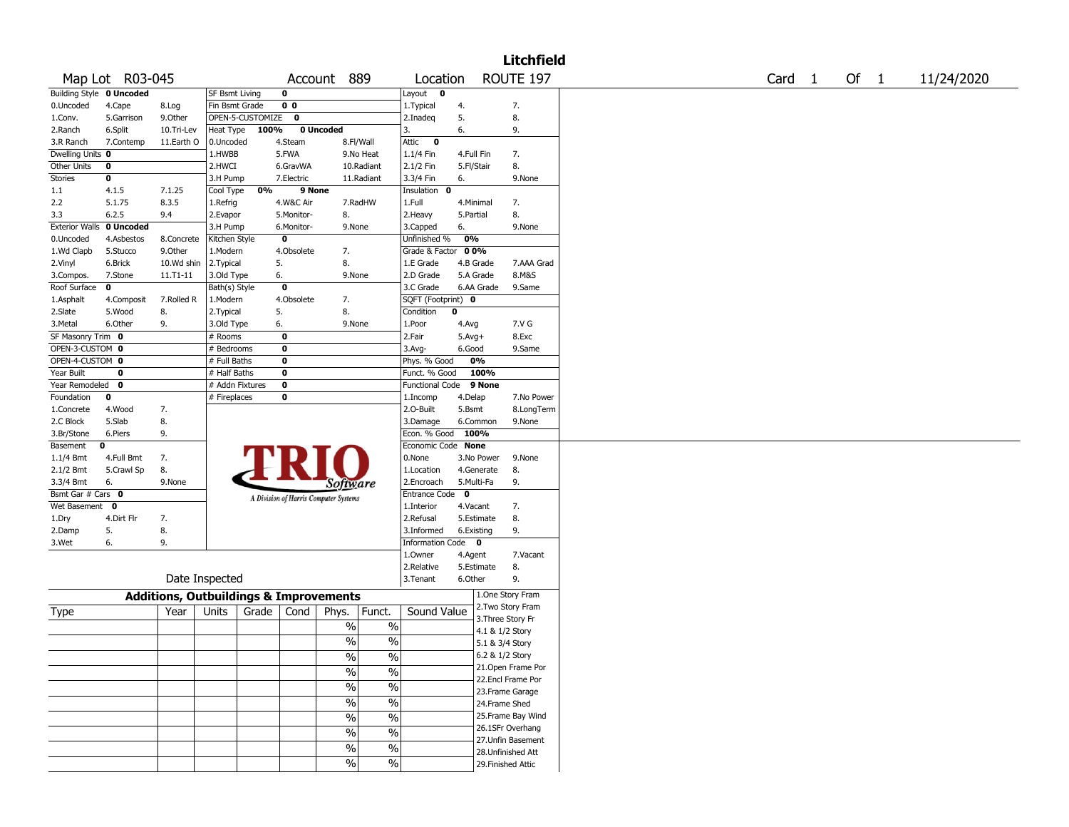|                          |                 |                                                   |                    |                |                                       |                                           |                      |                         |                 | <b>Litchfield</b>  |        |        |            |
|--------------------------|-----------------|---------------------------------------------------|--------------------|----------------|---------------------------------------|-------------------------------------------|----------------------|-------------------------|-----------------|--------------------|--------|--------|------------|
|                          | Map Lot R03-045 |                                                   |                    |                | Account 889                           |                                           | Location             |                         |                 | ROUTE 197          | Card 1 | Of $1$ | 11/24/2020 |
| Building Style 0 Uncoded |                 |                                                   | SF Bsmt Living     | 0              |                                       |                                           | Layout 0             |                         |                 |                    |        |        |            |
| 0.Uncoded                | 4.Cape          | 8.Log                                             | Fin Bsmt Grade     | 0 <sub>0</sub> |                                       |                                           | 1. Typical           | 4.                      |                 | 7.                 |        |        |            |
| 1.Conv.                  | 5.Garrison      | 9.0ther                                           | OPEN-5-CUSTOMIZE 0 |                |                                       |                                           | 2.Inadeq             | 5.                      |                 | 8.                 |        |        |            |
| 2.Ranch                  | 6.Split         | 10.Tri-Lev                                        | Heat Type          | 100%           | 0 Uncoded                             |                                           | 3.                   | 6.                      |                 | 9.                 |        |        |            |
| 3.R Ranch                | 7.Contemp       | 11.Earth O                                        | 0.Uncoded          | 4.Steam        |                                       | 8.Fl/Wall                                 | Attic<br>$\mathbf 0$ |                         |                 |                    |        |        |            |
| Dwelling Units 0         |                 |                                                   | 1.HWBB             | 5.FWA          |                                       | 9.No Heat                                 | $1.1/4$ Fin          | 4.Full Fin              |                 | 7.                 |        |        |            |
| Other Units              | 0               |                                                   | 2.HWCI             | 6.GravWA       |                                       | 10.Radiant                                | 2.1/2 Fin            | 5.Fl/Stair              |                 | 8.                 |        |        |            |
| Stories                  | 0               |                                                   | 3.H Pump           | 7.Electric     |                                       | 11.Radiant                                | 3.3/4 Fin            | 6.                      |                 | 9.None             |        |        |            |
| 1.1                      | 4.1.5           | 7.1.25                                            | Cool Type          | 0%             | 9 None                                |                                           | Insulation 0         |                         |                 |                    |        |        |            |
| 2.2                      | 5.1.75          | 8.3.5                                             | 1.Refrig           | 4.W&C Air      |                                       | 7.RadHW                                   | 1.Full               | 4.Minimal               |                 | 7.                 |        |        |            |
| 3.3                      | 6.2.5           | 9.4                                               | 2.Evapor           | 5.Monitor-     |                                       | 8.                                        | 2.Heavy              | 5.Partial               |                 | 8.                 |        |        |            |
| <b>Exterior Walls</b>    | 0 Uncoded       |                                                   | 3.H Pump           | 6.Monitor-     |                                       | 9.None                                    | 3.Capped             | 6.                      |                 | 9.None             |        |        |            |
| 0.Uncoded                | 4.Asbestos      | 8.Concrete                                        | Kitchen Style      | 0              |                                       |                                           | Unfinished %         | 0%                      |                 |                    |        |        |            |
| 1.Wd Clapb               | 5.Stucco        | 9.0ther                                           | 1.Modern           | 4.Obsolete     |                                       | 7.                                        | Grade & Factor 00%   |                         |                 |                    |        |        |            |
| 2.Vinyl                  | 6.Brick         | 10.Wd shin                                        | 2.Typical          | 5.             |                                       | 8.                                        | 1.E Grade            | 4.B Grade               |                 | 7.AAA Grad         |        |        |            |
| 3.Compos.                | 7.Stone         | $11.71 - 11$                                      | 3.Old Type         | 6.             |                                       | 9.None                                    | 2.D Grade            | 5.A Grade               |                 | 8.M&S              |        |        |            |
| Roof Surface             | 0               |                                                   | Bath(s) Style      | 0              |                                       |                                           | 3.C Grade            | 6.AA Grade              |                 | 9.Same             |        |        |            |
| 1.Asphalt                | 4.Composit      | 7.Rolled R                                        | 1.Modern           | 4.Obsolete     |                                       | 7.                                        | SQFT (Footprint) 0   |                         |                 |                    |        |        |            |
| 2.Slate                  | 5.Wood          | 8.                                                | 2. Typical         | 5.             |                                       | 8.                                        | Condition            | 0                       |                 |                    |        |        |            |
| 3.Metal                  | 6.Other         | 9.                                                | 3.Old Type         | 6.             |                                       | 9.None                                    | 1.Poor               | 4.Avg                   |                 | 7.V G              |        |        |            |
| SF Masonry Trim 0        |                 |                                                   | # Rooms            | 0              |                                       |                                           | 2.Fair               | $5.Avg+$                |                 | 8.Exc              |        |        |            |
| OPEN-3-CUSTOM 0          |                 |                                                   | # Bedrooms         | 0              |                                       |                                           | $3.$ Avg-            | 6.Good                  |                 | 9.Same             |        |        |            |
| OPEN-4-CUSTOM 0          |                 |                                                   | # Full Baths       | 0              |                                       |                                           | Phys. % Good         | 0%                      |                 |                    |        |        |            |
| Year Built               | 0               |                                                   | # Half Baths       | 0              |                                       |                                           | Funct. % Good        | 100%                    |                 |                    |        |        |            |
| Year Remodeled 0         |                 |                                                   | # Addn Fixtures    | 0              |                                       |                                           | Functional Code      | 9 None                  |                 |                    |        |        |            |
| Foundation               | 0               |                                                   | # Fireplaces       | 0              |                                       |                                           | 1.Incomp             | 4.Delap                 |                 | 7.No Power         |        |        |            |
| 1.Concrete               | 4.Wood          | 7.                                                |                    |                |                                       |                                           | 2.O-Built            | 5.Bsmt                  |                 | 8.LongTerm         |        |        |            |
| 2.C Block                | 5.Slab          | 8.                                                |                    |                |                                       |                                           | 3.Damage             | 6.Common                |                 | 9.None             |        |        |            |
| 3.Br/Stone               | 6.Piers         | 9.                                                |                    |                |                                       |                                           | Econ. % Good 100%    |                         |                 |                    |        |        |            |
| Basement<br>0            |                 |                                                   |                    |                |                                       |                                           | Economic Code None   |                         |                 |                    |        |        |            |
| 1.1/4 Bmt                | 4.Full Bmt      | 7.                                                |                    |                |                                       |                                           | 0.None               | 3.No Power              |                 | 9.None             |        |        |            |
| 2.1/2 Bmt                | 5.Crawl Sp      | 8.                                                |                    |                |                                       |                                           | 1.Location           | 4.Generate              |                 | 8.                 |        |        |            |
| 3.3/4 Bmt                | 6.              | 9.None                                            |                    |                |                                       | Software                                  | 2.Encroach           | 5.Multi-Fa              |                 | 9.                 |        |        |            |
| Bsmt Gar # Cars 0        |                 |                                                   |                    |                | A Division of Harris Computer Systems |                                           | <b>Entrance Code</b> | $\overline{\mathbf{0}}$ |                 |                    |        |        |            |
| Wet Basement 0           |                 |                                                   |                    |                |                                       |                                           | 1.Interior           | 4.Vacant                |                 | 7.                 |        |        |            |
| 1.Dry                    | 4.Dirt Flr      | 7.                                                |                    |                |                                       |                                           | 2.Refusal            | 5.Estimate              |                 | 8.                 |        |        |            |
| 2.Damp                   | 5.              | 8.                                                |                    |                |                                       |                                           | 3.Informed           | 6.Existing              |                 | 9.                 |        |        |            |
| 3.Wet                    | 6.              | 9.                                                |                    |                |                                       |                                           | Information Code 0   |                         |                 |                    |        |        |            |
|                          |                 |                                                   |                    |                |                                       |                                           | 1.Owner              | 4.Agent                 |                 | 7.Vacant           |        |        |            |
|                          |                 |                                                   |                    |                |                                       |                                           | 2.Relative           | 5.Estimate              |                 | 8.                 |        |        |            |
|                          |                 | Date Inspected                                    |                    |                |                                       |                                           | 3.Tenant             | 6.Other                 |                 | 9.                 |        |        |            |
|                          |                 | <b>Additions, Outbuildings &amp; Improvements</b> |                    |                |                                       |                                           |                      |                         |                 | 1.One Story Fram   |        |        |            |
|                          |                 |                                                   |                    |                |                                       |                                           |                      |                         |                 | 2. Two Story Fram  |        |        |            |
| Type                     |                 | Year                                              | Units              | Grade<br>Cond  | Phys.                                 | Funct.                                    | Sound Value          |                         |                 | 3. Three Story Fr  |        |        |            |
|                          |                 |                                                   |                    |                |                                       | $\%$<br>%                                 |                      |                         | 4.1 & 1/2 Story |                    |        |        |            |
|                          |                 |                                                   |                    |                |                                       | $\%$<br>$\%$                              |                      |                         | 5.1 & 3/4 Story |                    |        |        |            |
|                          |                 |                                                   |                    |                |                                       | %<br>$\sqrt{6}$                           |                      |                         | 6.2 & 1/2 Story |                    |        |        |            |
|                          |                 |                                                   |                    |                |                                       |                                           |                      |                         |                 | 21. Open Frame Por |        |        |            |
|                          |                 |                                                   |                    |                |                                       | $\%$<br>$\sqrt{6}$                        |                      |                         |                 | 22.Encl Frame Por  |        |        |            |
|                          |                 |                                                   |                    |                |                                       | $\overline{\frac{0}{0}}$<br>$\frac{0}{6}$ |                      |                         |                 | 23. Frame Garage   |        |        |            |
|                          |                 |                                                   |                    |                |                                       | $\frac{0}{6}$<br>$\%$                     |                      |                         | 24.Frame Shed   |                    |        |        |            |
|                          |                 |                                                   |                    |                |                                       |                                           |                      |                         |                 | 25. Frame Bay Wind |        |        |            |
|                          |                 |                                                   |                    |                |                                       | $\%$<br>$\sqrt{6}$                        |                      |                         |                 | 26.1SFr Overhang   |        |        |            |
|                          |                 |                                                   |                    |                |                                       | $\%$<br>$\sqrt{6}$                        |                      |                         |                 | 27.Unfin Basement  |        |        |            |
|                          |                 |                                                   |                    |                |                                       | $\frac{0}{6}$<br>$\frac{1}{2}$            |                      |                         |                 | 28.Unfinished Att  |        |        |            |
|                          |                 |                                                   |                    |                |                                       | $\frac{0}{6}$<br>$\overline{\frac{9}{6}}$ |                      |                         |                 | 29. Finished Attic |        |        |            |
|                          |                 |                                                   |                    |                |                                       |                                           |                      |                         |                 |                    |        |        |            |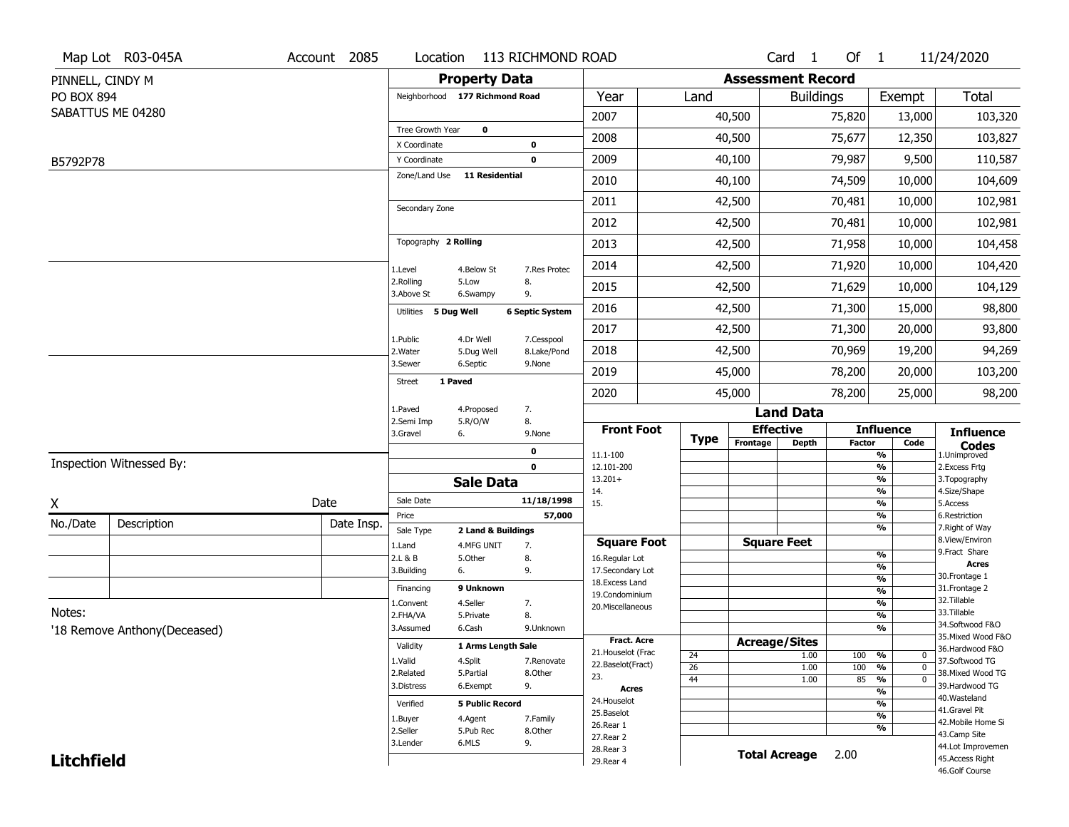|                   | Map Lot R03-045A             | Account 2085 | Location                       |                        | 113 RICHMOND ROAD      |                                     |             |                          | Card <sub>1</sub>            | Of $1$        |                                     | 11/24/2020                        |
|-------------------|------------------------------|--------------|--------------------------------|------------------------|------------------------|-------------------------------------|-------------|--------------------------|------------------------------|---------------|-------------------------------------|-----------------------------------|
| PINNELL, CINDY M  |                              |              |                                | <b>Property Data</b>   |                        |                                     |             | <b>Assessment Record</b> |                              |               |                                     |                                   |
| PO BOX 894        |                              |              | Neighborhood 177 Richmond Road |                        |                        | Year                                | Land        |                          | <b>Buildings</b>             |               | Exempt                              | Total                             |
|                   | SABATTUS ME 04280            |              |                                |                        |                        | 2007                                |             | 40,500                   |                              | 75,820        | 13,000                              | 103,320                           |
|                   |                              |              | Tree Growth Year               | $\mathbf 0$            |                        | 2008                                |             | 40,500                   |                              | 75,677        | 12,350                              | 103,827                           |
|                   |                              |              | X Coordinate                   |                        | 0                      |                                     |             |                          |                              |               |                                     |                                   |
| B5792P78          |                              |              | Y Coordinate<br>Zone/Land Use  | <b>11 Residential</b>  | $\mathbf 0$            | 2009                                |             | 40,100                   |                              | 79,987        | 9,500                               | 110,587                           |
|                   |                              |              |                                |                        |                        | 2010                                |             | 40,100                   |                              | 74,509        | 10,000                              | 104,609                           |
|                   |                              |              | Secondary Zone                 |                        |                        | 2011                                |             | 42,500                   |                              | 70,481        | 10,000                              | 102,981                           |
|                   |                              |              |                                |                        |                        | 2012                                |             | 42,500                   |                              | 70,481        | 10,000                              | 102,981                           |
|                   |                              |              | Topography 2 Rolling           |                        |                        | 2013                                |             | 42,500                   |                              | 71,958        | 10,000                              | 104,458                           |
|                   |                              |              | 1.Level                        | 4.Below St             | 7.Res Protec           | 2014                                |             | 42,500                   |                              | 71,920        | 10,000                              | 104,420                           |
|                   |                              |              | 2.Rolling<br>3.Above St        | 5.Low<br>6.Swampy      | 8.<br>9.               | 2015                                |             | 42,500                   |                              | 71,629        | 10,000                              | 104,129                           |
|                   |                              |              | Utilities 5 Dug Well           |                        | <b>6 Septic System</b> | 2016                                |             | 42,500                   |                              | 71,300        | 15,000                              | 98,800                            |
|                   |                              |              | 1.Public                       | 4.Dr Well              | 7.Cesspool             | 2017                                |             | 42,500                   |                              | 71,300        | 20,000                              | 93,800                            |
|                   |                              |              | 2. Water                       | 5.Dug Well             | 8.Lake/Pond            | 2018                                |             | 42,500                   |                              | 70,969        | 19,200                              | 94,269                            |
|                   |                              |              | 3.Sewer                        | 6.Septic<br>1 Paved    | 9.None                 | 2019                                |             | 45,000                   |                              | 78,200        | 20,000                              | 103,200                           |
|                   |                              |              | <b>Street</b>                  |                        |                        | 2020                                |             | 45,000                   |                              | 78,200        | 25,000                              | 98,200                            |
|                   |                              |              | 1.Paved<br>2.Semi Imp          | 4.Proposed<br>5.R/O/W  | 7.<br>8.               |                                     |             |                          | <b>Land Data</b>             |               |                                     |                                   |
|                   |                              |              | 3.Gravel                       | 6.                     | 9.None                 | <b>Front Foot</b>                   | <b>Type</b> |                          | <b>Effective</b>             |               | <b>Influence</b>                    | <b>Influence</b>                  |
|                   |                              |              |                                |                        | 0                      | 11.1-100                            |             | Frontage                 | <b>Depth</b>                 | <b>Factor</b> | Code<br>%                           | <b>Codes</b><br>1.Unimproved      |
|                   | Inspection Witnessed By:     |              |                                |                        | $\mathbf 0$            | 12.101-200                          |             |                          |                              |               | %                                   | 2.Excess Frtg                     |
|                   |                              |              |                                | <b>Sale Data</b>       |                        | $13.201+$<br>14.                    |             |                          |                              |               | %<br>%                              | 3. Topography<br>4.Size/Shape     |
| X                 |                              | Date         | Sale Date                      |                        | 11/18/1998             | 15.                                 |             |                          |                              |               | %                                   | 5.Access                          |
| No./Date          | Description                  | Date Insp.   | Price<br>Sale Type             | 2 Land & Buildings     | 57,000                 |                                     |             |                          |                              |               | %<br>%                              | 6.Restriction<br>7. Right of Way  |
|                   |                              |              | 1.Land                         | 4.MFG UNIT             | 7.                     | <b>Square Foot</b>                  |             |                          | <b>Square Feet</b>           |               |                                     | 8.View/Environ                    |
|                   |                              |              | 2.L & B                        | 5.Other                | 8.                     | 16.Regular Lot                      |             |                          |                              |               | %                                   | 9.Fract Share<br><b>Acres</b>     |
|                   |                              |              | 3.Building                     | 6.                     | 9.                     | 17.Secondary Lot<br>18. Excess Land |             |                          |                              |               | %<br>$\frac{9}{6}$                  | 30. Frontage 1                    |
|                   |                              |              | Financing                      | 9 Unknown              |                        | 19.Condominium                      |             |                          |                              |               | $\overline{\frac{9}{6}}$            | 31. Frontage 2                    |
|                   |                              |              | 1.Convent                      | 4.Seller               | 7.                     | 20.Miscellaneous                    |             |                          |                              |               | $\overline{\frac{9}{6}}$            | 32.Tillable                       |
| Notes:            |                              |              | 2.FHA/VA                       | 5.Private              | 8.                     |                                     |             |                          |                              |               | $\overline{\frac{9}{6}}$            | 33.Tillable<br>34.Softwood F&O    |
|                   | '18 Remove Anthony(Deceased) |              | 3.Assumed                      | 6.Cash                 | 9.Unknown              | <b>Fract. Acre</b>                  |             |                          |                              |               | $\frac{9}{6}$                       | 35. Mixed Wood F&O                |
|                   |                              |              | Validity                       | 1 Arms Length Sale     |                        | 21. Houselot (Frac                  |             |                          | <b>Acreage/Sites</b><br>1.00 |               | %<br>$\mathbf 0$                    | 36.Hardwood F&O                   |
|                   |                              |              | 1.Valid                        | 4.Split                | 7.Renovate             | 22.Baselot(Fract)                   | 24<br>26    |                          | 1.00                         | 100<br>100    | %<br>$\mathbf 0$                    | 37.Softwood TG                    |
|                   |                              |              | 2.Related                      | 5.Partial              | 8.Other                | 23.                                 | 44          |                          | 1.00                         | 85            | $\frac{1}{\sqrt{6}}$<br>$\mathbf 0$ | 38. Mixed Wood TG                 |
|                   |                              |              | 3.Distress                     | 6.Exempt               | 9.                     | <b>Acres</b>                        |             |                          |                              |               | %                                   | 39.Hardwood TG                    |
|                   |                              |              | Verified                       | <b>5 Public Record</b> |                        | 24. Houselot                        |             |                          |                              |               | %                                   | 40. Wasteland<br>41.Gravel Pit    |
|                   |                              |              | 1.Buyer                        | 4.Agent                | 7.Family               | 25.Baselot                          |             |                          |                              |               | $\frac{9}{6}$                       | 42. Mobile Home Si                |
|                   |                              |              | 2.Seller                       | 5.Pub Rec              | 8.Other                | 26.Rear 1<br>27.Rear 2              |             |                          |                              |               | %                                   | 43.Camp Site                      |
|                   |                              |              | 3.Lender                       | 6.MLS                  | 9.                     | 28. Rear 3                          |             |                          |                              |               |                                     | 44.Lot Improvemen                 |
| <b>Litchfield</b> |                              |              |                                |                        |                        | 29. Rear 4                          |             |                          | <b>Total Acreage</b>         | 2.00          |                                     | 45.Access Right<br>46.Golf Course |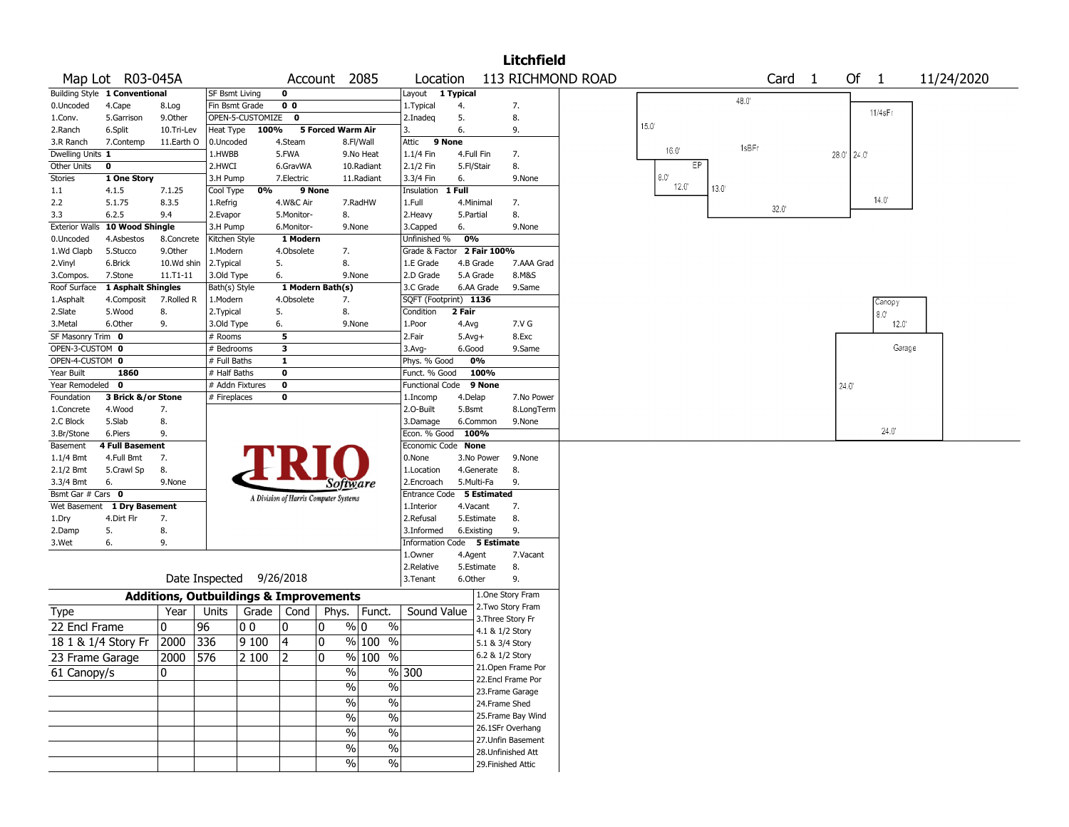|                                 |                                |                                                   |                          |                  |                   |                                       |                         |                                         |                          |                    | <b>Litchfield</b>                      |                   |                |              |                   |             |                |                |            |  |
|---------------------------------|--------------------------------|---------------------------------------------------|--------------------------|------------------|-------------------|---------------------------------------|-------------------------|-----------------------------------------|--------------------------|--------------------|----------------------------------------|-------------------|----------------|--------------|-------------------|-------------|----------------|----------------|------------|--|
|                                 | Map Lot R03-045A               |                                                   |                          |                  |                   | Account                               | 2085                    | Location                                |                          |                    |                                        | 113 RICHMOND ROAD |                |              | Card <sub>1</sub> |             | Of 1           |                | 11/24/2020 |  |
|                                 | Building Style 1 Conventional  |                                                   | <b>SF Bsmt Living</b>    |                  | 0                 |                                       |                         | Layout                                  | 1 Typical                |                    |                                        |                   |                | 48.0         |                   |             |                |                |            |  |
| 0.Uncoded                       | 4.Cape                         | 8.Log                                             | Fin Bsmt Grade           |                  | 0 <sub>0</sub>    |                                       |                         | 1. Typical                              | 4.                       |                    | 7.                                     |                   |                |              |                   |             | 11/4sFr        |                |            |  |
| 1.Conv.                         | 5.Garrison                     | 9.0ther                                           |                          | OPEN-5-CUSTOMIZE | 0                 |                                       |                         | 2.Inadeq                                | 5.                       |                    | 8.                                     |                   | 15.0           |              |                   |             |                |                |            |  |
| 2.Ranch                         | 6.Split                        | 10.Tri-Lev                                        | Heat Type                | 100%             |                   | 5 Forced Warm Air                     |                         | 3.                                      | 6.                       |                    | 9.                                     |                   |                |              |                   |             |                |                |            |  |
| 3.R Ranch                       | 7.Contemp                      | 11.Earth O                                        | 0.Uncoded                |                  | 4.Steam           |                                       | 8.Fl/Wall               | 9 None<br>Attic                         |                          |                    |                                        |                   | 16.0           | 1sBFr        |                   |             |                |                |            |  |
| Dwelling Units 1<br>Other Units | 0                              |                                                   | 1.HWBB<br>2.HWCI         |                  | 5.FWA<br>6.GravWA |                                       | 9.No Heat<br>10.Radiant | 1.1/4 Fin<br>2.1/2 Fin                  | 4.Full Fin<br>5.Fl/Stair |                    | 7.<br>8.                               |                   | EP             |              |                   | 28.0' 24.0' |                |                |            |  |
| Stories                         | 1 One Story                    |                                                   | 3.H Pump                 |                  | 7.Electric        |                                       | 11.Radiant              | 3.3/4 Fin                               | 6.                       |                    | 9.None                                 |                   | $8.0^\circ$    |              |                   |             |                |                |            |  |
| $1.1\,$                         | 4.1.5                          | 7.1.25                                            | Cool Type                | 0%               |                   | 9 None                                |                         | Insulation                              | 1 Full                   |                    |                                        |                   | $12.0^{\circ}$ | $13.0^\circ$ |                   |             |                |                |            |  |
| 2.2                             | 5.1.75                         | 8.3.5                                             | 1.Refrig                 |                  | 4.W&C Air         |                                       | 7.RadHW                 | 1.Full                                  | 4.Minimal                |                    | 7.                                     |                   |                |              |                   |             | $14.0^{\circ}$ |                |            |  |
| 3.3                             | 6.2.5                          | 9.4                                               | 2.Evapor                 |                  | 5.Monitor-        | 8.                                    |                         | 2. Heavy                                | 5.Partial                |                    | 8.                                     |                   |                |              | 32.0'             |             |                |                |            |  |
|                                 | Exterior Walls 10 Wood Shingle |                                                   | 3.H Pump                 |                  | 6.Monitor-        |                                       | 9.None                  | 3.Capped                                | 6.                       |                    | 9.None                                 |                   |                |              |                   |             |                |                |            |  |
| 0.Uncoded                       | 4.Asbestos                     | 8.Concrete                                        | Kitchen Style            |                  | 1 Modern          |                                       |                         | Unfinished %                            | 0%                       |                    |                                        |                   |                |              |                   |             |                |                |            |  |
| 1.Wd Clapb                      | 5.Stucco                       | 9.0ther                                           | 1.Modern                 |                  | 4.Obsolete        | 7.                                    |                         | Grade & Factor 2 Fair 100%              |                          |                    |                                        |                   |                |              |                   |             |                |                |            |  |
| 2.Vinyl                         | 6.Brick                        | 10.Wd shin                                        | 2.Typical                | 5.               |                   | 8.                                    |                         | 1.E Grade                               | 4.B Grade                |                    | 7.AAA Grad                             |                   |                |              |                   |             |                |                |            |  |
| 3.Compos.                       | 7.Stone                        | $11. T1 - 11$                                     | 3.Old Type               | 6.               |                   |                                       | 9.None                  | 2.D Grade                               | 5.A Grade                |                    | 8.M&S                                  |                   |                |              |                   |             |                |                |            |  |
| Roof Surface                    | 1 Asphalt Shingles             |                                                   | Bath(s) Style            |                  |                   | 1 Modern Bath(s)                      |                         | 3.C Grade                               |                          | 6.AA Grade         | 9.Same                                 |                   |                |              |                   |             |                |                |            |  |
| 1.Asphalt                       | 4.Composit                     | 7.Rolled R                                        | 1.Modern                 |                  | 4.Obsolete        | 7.                                    |                         | SQFT (Footprint) 1136                   |                          |                    |                                        |                   |                |              |                   |             | Canopy         |                |            |  |
| 2.Slate                         | 5.Wood                         | 8.                                                | 2. Typical               | 5.               |                   | 8.                                    |                         | Condition                               | 2 Fair                   |                    |                                        |                   |                |              |                   |             | $8.0^\circ$    |                |            |  |
| 3.Metal                         | 6.Other                        | 9.                                                | 3.Old Type               | 6.               |                   |                                       | 9.None                  | 1.Poor                                  | 4.Avg                    |                    | 7.V G                                  |                   |                |              |                   |             |                | $12.0^{\circ}$ |            |  |
| SF Masonry Trim 0               |                                |                                                   | # Rooms                  |                  | 5                 |                                       |                         | 2.Fair                                  | $5.Avg+$                 |                    | 8.Exc                                  |                   |                |              |                   |             |                |                |            |  |
| OPEN-3-CUSTOM 0                 |                                |                                                   | # Bedrooms               |                  | 3                 |                                       |                         | 3.Avg-                                  | 6.Good                   |                    | 9.Same                                 |                   |                |              |                   |             |                | Garage         |            |  |
| OPEN-4-CUSTOM 0                 |                                |                                                   | # Full Baths             |                  | 1                 |                                       |                         | Phys. % Good                            | 0%                       |                    |                                        |                   |                |              |                   |             |                |                |            |  |
| Year Built                      | 1860                           |                                                   | # Half Baths             |                  | $\bf{0}$          |                                       |                         | Funct. % Good                           |                          | 100%               |                                        |                   |                |              |                   |             |                |                |            |  |
| Year Remodeled                  | 0                              |                                                   | # Addn Fixtures          |                  | $\bf{0}$          |                                       |                         | <b>Functional Code</b>                  |                          | 9 None             |                                        |                   |                |              |                   | 24.0        |                |                |            |  |
| Foundation                      | 3 Brick &/or Stone             |                                                   | # Fireplaces             |                  | 0                 |                                       |                         | 1.Incomp                                | 4.Delap                  |                    | 7.No Power                             |                   |                |              |                   |             |                |                |            |  |
| 1.Concrete                      | 4.Wood                         | 7.                                                |                          |                  |                   |                                       |                         | 2.0-Built                               | 5.Bsmt                   |                    | 8.LongTerm                             |                   |                |              |                   |             |                |                |            |  |
| 2.C Block                       | 5.Slab                         | 8.                                                |                          |                  |                   |                                       |                         | 3.Damage                                | 6.Common                 |                    | 9.None                                 |                   |                |              |                   |             |                | 24.0           |            |  |
| 3.Br/Stone                      | 6.Piers                        | 9.                                                |                          |                  |                   |                                       |                         | Econ. % Good                            | 100%                     |                    |                                        |                   |                |              |                   |             |                |                |            |  |
| Basement                        | <b>4 Full Basement</b>         |                                                   |                          |                  |                   |                                       |                         | Economic Code None                      |                          |                    |                                        |                   |                |              |                   |             |                |                |            |  |
| $1.1/4$ Bmt                     | 4.Full Bmt                     | 7.                                                |                          |                  |                   |                                       |                         | 0.None                                  |                          | 3.No Power         | 9.None                                 |                   |                |              |                   |             |                |                |            |  |
| 2.1/2 Bmt                       | 5.Crawl Sp                     | 8.                                                |                          |                  |                   |                                       |                         | 1.Location                              | 5.Multi-Fa               | 4.Generate         | 8.<br>9.                               |                   |                |              |                   |             |                |                |            |  |
| 3.3/4 Bmt<br>Bsmt Gar # Cars 0  | 6.                             | 9.None                                            |                          |                  |                   | <i>Software</i>                       |                         | 2.Encroach<br>Entrance Code 5 Estimated |                          |                    |                                        |                   |                |              |                   |             |                |                |            |  |
| Wet Basement                    | 1 Dry Basement                 |                                                   |                          |                  |                   | A Division of Harris Computer Systems |                         | 1.Interior                              | 4.Vacant                 |                    | 7.                                     |                   |                |              |                   |             |                |                |            |  |
| 1.Dry                           | 4.Dirt Flr                     | 7.                                                |                          |                  |                   |                                       |                         | 2.Refusal                               |                          | 5.Estimate         | 8.                                     |                   |                |              |                   |             |                |                |            |  |
| 2.Damp                          | 5.                             | 8.                                                |                          |                  |                   |                                       |                         | 3.Informed                              | 6.Existing               |                    | 9.                                     |                   |                |              |                   |             |                |                |            |  |
| 3.Wet                           | 6.                             | 9.                                                |                          |                  |                   |                                       |                         | Information Code 5 Estimate             |                          |                    |                                        |                   |                |              |                   |             |                |                |            |  |
|                                 |                                |                                                   |                          |                  |                   |                                       |                         | 1.Owner                                 | 4.Agent                  |                    | 7.Vacant                               |                   |                |              |                   |             |                |                |            |  |
|                                 |                                |                                                   |                          |                  |                   |                                       |                         | 2.Relative                              |                          | 5.Estimate         | 8.                                     |                   |                |              |                   |             |                |                |            |  |
|                                 |                                |                                                   | Date Inspected 9/26/2018 |                  |                   |                                       |                         | 3.Tenant                                | 6.Other                  |                    | 9.                                     |                   |                |              |                   |             |                |                |            |  |
|                                 |                                | <b>Additions, Outbuildings &amp; Improvements</b> |                          |                  |                   |                                       |                         |                                         |                          |                    | 1.One Story Fram                       |                   |                |              |                   |             |                |                |            |  |
| Type                            |                                | Year                                              | Units                    | Grade $ $        | Cond              |                                       | Phys.   Funct.          | Sound Value                             |                          |                    | 2. Two Story Fram                      |                   |                |              |                   |             |                |                |            |  |
| 22 Encl Frame                   |                                | 0                                                 | 96                       | 00               | 0                 | 0                                     | $\frac{9}{0}$ 0<br>$\%$ |                                         |                          | 3. Three Story Fr  |                                        |                   |                |              |                   |             |                |                |            |  |
|                                 |                                |                                                   |                          |                  |                   |                                       |                         |                                         |                          | 4.1 & 1/2 Story    |                                        |                   |                |              |                   |             |                |                |            |  |
| 18 1 & 1/4 Story Fr             |                                | 2000 336                                          |                          | 9100             | 4                 | 0                                     | $%100$ %                |                                         |                          | 5.1 & 3/4 Story    |                                        |                   |                |              |                   |             |                |                |            |  |
| 23 Frame Garage                 |                                | 2000 576                                          |                          | 2 100            | $\mathbf{12}$     | 0                                     | % 100 %                 |                                         |                          | 6.2 & 1/2 Story    |                                        |                   |                |              |                   |             |                |                |            |  |
| 61 Canopy/s                     |                                | 10                                                |                          |                  |                   | $\%$                                  |                         | %300                                    |                          |                    | 21. Open Frame Por                     |                   |                |              |                   |             |                |                |            |  |
|                                 |                                |                                                   |                          |                  |                   | $\frac{0}{6}$                         | $\sqrt{2}$              |                                         |                          |                    | 22.Encl Frame Por                      |                   |                |              |                   |             |                |                |            |  |
|                                 |                                |                                                   |                          |                  |                   | $\%$                                  | $\frac{1}{2}$           |                                         |                          |                    | 23.Frame Garage                        |                   |                |              |                   |             |                |                |            |  |
|                                 |                                |                                                   |                          |                  |                   |                                       |                         |                                         |                          | 24.Frame Shed      |                                        |                   |                |              |                   |             |                |                |            |  |
|                                 |                                |                                                   |                          |                  |                   | $\%$                                  | $\frac{9}{6}$           |                                         |                          |                    | 25. Frame Bay Wind<br>26.1SFr Overhang |                   |                |              |                   |             |                |                |            |  |
|                                 |                                |                                                   |                          |                  |                   | $\%$                                  | $\frac{0}{6}$           |                                         |                          |                    | 27.Unfin Basement                      |                   |                |              |                   |             |                |                |            |  |
|                                 |                                |                                                   |                          |                  |                   | $\%$                                  | $\sqrt{6}$              |                                         |                          |                    | 28.Unfinished Att                      |                   |                |              |                   |             |                |                |            |  |
|                                 |                                |                                                   |                          |                  |                   | $\%$                                  | $\sqrt{6}$              |                                         |                          | 29. Finished Attic |                                        |                   |                |              |                   |             |                |                |            |  |
|                                 |                                |                                                   |                          |                  |                   |                                       |                         |                                         |                          |                    |                                        |                   |                |              |                   |             |                |                |            |  |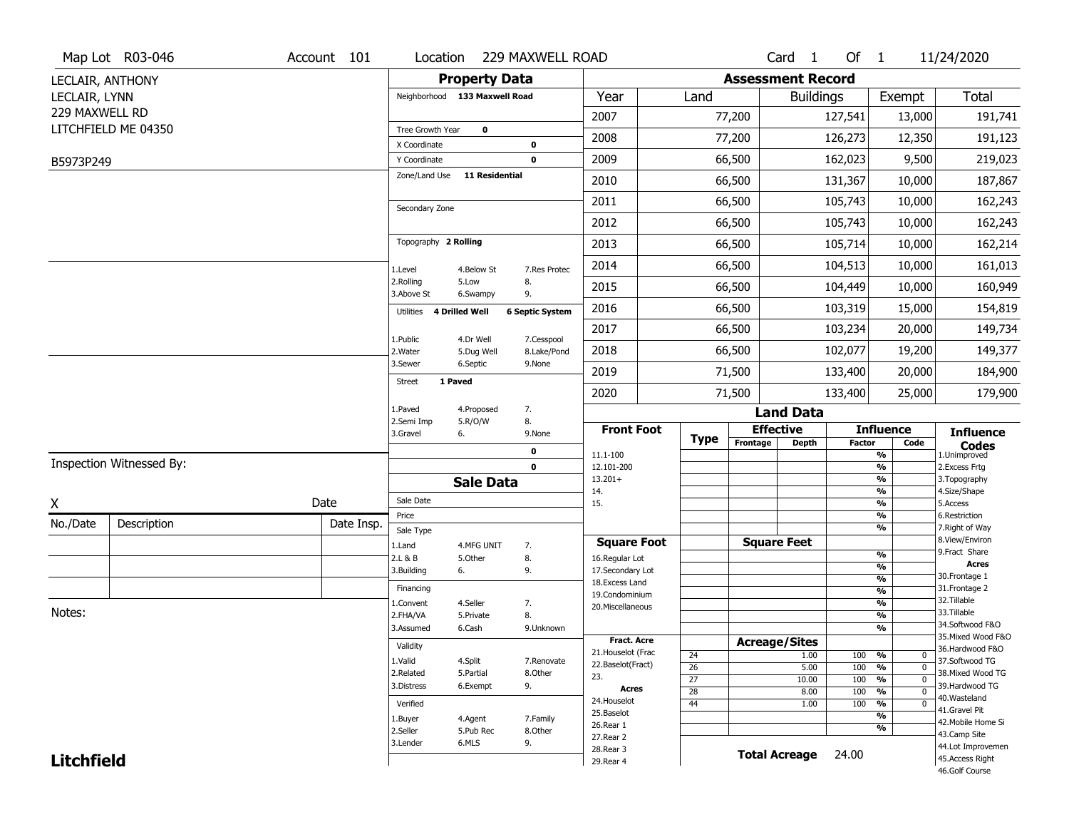|                   | Map Lot R03-046          | Account 101 | Location                      |                         | 229 MAXWELL ROAD       |                                  |                 |                          | Card <sub>1</sub>    | Of $1$  |                                 | 11/24/2020                           |
|-------------------|--------------------------|-------------|-------------------------------|-------------------------|------------------------|----------------------------------|-----------------|--------------------------|----------------------|---------|---------------------------------|--------------------------------------|
| LECLAIR, ANTHONY  |                          |             |                               | <b>Property Data</b>    |                        |                                  |                 | <b>Assessment Record</b> |                      |         |                                 |                                      |
| LECLAIR, LYNN     |                          |             | Neighborhood 133 Maxwell Road |                         |                        | Year                             | Land            |                          | <b>Buildings</b>     |         | Exempt                          | <b>Total</b>                         |
| 229 MAXWELL RD    |                          |             |                               |                         |                        | 2007                             |                 | 77,200                   |                      | 127,541 | 13,000                          | 191,741                              |
|                   | LITCHFIELD ME 04350      |             | Tree Growth Year              | 0                       |                        |                                  |                 |                          |                      |         |                                 |                                      |
|                   |                          |             | X Coordinate                  |                         | 0                      | 2008                             |                 | 77,200                   |                      | 126,273 | 12,350                          | 191,123                              |
| B5973P249         |                          |             | Y Coordinate                  |                         | 0                      | 2009                             |                 | 66,500                   |                      | 162,023 | 9,500                           | 219,023                              |
|                   |                          |             | Zone/Land Use                 | <b>11 Residential</b>   |                        | 2010                             |                 | 66,500                   |                      | 131,367 | 10,000                          | 187,867                              |
|                   |                          |             | Secondary Zone                |                         |                        | 2011                             |                 | 66,500                   |                      | 105,743 | 10,000                          | 162,243                              |
|                   |                          |             |                               |                         |                        | 2012                             |                 | 66,500                   |                      | 105,743 | 10,000                          | 162,243                              |
|                   |                          |             | Topography 2 Rolling          |                         |                        | 2013                             |                 | 66,500                   |                      | 105,714 | 10,000                          | 162,214                              |
|                   |                          |             | 1.Level                       | 4.Below St              | 7.Res Protec           | 2014                             |                 | 66,500                   |                      | 104,513 | 10,000                          | 161,013                              |
|                   |                          |             | 2.Rolling<br>3.Above St       | 5.Low<br>6.Swampy       | 8.<br>9.               | 2015                             |                 | 66,500                   |                      | 104,449 | 10,000                          | 160,949                              |
|                   |                          |             | 4 Drilled Well<br>Utilities   |                         | <b>6 Septic System</b> | 2016                             |                 | 66,500                   |                      | 103,319 | 15,000                          | 154,819                              |
|                   |                          |             |                               |                         | 7.Cesspool             | 2017                             |                 | 66,500                   |                      | 103,234 | 20,000                          | 149,734                              |
|                   |                          |             | 1.Public<br>2. Water          | 4.Dr Well<br>5.Dug Well | 8.Lake/Pond            | 2018                             |                 | 66,500                   |                      | 102,077 | 19,200                          | 149,377                              |
|                   |                          |             | 3.Sewer                       | 6.Septic                | 9.None                 | 2019                             |                 | 71,500                   |                      | 133,400 | 20,000                          | 184,900                              |
|                   |                          |             | 1 Paved<br><b>Street</b>      |                         |                        | 2020                             |                 | 71,500                   |                      | 133,400 | 25,000                          | 179,900                              |
|                   |                          |             | 1.Paved                       | 4.Proposed              | 7.                     |                                  |                 |                          | <b>Land Data</b>     |         |                                 |                                      |
|                   |                          |             | 2.Semi Imp<br>3.Gravel        | 5.R/O/W<br>6.           | 8.<br>9.None           | <b>Front Foot</b>                | <b>Type</b>     |                          | <b>Effective</b>     |         | <b>Influence</b>                | <b>Influence</b>                     |
|                   |                          |             |                               |                         | 0                      | 11.1-100                         |                 | Frontage                 | <b>Depth</b>         | Factor  | Code<br>%                       | <b>Codes</b><br>1.Unimproved         |
|                   | Inspection Witnessed By: |             |                               |                         | $\mathbf 0$            | 12.101-200                       |                 |                          |                      |         | $\frac{9}{6}$                   | 2.Excess Frtg                        |
|                   |                          |             |                               | <b>Sale Data</b>        |                        | $13.201+$<br>14.                 |                 |                          |                      |         | %<br>%                          | 3. Topography<br>4.Size/Shape        |
| X                 |                          | Date        | Sale Date                     |                         |                        | 15.                              |                 |                          |                      |         | %                               | 5.Access                             |
| No./Date          | Description              | Date Insp.  | Price                         |                         |                        |                                  |                 |                          |                      |         | %<br>%                          | 6.Restriction<br>7. Right of Way     |
|                   |                          |             | Sale Type<br>1.Land           | 4.MFG UNIT              | 7.                     | <b>Square Foot</b>               |                 |                          | <b>Square Feet</b>   |         |                                 | 8.View/Environ                       |
|                   |                          |             | 2.L & B                       | 5.Other                 | 8.                     | 16.Regular Lot                   |                 |                          |                      |         | $\frac{9}{6}$                   | 9.Fract Share<br><b>Acres</b>        |
|                   |                          |             | 3.Building                    | 6.                      | 9.                     | 17.Secondary Lot                 |                 |                          |                      |         | %<br>$\frac{9}{6}$              | 30. Frontage 1                       |
|                   |                          |             | Financing                     |                         |                        | 18.Excess Land<br>19.Condominium |                 |                          |                      |         | $\overline{\frac{9}{6}}$        | 31. Frontage 2                       |
|                   |                          |             | 1.Convent                     | 4.Seller                | 7.                     | 20.Miscellaneous                 |                 |                          |                      |         | $\frac{9}{6}$                   | 32.Tillable                          |
| Notes:            |                          |             | 2.FHA/VA<br>3.Assumed         | 5.Private               | 8.                     |                                  |                 |                          |                      |         | $\overline{\frac{9}{6}}$<br>%   | 33.Tillable<br>34.Softwood F&O       |
|                   |                          |             |                               | 6.Cash                  | 9.Unknown              | Fract. Acre                      |                 |                          | <b>Acreage/Sites</b> |         |                                 | 35. Mixed Wood F&O                   |
|                   |                          |             | Validity                      |                         |                        | 21. Houselot (Frac               | 24              |                          | 1.00                 | 100     | %<br>0                          | 36.Hardwood F&O                      |
|                   |                          |             | 1.Valid                       | 4.Split                 | 7.Renovate             | 22.Baselot(Fract)                | $\overline{26}$ |                          | 5.00                 | 100     | $\overline{0}$<br>%             | 37.Softwood TG<br>38. Mixed Wood TG  |
|                   |                          |             | 2.Related<br>3.Distress       | 5.Partial<br>6.Exempt   | 8.Other<br>9.          | 23.                              | $\overline{27}$ |                          | 10.00                | 100     | $\overline{0}$<br>%             | 39.Hardwood TG                       |
|                   |                          |             |                               |                         |                        | Acres<br>24. Houselot            | $\overline{28}$ |                          | 8.00                 | 100     | $\frac{9}{6}$<br>$\overline{0}$ | 40.Wasteland                         |
|                   |                          |             | Verified                      |                         |                        | 25.Baselot                       | 44              |                          | 1.00                 | 100     | %<br>$\mathbf 0$<br>%           | 41.Gravel Pit                        |
|                   |                          |             | 1.Buyer<br>2.Seller           | 4.Agent<br>5.Pub Rec    | 7.Family<br>8.Other    | 26.Rear 1                        |                 |                          |                      |         | %                               | 42. Mobile Home Si                   |
|                   |                          |             | 3.Lender                      |                         | 9.                     | 27.Rear 2                        |                 |                          |                      |         |                                 | 43.Camp Site                         |
|                   |                          |             |                               | 6.MLS                   |                        |                                  |                 |                          |                      |         |                                 |                                      |
| <b>Litchfield</b> |                          |             |                               |                         |                        | 28. Rear 3<br>29. Rear 4         |                 |                          | <b>Total Acreage</b> | 24.00   |                                 | 44.Lot Improvemen<br>45.Access Right |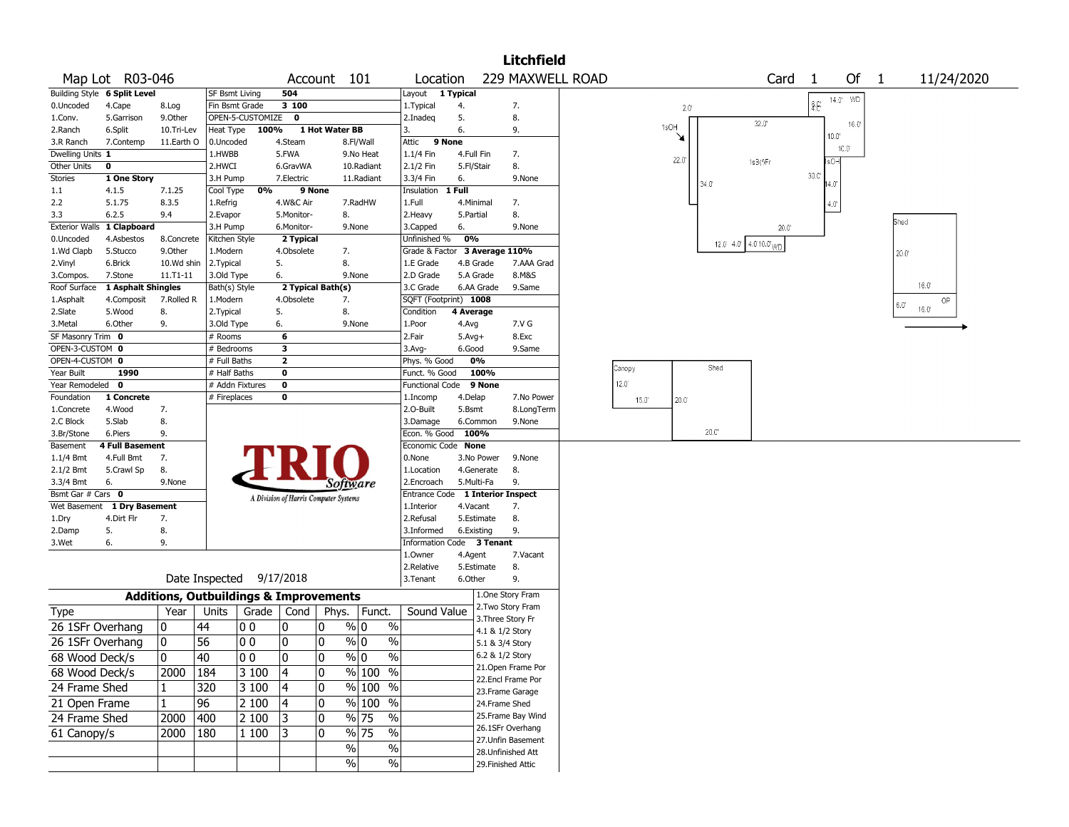|                                 |                              |            |                                                   |              |                                       |                |                                              |                                         |                          |                | <b>Litchfield</b>                    |                |               |                |                                        |               |                |      |              |            |
|---------------------------------|------------------------------|------------|---------------------------------------------------|--------------|---------------------------------------|----------------|----------------------------------------------|-----------------------------------------|--------------------------|----------------|--------------------------------------|----------------|---------------|----------------|----------------------------------------|---------------|----------------|------|--------------|------------|
|                                 | Map Lot R03-046              |            |                                                   |              |                                       | Account 101    |                                              | Location                                |                          |                | 229 MAXWELL ROAD                     |                |               |                | Card                                   | -1            | Of 1           |      |              | 11/24/2020 |
|                                 | Building Style 6 Split Level |            | SF Bsmt Living                                    |              | 504                                   |                |                                              | Layout                                  | 1 Typical                |                |                                      |                |               |                |                                        |               | 14.0 WD        |      |              |            |
| 0.Uncoded                       | 4.Cape                       | 8.Log      | Fin Bsmt Grade                                    |              | 3 100                                 |                |                                              | 1. Typical                              | 4.                       |                | 7.                                   |                | $2.0^{\circ}$ |                |                                        | $\hat{z}$ $E$ |                |      |              |            |
| 1.Conv.                         | 5.Garrison                   | 9.0ther    | OPEN-5-CUSTOMIZE                                  |              | $\mathbf{0}$                          |                |                                              | 2.Inadeg                                | 5.                       |                | 8.                                   |                | 1sOH          |                | $32.0^{\circ}$                         |               | 16.0           |      |              |            |
| 2.Ranch                         | 6.Split                      | 10.Tri-Lev | Heat Type                                         | 100%         |                                       | 1 Hot Water BB |                                              | 3.                                      | 6.                       |                | 9.                                   |                | ¥             |                |                                        |               | $10.0^{\circ}$ |      |              |            |
| 3.R Ranch                       | 7.Contemp                    | 11.Earth O | 0.Uncoded                                         |              | 4.Steam                               |                | 8.Fl/Wall                                    | Attic                                   | 9 None                   |                |                                      |                |               |                |                                        |               | 10.0°          |      |              |            |
| Dwelling Units 1<br>Other Units | 0                            |            | 1.HWBB<br>2.HWCI                                  |              | 5.FWA<br>6.GravWA                     |                | 9.No Heat<br>10.Radiant                      | 1.1/4 Fin                               | 4.Full Fin<br>5.Fl/Stair |                | 7.<br>8.                             |                | 22.0          |                | 1s3(fFr                                |               | IsO-l          |      |              |            |
| Stories                         | 1 One Story                  |            | 3.H Pump                                          |              | 7.Electric                            |                | 11.Radiant                                   | 2.1/2 Fin<br>3.3/4 Fin                  | 6.                       |                | 9.None                               |                |               |                |                                        | 30.0          |                |      |              |            |
| 1.1                             | 4.1.5                        | 7.1.25     | Cool Type                                         | 0%           | 9 None                                |                |                                              | Insulation                              | 1 Full                   |                |                                      |                |               | $34.0^{\circ}$ |                                        |               | 14.Oʻ          |      |              |            |
| 2.2                             | 5.1.75                       | 8.3.5      | 1.Refrig                                          |              | 4.W&C Air                             |                | 7.RadHW                                      | 1.Full                                  | 4. Minimal               |                | 7.                                   |                |               |                |                                        |               | 4.0'           |      |              |            |
| 3.3                             | 6.2.5                        | 9.4        | 2.Evapor                                          |              | 5.Monitor-                            |                | 8.                                           | 2. Heavy                                | 5.Partial                |                | 8.                                   |                |               |                |                                        |               |                |      |              |            |
|                                 | Exterior Walls 1 Clapboard   |            | 3.H Pump                                          |              | 6.Monitor-                            |                | 9.None                                       | 3.Capped                                | 6.                       |                | 9.None                               |                |               |                | $20.0^{\circ}$                         |               |                | Shed |              |            |
| 0.Uncoded                       | 4.Asbestos                   | 8.Concrete | Kitchen Style                                     |              | 2 Typical                             |                |                                              | Unfinished %                            | 0%                       |                |                                      |                |               |                | 12.0' 4.0' $4.0$ ' 10.0' <sub>WD</sub> |               |                |      |              |            |
| 1.Wd Clapb                      | 5.Stucco                     | 9.Other    | 1.Modern                                          |              | 4.Obsolete                            |                | 7.                                           | Grade & Factor 3 Average 110%           |                          |                |                                      |                |               |                |                                        |               |                | 20.0 |              |            |
| 2.Vinyl                         | 6.Brick                      | 10.Wd shin | 2. Typical                                        |              | 5.                                    | 8.             |                                              | 1.E Grade                               |                          | 4.B Grade      | 7.AAA Grad                           |                |               |                |                                        |               |                |      |              |            |
| 3.Compos.                       | 7.Stone                      | 11.T1-11   | 3.Old Type                                        |              | 6.                                    |                | 9.None                                       | 2.D Grade                               |                          | 5.A Grade      | 8.M&S                                |                |               |                |                                        |               |                |      |              |            |
| Roof Surface                    | 1 Asphalt Shingles           |            | Bath(s) Style                                     |              | 2 Typical Bath(s)                     |                |                                              | 3.C Grade                               |                          | 6.AA Grade     | 9.Same                               |                |               |                |                                        |               |                |      | $16.0^\circ$ |            |
| 1.Asphalt                       | 4.Composit                   | 7.Rolled R | 1.Modern                                          |              | 4.Obsolete                            |                | 7.                                           | SQFT (Footprint) 1008                   |                          |                |                                      |                |               |                |                                        |               |                | 6.0' |              | OP         |
| 2.Slate                         | 5.Wood                       | 8.         | 2. Typical                                        |              | 5.                                    | 8.             |                                              | Condition                               | 4 Average                |                |                                      |                |               |                |                                        |               |                |      | 16.0"        |            |
| 3. Metal                        | 6.Other                      | 9.         | 3.Old Type                                        |              | 6.                                    |                | 9.None                                       | 1.Poor                                  | 4.Avg                    |                | 7.V G                                |                |               |                |                                        |               |                |      |              |            |
| SF Masonry Trim 0               |                              |            | # Rooms                                           |              | 6                                     |                |                                              | 2.Fair                                  | $5.Avg+$                 |                | 8.Exc                                |                |               |                |                                        |               |                |      |              |            |
| OPEN-3-CUSTOM 0                 |                              |            | # Bedrooms                                        |              | 3                                     |                |                                              | 3.Avg-                                  | 6.Good                   |                | 9.Same                               |                |               |                |                                        |               |                |      |              |            |
| OPEN-4-CUSTOM 0                 |                              |            | # Full Baths                                      |              | $\overline{\mathbf{2}}$               |                |                                              | Phys. % Good                            |                          | 0%             |                                      | Canopy         |               | Shed           |                                        |               |                |      |              |            |
| Year Built<br>Year Remodeled 0  | 1990                         |            | # Half Baths                                      |              | 0<br>$\mathbf 0$                      |                |                                              | Funct. % Good<br><b>Functional Code</b> |                          | 100%<br>9 None |                                      | $12.0^{\circ}$ |               |                |                                        |               |                |      |              |            |
| Foundation                      | 1 Concrete                   |            | # Addn Fixtures<br># Fireplaces                   |              | 0                                     |                |                                              | 1.Incomp                                | 4.Delap                  |                | 7.No Power                           |                |               |                |                                        |               |                |      |              |            |
| 1.Concrete                      | 4.Wood                       | 7.         |                                                   |              |                                       |                |                                              | 2.0-Built                               | 5.Bsmt                   |                | 8.LongTerm                           | $15.0^{\circ}$ | 20.0          |                |                                        |               |                |      |              |            |
| 2.C Block                       | 5.Slab                       | 8.         |                                                   |              |                                       |                |                                              | 3.Damage                                |                          | 6.Common       | 9.None                               |                |               |                |                                        |               |                |      |              |            |
| 3.Br/Stone                      | 6.Piers                      | 9.         |                                                   |              |                                       |                |                                              | Econ. % Good                            | 100%                     |                |                                      |                |               | 20.0           |                                        |               |                |      |              |            |
| Basement                        | <b>4 Full Basement</b>       |            |                                                   |              |                                       |                |                                              | Economic Code None                      |                          |                |                                      |                |               |                |                                        |               |                |      |              |            |
| $1.1/4$ Bmt                     | 4.Full Bmt                   | 7.         |                                                   |              |                                       |                |                                              | 0.None                                  |                          | 3.No Power     | 9.None                               |                |               |                |                                        |               |                |      |              |            |
| 2.1/2 Bmt                       | 5.Crawl Sp                   | 8.         |                                                   |              |                                       |                |                                              | 1.Location                              |                          | 4.Generate     | 8.                                   |                |               |                |                                        |               |                |      |              |            |
| 3.3/4 Bmt                       | 6.                           | 9.None     |                                                   |              |                                       |                | Software                                     | 2.Encroach                              |                          | 5.Multi-Fa     | 9.                                   |                |               |                |                                        |               |                |      |              |            |
| Bsmt Gar # Cars 0               |                              |            |                                                   |              | A Division of Harris Computer Systems |                |                                              | Entrance Code                           |                          |                | <b>1 Interior Inspect</b>            |                |               |                |                                        |               |                |      |              |            |
|                                 | Wet Basement 1 Dry Basement  |            |                                                   |              |                                       |                |                                              | 1.Interior                              | 4.Vacant                 |                | 7.                                   |                |               |                |                                        |               |                |      |              |            |
| 1.Dry                           | 4.Dirt Flr                   | 7.         |                                                   |              |                                       |                |                                              | 2.Refusal                               |                          | 5.Estimate     | 8.                                   |                |               |                |                                        |               |                |      |              |            |
| 2.Damp                          | 5.                           | 8.         |                                                   |              |                                       |                |                                              | 3.Informed                              | 6.Existing               |                | 9.                                   |                |               |                |                                        |               |                |      |              |            |
| 3.Wet                           | 6.                           | 9.         |                                                   |              |                                       |                |                                              | Information Code 3 Tenant               |                          |                |                                      |                |               |                |                                        |               |                |      |              |            |
|                                 |                              |            |                                                   |              |                                       |                |                                              | 1.Owner                                 | 4.Agent                  |                | 7.Vacant                             |                |               |                |                                        |               |                |      |              |            |
|                                 |                              |            | Date Inspected 9/17/2018                          |              |                                       |                |                                              | 2.Relative<br>3.Tenant                  | 6.Other                  | 5.Estimate     | 8.<br>9.                             |                |               |                |                                        |               |                |      |              |            |
|                                 |                              |            | <b>Additions, Outbuildings &amp; Improvements</b> |              |                                       |                |                                              |                                         |                          |                | 1.One Story Fram                     |                |               |                |                                        |               |                |      |              |            |
| <b>Type</b>                     |                              | Year       | Units                                             | Grade        | Cond                                  |                | Phys.   Funct.                               | Sound Value                             |                          |                | 2. Two Story Fram                    |                |               |                |                                        |               |                |      |              |            |
| 26 1SFr Overhang                |                              | 10         | 44                                                | 00           | 0                                     | 10             | $\%$<br>% 0                                  |                                         |                          |                | 3. Three Story Fr<br>4.1 & 1/2 Story |                |               |                |                                        |               |                |      |              |            |
| 26 1SFr Overhang                |                              | 0          | 56                                                | 00           | 0                                     | 10             | $\%$<br>% 0                                  |                                         |                          |                | 5.1 & 3/4 Story                      |                |               |                |                                        |               |                |      |              |            |
| 68 Wood Deck/s                  |                              | 0          | 40                                                | $ 00\rangle$ | $ 0\rangle$                           | 0              | $\%$ 0<br>$\sqrt[6]{\frac{1}{2}}$            |                                         |                          |                | 6.2 & 1/2 Story                      |                |               |                |                                        |               |                |      |              |            |
| 68 Wood Deck/s                  |                              | 2000       | 184                                               | 3 100        | 4                                     | 10             | % 100 %                                      |                                         |                          |                | 21. Open Frame Por                   |                |               |                |                                        |               |                |      |              |            |
| 24 Frame Shed                   |                              |            | 320                                               | 3 100        | 14                                    | 10             | % 100 %                                      |                                         |                          |                | 22.Encl Frame Por                    |                |               |                |                                        |               |                |      |              |            |
| 21 Open Frame                   |                              | 1          | 96                                                | 2 100        | 4                                     | 10             | % 100 %                                      |                                         |                          |                | 23. Frame Garage<br>24.Frame Shed    |                |               |                |                                        |               |                |      |              |            |
|                                 |                              |            |                                                   |              |                                       |                | $\%$                                         |                                         |                          |                | 25.Frame Bay Wind                    |                |               |                |                                        |               |                |      |              |            |
| 24 Frame Shed                   |                              | 2000       | 400                                               | 2 100        | 13                                    | 10             | $\frac{9}{6}$ 75                             |                                         |                          |                | 26.1SFr Overhang                     |                |               |                |                                        |               |                |      |              |            |
| 61 Canopy/s                     |                              | 2000       | 180                                               | 1 100        | 3                                     | 10             | $\frac{9}{6}$ 75<br>$\overline{\frac{0}{0}}$ |                                         |                          |                | 27.Unfin Basement                    |                |               |                |                                        |               |                |      |              |            |
|                                 |                              |            |                                                   |              |                                       |                | $\frac{1}{2}$<br>$\%$                        |                                         |                          |                | 28.Unfinished Att                    |                |               |                |                                        |               |                |      |              |            |
|                                 |                              |            |                                                   |              |                                       |                | $\%$<br>%                                    |                                         |                          |                | 29. Finished Attic                   |                |               |                |                                        |               |                |      |              |            |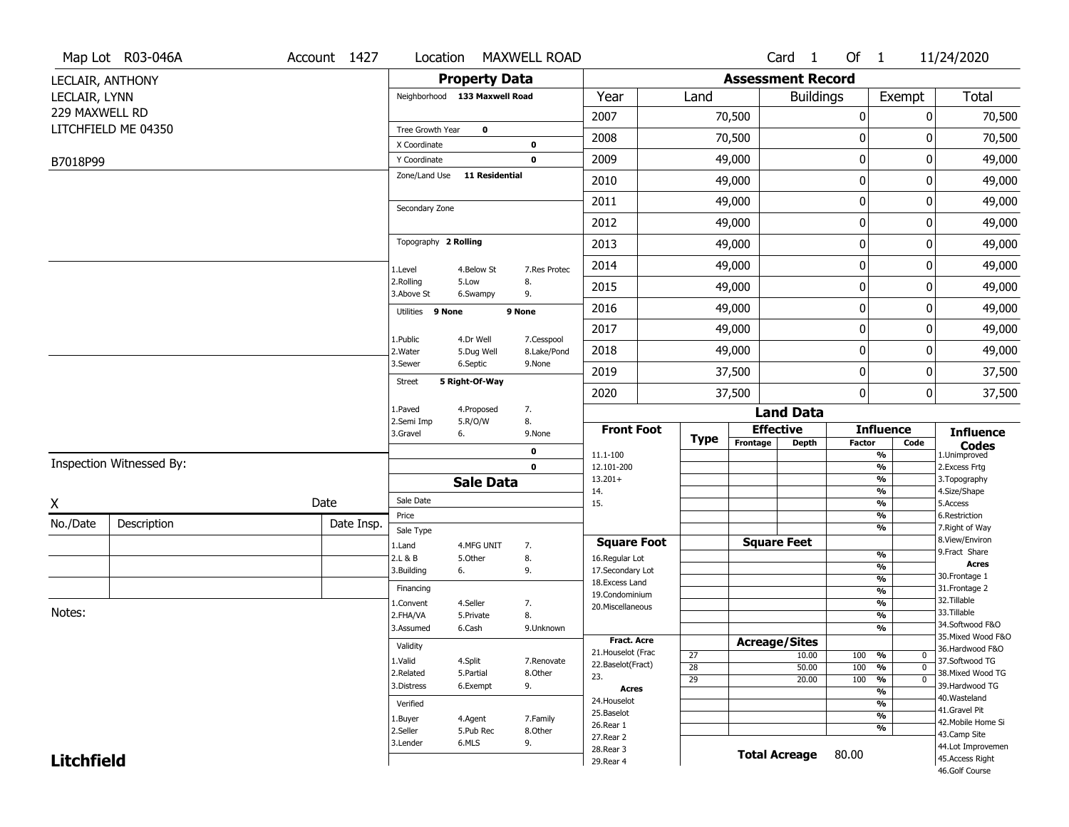|                   | Map Lot R03-046A         | Account 1427 | Location                                     |                      | <b>MAXWELL ROAD</b>       |                                     |                 |                          | Card <sub>1</sub>    | Of $1$           |                                           | 11/24/2020                           |
|-------------------|--------------------------|--------------|----------------------------------------------|----------------------|---------------------------|-------------------------------------|-----------------|--------------------------|----------------------|------------------|-------------------------------------------|--------------------------------------|
| LECLAIR, ANTHONY  |                          |              |                                              | <b>Property Data</b> |                           |                                     |                 | <b>Assessment Record</b> |                      |                  |                                           |                                      |
| LECLAIR, LYNN     |                          |              | Neighborhood 133 Maxwell Road                |                      |                           | Year                                | Land            |                          | <b>Buildings</b>     |                  | Exempt                                    | Total                                |
| 229 MAXWELL RD    |                          |              |                                              |                      |                           | 2007                                |                 | 70,500                   |                      | $\boldsymbol{0}$ | 0                                         | 70,500                               |
|                   | LITCHFIELD ME 04350      |              | Tree Growth Year                             | $\mathbf 0$          |                           | 2008                                |                 | 70,500                   |                      | 0                | 0                                         | 70,500                               |
|                   |                          |              | X Coordinate                                 |                      | 0                         |                                     |                 |                          |                      |                  |                                           |                                      |
| B7018P99          |                          |              | Y Coordinate<br>Zone/Land Use 11 Residential |                      | $\mathbf 0$               | 2009                                |                 | 49,000                   |                      | $\mathbf 0$      | 0                                         | 49,000                               |
|                   |                          |              |                                              |                      |                           | 2010                                |                 | 49,000                   |                      | $\mathbf 0$      | 0                                         | 49,000                               |
|                   |                          |              | Secondary Zone                               |                      |                           | 2011                                |                 | 49,000                   |                      | $\mathbf 0$      | 0                                         | 49,000                               |
|                   |                          |              |                                              |                      |                           | 2012                                |                 | 49,000                   |                      | $\mathbf 0$      | 0                                         | 49,000                               |
|                   |                          |              | Topography 2 Rolling                         |                      |                           | 2013                                |                 | 49,000                   |                      | $\mathbf 0$      | 0                                         | 49,000                               |
|                   |                          |              | 1.Level                                      | 4.Below St           | 7.Res Protec              | 2014                                |                 | 49,000                   |                      | $\mathbf 0$      | 0                                         | 49,000                               |
|                   |                          |              | 2.Rolling<br>3.Above St                      | 5.Low<br>6.Swampy    | 8.<br>9.                  | 2015                                |                 | 49,000                   |                      | 0                | 0                                         | 49,000                               |
|                   |                          |              | Utilities 9 None                             |                      | 9 None                    | 2016                                |                 | 49,000                   |                      | $\mathbf 0$      | 0                                         | 49,000                               |
|                   |                          |              |                                              | 4.Dr Well            |                           | 2017                                |                 | 49,000                   |                      | $\mathbf 0$      | 0                                         | 49,000                               |
|                   |                          |              | 1.Public<br>2. Water                         | 5.Dug Well           | 7.Cesspool<br>8.Lake/Pond | 2018                                |                 | 49,000                   |                      | $\mathbf 0$      | 0                                         | 49,000                               |
|                   |                          |              | 3.Sewer                                      | 6.Septic             | 9.None                    | 2019                                |                 | 37,500                   |                      | $\mathbf 0$      | 0                                         | 37,500                               |
|                   |                          |              | <b>Street</b>                                | 5 Right-Of-Way       |                           | 2020                                |                 | 37,500                   |                      | $\mathbf 0$      | 0                                         | 37,500                               |
|                   |                          |              | 1.Paved                                      | 4.Proposed           | 7.                        |                                     |                 |                          | <b>Land Data</b>     |                  |                                           |                                      |
|                   |                          |              | 2.Semi Imp<br>3.Gravel                       | 5.R/O/W<br>6.        | 8.<br>9.None              | <b>Front Foot</b>                   |                 |                          | <b>Effective</b>     |                  | <b>Influence</b>                          | <b>Influence</b>                     |
|                   |                          |              |                                              |                      | 0                         | 11.1-100                            | <b>Type</b>     | Frontage                 | <b>Depth</b>         | <b>Factor</b>    | Code<br>$\overline{\frac{9}{6}}$          | <b>Codes</b><br>1.Unimproved         |
|                   | Inspection Witnessed By: |              |                                              |                      | $\mathbf 0$               | 12.101-200                          |                 |                          |                      |                  | $\frac{9}{6}$                             | 2.Excess Frtg                        |
|                   |                          |              |                                              | <b>Sale Data</b>     |                           | $13.201+$<br>14.                    |                 |                          |                      |                  | $\overline{\frac{9}{6}}$<br>$\frac{9}{6}$ | 3. Topography<br>4.Size/Shape        |
| X                 |                          | Date         | Sale Date                                    |                      |                           | 15.                                 |                 |                          |                      |                  | $\overline{\frac{9}{6}}$                  | 5.Access                             |
| No./Date          | Description              | Date Insp.   | Price<br>Sale Type                           |                      |                           |                                     |                 |                          |                      |                  | $\frac{9}{6}$<br>$\overline{\frac{9}{6}}$ | 6.Restriction<br>7. Right of Way     |
|                   |                          |              | 1.Land                                       | 4.MFG UNIT           | 7.                        | <b>Square Foot</b>                  |                 |                          | <b>Square Feet</b>   |                  |                                           | 8.View/Environ                       |
|                   |                          |              | 2.L & B                                      | 5.Other              | 8.                        | 16.Regular Lot                      |                 |                          |                      |                  | $\frac{9}{6}$                             | 9.Fract Share<br><b>Acres</b>        |
|                   |                          |              | 3.Building                                   | 6.                   | 9.                        | 17.Secondary Lot<br>18. Excess Land |                 |                          |                      |                  | $\frac{9}{6}$<br>$\frac{9}{6}$            | 30. Frontage 1                       |
|                   |                          |              | Financing                                    |                      |                           | 19.Condominium                      |                 |                          |                      |                  | $\overline{\frac{9}{6}}$                  | 31. Frontage 2                       |
| Notes:            |                          |              | 1.Convent                                    | 4.Seller             | 7.                        | 20.Miscellaneous                    |                 |                          |                      |                  | $\frac{9}{6}$                             | 32.Tillable<br>33.Tillable           |
|                   |                          |              | 2.FHA/VA<br>3.Assumed                        | 5.Private<br>6.Cash  | 8.<br>9.Unknown           |                                     |                 |                          |                      |                  | $\overline{\frac{9}{6}}$<br>$\frac{9}{6}$ | 34.Softwood F&O                      |
|                   |                          |              |                                              |                      |                           | <b>Fract. Acre</b>                  |                 | <b>Acreage/Sites</b>     |                      |                  |                                           | 35. Mixed Wood F&O                   |
|                   |                          |              | Validity                                     |                      |                           | 21. Houselot (Frac                  | 27              |                          | 10.00                | 100              | %<br>$\mathbf{0}$                         | 36.Hardwood F&O                      |
|                   |                          |              | 1.Valid<br>2.Related                         | 4.Split<br>5.Partial | 7.Renovate<br>8.Other     | 22.Baselot(Fract)                   | $\overline{28}$ |                          | 50.00                | 100              | $\overline{0}$<br>%                       | 37.Softwood TG<br>38. Mixed Wood TG  |
|                   |                          |              | 3.Distress                                   | 6.Exempt             | 9.                        | 23.                                 | $\overline{29}$ |                          | 20.00                | 100              | $\frac{9}{6}$<br>$\overline{0}$           | 39.Hardwood TG                       |
|                   |                          |              |                                              |                      |                           | Acres<br>24. Houselot               |                 |                          |                      |                  | $\overline{\frac{9}{6}}$                  | 40. Wasteland                        |
|                   |                          |              | Verified                                     |                      |                           | 25.Baselot                          |                 |                          |                      |                  | %<br>$\overline{\frac{9}{6}}$             | 41.Gravel Pit                        |
|                   |                          |              | 1.Buyer<br>2.Seller                          | 4.Agent<br>5.Pub Rec | 7.Family<br>8.Other       | 26.Rear 1                           |                 |                          |                      |                  | %                                         | 42. Mobile Home Si                   |
|                   |                          |              | 3.Lender                                     | 6.MLS                | 9.                        | 27.Rear 2                           |                 |                          |                      |                  |                                           | 43.Camp Site                         |
|                   |                          |              |                                              |                      |                           |                                     |                 |                          |                      |                  |                                           |                                      |
| <b>Litchfield</b> |                          |              |                                              |                      |                           | 28. Rear 3<br>29. Rear 4            |                 |                          | <b>Total Acreage</b> | 80.00            |                                           | 44.Lot Improvemen<br>45.Access Right |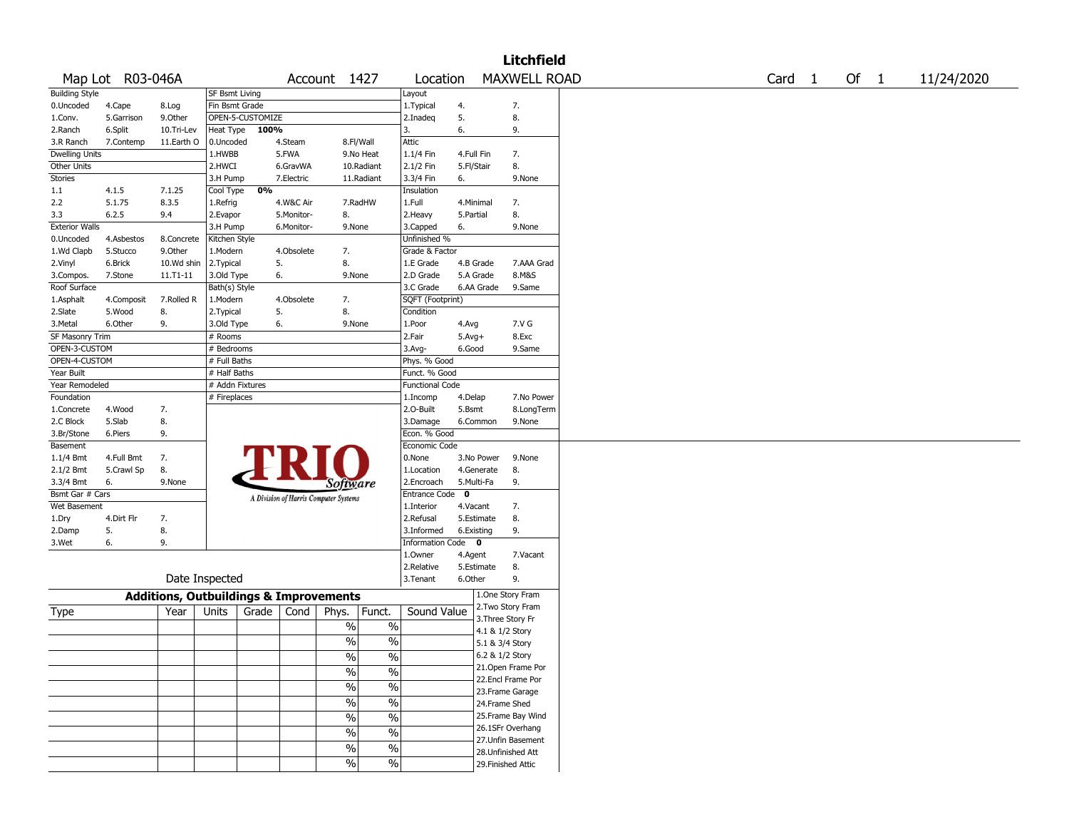|                       |                  |                                                   |                 |                                       |            |                 |                          |             |            | <b>Litchfield</b>                  |  |  |        |      |            |
|-----------------------|------------------|---------------------------------------------------|-----------------|---------------------------------------|------------|-----------------|--------------------------|-------------|------------|------------------------------------|--|--|--------|------|------------|
|                       | Map Lot R03-046A |                                                   |                 |                                       |            | Account 1427    |                          | Location    |            | <b>MAXWELL ROAD</b>                |  |  | Card 1 | Of 1 | 11/24/2020 |
| <b>Building Style</b> |                  |                                                   | SF Bsmt Living  |                                       |            |                 | Layout                   |             |            |                                    |  |  |        |      |            |
| 0.Uncoded             | 4.Cape           | 8.Log                                             | Fin Bsmt Grade  |                                       |            |                 | 1.Typical                | 4.          |            | 7.                                 |  |  |        |      |            |
| 1.Conv.               | 5.Garrison       | 9.0ther                                           |                 | OPEN-5-CUSTOMIZE                      |            |                 | 2.Inadeq                 | 5.          |            | 8.                                 |  |  |        |      |            |
| 2.Ranch               | 6.Split          | 10.Tri-Lev                                        | Heat Type       | 100%                                  |            |                 | 3.                       | 6.          |            | 9.                                 |  |  |        |      |            |
| 3.R Ranch             | 7.Contemp        | 11.Earth O                                        | 0.Uncoded       |                                       | 4.Steam    | 8.Fl/Wall       | Attic                    |             |            |                                    |  |  |        |      |            |
| <b>Dwelling Units</b> |                  |                                                   | 1.HWBB          | 5.FWA                                 |            | 9.No Heat       | 1.1/4 Fin                |             | 4.Full Fin | 7.                                 |  |  |        |      |            |
| Other Units           |                  |                                                   | 2.HWCI          |                                       | 6.GravWA   | 10.Radiant      | 2.1/2 Fin                |             | 5.Fl/Stair | 8.                                 |  |  |        |      |            |
| <b>Stories</b>        |                  |                                                   | 3.H Pump        |                                       | 7.Electric | 11.Radiant      | 3.3/4 Fin                | 6.          |            | 9.None                             |  |  |        |      |            |
| 1.1                   | 4.1.5            | 7.1.25                                            | Cool Type       | 0%                                    |            |                 | Insulation               |             |            |                                    |  |  |        |      |            |
| 2.2                   | 5.1.75           | 8.3.5                                             | 1.Refrig        |                                       | 4.W&C Air  | 7.RadHW         | 1.Full                   |             | 4.Minimal  | 7.                                 |  |  |        |      |            |
| 3.3                   | 6.2.5            | 9.4                                               | 2.Evapor        |                                       | 5.Monitor- | 8.              | 2. Heavy                 |             | 5.Partial  | 8.                                 |  |  |        |      |            |
| <b>Exterior Walls</b> |                  |                                                   | 3.H Pump        |                                       | 6.Monitor- | 9.None          | 3.Capped                 | 6.          |            | 9.None                             |  |  |        |      |            |
| 0.Uncoded             | 4.Asbestos       | 8.Concrete                                        | Kitchen Style   |                                       |            |                 | Unfinished %             |             |            |                                    |  |  |        |      |            |
|                       |                  |                                                   |                 |                                       |            |                 |                          |             |            |                                    |  |  |        |      |            |
| 1.Wd Clapb            | 5.Stucco         | 9.0ther                                           | 1.Modern        |                                       | 4.Obsolete | 7.              | Grade & Factor           |             |            |                                    |  |  |        |      |            |
| 2.Vinyl               | 6.Brick          | 10.Wd shin                                        | 2. Typical      | 5.                                    |            | 8.              | 1.E Grade                |             | 4.B Grade  | 7.AAA Grad                         |  |  |        |      |            |
| 3.Compos.             | 7.Stone          | $11.71 - 11$                                      | 3.Old Type      | 6.                                    |            | 9.None          | 2.D Grade                |             | 5.A Grade  | 8.M&S                              |  |  |        |      |            |
| Roof Surface          |                  |                                                   | Bath(s) Style   |                                       |            |                 | 3.C Grade                |             | 6.AA Grade | 9.Same                             |  |  |        |      |            |
| 1.Asphalt             | 4.Composit       | 7.Rolled R                                        | 1.Modern        |                                       | 4.Obsolete | 7.              | SQFT (Footprint)         |             |            |                                    |  |  |        |      |            |
| 2.Slate               | 5.Wood           | 8.                                                | 2. Typical      | 5.                                    |            | 8.              | Condition                |             |            |                                    |  |  |        |      |            |
| 3.Metal               | 6.Other          | 9.                                                | 3.Old Type      | 6.                                    |            | 9.None          | 1.Poor                   | 4.Avg       |            | 7.V G                              |  |  |        |      |            |
| SF Masonry Trim       |                  |                                                   | # Rooms         |                                       |            |                 | 2.Fair                   |             | $5.Avg+$   | 8.Exc                              |  |  |        |      |            |
| OPEN-3-CUSTOM         |                  |                                                   | # Bedrooms      |                                       |            |                 | 3.Avg-                   |             | 6.Good     | 9.Same                             |  |  |        |      |            |
| OPEN-4-CUSTOM         |                  |                                                   | # Full Baths    |                                       |            |                 | Phys. % Good             |             |            |                                    |  |  |        |      |            |
| Year Built            |                  |                                                   | # Half Baths    |                                       |            |                 | Funct. % Good            |             |            |                                    |  |  |        |      |            |
| Year Remodeled        |                  |                                                   | # Addn Fixtures |                                       |            |                 | <b>Functional Code</b>   |             |            |                                    |  |  |        |      |            |
| Foundation            |                  |                                                   | # Fireplaces    |                                       |            |                 | 1.Incomp                 |             | 4.Delap    | 7.No Power                         |  |  |        |      |            |
| 1.Concrete            | 4.Wood           | 7.                                                |                 |                                       |            |                 | 2.0-Built                |             | 5.Bsmt     | 8.LongTerm                         |  |  |        |      |            |
| 2.C Block             | 5.Slab           | 8.                                                |                 |                                       |            |                 | 3.Damage                 |             | 6.Common   | 9.None                             |  |  |        |      |            |
| 3.Br/Stone            | 6.Piers          | 9.                                                |                 |                                       |            |                 | Econ. % Good             |             |            |                                    |  |  |        |      |            |
| Basement              |                  |                                                   |                 |                                       |            |                 | Economic Code            |             |            |                                    |  |  |        |      |            |
|                       |                  |                                                   |                 |                                       |            |                 | 0.None                   |             | 3.No Power | 9.None                             |  |  |        |      |            |
| 1.1/4 Bmt             | 4.Full Bmt       | 7.                                                |                 |                                       |            |                 |                          |             |            |                                    |  |  |        |      |            |
| 2.1/2 Bmt             | 5.Crawl Sp       | 8.                                                |                 |                                       |            |                 | 1.Location               |             | 4.Generate | 8.                                 |  |  |        |      |            |
| 3.3/4 Bmt             | 6.               | 9.None                                            |                 |                                       |            | <i>Software</i> | 2.Encroach               |             | 5.Multi-Fa | 9.                                 |  |  |        |      |            |
| Bsmt Gar # Cars       |                  |                                                   |                 | A Division of Harris Computer Systems |            |                 | <b>Entrance Code</b>     | $\mathbf 0$ |            |                                    |  |  |        |      |            |
| Wet Basement          |                  |                                                   |                 |                                       |            |                 | 1.Interior               |             | 4.Vacant   | 7.                                 |  |  |        |      |            |
| 1.Dry                 | 4.Dirt Flr       | 7.                                                |                 |                                       |            |                 | 2.Refusal                |             | 5.Estimate | 8.                                 |  |  |        |      |            |
| 2.Damp                | 5.               | 8.                                                |                 |                                       |            |                 | 3.Informed               |             | 6.Existing | 9.                                 |  |  |        |      |            |
| 3.Wet                 | 6.               | 9.                                                |                 |                                       |            |                 | Information Code 0       |             |            |                                    |  |  |        |      |            |
|                       |                  |                                                   |                 |                                       |            |                 | 1.0wner                  |             | 4.Agent    | 7.Vacant                           |  |  |        |      |            |
|                       |                  |                                                   |                 |                                       |            |                 | 2.Relative               |             | 5.Estimate | 8.                                 |  |  |        |      |            |
|                       |                  |                                                   | Date Inspected  |                                       |            |                 | 3.Tenant                 |             | 6.Other    | 9.                                 |  |  |        |      |            |
|                       |                  | <b>Additions, Outbuildings &amp; Improvements</b> |                 |                                       |            |                 |                          |             |            | 1.One Story Fram                   |  |  |        |      |            |
| Type                  |                  | Year                                              | Units           | Grade                                 | Cond       | Funct.<br>Phys. | Sound Value              |             |            | 2. Two Story Fram                  |  |  |        |      |            |
|                       |                  |                                                   |                 |                                       |            | $\%$            | $\%$                     |             |            | 3. Three Story Fr                  |  |  |        |      |            |
|                       |                  |                                                   |                 |                                       |            | $\frac{0}{0}$   | $\%$                     |             |            | 4.1 & 1/2 Story<br>5.1 & 3/4 Story |  |  |        |      |            |
|                       |                  |                                                   |                 |                                       |            |                 |                          |             |            |                                    |  |  |        |      |            |
|                       |                  |                                                   |                 |                                       |            | $\frac{9}{6}$   | $\frac{1}{2}$            |             |            | 6.2 & 1/2 Story                    |  |  |        |      |            |
|                       |                  |                                                   |                 |                                       |            | %               | $\%$                     |             |            | 21.Open Frame Por                  |  |  |        |      |            |
|                       |                  |                                                   |                 |                                       |            | $\sqrt{6}$      | $\%$                     |             |            | 22.Encl Frame Por                  |  |  |        |      |            |
|                       |                  |                                                   |                 |                                       |            |                 |                          |             |            | 23. Frame Garage                   |  |  |        |      |            |
|                       |                  |                                                   |                 |                                       |            | $\sqrt{6}$      | $\%$                     |             |            | 24.Frame Shed                      |  |  |        |      |            |
|                       |                  |                                                   |                 |                                       |            | $\frac{0}{0}$   | $\%$                     |             |            | 25. Frame Bay Wind                 |  |  |        |      |            |
|                       |                  |                                                   |                 |                                       |            | $\%$            | $\%$                     |             |            | 26.1SFr Overhang                   |  |  |        |      |            |
|                       |                  |                                                   |                 |                                       |            |                 |                          |             |            | 27.Unfin Basement                  |  |  |        |      |            |
|                       |                  |                                                   |                 |                                       |            | $\sqrt{6}$      | $\overline{\frac{0}{6}}$ |             |            | 28.Unfinished Att                  |  |  |        |      |            |
|                       |                  |                                                   |                 |                                       |            | $\sqrt{6}$      | $\frac{1}{2}$            |             |            | 29. Finished Attic                 |  |  |        |      |            |
|                       |                  |                                                   |                 |                                       |            |                 |                          |             |            |                                    |  |  |        |      |            |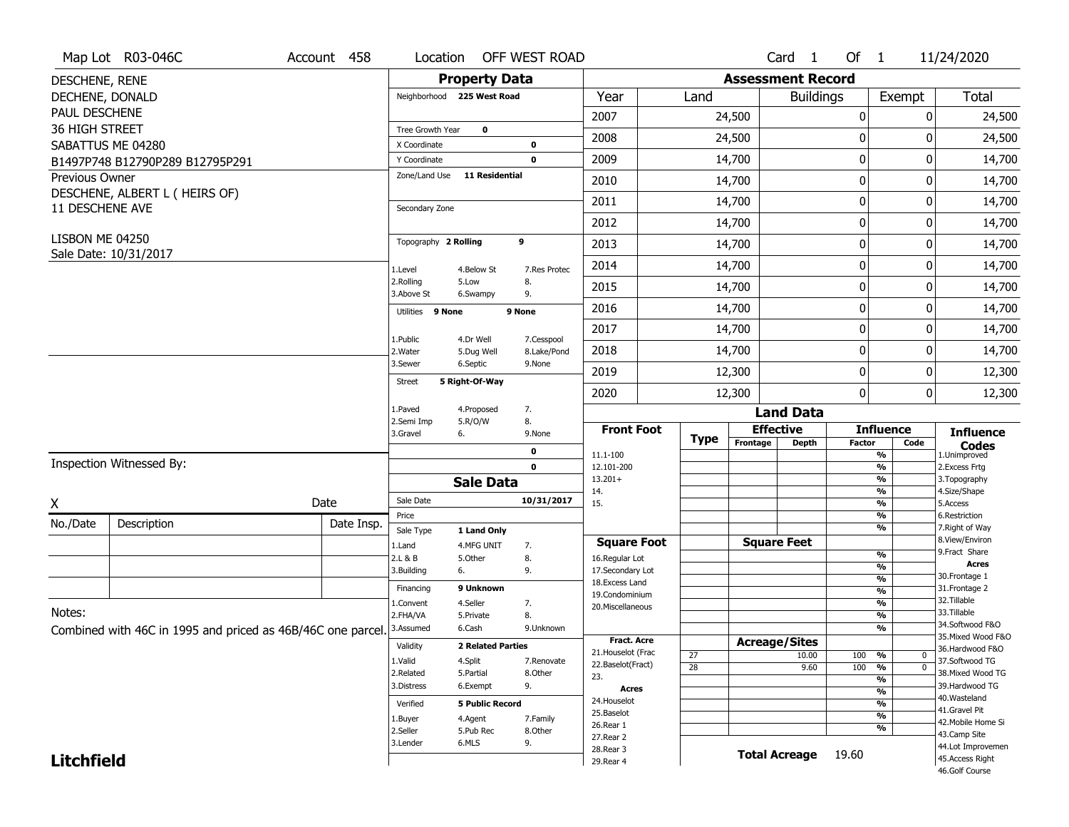| <b>Property Data</b><br><b>Assessment Record</b><br>DESCHENE, RENE<br>Total<br>DECHENE, DONALD<br>Neighborhood 225 West Road<br>Year<br>Land<br><b>Buildings</b><br>Exempt<br>PAUL DESCHENE<br>2007<br>$\boldsymbol{0}$<br>24,500<br>0<br>24,500<br>36 HIGH STREET<br>Tree Growth Year<br>$\mathbf 0$<br>2008<br>0<br>24,500<br>24,500<br>O<br>SABATTUS ME 04280<br>X Coordinate<br>0<br>$\boldsymbol{0}$<br>2009<br>14,700<br>0<br>14,700<br>$\mathbf 0$<br>Y Coordinate<br>B1497P748 B12790P289 B12795P291<br>Zone/Land Use<br><b>11 Residential</b><br><b>Previous Owner</b><br>$\mathbf 0$<br>2010<br>14,700<br>14,700<br>0<br>DESCHENE, ALBERT L ( HEIRS OF)<br>$\mathbf 0$<br>2011<br>14,700<br>0<br>14,700<br>11 DESCHENE AVE<br>Secondary Zone<br>$\mathbf 0$<br>2012<br>14,700<br>14,700<br>0<br>LISBON ME 04250<br>9<br>Topography 2 Rolling<br>$\boldsymbol{0}$<br>2013<br>14,700<br>14,700<br>0<br>Sale Date: 10/31/2017<br>$\mathbf 0$<br>2014<br>0<br>14,700<br>14,700<br>1.Level<br>4.Below St<br>7.Res Protec<br>2.Rolling<br>8.<br>5.Low<br>2015<br>14,700<br>0<br>14,700<br>0<br>3.Above St<br>9.<br>6.Swampy<br>$\mathbf 0$<br>14,700<br>2016<br>14,700<br>0<br>Utilities 9 None<br>9 None<br>$\boldsymbol{0}$<br>2017<br>14,700<br>0<br>14,700<br>1.Public<br>4.Dr Well<br>7.Cesspool<br>$\mathbf 0$<br>2018<br>14,700<br>0<br>14,700<br>2. Water<br>8.Lake/Pond<br>5.Dug Well<br>3.Sewer<br>6.Septic<br>9.None<br>$\mathbf 0$<br>2019<br>12,300<br>0<br>12,300<br>5 Right-Of-Way<br><b>Street</b><br>$\mathbf 0$<br>2020<br>12,300<br>0<br>12,300<br>1.Paved<br>4.Proposed<br>7.<br><b>Land Data</b><br>2.Semi Imp<br>5.R/O/W<br>8.<br><b>Effective</b><br><b>Front Foot</b><br><b>Influence</b><br><b>Influence</b><br>3.Gravel<br>9.None<br>6.<br><b>Type</b><br>Frontage<br><b>Depth</b><br><b>Factor</b><br>Code<br><b>Codes</b><br>0<br>$\overline{\frac{9}{6}}$<br>11.1-100<br>1.Unimproved<br>Inspection Witnessed By:<br>$\mathbf 0$<br>$\frac{9}{6}$<br>2.Excess Frtg<br>12.101-200<br>$\frac{9}{6}$<br>$13.201+$<br>3. Topography<br><b>Sale Data</b><br>$\frac{9}{6}$<br>4.Size/Shape<br>14.<br>Sale Date<br>10/31/2017<br>Date<br>Χ<br>15.<br>$\frac{9}{6}$<br>5.Access<br>$\frac{9}{6}$<br>6.Restriction<br>Price<br>No./Date<br>Description<br>Date Insp.<br>$\frac{9}{6}$<br>7. Right of Way<br>Sale Type<br>1 Land Only<br>8.View/Environ<br><b>Square Feet</b><br><b>Square Foot</b><br>4.MFG UNIT<br>7.<br>1.Land<br>9.Fract Share<br>$\frac{9}{6}$<br>8.<br>2.L & B<br>5.Other<br>16.Regular Lot<br><b>Acres</b><br>%<br>6.<br>9.<br>17.Secondary Lot<br>3.Building<br>30. Frontage 1<br>%<br>18.Excess Land<br>9 Unknown<br>31. Frontage 2<br>Financing<br>%<br>19.Condominium<br>32. Tillable<br>$\frac{9}{6}$<br>4.Seller<br>7.<br>1.Convent<br>20.Miscellaneous<br>Notes:<br>33.Tillable<br>2.FHA/VA<br>8.<br>%<br>5.Private<br>34.Softwood F&O<br>%<br>3.Assumed<br>6.Cash<br>9.Unknown<br>Combined with 46C in 1995 and priced as 46B/46C one parcel.<br>35. Mixed Wood F&O<br><b>Fract. Acre</b><br><b>Acreage/Sites</b><br>Validity<br><b>2 Related Parties</b><br>36.Hardwood F&O<br>21. Houselot (Frac<br>27<br>10.00<br>100<br>%<br>0<br>37.Softwood TG<br>1.Valid<br>4.Split<br>7.Renovate<br>22.Baselot(Fract)<br>$\overline{\mathfrak{o}}$<br>28<br>9.60<br>100<br>%<br>38. Mixed Wood TG<br>2.Related<br>8.Other<br>5.Partial<br>23.<br>%<br>9.<br>39.Hardwood TG<br>3.Distress<br>6.Exempt<br>Acres<br>$\frac{9}{6}$<br>40. Wasteland<br>24. Houselot<br>%<br>Verified<br><b>5 Public Record</b><br>41.Gravel Pit<br>25.Baselot<br>$\overline{\frac{9}{6}}$<br>4.Agent<br>7.Family<br>1.Buyer<br>42. Mobile Home Si<br>26.Rear 1<br>%<br>2.Seller<br>5.Pub Rec<br>8.Other<br>43.Camp Site<br>27.Rear 2<br>9.<br>3.Lender<br>6.MLS<br>44.Lot Improvemen<br>28. Rear 3<br><b>Total Acreage</b><br>19.60<br><b>Litchfield</b><br>45.Access Right<br>29. Rear 4<br>46.Golf Course | Map Lot R03-046C | Account 458 | Location | OFF WEST ROAD |  |  | Card <sub>1</sub> | Of 1 | 11/24/2020 |
|---------------------------------------------------------------------------------------------------------------------------------------------------------------------------------------------------------------------------------------------------------------------------------------------------------------------------------------------------------------------------------------------------------------------------------------------------------------------------------------------------------------------------------------------------------------------------------------------------------------------------------------------------------------------------------------------------------------------------------------------------------------------------------------------------------------------------------------------------------------------------------------------------------------------------------------------------------------------------------------------------------------------------------------------------------------------------------------------------------------------------------------------------------------------------------------------------------------------------------------------------------------------------------------------------------------------------------------------------------------------------------------------------------------------------------------------------------------------------------------------------------------------------------------------------------------------------------------------------------------------------------------------------------------------------------------------------------------------------------------------------------------------------------------------------------------------------------------------------------------------------------------------------------------------------------------------------------------------------------------------------------------------------------------------------------------------------------------------------------------------------------------------------------------------------------------------------------------------------------------------------------------------------------------------------------------------------------------------------------------------------------------------------------------------------------------------------------------------------------------------------------------------------------------------------------------------------------------------------------------------------------------------------------------------------------------------------------------------------------------------------------------------------------------------------------------------------------------------------------------------------------------------------------------------------------------------------------------------------------------------------------------------------------------------------------------------------------------------------------------------------------------------------------------------------------------------------------------------------------------------------------------------------------------------------------------------------------------------------------------------------------------------------------------------------------------------------------------------------------------------------------------------------------------------------------------------------------------------------------------------------------------------------------------------------------------------------------------------------------------------------------------------------------------------------------------------------------------------------------------------------------------------------------------------------------------|------------------|-------------|----------|---------------|--|--|-------------------|------|------------|
|                                                                                                                                                                                                                                                                                                                                                                                                                                                                                                                                                                                                                                                                                                                                                                                                                                                                                                                                                                                                                                                                                                                                                                                                                                                                                                                                                                                                                                                                                                                                                                                                                                                                                                                                                                                                                                                                                                                                                                                                                                                                                                                                                                                                                                                                                                                                                                                                                                                                                                                                                                                                                                                                                                                                                                                                                                                                                                                                                                                                                                                                                                                                                                                                                                                                                                                                                                                                                                                                                                                                                                                                                                                                                                                                                                                                                                                                                                                                       |                  |             |          |               |  |  |                   |      |            |
|                                                                                                                                                                                                                                                                                                                                                                                                                                                                                                                                                                                                                                                                                                                                                                                                                                                                                                                                                                                                                                                                                                                                                                                                                                                                                                                                                                                                                                                                                                                                                                                                                                                                                                                                                                                                                                                                                                                                                                                                                                                                                                                                                                                                                                                                                                                                                                                                                                                                                                                                                                                                                                                                                                                                                                                                                                                                                                                                                                                                                                                                                                                                                                                                                                                                                                                                                                                                                                                                                                                                                                                                                                                                                                                                                                                                                                                                                                                                       |                  |             |          |               |  |  |                   |      |            |
|                                                                                                                                                                                                                                                                                                                                                                                                                                                                                                                                                                                                                                                                                                                                                                                                                                                                                                                                                                                                                                                                                                                                                                                                                                                                                                                                                                                                                                                                                                                                                                                                                                                                                                                                                                                                                                                                                                                                                                                                                                                                                                                                                                                                                                                                                                                                                                                                                                                                                                                                                                                                                                                                                                                                                                                                                                                                                                                                                                                                                                                                                                                                                                                                                                                                                                                                                                                                                                                                                                                                                                                                                                                                                                                                                                                                                                                                                                                                       |                  |             |          |               |  |  |                   |      |            |
|                                                                                                                                                                                                                                                                                                                                                                                                                                                                                                                                                                                                                                                                                                                                                                                                                                                                                                                                                                                                                                                                                                                                                                                                                                                                                                                                                                                                                                                                                                                                                                                                                                                                                                                                                                                                                                                                                                                                                                                                                                                                                                                                                                                                                                                                                                                                                                                                                                                                                                                                                                                                                                                                                                                                                                                                                                                                                                                                                                                                                                                                                                                                                                                                                                                                                                                                                                                                                                                                                                                                                                                                                                                                                                                                                                                                                                                                                                                                       |                  |             |          |               |  |  |                   |      |            |
|                                                                                                                                                                                                                                                                                                                                                                                                                                                                                                                                                                                                                                                                                                                                                                                                                                                                                                                                                                                                                                                                                                                                                                                                                                                                                                                                                                                                                                                                                                                                                                                                                                                                                                                                                                                                                                                                                                                                                                                                                                                                                                                                                                                                                                                                                                                                                                                                                                                                                                                                                                                                                                                                                                                                                                                                                                                                                                                                                                                                                                                                                                                                                                                                                                                                                                                                                                                                                                                                                                                                                                                                                                                                                                                                                                                                                                                                                                                                       |                  |             |          |               |  |  |                   |      |            |
|                                                                                                                                                                                                                                                                                                                                                                                                                                                                                                                                                                                                                                                                                                                                                                                                                                                                                                                                                                                                                                                                                                                                                                                                                                                                                                                                                                                                                                                                                                                                                                                                                                                                                                                                                                                                                                                                                                                                                                                                                                                                                                                                                                                                                                                                                                                                                                                                                                                                                                                                                                                                                                                                                                                                                                                                                                                                                                                                                                                                                                                                                                                                                                                                                                                                                                                                                                                                                                                                                                                                                                                                                                                                                                                                                                                                                                                                                                                                       |                  |             |          |               |  |  |                   |      |            |
|                                                                                                                                                                                                                                                                                                                                                                                                                                                                                                                                                                                                                                                                                                                                                                                                                                                                                                                                                                                                                                                                                                                                                                                                                                                                                                                                                                                                                                                                                                                                                                                                                                                                                                                                                                                                                                                                                                                                                                                                                                                                                                                                                                                                                                                                                                                                                                                                                                                                                                                                                                                                                                                                                                                                                                                                                                                                                                                                                                                                                                                                                                                                                                                                                                                                                                                                                                                                                                                                                                                                                                                                                                                                                                                                                                                                                                                                                                                                       |                  |             |          |               |  |  |                   |      |            |
|                                                                                                                                                                                                                                                                                                                                                                                                                                                                                                                                                                                                                                                                                                                                                                                                                                                                                                                                                                                                                                                                                                                                                                                                                                                                                                                                                                                                                                                                                                                                                                                                                                                                                                                                                                                                                                                                                                                                                                                                                                                                                                                                                                                                                                                                                                                                                                                                                                                                                                                                                                                                                                                                                                                                                                                                                                                                                                                                                                                                                                                                                                                                                                                                                                                                                                                                                                                                                                                                                                                                                                                                                                                                                                                                                                                                                                                                                                                                       |                  |             |          |               |  |  |                   |      |            |
|                                                                                                                                                                                                                                                                                                                                                                                                                                                                                                                                                                                                                                                                                                                                                                                                                                                                                                                                                                                                                                                                                                                                                                                                                                                                                                                                                                                                                                                                                                                                                                                                                                                                                                                                                                                                                                                                                                                                                                                                                                                                                                                                                                                                                                                                                                                                                                                                                                                                                                                                                                                                                                                                                                                                                                                                                                                                                                                                                                                                                                                                                                                                                                                                                                                                                                                                                                                                                                                                                                                                                                                                                                                                                                                                                                                                                                                                                                                                       |                  |             |          |               |  |  |                   |      |            |
|                                                                                                                                                                                                                                                                                                                                                                                                                                                                                                                                                                                                                                                                                                                                                                                                                                                                                                                                                                                                                                                                                                                                                                                                                                                                                                                                                                                                                                                                                                                                                                                                                                                                                                                                                                                                                                                                                                                                                                                                                                                                                                                                                                                                                                                                                                                                                                                                                                                                                                                                                                                                                                                                                                                                                                                                                                                                                                                                                                                                                                                                                                                                                                                                                                                                                                                                                                                                                                                                                                                                                                                                                                                                                                                                                                                                                                                                                                                                       |                  |             |          |               |  |  |                   |      |            |
|                                                                                                                                                                                                                                                                                                                                                                                                                                                                                                                                                                                                                                                                                                                                                                                                                                                                                                                                                                                                                                                                                                                                                                                                                                                                                                                                                                                                                                                                                                                                                                                                                                                                                                                                                                                                                                                                                                                                                                                                                                                                                                                                                                                                                                                                                                                                                                                                                                                                                                                                                                                                                                                                                                                                                                                                                                                                                                                                                                                                                                                                                                                                                                                                                                                                                                                                                                                                                                                                                                                                                                                                                                                                                                                                                                                                                                                                                                                                       |                  |             |          |               |  |  |                   |      |            |
|                                                                                                                                                                                                                                                                                                                                                                                                                                                                                                                                                                                                                                                                                                                                                                                                                                                                                                                                                                                                                                                                                                                                                                                                                                                                                                                                                                                                                                                                                                                                                                                                                                                                                                                                                                                                                                                                                                                                                                                                                                                                                                                                                                                                                                                                                                                                                                                                                                                                                                                                                                                                                                                                                                                                                                                                                                                                                                                                                                                                                                                                                                                                                                                                                                                                                                                                                                                                                                                                                                                                                                                                                                                                                                                                                                                                                                                                                                                                       |                  |             |          |               |  |  |                   |      |            |
|                                                                                                                                                                                                                                                                                                                                                                                                                                                                                                                                                                                                                                                                                                                                                                                                                                                                                                                                                                                                                                                                                                                                                                                                                                                                                                                                                                                                                                                                                                                                                                                                                                                                                                                                                                                                                                                                                                                                                                                                                                                                                                                                                                                                                                                                                                                                                                                                                                                                                                                                                                                                                                                                                                                                                                                                                                                                                                                                                                                                                                                                                                                                                                                                                                                                                                                                                                                                                                                                                                                                                                                                                                                                                                                                                                                                                                                                                                                                       |                  |             |          |               |  |  |                   |      |            |
|                                                                                                                                                                                                                                                                                                                                                                                                                                                                                                                                                                                                                                                                                                                                                                                                                                                                                                                                                                                                                                                                                                                                                                                                                                                                                                                                                                                                                                                                                                                                                                                                                                                                                                                                                                                                                                                                                                                                                                                                                                                                                                                                                                                                                                                                                                                                                                                                                                                                                                                                                                                                                                                                                                                                                                                                                                                                                                                                                                                                                                                                                                                                                                                                                                                                                                                                                                                                                                                                                                                                                                                                                                                                                                                                                                                                                                                                                                                                       |                  |             |          |               |  |  |                   |      |            |
|                                                                                                                                                                                                                                                                                                                                                                                                                                                                                                                                                                                                                                                                                                                                                                                                                                                                                                                                                                                                                                                                                                                                                                                                                                                                                                                                                                                                                                                                                                                                                                                                                                                                                                                                                                                                                                                                                                                                                                                                                                                                                                                                                                                                                                                                                                                                                                                                                                                                                                                                                                                                                                                                                                                                                                                                                                                                                                                                                                                                                                                                                                                                                                                                                                                                                                                                                                                                                                                                                                                                                                                                                                                                                                                                                                                                                                                                                                                                       |                  |             |          |               |  |  |                   |      |            |
|                                                                                                                                                                                                                                                                                                                                                                                                                                                                                                                                                                                                                                                                                                                                                                                                                                                                                                                                                                                                                                                                                                                                                                                                                                                                                                                                                                                                                                                                                                                                                                                                                                                                                                                                                                                                                                                                                                                                                                                                                                                                                                                                                                                                                                                                                                                                                                                                                                                                                                                                                                                                                                                                                                                                                                                                                                                                                                                                                                                                                                                                                                                                                                                                                                                                                                                                                                                                                                                                                                                                                                                                                                                                                                                                                                                                                                                                                                                                       |                  |             |          |               |  |  |                   |      |            |
|                                                                                                                                                                                                                                                                                                                                                                                                                                                                                                                                                                                                                                                                                                                                                                                                                                                                                                                                                                                                                                                                                                                                                                                                                                                                                                                                                                                                                                                                                                                                                                                                                                                                                                                                                                                                                                                                                                                                                                                                                                                                                                                                                                                                                                                                                                                                                                                                                                                                                                                                                                                                                                                                                                                                                                                                                                                                                                                                                                                                                                                                                                                                                                                                                                                                                                                                                                                                                                                                                                                                                                                                                                                                                                                                                                                                                                                                                                                                       |                  |             |          |               |  |  |                   |      |            |
|                                                                                                                                                                                                                                                                                                                                                                                                                                                                                                                                                                                                                                                                                                                                                                                                                                                                                                                                                                                                                                                                                                                                                                                                                                                                                                                                                                                                                                                                                                                                                                                                                                                                                                                                                                                                                                                                                                                                                                                                                                                                                                                                                                                                                                                                                                                                                                                                                                                                                                                                                                                                                                                                                                                                                                                                                                                                                                                                                                                                                                                                                                                                                                                                                                                                                                                                                                                                                                                                                                                                                                                                                                                                                                                                                                                                                                                                                                                                       |                  |             |          |               |  |  |                   |      |            |
|                                                                                                                                                                                                                                                                                                                                                                                                                                                                                                                                                                                                                                                                                                                                                                                                                                                                                                                                                                                                                                                                                                                                                                                                                                                                                                                                                                                                                                                                                                                                                                                                                                                                                                                                                                                                                                                                                                                                                                                                                                                                                                                                                                                                                                                                                                                                                                                                                                                                                                                                                                                                                                                                                                                                                                                                                                                                                                                                                                                                                                                                                                                                                                                                                                                                                                                                                                                                                                                                                                                                                                                                                                                                                                                                                                                                                                                                                                                                       |                  |             |          |               |  |  |                   |      |            |
|                                                                                                                                                                                                                                                                                                                                                                                                                                                                                                                                                                                                                                                                                                                                                                                                                                                                                                                                                                                                                                                                                                                                                                                                                                                                                                                                                                                                                                                                                                                                                                                                                                                                                                                                                                                                                                                                                                                                                                                                                                                                                                                                                                                                                                                                                                                                                                                                                                                                                                                                                                                                                                                                                                                                                                                                                                                                                                                                                                                                                                                                                                                                                                                                                                                                                                                                                                                                                                                                                                                                                                                                                                                                                                                                                                                                                                                                                                                                       |                  |             |          |               |  |  |                   |      |            |
|                                                                                                                                                                                                                                                                                                                                                                                                                                                                                                                                                                                                                                                                                                                                                                                                                                                                                                                                                                                                                                                                                                                                                                                                                                                                                                                                                                                                                                                                                                                                                                                                                                                                                                                                                                                                                                                                                                                                                                                                                                                                                                                                                                                                                                                                                                                                                                                                                                                                                                                                                                                                                                                                                                                                                                                                                                                                                                                                                                                                                                                                                                                                                                                                                                                                                                                                                                                                                                                                                                                                                                                                                                                                                                                                                                                                                                                                                                                                       |                  |             |          |               |  |  |                   |      |            |
|                                                                                                                                                                                                                                                                                                                                                                                                                                                                                                                                                                                                                                                                                                                                                                                                                                                                                                                                                                                                                                                                                                                                                                                                                                                                                                                                                                                                                                                                                                                                                                                                                                                                                                                                                                                                                                                                                                                                                                                                                                                                                                                                                                                                                                                                                                                                                                                                                                                                                                                                                                                                                                                                                                                                                                                                                                                                                                                                                                                                                                                                                                                                                                                                                                                                                                                                                                                                                                                                                                                                                                                                                                                                                                                                                                                                                                                                                                                                       |                  |             |          |               |  |  |                   |      |            |
|                                                                                                                                                                                                                                                                                                                                                                                                                                                                                                                                                                                                                                                                                                                                                                                                                                                                                                                                                                                                                                                                                                                                                                                                                                                                                                                                                                                                                                                                                                                                                                                                                                                                                                                                                                                                                                                                                                                                                                                                                                                                                                                                                                                                                                                                                                                                                                                                                                                                                                                                                                                                                                                                                                                                                                                                                                                                                                                                                                                                                                                                                                                                                                                                                                                                                                                                                                                                                                                                                                                                                                                                                                                                                                                                                                                                                                                                                                                                       |                  |             |          |               |  |  |                   |      |            |
|                                                                                                                                                                                                                                                                                                                                                                                                                                                                                                                                                                                                                                                                                                                                                                                                                                                                                                                                                                                                                                                                                                                                                                                                                                                                                                                                                                                                                                                                                                                                                                                                                                                                                                                                                                                                                                                                                                                                                                                                                                                                                                                                                                                                                                                                                                                                                                                                                                                                                                                                                                                                                                                                                                                                                                                                                                                                                                                                                                                                                                                                                                                                                                                                                                                                                                                                                                                                                                                                                                                                                                                                                                                                                                                                                                                                                                                                                                                                       |                  |             |          |               |  |  |                   |      |            |
|                                                                                                                                                                                                                                                                                                                                                                                                                                                                                                                                                                                                                                                                                                                                                                                                                                                                                                                                                                                                                                                                                                                                                                                                                                                                                                                                                                                                                                                                                                                                                                                                                                                                                                                                                                                                                                                                                                                                                                                                                                                                                                                                                                                                                                                                                                                                                                                                                                                                                                                                                                                                                                                                                                                                                                                                                                                                                                                                                                                                                                                                                                                                                                                                                                                                                                                                                                                                                                                                                                                                                                                                                                                                                                                                                                                                                                                                                                                                       |                  |             |          |               |  |  |                   |      |            |
|                                                                                                                                                                                                                                                                                                                                                                                                                                                                                                                                                                                                                                                                                                                                                                                                                                                                                                                                                                                                                                                                                                                                                                                                                                                                                                                                                                                                                                                                                                                                                                                                                                                                                                                                                                                                                                                                                                                                                                                                                                                                                                                                                                                                                                                                                                                                                                                                                                                                                                                                                                                                                                                                                                                                                                                                                                                                                                                                                                                                                                                                                                                                                                                                                                                                                                                                                                                                                                                                                                                                                                                                                                                                                                                                                                                                                                                                                                                                       |                  |             |          |               |  |  |                   |      |            |
|                                                                                                                                                                                                                                                                                                                                                                                                                                                                                                                                                                                                                                                                                                                                                                                                                                                                                                                                                                                                                                                                                                                                                                                                                                                                                                                                                                                                                                                                                                                                                                                                                                                                                                                                                                                                                                                                                                                                                                                                                                                                                                                                                                                                                                                                                                                                                                                                                                                                                                                                                                                                                                                                                                                                                                                                                                                                                                                                                                                                                                                                                                                                                                                                                                                                                                                                                                                                                                                                                                                                                                                                                                                                                                                                                                                                                                                                                                                                       |                  |             |          |               |  |  |                   |      |            |
|                                                                                                                                                                                                                                                                                                                                                                                                                                                                                                                                                                                                                                                                                                                                                                                                                                                                                                                                                                                                                                                                                                                                                                                                                                                                                                                                                                                                                                                                                                                                                                                                                                                                                                                                                                                                                                                                                                                                                                                                                                                                                                                                                                                                                                                                                                                                                                                                                                                                                                                                                                                                                                                                                                                                                                                                                                                                                                                                                                                                                                                                                                                                                                                                                                                                                                                                                                                                                                                                                                                                                                                                                                                                                                                                                                                                                                                                                                                                       |                  |             |          |               |  |  |                   |      |            |
|                                                                                                                                                                                                                                                                                                                                                                                                                                                                                                                                                                                                                                                                                                                                                                                                                                                                                                                                                                                                                                                                                                                                                                                                                                                                                                                                                                                                                                                                                                                                                                                                                                                                                                                                                                                                                                                                                                                                                                                                                                                                                                                                                                                                                                                                                                                                                                                                                                                                                                                                                                                                                                                                                                                                                                                                                                                                                                                                                                                                                                                                                                                                                                                                                                                                                                                                                                                                                                                                                                                                                                                                                                                                                                                                                                                                                                                                                                                                       |                  |             |          |               |  |  |                   |      |            |
|                                                                                                                                                                                                                                                                                                                                                                                                                                                                                                                                                                                                                                                                                                                                                                                                                                                                                                                                                                                                                                                                                                                                                                                                                                                                                                                                                                                                                                                                                                                                                                                                                                                                                                                                                                                                                                                                                                                                                                                                                                                                                                                                                                                                                                                                                                                                                                                                                                                                                                                                                                                                                                                                                                                                                                                                                                                                                                                                                                                                                                                                                                                                                                                                                                                                                                                                                                                                                                                                                                                                                                                                                                                                                                                                                                                                                                                                                                                                       |                  |             |          |               |  |  |                   |      |            |
|                                                                                                                                                                                                                                                                                                                                                                                                                                                                                                                                                                                                                                                                                                                                                                                                                                                                                                                                                                                                                                                                                                                                                                                                                                                                                                                                                                                                                                                                                                                                                                                                                                                                                                                                                                                                                                                                                                                                                                                                                                                                                                                                                                                                                                                                                                                                                                                                                                                                                                                                                                                                                                                                                                                                                                                                                                                                                                                                                                                                                                                                                                                                                                                                                                                                                                                                                                                                                                                                                                                                                                                                                                                                                                                                                                                                                                                                                                                                       |                  |             |          |               |  |  |                   |      |            |
|                                                                                                                                                                                                                                                                                                                                                                                                                                                                                                                                                                                                                                                                                                                                                                                                                                                                                                                                                                                                                                                                                                                                                                                                                                                                                                                                                                                                                                                                                                                                                                                                                                                                                                                                                                                                                                                                                                                                                                                                                                                                                                                                                                                                                                                                                                                                                                                                                                                                                                                                                                                                                                                                                                                                                                                                                                                                                                                                                                                                                                                                                                                                                                                                                                                                                                                                                                                                                                                                                                                                                                                                                                                                                                                                                                                                                                                                                                                                       |                  |             |          |               |  |  |                   |      |            |
|                                                                                                                                                                                                                                                                                                                                                                                                                                                                                                                                                                                                                                                                                                                                                                                                                                                                                                                                                                                                                                                                                                                                                                                                                                                                                                                                                                                                                                                                                                                                                                                                                                                                                                                                                                                                                                                                                                                                                                                                                                                                                                                                                                                                                                                                                                                                                                                                                                                                                                                                                                                                                                                                                                                                                                                                                                                                                                                                                                                                                                                                                                                                                                                                                                                                                                                                                                                                                                                                                                                                                                                                                                                                                                                                                                                                                                                                                                                                       |                  |             |          |               |  |  |                   |      |            |
|                                                                                                                                                                                                                                                                                                                                                                                                                                                                                                                                                                                                                                                                                                                                                                                                                                                                                                                                                                                                                                                                                                                                                                                                                                                                                                                                                                                                                                                                                                                                                                                                                                                                                                                                                                                                                                                                                                                                                                                                                                                                                                                                                                                                                                                                                                                                                                                                                                                                                                                                                                                                                                                                                                                                                                                                                                                                                                                                                                                                                                                                                                                                                                                                                                                                                                                                                                                                                                                                                                                                                                                                                                                                                                                                                                                                                                                                                                                                       |                  |             |          |               |  |  |                   |      |            |
|                                                                                                                                                                                                                                                                                                                                                                                                                                                                                                                                                                                                                                                                                                                                                                                                                                                                                                                                                                                                                                                                                                                                                                                                                                                                                                                                                                                                                                                                                                                                                                                                                                                                                                                                                                                                                                                                                                                                                                                                                                                                                                                                                                                                                                                                                                                                                                                                                                                                                                                                                                                                                                                                                                                                                                                                                                                                                                                                                                                                                                                                                                                                                                                                                                                                                                                                                                                                                                                                                                                                                                                                                                                                                                                                                                                                                                                                                                                                       |                  |             |          |               |  |  |                   |      |            |
|                                                                                                                                                                                                                                                                                                                                                                                                                                                                                                                                                                                                                                                                                                                                                                                                                                                                                                                                                                                                                                                                                                                                                                                                                                                                                                                                                                                                                                                                                                                                                                                                                                                                                                                                                                                                                                                                                                                                                                                                                                                                                                                                                                                                                                                                                                                                                                                                                                                                                                                                                                                                                                                                                                                                                                                                                                                                                                                                                                                                                                                                                                                                                                                                                                                                                                                                                                                                                                                                                                                                                                                                                                                                                                                                                                                                                                                                                                                                       |                  |             |          |               |  |  |                   |      |            |
|                                                                                                                                                                                                                                                                                                                                                                                                                                                                                                                                                                                                                                                                                                                                                                                                                                                                                                                                                                                                                                                                                                                                                                                                                                                                                                                                                                                                                                                                                                                                                                                                                                                                                                                                                                                                                                                                                                                                                                                                                                                                                                                                                                                                                                                                                                                                                                                                                                                                                                                                                                                                                                                                                                                                                                                                                                                                                                                                                                                                                                                                                                                                                                                                                                                                                                                                                                                                                                                                                                                                                                                                                                                                                                                                                                                                                                                                                                                                       |                  |             |          |               |  |  |                   |      |            |
|                                                                                                                                                                                                                                                                                                                                                                                                                                                                                                                                                                                                                                                                                                                                                                                                                                                                                                                                                                                                                                                                                                                                                                                                                                                                                                                                                                                                                                                                                                                                                                                                                                                                                                                                                                                                                                                                                                                                                                                                                                                                                                                                                                                                                                                                                                                                                                                                                                                                                                                                                                                                                                                                                                                                                                                                                                                                                                                                                                                                                                                                                                                                                                                                                                                                                                                                                                                                                                                                                                                                                                                                                                                                                                                                                                                                                                                                                                                                       |                  |             |          |               |  |  |                   |      |            |
|                                                                                                                                                                                                                                                                                                                                                                                                                                                                                                                                                                                                                                                                                                                                                                                                                                                                                                                                                                                                                                                                                                                                                                                                                                                                                                                                                                                                                                                                                                                                                                                                                                                                                                                                                                                                                                                                                                                                                                                                                                                                                                                                                                                                                                                                                                                                                                                                                                                                                                                                                                                                                                                                                                                                                                                                                                                                                                                                                                                                                                                                                                                                                                                                                                                                                                                                                                                                                                                                                                                                                                                                                                                                                                                                                                                                                                                                                                                                       |                  |             |          |               |  |  |                   |      |            |
|                                                                                                                                                                                                                                                                                                                                                                                                                                                                                                                                                                                                                                                                                                                                                                                                                                                                                                                                                                                                                                                                                                                                                                                                                                                                                                                                                                                                                                                                                                                                                                                                                                                                                                                                                                                                                                                                                                                                                                                                                                                                                                                                                                                                                                                                                                                                                                                                                                                                                                                                                                                                                                                                                                                                                                                                                                                                                                                                                                                                                                                                                                                                                                                                                                                                                                                                                                                                                                                                                                                                                                                                                                                                                                                                                                                                                                                                                                                                       |                  |             |          |               |  |  |                   |      |            |
|                                                                                                                                                                                                                                                                                                                                                                                                                                                                                                                                                                                                                                                                                                                                                                                                                                                                                                                                                                                                                                                                                                                                                                                                                                                                                                                                                                                                                                                                                                                                                                                                                                                                                                                                                                                                                                                                                                                                                                                                                                                                                                                                                                                                                                                                                                                                                                                                                                                                                                                                                                                                                                                                                                                                                                                                                                                                                                                                                                                                                                                                                                                                                                                                                                                                                                                                                                                                                                                                                                                                                                                                                                                                                                                                                                                                                                                                                                                                       |                  |             |          |               |  |  |                   |      |            |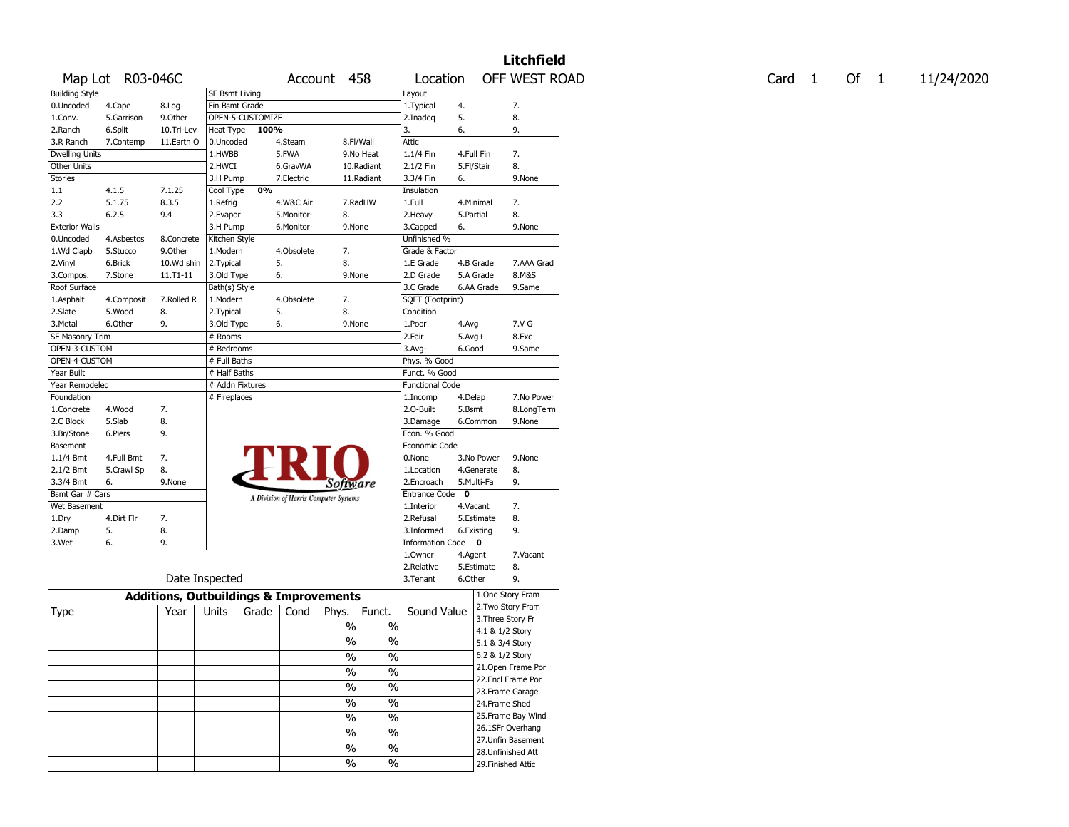|                        |                  |                                                   |                       |                  |            |                                       |                          |                        |            |                 | <b>Litchfield</b>  |                   |      |            |
|------------------------|------------------|---------------------------------------------------|-----------------------|------------------|------------|---------------------------------------|--------------------------|------------------------|------------|-----------------|--------------------|-------------------|------|------------|
|                        | Map Lot R03-046C |                                                   |                       |                  |            | Account 458                           |                          | Location               |            |                 | OFF WEST ROAD      | Card <sub>1</sub> | Of 1 | 11/24/2020 |
| <b>Building Style</b>  |                  |                                                   | <b>SF Bsmt Living</b> |                  |            |                                       |                          | Layout                 |            |                 |                    |                   |      |            |
| 0.Uncoded              | 4.Cape           | 8.Log                                             | Fin Bsmt Grade        |                  |            |                                       |                          | 1. Typical             | 4.         |                 | 7.                 |                   |      |            |
| 1.Conv.                | 5.Garrison       | 9.0ther                                           |                       | OPEN-5-CUSTOMIZE |            |                                       |                          | 2.Inadeq               | 5.         |                 | 8.                 |                   |      |            |
| 2.Ranch                | 6.Split          | 10.Tri-Lev                                        | Heat Type             | 100%             |            |                                       |                          | 3.                     | 6.         |                 | 9.                 |                   |      |            |
| 3.R Ranch              | 7.Contemp        | 11.Earth O                                        | 0.Uncoded             |                  | 4.Steam    | 8.Fl/Wall                             |                          | Attic                  |            |                 |                    |                   |      |            |
| <b>Dwelling Units</b>  |                  |                                                   | 1.HWBB                |                  | 5.FWA      | 9.No Heat                             |                          | 1.1/4 Fin              | 4.Full Fin |                 | 7.                 |                   |      |            |
| Other Units            |                  |                                                   | 2.HWCI                |                  | 6.GravWA   | 10.Radiant                            |                          | 2.1/2 Fin              | 5.Fl/Stair |                 | 8.                 |                   |      |            |
| Stories                |                  |                                                   | 3.H Pump              |                  | 7.Electric | 11.Radiant                            |                          | 3.3/4 Fin              | 6.         |                 | 9.None             |                   |      |            |
| 1.1                    | 4.1.5            | 7.1.25                                            | Cool Type             | 0%               |            |                                       |                          | Insulation             |            |                 |                    |                   |      |            |
| 2.2                    | 5.1.75           | 8.3.5                                             | 1.Refrig              |                  | 4.W&C Air  | 7.RadHW                               |                          | 1.Full                 | 4.Minimal  |                 | 7.                 |                   |      |            |
| 3.3                    | 6.2.5            | 9.4                                               | 2.Evapor              |                  | 5.Monitor- | 8.                                    |                          | 2. Heavy               | 5.Partial  |                 | 8.                 |                   |      |            |
| <b>Exterior Walls</b>  |                  |                                                   | 3.H Pump              |                  | 6.Monitor- | 9.None                                |                          | 3.Capped               | 6.         |                 | 9.None             |                   |      |            |
| 0.Uncoded              | 4.Asbestos       | 8.Concrete                                        | Kitchen Style         |                  |            |                                       |                          | Unfinished %           |            |                 |                    |                   |      |            |
| 1.Wd Clapb             | 5.Stucco         | 9.Other                                           | 1.Modern              |                  | 4.Obsolete | 7.                                    |                          | Grade & Factor         |            |                 |                    |                   |      |            |
| 2.Vinyl                | 6.Brick          | 10.Wd shin                                        | 2.Typical             | 5.               |            | 8.                                    |                          | 1.E Grade              |            | 4.B Grade       | 7.AAA Grad         |                   |      |            |
| 3.Compos.              | 7.Stone          | 11.T1-11                                          | 3.Old Type            | 6.               |            | 9.None                                |                          | 2.D Grade              | 5.A Grade  |                 | 8.M&S              |                   |      |            |
| Roof Surface           |                  |                                                   | Bath(s) Style         |                  |            |                                       |                          | 3.C Grade              |            | 6.AA Grade      | 9.Same             |                   |      |            |
| 1.Asphalt              | 4.Composit       | 7.Rolled R                                        | 1.Modern              |                  | 4.Obsolete | 7.                                    |                          | SQFT (Footprint)       |            |                 |                    |                   |      |            |
| 2.Slate                | 5.Wood           | 8.                                                | 2. Typical            | 5.               |            | 8.                                    |                          | Condition              |            |                 |                    |                   |      |            |
| 3.Metal                | 6.Other          | 9.                                                | 3.Old Type            | 6.               |            | 9.None                                |                          | 1.Poor                 | 4.Avg      |                 | 7.V G              |                   |      |            |
| <b>SF Masonry Trim</b> |                  |                                                   | # Rooms               |                  |            |                                       |                          | 2.Fair                 | $5.Avg+$   |                 | 8.Exc              |                   |      |            |
| OPEN-3-CUSTOM          |                  |                                                   | # Bedrooms            |                  |            |                                       |                          | 3.Avg-                 | 6.Good     |                 | 9.Same             |                   |      |            |
| OPEN-4-CUSTOM          |                  |                                                   | # Full Baths          |                  |            |                                       |                          | Phys. % Good           |            |                 |                    |                   |      |            |
| Year Built             |                  |                                                   | # Half Baths          |                  |            |                                       |                          | Funct. % Good          |            |                 |                    |                   |      |            |
| Year Remodeled         |                  |                                                   | # Addn Fixtures       |                  |            |                                       |                          | <b>Functional Code</b> |            |                 |                    |                   |      |            |
| Foundation             |                  |                                                   | # Fireplaces          |                  |            |                                       |                          | 1.Incomp               | 4.Delap    |                 | 7.No Power         |                   |      |            |
| 1.Concrete             | 4.Wood           | 7.                                                |                       |                  |            |                                       |                          | 2.0-Built              | 5.Bsmt     |                 | 8.LongTerm         |                   |      |            |
| 2.C Block              | 5.Slab           | 8.                                                |                       |                  |            |                                       |                          | 3.Damage               |            | 6.Common        | 9.None             |                   |      |            |
| 3.Br/Stone             | 6.Piers          | 9.                                                |                       |                  |            |                                       |                          | Econ. % Good           |            |                 |                    |                   |      |            |
| Basement               |                  |                                                   |                       |                  |            |                                       |                          | Economic Code          |            |                 |                    |                   |      |            |
| 1.1/4 Bmt              | 4.Full Bmt       | 7.                                                |                       |                  |            |                                       |                          | 0.None                 |            | 3.No Power      | 9.None             |                   |      |            |
| 2.1/2 Bmt              | 5.Crawl Sp       | 8.                                                |                       |                  |            |                                       |                          | 1.Location             |            | 4.Generate      | 8.                 |                   |      |            |
| 3.3/4 Bmt              | 6.               | 9.None                                            |                       |                  |            | <i>Software</i>                       |                          | 2.Encroach             | 5.Multi-Fa |                 | 9.                 |                   |      |            |
| Bsmt Gar # Cars        |                  |                                                   |                       |                  |            | A Division of Harris Computer Systems |                          | Entrance Code 0        |            |                 |                    |                   |      |            |
| Wet Basement           |                  |                                                   |                       |                  |            |                                       |                          | 1.Interior             | 4.Vacant   |                 | 7.                 |                   |      |            |
| 1.Dry                  | 4.Dirt Flr       | 7.                                                |                       |                  |            |                                       |                          | 2.Refusal              |            | 5.Estimate      | 8.                 |                   |      |            |
| 2.Damp                 | 5.               | 8.                                                |                       |                  |            |                                       |                          | 3.Informed             | 6.Existing |                 | 9.                 |                   |      |            |
| 3.Wet                  | 6.               | 9.                                                |                       |                  |            |                                       |                          | Information Code 0     |            |                 |                    |                   |      |            |
|                        |                  |                                                   |                       |                  |            |                                       |                          | 1.Owner                | 4.Agent    |                 | 7.Vacant           |                   |      |            |
|                        |                  |                                                   |                       |                  |            |                                       |                          | 2.Relative             |            | 5.Estimate      | 8.                 |                   |      |            |
|                        |                  | Date Inspected                                    |                       |                  |            |                                       |                          | 3. Tenant              | 6.Other    |                 | 9.                 |                   |      |            |
|                        |                  | <b>Additions, Outbuildings &amp; Improvements</b> |                       |                  |            |                                       |                          |                        |            |                 | 1.One Story Fram   |                   |      |            |
|                        |                  |                                                   |                       |                  |            |                                       |                          |                        |            |                 | 2.Two Story Fram   |                   |      |            |
| Type                   |                  | Year                                              | Units                 | Grade            | Cond       | Phys.                                 | Funct.                   | Sound Value            |            |                 | 3. Three Story Fr  |                   |      |            |
|                        |                  |                                                   |                       |                  |            | $\%$                                  | $\%$                     |                        |            | 4.1 & 1/2 Story |                    |                   |      |            |
|                        |                  |                                                   |                       |                  |            | $\%$                                  | $\frac{0}{0}$            |                        |            | 5.1 & 3/4 Story |                    |                   |      |            |
|                        |                  |                                                   |                       |                  |            | $\frac{0}{6}$                         | $\sqrt[6]{\ }$           |                        |            | 6.2 & 1/2 Story |                    |                   |      |            |
|                        |                  |                                                   |                       |                  |            |                                       | $\overline{\frac{0}{0}}$ |                        |            |                 | 21.Open Frame Por  |                   |      |            |
|                        |                  |                                                   |                       |                  |            | $\sqrt{2}$                            |                          |                        |            |                 | 22.Encl Frame Por  |                   |      |            |
|                        |                  |                                                   |                       |                  |            | $\frac{9}{6}$                         | $\frac{0}{6}$            |                        |            |                 | 23. Frame Garage   |                   |      |            |
|                        |                  |                                                   |                       |                  |            | $\overline{\frac{0}{0}}$              | $\frac{0}{6}$            |                        |            | 24.Frame Shed   |                    |                   |      |            |
|                        |                  |                                                   |                       |                  |            | $\overline{\frac{0}{0}}$              | $\overline{\frac{0}{0}}$ |                        |            |                 | 25. Frame Bay Wind |                   |      |            |
|                        |                  |                                                   |                       |                  |            |                                       |                          |                        |            |                 | 26.1SFr Overhang   |                   |      |            |
|                        |                  |                                                   |                       |                  |            | $\sqrt{6}$                            | $\overline{\frac{0}{0}}$ |                        |            |                 | 27.Unfin Basement  |                   |      |            |
|                        |                  |                                                   |                       |                  |            | $\frac{0}{6}$                         | $\frac{9}{6}$            |                        |            |                 | 28. Unfinished Att |                   |      |            |
|                        |                  |                                                   |                       |                  |            | $\sqrt{6}$                            | $\frac{9}{6}$            |                        |            |                 | 29. Finished Attic |                   |      |            |
|                        |                  |                                                   |                       |                  |            |                                       |                          |                        |            |                 |                    |                   |      |            |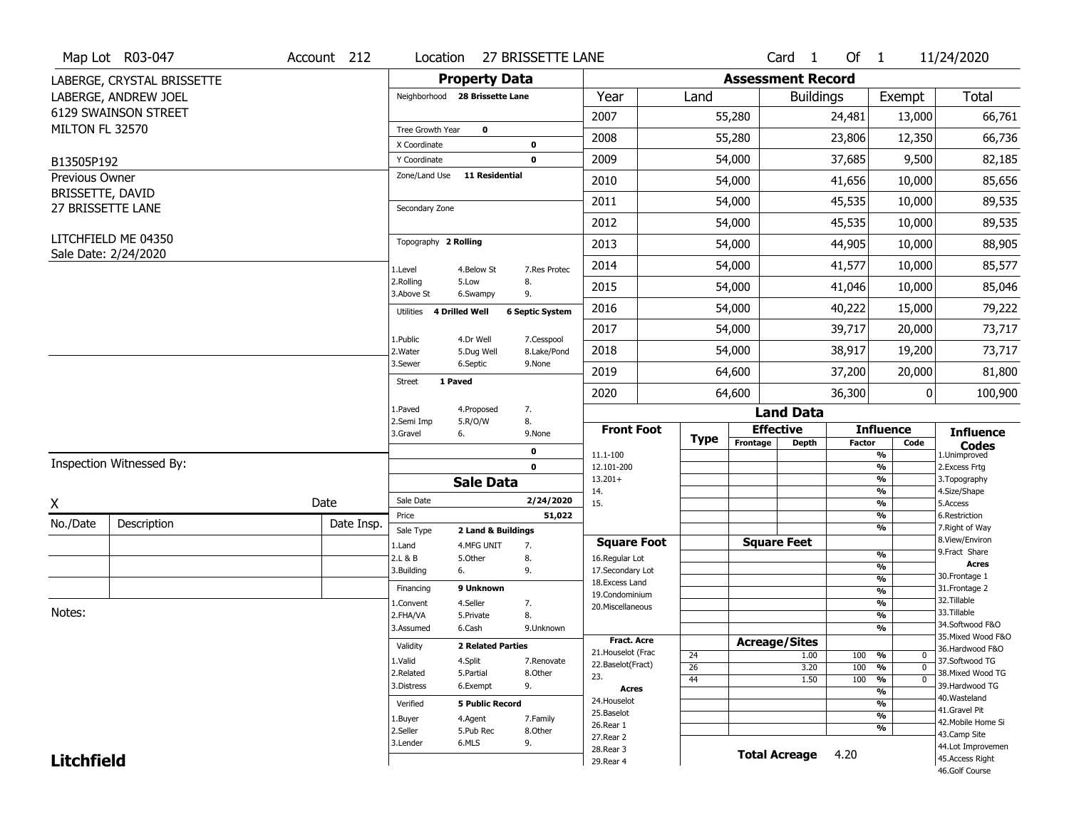| <b>Property Data</b><br><b>Assessment Record</b><br>LABERGE, CRYSTAL BRISSETTE<br>Neighborhood 28 Brissette Lane<br>Year<br>Land<br>Exempt<br>Total<br>LABERGE, ANDREW JOEL<br><b>Buildings</b><br>6129 SWAINSON STREET<br>2007<br>55,280<br>13,000<br>24,481<br>66,761<br>MILTON FL 32570<br>Tree Growth Year<br>$\mathbf 0$<br>2008<br>12,350<br>66,736<br>55,280<br>23,806<br>X Coordinate<br>0<br>2009<br>37,685<br>9,500<br>54,000<br>82,185<br>$\mathbf 0$<br>Y Coordinate<br>B13505P192<br><b>11 Residential</b><br>Zone/Land Use<br>Previous Owner<br>2010<br>85,656<br>54,000<br>41,656<br>10,000<br>BRISSETTE, DAVID<br>2011<br>45,535<br>89,535<br>54,000<br>10,000<br>27 BRISSETTE LANE<br>Secondary Zone<br>2012<br>54,000<br>45,535<br>10,000<br>89,535<br>LITCHFIELD ME 04350<br>Topography 2 Rolling<br>44,905<br>88,905<br>2013<br>54,000<br>10,000<br>Sale Date: 2/24/2020<br>2014<br>54,000<br>41,577<br>10,000<br>85,577<br>1.Level<br>7.Res Protec<br>4.Below St<br>2.Rolling<br>5.Low<br>8.<br>2015<br>54,000<br>41,046<br>85,046<br>10,000<br>3.Above St<br>9.<br>6.Swampy<br>2016<br>40,222<br>15,000<br>54,000<br>4 Drilled Well<br><b>6 Septic System</b><br>Utilities<br>2017<br>54,000<br>39,717<br>20,000<br>1.Public<br>4.Dr Well<br>7.Cesspool<br>2018<br>54,000<br>38,917<br>19,200<br>2. Water<br>8.Lake/Pond<br>5.Dug Well<br>3.Sewer<br>6.Septic<br>9.None<br>2019<br>37,200<br>20,000<br>64,600<br>1 Paved<br>Street<br>36,300<br>0<br>2020<br>64,600<br>7.<br>1.Paved<br>4.Proposed<br><b>Land Data</b><br>2.Semi Imp<br>5.R/O/W<br>8.<br><b>Effective</b><br><b>Influence</b><br><b>Front Foot</b><br><b>Influence</b><br>3.Gravel<br>6.<br>9.None<br><b>Type</b><br>Frontage<br><b>Depth</b><br><b>Factor</b><br>Code<br><b>Codes</b><br>$\mathbf 0$<br>11.1-100<br>%<br>1.Unimproved<br>Inspection Witnessed By:<br>$\frac{9}{6}$<br>$\mathbf 0$<br>12.101-200<br>2. Excess Frtg<br>$\frac{9}{6}$<br>$13.201+$<br>3. Topography<br><b>Sale Data</b><br>14.<br>%<br>4.Size/Shape<br>Sale Date<br>2/24/2020<br>Date<br>15.<br>$\frac{9}{6}$<br>5.Access<br>51,022<br>%<br>6.Restriction<br>Price<br>No./Date<br>Description<br>Date Insp.<br>%<br>7. Right of Way<br>Sale Type<br>2 Land & Buildings<br>8.View/Environ<br><b>Square Feet</b><br><b>Square Foot</b><br>7.<br>1.Land<br>4.MFG UNIT<br>9. Fract Share<br>$\frac{9}{6}$<br>2.L & B<br>5.Other<br>8.<br>16.Regular Lot<br><b>Acres</b><br>$\frac{9}{6}$<br>3.Building<br>6.<br>9.<br>17.Secondary Lot<br>30.Frontage 1<br>$\frac{9}{6}$<br>18. Excess Land<br>9 Unknown<br>31. Frontage 2<br>Financing<br>$\frac{9}{6}$<br>19.Condominium<br>32. Tillable<br>$\frac{9}{6}$<br>4.Seller<br>1.Convent<br>7.<br>20.Miscellaneous<br>33.Tillable<br>$\frac{9}{6}$<br>2.FHA/VA<br>8.<br>5.Private<br>34.Softwood F&O<br>$\overline{\frac{9}{6}}$<br>3.Assumed<br>6.Cash<br>9.Unknown<br>35. Mixed Wood F&O<br><b>Fract. Acre</b><br><b>Acreage/Sites</b><br>Validity<br><b>2 Related Parties</b><br>36.Hardwood F&O<br>21. Houselot (Frac<br>24<br>1.00<br>100<br>%<br>$\mathbf 0$<br>1.Valid<br>4.Split<br>37.Softwood TG<br>7.Renovate<br>22.Baselot(Fract)<br>$\overline{26}$<br>100<br>3.20<br>%<br>$\mathbf 0$<br>2.Related<br>5.Partial<br>38. Mixed Wood TG<br>8.Other<br>23.<br>$\frac{9}{6}$<br>44<br>1.50<br>100<br>$\mathbf 0$<br>6.Exempt<br>9.<br>39.Hardwood TG<br>3.Distress<br><b>Acres</b><br>$\frac{9}{6}$<br>40. Wasteland<br>24. Houselot<br><b>5 Public Record</b><br>%<br>Verified<br>41.Gravel Pit<br>25.Baselot<br>$\frac{9}{6}$<br>1.Buyer<br>4.Agent<br>7.Family<br>42. Mobile Home Si<br>26.Rear 1<br>%<br>2.Seller<br>5.Pub Rec<br>8.Other<br>43.Camp Site<br>27. Rear 2<br>6.MLS<br>9.<br>3.Lender<br>44.Lot Improvemen<br>28.Rear 3<br><b>Total Acreage</b><br>4.20<br><b>Litchfield</b><br>45.Access Right<br>29. Rear 4<br>46.Golf Course |        | Map Lot R03-047 | Account 212 | Location | 27 BRISSETTE LANE |  | Card 1 | Of $1$ | 11/24/2020 |
|-----------------------------------------------------------------------------------------------------------------------------------------------------------------------------------------------------------------------------------------------------------------------------------------------------------------------------------------------------------------------------------------------------------------------------------------------------------------------------------------------------------------------------------------------------------------------------------------------------------------------------------------------------------------------------------------------------------------------------------------------------------------------------------------------------------------------------------------------------------------------------------------------------------------------------------------------------------------------------------------------------------------------------------------------------------------------------------------------------------------------------------------------------------------------------------------------------------------------------------------------------------------------------------------------------------------------------------------------------------------------------------------------------------------------------------------------------------------------------------------------------------------------------------------------------------------------------------------------------------------------------------------------------------------------------------------------------------------------------------------------------------------------------------------------------------------------------------------------------------------------------------------------------------------------------------------------------------------------------------------------------------------------------------------------------------------------------------------------------------------------------------------------------------------------------------------------------------------------------------------------------------------------------------------------------------------------------------------------------------------------------------------------------------------------------------------------------------------------------------------------------------------------------------------------------------------------------------------------------------------------------------------------------------------------------------------------------------------------------------------------------------------------------------------------------------------------------------------------------------------------------------------------------------------------------------------------------------------------------------------------------------------------------------------------------------------------------------------------------------------------------------------------------------------------------------------------------------------------------------------------------------------------------------------------------------------------------------------------------------------------------------------------------------------------------------------------------------------------------------------------------------------------------------------------------------------------------------------------------------------------------------------------------------------------------------------------------------------------------------------------------------------------------------------------------------------------------------------------------------------------|--------|-----------------|-------------|----------|-------------------|--|--------|--------|------------|
|                                                                                                                                                                                                                                                                                                                                                                                                                                                                                                                                                                                                                                                                                                                                                                                                                                                                                                                                                                                                                                                                                                                                                                                                                                                                                                                                                                                                                                                                                                                                                                                                                                                                                                                                                                                                                                                                                                                                                                                                                                                                                                                                                                                                                                                                                                                                                                                                                                                                                                                                                                                                                                                                                                                                                                                                                                                                                                                                                                                                                                                                                                                                                                                                                                                                                                                                                                                                                                                                                                                                                                                                                                                                                                                                                                                                                                                                       |        |                 |             |          |                   |  |        |        |            |
|                                                                                                                                                                                                                                                                                                                                                                                                                                                                                                                                                                                                                                                                                                                                                                                                                                                                                                                                                                                                                                                                                                                                                                                                                                                                                                                                                                                                                                                                                                                                                                                                                                                                                                                                                                                                                                                                                                                                                                                                                                                                                                                                                                                                                                                                                                                                                                                                                                                                                                                                                                                                                                                                                                                                                                                                                                                                                                                                                                                                                                                                                                                                                                                                                                                                                                                                                                                                                                                                                                                                                                                                                                                                                                                                                                                                                                                                       |        |                 |             |          |                   |  |        |        |            |
|                                                                                                                                                                                                                                                                                                                                                                                                                                                                                                                                                                                                                                                                                                                                                                                                                                                                                                                                                                                                                                                                                                                                                                                                                                                                                                                                                                                                                                                                                                                                                                                                                                                                                                                                                                                                                                                                                                                                                                                                                                                                                                                                                                                                                                                                                                                                                                                                                                                                                                                                                                                                                                                                                                                                                                                                                                                                                                                                                                                                                                                                                                                                                                                                                                                                                                                                                                                                                                                                                                                                                                                                                                                                                                                                                                                                                                                                       |        |                 |             |          |                   |  |        |        |            |
|                                                                                                                                                                                                                                                                                                                                                                                                                                                                                                                                                                                                                                                                                                                                                                                                                                                                                                                                                                                                                                                                                                                                                                                                                                                                                                                                                                                                                                                                                                                                                                                                                                                                                                                                                                                                                                                                                                                                                                                                                                                                                                                                                                                                                                                                                                                                                                                                                                                                                                                                                                                                                                                                                                                                                                                                                                                                                                                                                                                                                                                                                                                                                                                                                                                                                                                                                                                                                                                                                                                                                                                                                                                                                                                                                                                                                                                                       |        |                 |             |          |                   |  |        |        |            |
|                                                                                                                                                                                                                                                                                                                                                                                                                                                                                                                                                                                                                                                                                                                                                                                                                                                                                                                                                                                                                                                                                                                                                                                                                                                                                                                                                                                                                                                                                                                                                                                                                                                                                                                                                                                                                                                                                                                                                                                                                                                                                                                                                                                                                                                                                                                                                                                                                                                                                                                                                                                                                                                                                                                                                                                                                                                                                                                                                                                                                                                                                                                                                                                                                                                                                                                                                                                                                                                                                                                                                                                                                                                                                                                                                                                                                                                                       |        |                 |             |          |                   |  |        |        |            |
|                                                                                                                                                                                                                                                                                                                                                                                                                                                                                                                                                                                                                                                                                                                                                                                                                                                                                                                                                                                                                                                                                                                                                                                                                                                                                                                                                                                                                                                                                                                                                                                                                                                                                                                                                                                                                                                                                                                                                                                                                                                                                                                                                                                                                                                                                                                                                                                                                                                                                                                                                                                                                                                                                                                                                                                                                                                                                                                                                                                                                                                                                                                                                                                                                                                                                                                                                                                                                                                                                                                                                                                                                                                                                                                                                                                                                                                                       |        |                 |             |          |                   |  |        |        |            |
|                                                                                                                                                                                                                                                                                                                                                                                                                                                                                                                                                                                                                                                                                                                                                                                                                                                                                                                                                                                                                                                                                                                                                                                                                                                                                                                                                                                                                                                                                                                                                                                                                                                                                                                                                                                                                                                                                                                                                                                                                                                                                                                                                                                                                                                                                                                                                                                                                                                                                                                                                                                                                                                                                                                                                                                                                                                                                                                                                                                                                                                                                                                                                                                                                                                                                                                                                                                                                                                                                                                                                                                                                                                                                                                                                                                                                                                                       |        |                 |             |          |                   |  |        |        |            |
|                                                                                                                                                                                                                                                                                                                                                                                                                                                                                                                                                                                                                                                                                                                                                                                                                                                                                                                                                                                                                                                                                                                                                                                                                                                                                                                                                                                                                                                                                                                                                                                                                                                                                                                                                                                                                                                                                                                                                                                                                                                                                                                                                                                                                                                                                                                                                                                                                                                                                                                                                                                                                                                                                                                                                                                                                                                                                                                                                                                                                                                                                                                                                                                                                                                                                                                                                                                                                                                                                                                                                                                                                                                                                                                                                                                                                                                                       |        |                 |             |          |                   |  |        |        |            |
|                                                                                                                                                                                                                                                                                                                                                                                                                                                                                                                                                                                                                                                                                                                                                                                                                                                                                                                                                                                                                                                                                                                                                                                                                                                                                                                                                                                                                                                                                                                                                                                                                                                                                                                                                                                                                                                                                                                                                                                                                                                                                                                                                                                                                                                                                                                                                                                                                                                                                                                                                                                                                                                                                                                                                                                                                                                                                                                                                                                                                                                                                                                                                                                                                                                                                                                                                                                                                                                                                                                                                                                                                                                                                                                                                                                                                                                                       |        |                 |             |          |                   |  |        |        |            |
|                                                                                                                                                                                                                                                                                                                                                                                                                                                                                                                                                                                                                                                                                                                                                                                                                                                                                                                                                                                                                                                                                                                                                                                                                                                                                                                                                                                                                                                                                                                                                                                                                                                                                                                                                                                                                                                                                                                                                                                                                                                                                                                                                                                                                                                                                                                                                                                                                                                                                                                                                                                                                                                                                                                                                                                                                                                                                                                                                                                                                                                                                                                                                                                                                                                                                                                                                                                                                                                                                                                                                                                                                                                                                                                                                                                                                                                                       |        |                 |             |          |                   |  |        |        |            |
|                                                                                                                                                                                                                                                                                                                                                                                                                                                                                                                                                                                                                                                                                                                                                                                                                                                                                                                                                                                                                                                                                                                                                                                                                                                                                                                                                                                                                                                                                                                                                                                                                                                                                                                                                                                                                                                                                                                                                                                                                                                                                                                                                                                                                                                                                                                                                                                                                                                                                                                                                                                                                                                                                                                                                                                                                                                                                                                                                                                                                                                                                                                                                                                                                                                                                                                                                                                                                                                                                                                                                                                                                                                                                                                                                                                                                                                                       |        |                 |             |          |                   |  |        |        |            |
| 79,222<br>73,717<br>73,717<br>81,800<br>100,900                                                                                                                                                                                                                                                                                                                                                                                                                                                                                                                                                                                                                                                                                                                                                                                                                                                                                                                                                                                                                                                                                                                                                                                                                                                                                                                                                                                                                                                                                                                                                                                                                                                                                                                                                                                                                                                                                                                                                                                                                                                                                                                                                                                                                                                                                                                                                                                                                                                                                                                                                                                                                                                                                                                                                                                                                                                                                                                                                                                                                                                                                                                                                                                                                                                                                                                                                                                                                                                                                                                                                                                                                                                                                                                                                                                                                       |        |                 |             |          |                   |  |        |        |            |
|                                                                                                                                                                                                                                                                                                                                                                                                                                                                                                                                                                                                                                                                                                                                                                                                                                                                                                                                                                                                                                                                                                                                                                                                                                                                                                                                                                                                                                                                                                                                                                                                                                                                                                                                                                                                                                                                                                                                                                                                                                                                                                                                                                                                                                                                                                                                                                                                                                                                                                                                                                                                                                                                                                                                                                                                                                                                                                                                                                                                                                                                                                                                                                                                                                                                                                                                                                                                                                                                                                                                                                                                                                                                                                                                                                                                                                                                       |        |                 |             |          |                   |  |        |        |            |
|                                                                                                                                                                                                                                                                                                                                                                                                                                                                                                                                                                                                                                                                                                                                                                                                                                                                                                                                                                                                                                                                                                                                                                                                                                                                                                                                                                                                                                                                                                                                                                                                                                                                                                                                                                                                                                                                                                                                                                                                                                                                                                                                                                                                                                                                                                                                                                                                                                                                                                                                                                                                                                                                                                                                                                                                                                                                                                                                                                                                                                                                                                                                                                                                                                                                                                                                                                                                                                                                                                                                                                                                                                                                                                                                                                                                                                                                       |        |                 |             |          |                   |  |        |        |            |
|                                                                                                                                                                                                                                                                                                                                                                                                                                                                                                                                                                                                                                                                                                                                                                                                                                                                                                                                                                                                                                                                                                                                                                                                                                                                                                                                                                                                                                                                                                                                                                                                                                                                                                                                                                                                                                                                                                                                                                                                                                                                                                                                                                                                                                                                                                                                                                                                                                                                                                                                                                                                                                                                                                                                                                                                                                                                                                                                                                                                                                                                                                                                                                                                                                                                                                                                                                                                                                                                                                                                                                                                                                                                                                                                                                                                                                                                       |        |                 |             |          |                   |  |        |        |            |
|                                                                                                                                                                                                                                                                                                                                                                                                                                                                                                                                                                                                                                                                                                                                                                                                                                                                                                                                                                                                                                                                                                                                                                                                                                                                                                                                                                                                                                                                                                                                                                                                                                                                                                                                                                                                                                                                                                                                                                                                                                                                                                                                                                                                                                                                                                                                                                                                                                                                                                                                                                                                                                                                                                                                                                                                                                                                                                                                                                                                                                                                                                                                                                                                                                                                                                                                                                                                                                                                                                                                                                                                                                                                                                                                                                                                                                                                       |        |                 |             |          |                   |  |        |        |            |
|                                                                                                                                                                                                                                                                                                                                                                                                                                                                                                                                                                                                                                                                                                                                                                                                                                                                                                                                                                                                                                                                                                                                                                                                                                                                                                                                                                                                                                                                                                                                                                                                                                                                                                                                                                                                                                                                                                                                                                                                                                                                                                                                                                                                                                                                                                                                                                                                                                                                                                                                                                                                                                                                                                                                                                                                                                                                                                                                                                                                                                                                                                                                                                                                                                                                                                                                                                                                                                                                                                                                                                                                                                                                                                                                                                                                                                                                       |        |                 |             |          |                   |  |        |        |            |
|                                                                                                                                                                                                                                                                                                                                                                                                                                                                                                                                                                                                                                                                                                                                                                                                                                                                                                                                                                                                                                                                                                                                                                                                                                                                                                                                                                                                                                                                                                                                                                                                                                                                                                                                                                                                                                                                                                                                                                                                                                                                                                                                                                                                                                                                                                                                                                                                                                                                                                                                                                                                                                                                                                                                                                                                                                                                                                                                                                                                                                                                                                                                                                                                                                                                                                                                                                                                                                                                                                                                                                                                                                                                                                                                                                                                                                                                       |        |                 |             |          |                   |  |        |        |            |
|                                                                                                                                                                                                                                                                                                                                                                                                                                                                                                                                                                                                                                                                                                                                                                                                                                                                                                                                                                                                                                                                                                                                                                                                                                                                                                                                                                                                                                                                                                                                                                                                                                                                                                                                                                                                                                                                                                                                                                                                                                                                                                                                                                                                                                                                                                                                                                                                                                                                                                                                                                                                                                                                                                                                                                                                                                                                                                                                                                                                                                                                                                                                                                                                                                                                                                                                                                                                                                                                                                                                                                                                                                                                                                                                                                                                                                                                       |        |                 |             |          |                   |  |        |        |            |
|                                                                                                                                                                                                                                                                                                                                                                                                                                                                                                                                                                                                                                                                                                                                                                                                                                                                                                                                                                                                                                                                                                                                                                                                                                                                                                                                                                                                                                                                                                                                                                                                                                                                                                                                                                                                                                                                                                                                                                                                                                                                                                                                                                                                                                                                                                                                                                                                                                                                                                                                                                                                                                                                                                                                                                                                                                                                                                                                                                                                                                                                                                                                                                                                                                                                                                                                                                                                                                                                                                                                                                                                                                                                                                                                                                                                                                                                       |        |                 |             |          |                   |  |        |        |            |
|                                                                                                                                                                                                                                                                                                                                                                                                                                                                                                                                                                                                                                                                                                                                                                                                                                                                                                                                                                                                                                                                                                                                                                                                                                                                                                                                                                                                                                                                                                                                                                                                                                                                                                                                                                                                                                                                                                                                                                                                                                                                                                                                                                                                                                                                                                                                                                                                                                                                                                                                                                                                                                                                                                                                                                                                                                                                                                                                                                                                                                                                                                                                                                                                                                                                                                                                                                                                                                                                                                                                                                                                                                                                                                                                                                                                                                                                       |        |                 |             |          |                   |  |        |        |            |
|                                                                                                                                                                                                                                                                                                                                                                                                                                                                                                                                                                                                                                                                                                                                                                                                                                                                                                                                                                                                                                                                                                                                                                                                                                                                                                                                                                                                                                                                                                                                                                                                                                                                                                                                                                                                                                                                                                                                                                                                                                                                                                                                                                                                                                                                                                                                                                                                                                                                                                                                                                                                                                                                                                                                                                                                                                                                                                                                                                                                                                                                                                                                                                                                                                                                                                                                                                                                                                                                                                                                                                                                                                                                                                                                                                                                                                                                       |        |                 |             |          |                   |  |        |        |            |
|                                                                                                                                                                                                                                                                                                                                                                                                                                                                                                                                                                                                                                                                                                                                                                                                                                                                                                                                                                                                                                                                                                                                                                                                                                                                                                                                                                                                                                                                                                                                                                                                                                                                                                                                                                                                                                                                                                                                                                                                                                                                                                                                                                                                                                                                                                                                                                                                                                                                                                                                                                                                                                                                                                                                                                                                                                                                                                                                                                                                                                                                                                                                                                                                                                                                                                                                                                                                                                                                                                                                                                                                                                                                                                                                                                                                                                                                       | X      |                 |             |          |                   |  |        |        |            |
|                                                                                                                                                                                                                                                                                                                                                                                                                                                                                                                                                                                                                                                                                                                                                                                                                                                                                                                                                                                                                                                                                                                                                                                                                                                                                                                                                                                                                                                                                                                                                                                                                                                                                                                                                                                                                                                                                                                                                                                                                                                                                                                                                                                                                                                                                                                                                                                                                                                                                                                                                                                                                                                                                                                                                                                                                                                                                                                                                                                                                                                                                                                                                                                                                                                                                                                                                                                                                                                                                                                                                                                                                                                                                                                                                                                                                                                                       |        |                 |             |          |                   |  |        |        |            |
|                                                                                                                                                                                                                                                                                                                                                                                                                                                                                                                                                                                                                                                                                                                                                                                                                                                                                                                                                                                                                                                                                                                                                                                                                                                                                                                                                                                                                                                                                                                                                                                                                                                                                                                                                                                                                                                                                                                                                                                                                                                                                                                                                                                                                                                                                                                                                                                                                                                                                                                                                                                                                                                                                                                                                                                                                                                                                                                                                                                                                                                                                                                                                                                                                                                                                                                                                                                                                                                                                                                                                                                                                                                                                                                                                                                                                                                                       |        |                 |             |          |                   |  |        |        |            |
|                                                                                                                                                                                                                                                                                                                                                                                                                                                                                                                                                                                                                                                                                                                                                                                                                                                                                                                                                                                                                                                                                                                                                                                                                                                                                                                                                                                                                                                                                                                                                                                                                                                                                                                                                                                                                                                                                                                                                                                                                                                                                                                                                                                                                                                                                                                                                                                                                                                                                                                                                                                                                                                                                                                                                                                                                                                                                                                                                                                                                                                                                                                                                                                                                                                                                                                                                                                                                                                                                                                                                                                                                                                                                                                                                                                                                                                                       |        |                 |             |          |                   |  |        |        |            |
|                                                                                                                                                                                                                                                                                                                                                                                                                                                                                                                                                                                                                                                                                                                                                                                                                                                                                                                                                                                                                                                                                                                                                                                                                                                                                                                                                                                                                                                                                                                                                                                                                                                                                                                                                                                                                                                                                                                                                                                                                                                                                                                                                                                                                                                                                                                                                                                                                                                                                                                                                                                                                                                                                                                                                                                                                                                                                                                                                                                                                                                                                                                                                                                                                                                                                                                                                                                                                                                                                                                                                                                                                                                                                                                                                                                                                                                                       |        |                 |             |          |                   |  |        |        |            |
|                                                                                                                                                                                                                                                                                                                                                                                                                                                                                                                                                                                                                                                                                                                                                                                                                                                                                                                                                                                                                                                                                                                                                                                                                                                                                                                                                                                                                                                                                                                                                                                                                                                                                                                                                                                                                                                                                                                                                                                                                                                                                                                                                                                                                                                                                                                                                                                                                                                                                                                                                                                                                                                                                                                                                                                                                                                                                                                                                                                                                                                                                                                                                                                                                                                                                                                                                                                                                                                                                                                                                                                                                                                                                                                                                                                                                                                                       |        |                 |             |          |                   |  |        |        |            |
|                                                                                                                                                                                                                                                                                                                                                                                                                                                                                                                                                                                                                                                                                                                                                                                                                                                                                                                                                                                                                                                                                                                                                                                                                                                                                                                                                                                                                                                                                                                                                                                                                                                                                                                                                                                                                                                                                                                                                                                                                                                                                                                                                                                                                                                                                                                                                                                                                                                                                                                                                                                                                                                                                                                                                                                                                                                                                                                                                                                                                                                                                                                                                                                                                                                                                                                                                                                                                                                                                                                                                                                                                                                                                                                                                                                                                                                                       |        |                 |             |          |                   |  |        |        |            |
|                                                                                                                                                                                                                                                                                                                                                                                                                                                                                                                                                                                                                                                                                                                                                                                                                                                                                                                                                                                                                                                                                                                                                                                                                                                                                                                                                                                                                                                                                                                                                                                                                                                                                                                                                                                                                                                                                                                                                                                                                                                                                                                                                                                                                                                                                                                                                                                                                                                                                                                                                                                                                                                                                                                                                                                                                                                                                                                                                                                                                                                                                                                                                                                                                                                                                                                                                                                                                                                                                                                                                                                                                                                                                                                                                                                                                                                                       | Notes: |                 |             |          |                   |  |        |        |            |
|                                                                                                                                                                                                                                                                                                                                                                                                                                                                                                                                                                                                                                                                                                                                                                                                                                                                                                                                                                                                                                                                                                                                                                                                                                                                                                                                                                                                                                                                                                                                                                                                                                                                                                                                                                                                                                                                                                                                                                                                                                                                                                                                                                                                                                                                                                                                                                                                                                                                                                                                                                                                                                                                                                                                                                                                                                                                                                                                                                                                                                                                                                                                                                                                                                                                                                                                                                                                                                                                                                                                                                                                                                                                                                                                                                                                                                                                       |        |                 |             |          |                   |  |        |        |            |
|                                                                                                                                                                                                                                                                                                                                                                                                                                                                                                                                                                                                                                                                                                                                                                                                                                                                                                                                                                                                                                                                                                                                                                                                                                                                                                                                                                                                                                                                                                                                                                                                                                                                                                                                                                                                                                                                                                                                                                                                                                                                                                                                                                                                                                                                                                                                                                                                                                                                                                                                                                                                                                                                                                                                                                                                                                                                                                                                                                                                                                                                                                                                                                                                                                                                                                                                                                                                                                                                                                                                                                                                                                                                                                                                                                                                                                                                       |        |                 |             |          |                   |  |        |        |            |
|                                                                                                                                                                                                                                                                                                                                                                                                                                                                                                                                                                                                                                                                                                                                                                                                                                                                                                                                                                                                                                                                                                                                                                                                                                                                                                                                                                                                                                                                                                                                                                                                                                                                                                                                                                                                                                                                                                                                                                                                                                                                                                                                                                                                                                                                                                                                                                                                                                                                                                                                                                                                                                                                                                                                                                                                                                                                                                                                                                                                                                                                                                                                                                                                                                                                                                                                                                                                                                                                                                                                                                                                                                                                                                                                                                                                                                                                       |        |                 |             |          |                   |  |        |        |            |
|                                                                                                                                                                                                                                                                                                                                                                                                                                                                                                                                                                                                                                                                                                                                                                                                                                                                                                                                                                                                                                                                                                                                                                                                                                                                                                                                                                                                                                                                                                                                                                                                                                                                                                                                                                                                                                                                                                                                                                                                                                                                                                                                                                                                                                                                                                                                                                                                                                                                                                                                                                                                                                                                                                                                                                                                                                                                                                                                                                                                                                                                                                                                                                                                                                                                                                                                                                                                                                                                                                                                                                                                                                                                                                                                                                                                                                                                       |        |                 |             |          |                   |  |        |        |            |
|                                                                                                                                                                                                                                                                                                                                                                                                                                                                                                                                                                                                                                                                                                                                                                                                                                                                                                                                                                                                                                                                                                                                                                                                                                                                                                                                                                                                                                                                                                                                                                                                                                                                                                                                                                                                                                                                                                                                                                                                                                                                                                                                                                                                                                                                                                                                                                                                                                                                                                                                                                                                                                                                                                                                                                                                                                                                                                                                                                                                                                                                                                                                                                                                                                                                                                                                                                                                                                                                                                                                                                                                                                                                                                                                                                                                                                                                       |        |                 |             |          |                   |  |        |        |            |
|                                                                                                                                                                                                                                                                                                                                                                                                                                                                                                                                                                                                                                                                                                                                                                                                                                                                                                                                                                                                                                                                                                                                                                                                                                                                                                                                                                                                                                                                                                                                                                                                                                                                                                                                                                                                                                                                                                                                                                                                                                                                                                                                                                                                                                                                                                                                                                                                                                                                                                                                                                                                                                                                                                                                                                                                                                                                                                                                                                                                                                                                                                                                                                                                                                                                                                                                                                                                                                                                                                                                                                                                                                                                                                                                                                                                                                                                       |        |                 |             |          |                   |  |        |        |            |
|                                                                                                                                                                                                                                                                                                                                                                                                                                                                                                                                                                                                                                                                                                                                                                                                                                                                                                                                                                                                                                                                                                                                                                                                                                                                                                                                                                                                                                                                                                                                                                                                                                                                                                                                                                                                                                                                                                                                                                                                                                                                                                                                                                                                                                                                                                                                                                                                                                                                                                                                                                                                                                                                                                                                                                                                                                                                                                                                                                                                                                                                                                                                                                                                                                                                                                                                                                                                                                                                                                                                                                                                                                                                                                                                                                                                                                                                       |        |                 |             |          |                   |  |        |        |            |
|                                                                                                                                                                                                                                                                                                                                                                                                                                                                                                                                                                                                                                                                                                                                                                                                                                                                                                                                                                                                                                                                                                                                                                                                                                                                                                                                                                                                                                                                                                                                                                                                                                                                                                                                                                                                                                                                                                                                                                                                                                                                                                                                                                                                                                                                                                                                                                                                                                                                                                                                                                                                                                                                                                                                                                                                                                                                                                                                                                                                                                                                                                                                                                                                                                                                                                                                                                                                                                                                                                                                                                                                                                                                                                                                                                                                                                                                       |        |                 |             |          |                   |  |        |        |            |
|                                                                                                                                                                                                                                                                                                                                                                                                                                                                                                                                                                                                                                                                                                                                                                                                                                                                                                                                                                                                                                                                                                                                                                                                                                                                                                                                                                                                                                                                                                                                                                                                                                                                                                                                                                                                                                                                                                                                                                                                                                                                                                                                                                                                                                                                                                                                                                                                                                                                                                                                                                                                                                                                                                                                                                                                                                                                                                                                                                                                                                                                                                                                                                                                                                                                                                                                                                                                                                                                                                                                                                                                                                                                                                                                                                                                                                                                       |        |                 |             |          |                   |  |        |        |            |
|                                                                                                                                                                                                                                                                                                                                                                                                                                                                                                                                                                                                                                                                                                                                                                                                                                                                                                                                                                                                                                                                                                                                                                                                                                                                                                                                                                                                                                                                                                                                                                                                                                                                                                                                                                                                                                                                                                                                                                                                                                                                                                                                                                                                                                                                                                                                                                                                                                                                                                                                                                                                                                                                                                                                                                                                                                                                                                                                                                                                                                                                                                                                                                                                                                                                                                                                                                                                                                                                                                                                                                                                                                                                                                                                                                                                                                                                       |        |                 |             |          |                   |  |        |        |            |
|                                                                                                                                                                                                                                                                                                                                                                                                                                                                                                                                                                                                                                                                                                                                                                                                                                                                                                                                                                                                                                                                                                                                                                                                                                                                                                                                                                                                                                                                                                                                                                                                                                                                                                                                                                                                                                                                                                                                                                                                                                                                                                                                                                                                                                                                                                                                                                                                                                                                                                                                                                                                                                                                                                                                                                                                                                                                                                                                                                                                                                                                                                                                                                                                                                                                                                                                                                                                                                                                                                                                                                                                                                                                                                                                                                                                                                                                       |        |                 |             |          |                   |  |        |        |            |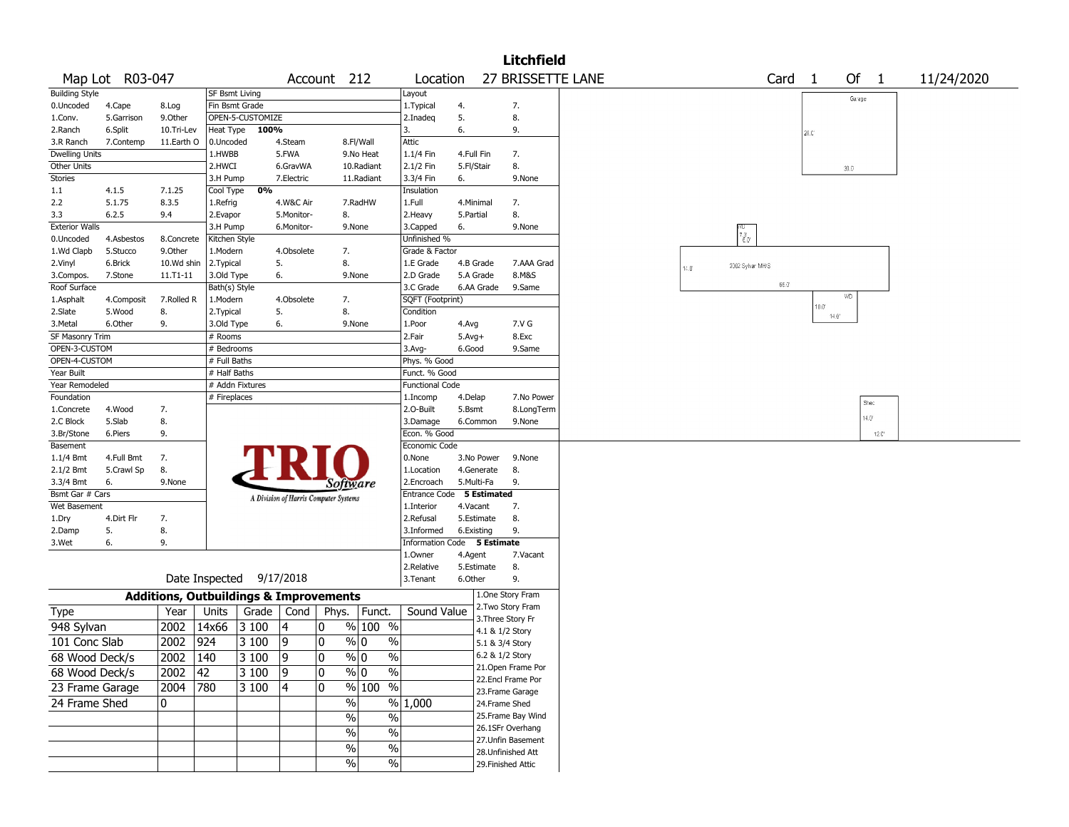|                       |                 |                                                   |                       |                          |             |                                       |                          |                             |            |                 | <b>Litchfield</b>                      |  |      |                                      |                  |      |                |              |                |  |            |  |
|-----------------------|-----------------|---------------------------------------------------|-----------------------|--------------------------|-------------|---------------------------------------|--------------------------|-----------------------------|------------|-----------------|----------------------------------------|--|------|--------------------------------------|------------------|------|----------------|--------------|----------------|--|------------|--|
|                       | Map Lot R03-047 |                                                   |                       |                          |             | Account 212                           |                          | Location                    |            |                 | 27 BRISSETTE LANE                      |  |      |                                      |                  | Card | $\overline{1}$ | Of           | $\overline{1}$ |  | 11/24/2020 |  |
| <b>Building Style</b> |                 |                                                   | <b>SF Bsmt Living</b> |                          |             |                                       |                          | Layout                      |            |                 |                                        |  |      |                                      |                  |      |                | Garage       |                |  |            |  |
| 0.Uncoded             | 4.Cape          | 8.Log                                             | Fin Bsmt Grade        |                          |             |                                       |                          | 1.Typical                   | 4.         |                 | 7.                                     |  |      |                                      |                  |      |                |              |                |  |            |  |
| 1.Conv.               | 5.Garrison      | 9.0ther                                           |                       | OPEN-5-CUSTOMIZE         |             |                                       |                          | 2.Inadeg                    | 5.         |                 | 8.                                     |  |      |                                      |                  |      |                |              |                |  |            |  |
| 2.Ranch               | 6.Split         | 10.Tri-Lev                                        | Heat Type             | 100%                     |             |                                       |                          |                             | 6.         |                 | 9.                                     |  |      |                                      |                  |      | 26.C           |              |                |  |            |  |
| 3.R Ranch             | 7.Contemp       | 11.Earth O                                        | 0.Uncoded             |                          | 4.Steam     |                                       | 8.Fl/Wall                | Attic                       |            |                 |                                        |  |      |                                      |                  |      |                |              |                |  |            |  |
| <b>Dwelling Units</b> |                 |                                                   | 1.HWBB                |                          | 5.FWA       |                                       | 9.No Heat                | 1.1/4 Fin                   | 4.Full Fin |                 | 7.                                     |  |      |                                      |                  |      |                |              |                |  |            |  |
| <b>Other Units</b>    |                 |                                                   | 2.HWCI                |                          | 6.GravWA    |                                       | 10.Radiant               | 2.1/2 Fin                   | 5.Fl/Stair |                 | 8.                                     |  |      |                                      |                  |      |                | $30.0^\circ$ |                |  |            |  |
| <b>Stories</b>        |                 |                                                   | 3.H Pump              |                          | 7.Electric  |                                       | 11.Radiant               | 3.3/4 Fin                   | 6.         |                 | 9.None                                 |  |      |                                      |                  |      |                |              |                |  |            |  |
| 1.1                   | 4.1.5           | 7.1.25                                            | Cool Type             | 0%                       |             |                                       |                          | Insulation                  |            |                 |                                        |  |      |                                      |                  |      |                |              |                |  |            |  |
| 2.2                   | 5.1.75          | 8.3.5                                             | 1.Refrig              |                          | 4.W&C Air   |                                       | 7.RadHW                  | 1.Full                      | 4.Minimal  |                 | 7.                                     |  |      |                                      |                  |      |                |              |                |  |            |  |
| 3.3                   | 6.2.5           | 9.4                                               | 2.Evapor              |                          | 5.Monitor-  | 8.                                    |                          | 2.Heavy                     | 5.Partial  |                 | 8.                                     |  |      |                                      |                  |      |                |              |                |  |            |  |
| <b>Exterior Walls</b> |                 |                                                   | 3.H Pump              |                          | 6.Monitor-  | 9.None                                |                          | 3.Capped                    | 6.         |                 | 9.None                                 |  |      |                                      |                  |      |                |              |                |  |            |  |
| 0.Uncoded             | 4.Asbestos      | 8.Concrete                                        | Kitchen Style         |                          |             |                                       |                          | Unfinished %                |            |                 |                                        |  |      | $\tilde{\epsilon}_{\sigma}^{\sigma}$ |                  |      |                |              |                |  |            |  |
| 1.Wd Clapb            | 5.Stucco        | 9.0ther                                           | 1.Modern              |                          | 4.Obsolete  | 7.                                    |                          | Grade & Factor              |            |                 |                                        |  |      |                                      |                  |      |                |              |                |  |            |  |
| 2.Vinyl               | 6.Brick         | 10.Wd shin                                        | 2.Typical             |                          | 5.          | 8.                                    |                          | 1.E Grade                   | 4.B Grade  |                 | 7.AAA Grad                             |  | 14.0 |                                      | 2002 Sylvan MH/S |      |                |              |                |  |            |  |
| 3.Compos.             | 7.Stone         | $11.71 - 11$                                      | 3.Old Type            |                          | 6.          | 9.None                                |                          | 2.D Grade                   | 5.A Grade  |                 | 8.M&S                                  |  |      |                                      |                  | 66.0 |                |              |                |  |            |  |
| Roof Surface          |                 |                                                   | Bath(s) Style         |                          |             |                                       |                          | 3.C Grade                   | 6.AA Grade |                 | 9.Same                                 |  |      |                                      |                  |      |                | WD.          |                |  |            |  |
| 1.Asphalt             | 4.Composit      | 7.Rolled R                                        | 1.Modern              |                          | 4.Obsolete  | 7.                                    |                          | SQFT (Footprint)            |            |                 |                                        |  |      |                                      |                  |      | $10.0^{\circ}$ |              |                |  |            |  |
| 2.Slate               | 5.Wood          | 8.                                                | 2. Typical            |                          | 5.          | 8.                                    |                          | Condition                   |            |                 |                                        |  |      |                                      |                  |      | $14.0^{\circ}$ |              |                |  |            |  |
| 3.Metal               | 6.Other         | 9.                                                | 3.Old Type            |                          | 6.          | 9.None                                |                          | 1.Poor                      | 4.Avg      |                 | 7.V G                                  |  |      |                                      |                  |      |                |              |                |  |            |  |
| SF Masonry Trim       |                 |                                                   | # Rooms               |                          |             |                                       |                          | 2.Fair                      | $5.Avg+$   |                 | 8.Exc                                  |  |      |                                      |                  |      |                |              |                |  |            |  |
| OPEN-3-CUSTOM         |                 |                                                   | $#$ Bedrooms          |                          |             |                                       |                          | 3.Avg-                      | 6.Good     |                 | 9.Same                                 |  |      |                                      |                  |      |                |              |                |  |            |  |
| OPEN-4-CUSTOM         |                 |                                                   | # Full Baths          |                          |             |                                       |                          | Phys. % Good                |            |                 |                                        |  |      |                                      |                  |      |                |              |                |  |            |  |
| Year Built            |                 |                                                   | # Half Baths          |                          |             |                                       |                          | Funct. % Good               |            |                 |                                        |  |      |                                      |                  |      |                |              |                |  |            |  |
| Year Remodeled        |                 |                                                   |                       | # Addn Fixtures          |             |                                       |                          | <b>Functional Code</b>      |            |                 |                                        |  |      |                                      |                  |      |                |              |                |  |            |  |
| Foundation            |                 |                                                   | # Fireplaces          |                          |             |                                       |                          | 1.Incomp                    | 4.Delap    |                 | 7.No Power                             |  |      |                                      |                  |      |                |              | Shec           |  |            |  |
| 1.Concrete            | 4.Wood          | 7.                                                |                       |                          |             |                                       |                          | 2.O-Built                   | 5.Bsmt     |                 | 8.LongTerm                             |  |      |                                      |                  |      |                |              | $14.0^\circ$   |  |            |  |
| 2.C Block             | 5.Slab          | 8.                                                |                       |                          |             |                                       |                          | 3.Damage                    | 6.Common   |                 | 9.None                                 |  |      |                                      |                  |      |                |              |                |  |            |  |
| 3.Br/Stone            | 6.Piers         | 9.                                                |                       |                          |             |                                       |                          | Econ. % Good                |            |                 |                                        |  |      |                                      |                  |      |                |              | 12.C           |  |            |  |
| <b>Basement</b>       |                 |                                                   |                       |                          |             |                                       |                          | Economic Code               |            |                 |                                        |  |      |                                      |                  |      |                |              |                |  |            |  |
| $1.1/4$ Bmt           | 4.Full Bmt      | 7.                                                |                       |                          |             |                                       |                          | 0.None                      | 3.No Power |                 | 9.None                                 |  |      |                                      |                  |      |                |              |                |  |            |  |
| 2.1/2 Bmt             | 5.Crawl Sp      | 8.                                                |                       |                          |             |                                       |                          | 1.Location                  | 4.Generate |                 | 8.                                     |  |      |                                      |                  |      |                |              |                |  |            |  |
| 3.3/4 Bmt             | 6.              | 9.None                                            |                       |                          |             | Software                              |                          | 2.Encroach                  | 5.Multi-Fa |                 | 9.                                     |  |      |                                      |                  |      |                |              |                |  |            |  |
| Bsmt Gar # Cars       |                 |                                                   |                       |                          |             | A Division of Harris Computer Systems |                          | Entrance Code 5 Estimated   |            |                 |                                        |  |      |                                      |                  |      |                |              |                |  |            |  |
| Wet Basement          |                 |                                                   |                       |                          |             |                                       |                          | 1.Interior                  | 4.Vacant   |                 | 7.                                     |  |      |                                      |                  |      |                |              |                |  |            |  |
| 1.Dry                 | 4.Dirt Flr      | 7.                                                |                       |                          |             |                                       |                          | 2.Refusal                   | 5.Estimate |                 | 8.                                     |  |      |                                      |                  |      |                |              |                |  |            |  |
| 2.Damp                | 5.              | 8.                                                |                       |                          |             |                                       |                          | 3.Informed                  | 6.Existing |                 | 9.                                     |  |      |                                      |                  |      |                |              |                |  |            |  |
| 3.Wet                 | 6.              | 9.                                                |                       |                          |             |                                       |                          | Information Code 5 Estimate |            |                 |                                        |  |      |                                      |                  |      |                |              |                |  |            |  |
|                       |                 |                                                   |                       |                          |             |                                       |                          | 1.0wner                     | 4.Agent    |                 | 7.Vacant                               |  |      |                                      |                  |      |                |              |                |  |            |  |
|                       |                 |                                                   |                       | Date Inspected 9/17/2018 |             |                                       |                          | 2.Relative                  | 5.Estimate |                 | 8.                                     |  |      |                                      |                  |      |                |              |                |  |            |  |
|                       |                 |                                                   |                       |                          |             |                                       |                          | 3.Tenant                    | 6.Other    |                 | 9.                                     |  |      |                                      |                  |      |                |              |                |  |            |  |
|                       |                 | <b>Additions, Outbuildings &amp; Improvements</b> |                       |                          |             |                                       |                          |                             |            |                 | 1.One Story Fram<br>2. Two Story Fram  |  |      |                                      |                  |      |                |              |                |  |            |  |
| Type                  |                 | Year                                              | Units                 | Grade                    | Cond        | Phys.   Funct.                        |                          | Sound Value                 |            |                 | 3. Three Story Fr                      |  |      |                                      |                  |      |                |              |                |  |            |  |
| 948 Sylvan            |                 | 2002 14x66                                        |                       | 3100                     | 4           | 0                                     | % 100 %                  |                             |            | 4.1 & 1/2 Story |                                        |  |      |                                      |                  |      |                |              |                |  |            |  |
| 101 Conc Slab         |                 | 2002 924                                          |                       | 3 100                    | 9           | 10                                    | % 0<br>$\%$              |                             |            | 5.1 & 3/4 Story |                                        |  |      |                                      |                  |      |                |              |                |  |            |  |
| 68 Wood Deck/s        |                 | $2002$ 140                                        |                       | $3100$ 9                 |             | 0                                     | $\%$ 0<br>$\frac{9}{6}$  |                             |            | 6.2 & 1/2 Story |                                        |  |      |                                      |                  |      |                |              |                |  |            |  |
| 68 Wood Deck/s        |                 | $2002$ 42                                         |                       | 3 100                    | $ 9\rangle$ | 10                                    | $\sqrt[6]{0}$<br>$\%$    |                             |            |                 | 21.Open Frame Por<br>22.Encl Frame Por |  |      |                                      |                  |      |                |              |                |  |            |  |
| 23 Frame Garage       |                 | 2004 780                                          |                       | 3 100                    | 4           | $\mathbf{0}$                          | $\sqrt{8 100}$ %         |                             |            |                 | 23. Frame Garage                       |  |      |                                      |                  |      |                |              |                |  |            |  |
| 24 Frame Shed         |                 | 0                                                 |                       |                          |             | %                                     |                          | $\frac{9}{6}$ 1,000         |            | 24.Frame Shed   |                                        |  |      |                                      |                  |      |                |              |                |  |            |  |
|                       |                 |                                                   |                       |                          |             | $\frac{0}{0}$                         | $\frac{0}{0}$            |                             |            |                 | 25.Frame Bay Wind                      |  |      |                                      |                  |      |                |              |                |  |            |  |
|                       |                 |                                                   |                       |                          |             |                                       |                          |                             |            |                 | 26.1SFr Overhang                       |  |      |                                      |                  |      |                |              |                |  |            |  |
|                       |                 |                                                   |                       |                          |             | $\%$                                  | $\%$                     |                             |            |                 | 27.Unfin Basement                      |  |      |                                      |                  |      |                |              |                |  |            |  |
|                       |                 |                                                   |                       |                          |             | $\%$                                  | $\overline{\frac{0}{6}}$ |                             |            |                 | 28.Unfinished Att                      |  |      |                                      |                  |      |                |              |                |  |            |  |
|                       |                 |                                                   |                       |                          |             | $\%$                                  | $\sqrt{6}$               |                             |            |                 | 29. Finished Attic                     |  |      |                                      |                  |      |                |              |                |  |            |  |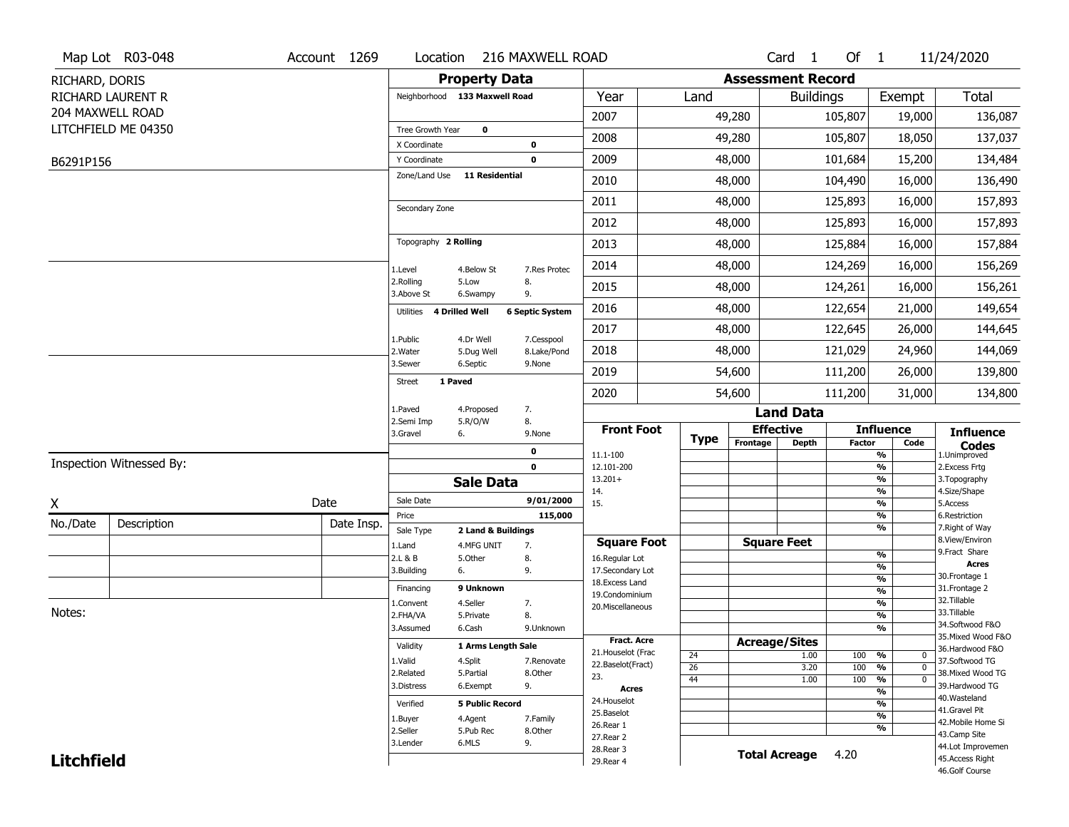|                   | Map Lot R03-048          | Account 1269 | Location                      |                                  | 216 MAXWELL ROAD          |                                         |             |                          | Card 1               | Of 1          |                                                    | 11/24/2020                            |
|-------------------|--------------------------|--------------|-------------------------------|----------------------------------|---------------------------|-----------------------------------------|-------------|--------------------------|----------------------|---------------|----------------------------------------------------|---------------------------------------|
| RICHARD, DORIS    |                          |              |                               | <b>Property Data</b>             |                           |                                         |             | <b>Assessment Record</b> |                      |               |                                                    |                                       |
|                   | RICHARD LAURENT R        |              | Neighborhood 133 Maxwell Road |                                  |                           | Year                                    | Land        |                          | <b>Buildings</b>     |               | Exempt                                             | Total                                 |
|                   | 204 MAXWELL ROAD         |              |                               |                                  |                           | 2007                                    |             | 49,280                   |                      | 105,807       | 19,000                                             | 136,087                               |
|                   | LITCHFIELD ME 04350      |              | Tree Growth Year              | $\mathbf 0$                      |                           | 2008                                    |             | 49,280                   |                      | 105,807       | 18,050                                             | 137,037                               |
| B6291P156         |                          |              | X Coordinate<br>Y Coordinate  |                                  | $\pmb{0}$<br>$\mathbf 0$  | 2009                                    |             | 48,000                   |                      | 101,684       | 15,200                                             | 134,484                               |
|                   |                          |              | Zone/Land Use                 | <b>11 Residential</b>            |                           | 2010                                    |             | 48,000                   |                      | 104,490       | 16,000                                             | 136,490                               |
|                   |                          |              |                               |                                  |                           |                                         |             |                          |                      |               |                                                    |                                       |
|                   |                          |              | Secondary Zone                |                                  |                           | 2011                                    |             | 48,000                   |                      | 125,893       | 16,000                                             | 157,893                               |
|                   |                          |              |                               |                                  |                           | 2012                                    |             | 48,000                   |                      | 125,893       | 16,000                                             | 157,893                               |
|                   |                          |              | Topography 2 Rolling          |                                  |                           | 2013                                    |             | 48,000                   |                      | 125,884       | 16,000                                             | 157,884                               |
|                   |                          |              | 1.Level                       | 4.Below St                       | 7.Res Protec              | 2014                                    |             | 48,000                   |                      | 124,269       | 16,000                                             | 156,269                               |
|                   |                          |              | 2.Rolling<br>3.Above St       | 5.Low<br>6.Swampy                | 8.<br>9.                  | 2015                                    |             | 48,000                   |                      | 124,261       | 16,000                                             | 156,261                               |
|                   |                          |              | Utilities 4 Drilled Well      |                                  | <b>6 Septic System</b>    | 2016                                    |             | 48,000                   |                      | 122,654       | 21,000                                             | 149,654                               |
|                   |                          |              |                               |                                  |                           | 2017                                    |             | 48,000                   |                      | 122,645       | 26,000                                             | 144,645                               |
|                   |                          |              | 1.Public<br>2. Water          | 4.Dr Well<br>5.Dug Well          | 7.Cesspool<br>8.Lake/Pond | 2018                                    |             | 48,000                   |                      | 121,029       | 24,960                                             | 144,069                               |
|                   |                          |              | 3.Sewer                       | 6.Septic                         | 9.None                    | 2019                                    |             | 54,600                   |                      | 111,200       | 26,000                                             | 139,800                               |
|                   |                          |              | 1 Paved<br><b>Street</b>      |                                  |                           | 2020                                    |             | 54,600                   |                      | 111,200       | 31,000                                             | 134,800                               |
|                   |                          |              | 1.Paved                       | 4.Proposed                       | 7.                        |                                         |             |                          | <b>Land Data</b>     |               |                                                    |                                       |
|                   |                          |              | 2.Semi Imp<br>3.Gravel<br>6.  | 5.R/O/W                          | 8.<br>9.None              | <b>Front Foot</b>                       |             | <b>Effective</b>         |                      |               | <b>Influence</b>                                   | <b>Influence</b>                      |
|                   |                          |              |                               |                                  | $\pmb{0}$                 | 11.1-100                                | <b>Type</b> | Frontage                 | <b>Depth</b>         | <b>Factor</b> | Code<br>%                                          | <b>Codes</b><br>1.Unimproved          |
|                   | Inspection Witnessed By: |              |                               |                                  | $\mathbf 0$               | 12.101-200                              |             |                          |                      |               | %                                                  | 2.Excess Frtg                         |
|                   |                          |              |                               | <b>Sale Data</b>                 |                           | $13.201+$<br>14.                        |             |                          |                      |               | %<br>%                                             | 3. Topography<br>4.Size/Shape         |
| χ                 |                          | Date         | Sale Date                     |                                  | 9/01/2000                 | 15.                                     |             |                          |                      |               | %                                                  | 5.Access                              |
| No./Date          | Description              | Date Insp.   | Price                         |                                  | 115,000                   |                                         |             |                          |                      |               | %<br>%                                             | 6.Restriction<br>7. Right of Way      |
|                   |                          |              | Sale Type<br>1.Land           | 2 Land & Buildings<br>4.MFG UNIT | 7.                        | <b>Square Foot</b>                      |             | <b>Square Feet</b>       |                      |               |                                                    | 8.View/Environ                        |
|                   |                          |              | 2.L & B                       | 5.Other                          | 8.                        | 16.Regular Lot                          |             |                          |                      |               | %                                                  | 9.Fract Share                         |
|                   |                          |              | 3.Building<br>6.              |                                  | 9.                        | 17.Secondary Lot                        |             |                          |                      |               | %<br>$\frac{9}{6}$                                 | <b>Acres</b><br>30.Frontage 1         |
|                   |                          |              | Financing                     | 9 Unknown                        |                           | 18. Excess Land<br>19.Condominium       |             |                          |                      |               | $\frac{9}{6}$                                      | 31. Frontage 2                        |
|                   |                          |              | 1.Convent                     | 4.Seller                         | 7.                        | 20.Miscellaneous                        |             |                          |                      |               | $\frac{9}{6}$                                      | 32.Tillable                           |
| Notes:            |                          |              | 2.FHA/VA                      | 5.Private                        | 8.                        |                                         |             |                          |                      |               | $\frac{9}{6}$                                      | 33.Tillable                           |
|                   |                          |              | 3.Assumed                     | 6.Cash                           | 9.Unknown                 |                                         |             |                          |                      |               | $\overline{\frac{9}{6}}$                           | 34.Softwood F&O<br>35. Mixed Wood F&O |
|                   |                          |              | Validity                      | 1 Arms Length Sale               |                           | <b>Fract. Acre</b>                      |             | <b>Acreage/Sites</b>     |                      |               |                                                    | 36.Hardwood F&O                       |
|                   |                          |              | 1.Valid                       | 4.Split                          | 7.Renovate                | 21. Houselot (Frac<br>22.Baselot(Fract) | 24          |                          | 1.00                 | 100           | %<br>0                                             | 37.Softwood TG                        |
|                   |                          |              | 2.Related                     | 5.Partial                        | 8.Other                   | 23.                                     | 26<br>44    |                          | 3.20<br>1.00         | 100<br>100    | $\frac{9}{6}$<br>$\mathbf 0$<br>$\frac{9}{6}$<br>0 | 38. Mixed Wood TG                     |
|                   |                          |              | 3.Distress                    | 6.Exempt                         | 9.                        | <b>Acres</b>                            |             |                          |                      |               | %                                                  | 39.Hardwood TG                        |
|                   |                          |              | Verified                      | <b>5 Public Record</b>           |                           | 24. Houselot                            |             |                          |                      |               | %                                                  | 40. Wasteland                         |
|                   |                          |              | 1.Buyer                       | 4.Agent                          | 7.Family                  | 25.Baselot                              |             |                          |                      |               | $\frac{9}{6}$                                      | 41.Gravel Pit<br>42. Mobile Home Si   |
|                   |                          |              | 2.Seller                      | 5.Pub Rec                        | 8.Other                   | 26.Rear 1                               |             |                          |                      |               | %                                                  | 43.Camp Site                          |
|                   |                          |              |                               |                                  |                           |                                         |             |                          |                      |               |                                                    |                                       |
|                   |                          |              | 3.Lender                      | 6.MLS                            | 9.                        | 27.Rear 2                               |             |                          |                      |               |                                                    |                                       |
| <b>Litchfield</b> |                          |              |                               |                                  |                           | 28. Rear 3<br>29. Rear 4                |             |                          | <b>Total Acreage</b> | 4.20          |                                                    | 44.Lot Improvemen<br>45.Access Right  |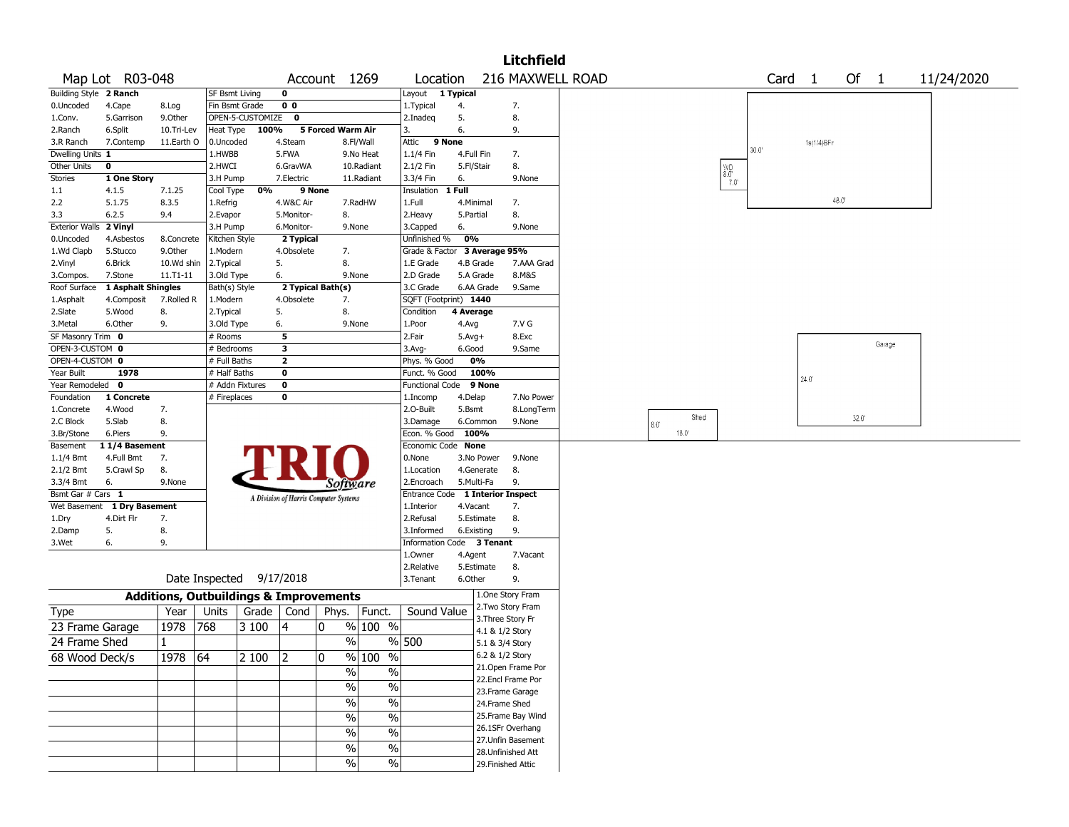|                                |                             |                                                   |                       |                          |                |                                       |                               |                                         |                   |                 | <b>Litchfield</b>                     |                               |                                                                                              |      |                   |                |                |        |            |
|--------------------------------|-----------------------------|---------------------------------------------------|-----------------------|--------------------------|----------------|---------------------------------------|-------------------------------|-----------------------------------------|-------------------|-----------------|---------------------------------------|-------------------------------|----------------------------------------------------------------------------------------------|------|-------------------|----------------|----------------|--------|------------|
|                                | Map Lot R03-048             |                                                   |                       |                          |                | Account 1269                          |                               | Location                                |                   |                 | 216 MAXWELL ROAD                      |                               |                                                                                              |      | Card <sub>1</sub> |                | Of 1           |        | 11/24/2020 |
| Building Style 2 Ranch         |                             |                                                   | SF Bsmt Living        |                          | 0              |                                       |                               | Layout 1 Typical                        |                   |                 |                                       |                               |                                                                                              |      |                   |                |                |        |            |
| 0.Uncoded                      | 4.Cape                      | 8.Log                                             | Fin Bsmt Grade        |                          | 0 <sub>0</sub> |                                       |                               | 1.Typical                               | 4.                |                 | 7.                                    |                               |                                                                                              |      |                   |                |                |        |            |
| 1.Conv.                        | 5.Garrison                  | 9.0ther                                           |                       | OPEN-5-CUSTOMIZE         | $\mathbf{o}$   |                                       |                               | 2.Inadeq                                | 5.                |                 | 8.                                    |                               |                                                                                              |      |                   |                |                |        |            |
| 2.Ranch                        | 6.Split                     | 10.Tri-Lev                                        | Heat Type             | 100%                     |                | 5 Forced Warm Air                     |                               | 3.                                      | 6.                |                 | 9.                                    |                               |                                                                                              |      |                   |                |                |        |            |
| 3.R Ranch                      | 7.Contemp                   | 11.Earth O                                        | 0.Uncoded             |                          | 4.Steam        |                                       | 8.Fl/Wall                     | Attic                                   | 9 None            |                 |                                       |                               |                                                                                              | 30.0 |                   | 1s(1/4)BFr     |                |        |            |
| Dwelling Units 1               |                             |                                                   | 1.HWBB                |                          | 5.FWA          |                                       | 9.No Heat                     | 1.1/4 Fin                               | 4.Full Fin        |                 | 7.                                    |                               |                                                                                              |      |                   |                |                |        |            |
| Other Units                    | $\mathbf 0$                 |                                                   | 2.HWCI                |                          | 6.GravWA       |                                       | 10.Radiant                    | 2.1/2 Fin                               | 5.Fl/Stair        |                 | 8.                                    |                               | $\begin{array}{c} \bigvee \{ \infty, \infty \\ \infty, \infty \\ \infty, \infty \end{array}$ |      |                   |                |                |        |            |
| Stories                        | 1 One Story<br>4.1.5        |                                                   | 3.H Pump              | 0%                       | 7.Electric     | 9 None                                | 11.Radiant                    | 3.3/4 Fin<br>Insulation                 | 6.<br>1 Full      |                 | 9.None                                |                               |                                                                                              |      |                   |                |                |        |            |
| 1.1<br>2.2                     | 5.1.75                      | 7.1.25<br>8.3.5                                   | Cool Type<br>1.Refrig |                          | 4.W&C Air      |                                       | 7.RadHW                       | 1.Full                                  | 4.Minimal         |                 | 7.                                    |                               |                                                                                              |      |                   |                | 48.0           |        |            |
| 3.3                            | 6.2.5                       | 9.4                                               | 2.Evapor              |                          | 5.Monitor-     | 8.                                    |                               | 2.Heavy                                 | 5.Partial         |                 | 8.                                    |                               |                                                                                              |      |                   |                |                |        |            |
| <b>Exterior Walls</b>          | 2 Vinyl                     |                                                   | 3.H Pump              |                          | 6.Monitor-     | 9.None                                |                               | 3.Capped                                | 6.                |                 | 9.None                                |                               |                                                                                              |      |                   |                |                |        |            |
| 0.Uncoded                      | 4.Asbestos                  | 8.Concrete                                        | Kitchen Style         |                          | 2 Typical      |                                       |                               | Unfinished %                            | 0%                |                 |                                       |                               |                                                                                              |      |                   |                |                |        |            |
| 1.Wd Clapb                     | 5.Stucco                    | 9.0ther                                           | 1.Modern              |                          | 4.Obsolete     | 7.                                    |                               | Grade & Factor                          |                   | 3 Average 95%   |                                       |                               |                                                                                              |      |                   |                |                |        |            |
| 2.Vinyl                        | 6.Brick                     | 10.Wd shin                                        | 2.Typical             |                          | 5.             | 8.                                    |                               | 1.E Grade                               | 4.B Grade         |                 | 7.AAA Grad                            |                               |                                                                                              |      |                   |                |                |        |            |
| 3.Compos.                      | 7.Stone                     | 11.T1-11                                          | 3.Old Type            |                          | 6.             | 9.None                                |                               | 2.D Grade                               | 5.A Grade         |                 | 8.M&S                                 |                               |                                                                                              |      |                   |                |                |        |            |
| Roof Surface                   | 1 Asphalt Shingles          |                                                   | Bath(s) Style         |                          |                | 2 Typical Bath(s)                     |                               | 3.C Grade                               |                   | 6.AA Grade      | 9.Same                                |                               |                                                                                              |      |                   |                |                |        |            |
| 1.Asphalt                      | 4.Composit                  | 7.Rolled R                                        | 1.Modern              |                          | 4.Obsolete     | 7.                                    |                               | SQFT (Footprint) 1440                   |                   |                 |                                       |                               |                                                                                              |      |                   |                |                |        |            |
| 2.Slate                        | 5.Wood                      | 8.                                                | 2. Typical            |                          | 5.             | 8.                                    |                               | Condition                               | 4 Average         |                 |                                       |                               |                                                                                              |      |                   |                |                |        |            |
| 3.Metal                        | 6.Other                     | 9.                                                | 3.Old Type            |                          | 6.             | 9.None                                |                               | 1.Poor                                  | 4.Avg             |                 | 7.V G                                 |                               |                                                                                              |      |                   |                |                |        |            |
| SF Masonry Trim 0              |                             |                                                   | # Rooms               |                          | 5              |                                       |                               | 2.Fair                                  | $5.$ Avg $+$      |                 | 8.Exc                                 |                               |                                                                                              |      |                   |                |                | Garage |            |
| OPEN-3-CUSTOM 0                |                             |                                                   | # Bedrooms            |                          | 3              |                                       |                               | 3.Avg-                                  | 6.Good            |                 | 9.Same                                |                               |                                                                                              |      |                   |                |                |        |            |
| OPEN-4-CUSTOM 0                |                             |                                                   | # Full Baths          |                          | $\mathbf{2}$   |                                       |                               | Phys. % Good                            |                   | 0%              |                                       |                               |                                                                                              |      |                   |                |                |        |            |
| Year Built<br>Year Remodeled 0 | 1978                        |                                                   | # Half Baths          | # Addn Fixtures          | $\bf o$        |                                       |                               | Funct. % Good<br><b>Functional Code</b> |                   | 100%            |                                       |                               |                                                                                              |      |                   | $24.0^{\circ}$ |                |        |            |
| Foundation                     | 1 Concrete                  |                                                   |                       |                          | $\bf{0}$<br>0  |                                       |                               | 1.Incomp                                |                   | 9 None          | 7.No Power                            |                               |                                                                                              |      |                   |                |                |        |            |
| 1.Concrete                     | 4.Wood                      | 7.                                                | # Fireplaces          |                          |                |                                       |                               | 2.O-Built                               | 4.Delap<br>5.Bsmt |                 | 8.LongTerm                            |                               |                                                                                              |      |                   |                |                |        |            |
| 2.C Block                      | 5.Slab                      | 8.                                                |                       |                          |                |                                       |                               | 3.Damage                                |                   | 6.Common        | 9.None                                |                               | Shed                                                                                         |      |                   |                | $32.0^{\circ}$ |        |            |
| 3.Br/Stone                     | 6.Piers                     | 9.                                                |                       |                          |                |                                       |                               | Econ. % Good                            | 100%              |                 |                                       | $8.0^\circ$<br>$18.0^{\circ}$ |                                                                                              |      |                   |                |                |        |            |
| Basement                       | 11/4 Basement               |                                                   |                       |                          |                |                                       |                               | Economic Code None                      |                   |                 |                                       |                               |                                                                                              |      |                   |                |                |        |            |
| 1.1/4 Bmt                      | 4.Full Bmt                  | 7.                                                |                       |                          |                |                                       |                               | 0.None                                  |                   | 3.No Power      | 9.None                                |                               |                                                                                              |      |                   |                |                |        |            |
| 2.1/2 Bmt                      | 5.Crawl Sp                  | 8.                                                |                       |                          |                |                                       |                               | 1.Location                              |                   | 4.Generate      | 8.                                    |                               |                                                                                              |      |                   |                |                |        |            |
| 3.3/4 Bmt                      | 6.                          | 9.None                                            |                       |                          |                | Software                              |                               | 2.Encroach                              | 5.Multi-Fa        |                 | 9.                                    |                               |                                                                                              |      |                   |                |                |        |            |
| Bsmt Gar # Cars 1              |                             |                                                   |                       |                          |                | A Division of Harris Computer Systems |                               | Entrance Code 1 Interior Inspect        |                   |                 |                                       |                               |                                                                                              |      |                   |                |                |        |            |
|                                | Wet Basement 1 Dry Basement |                                                   |                       |                          |                |                                       |                               | 1.Interior                              | 4.Vacant          |                 | 7.                                    |                               |                                                                                              |      |                   |                |                |        |            |
| 1.Dry                          | 4.Dirt Flr                  | 7.                                                |                       |                          |                |                                       |                               | 2.Refusal                               |                   | 5.Estimate      | 8.                                    |                               |                                                                                              |      |                   |                |                |        |            |
| 2.Damp                         | 5.                          | 8.                                                |                       |                          |                |                                       |                               | 3.Informed                              | 6.Existing        |                 | 9.                                    |                               |                                                                                              |      |                   |                |                |        |            |
| 3.Wet                          | 6.                          | 9.                                                |                       |                          |                |                                       |                               | Information Code 3 Tenant               |                   |                 |                                       |                               |                                                                                              |      |                   |                |                |        |            |
|                                |                             |                                                   |                       |                          |                |                                       |                               | 1.Owner                                 | 4.Agent           |                 | 7.Vacant                              |                               |                                                                                              |      |                   |                |                |        |            |
|                                |                             |                                                   |                       | Date Inspected 9/17/2018 |                |                                       |                               | 2.Relative                              |                   | 5.Estimate      | 8.                                    |                               |                                                                                              |      |                   |                |                |        |            |
|                                |                             |                                                   |                       |                          |                |                                       |                               | 3.Tenant                                | 6.Other           |                 | 9.                                    |                               |                                                                                              |      |                   |                |                |        |            |
|                                |                             | <b>Additions, Outbuildings &amp; Improvements</b> |                       |                          |                |                                       |                               |                                         |                   |                 | 1.One Story Fram<br>2. Two Story Fram |                               |                                                                                              |      |                   |                |                |        |            |
| Type                           |                             | Year                                              | Units                 |                          | Grade   Cond   | Phys.   Funct.                        |                               | Sound Value                             |                   |                 | 3. Three Story Fr                     |                               |                                                                                              |      |                   |                |                |        |            |
| 23 Frame Garage                |                             | 1978                                              | 768                   | 3 100                    | 14             | $\mathbf{0}$                          | $%100$ %                      |                                         |                   | 4.1 & 1/2 Story |                                       |                               |                                                                                              |      |                   |                |                |        |            |
| 24 Frame Shed                  |                             | 1                                                 |                       |                          |                | $\%$                                  |                               | % 500                                   |                   | 5.1 & 3/4 Story |                                       |                               |                                                                                              |      |                   |                |                |        |            |
| 68 Wood Deck/s                 |                             | 1978 64                                           |                       | 2 100                    | 2              | $\Omega$                              | $\sqrt{96}$ 100<br>$\sqrt{0}$ |                                         |                   | 6.2 & 1/2 Story |                                       |                               |                                                                                              |      |                   |                |                |        |            |
|                                |                             |                                                   |                       |                          |                |                                       | $\%$                          |                                         |                   |                 | 21. Open Frame Por                    |                               |                                                                                              |      |                   |                |                |        |            |
|                                |                             |                                                   |                       |                          |                | $\%$                                  |                               |                                         |                   |                 | 22.Encl Frame Por                     |                               |                                                                                              |      |                   |                |                |        |            |
|                                |                             |                                                   |                       |                          |                | $\sqrt{6}$                            | $\frac{1}{2}$                 |                                         |                   |                 | 23. Frame Garage                      |                               |                                                                                              |      |                   |                |                |        |            |
|                                |                             |                                                   |                       |                          |                | %                                     | $\overline{\frac{0}{6}}$      |                                         |                   | 24.Frame Shed   |                                       |                               |                                                                                              |      |                   |                |                |        |            |
|                                |                             |                                                   |                       |                          |                | $\%$                                  | $\overline{\frac{0}{6}}$      |                                         |                   |                 | 25. Frame Bay Wind                    |                               |                                                                                              |      |                   |                |                |        |            |
|                                |                             |                                                   |                       |                          |                | $\frac{0}{0}$                         | $\frac{0}{6}$                 |                                         |                   |                 | 26.1SFr Overhang                      |                               |                                                                                              |      |                   |                |                |        |            |
|                                |                             |                                                   |                       |                          |                | $\frac{0}{0}$                         | $\frac{1}{2}$                 |                                         |                   |                 | 27. Unfin Basement                    |                               |                                                                                              |      |                   |                |                |        |            |
|                                |                             |                                                   |                       |                          |                |                                       |                               |                                         |                   |                 | 28. Unfinished Att                    |                               |                                                                                              |      |                   |                |                |        |            |
|                                |                             |                                                   |                       |                          |                | %                                     | $\%$                          |                                         |                   |                 | 29. Finished Attic                    |                               |                                                                                              |      |                   |                |                |        |            |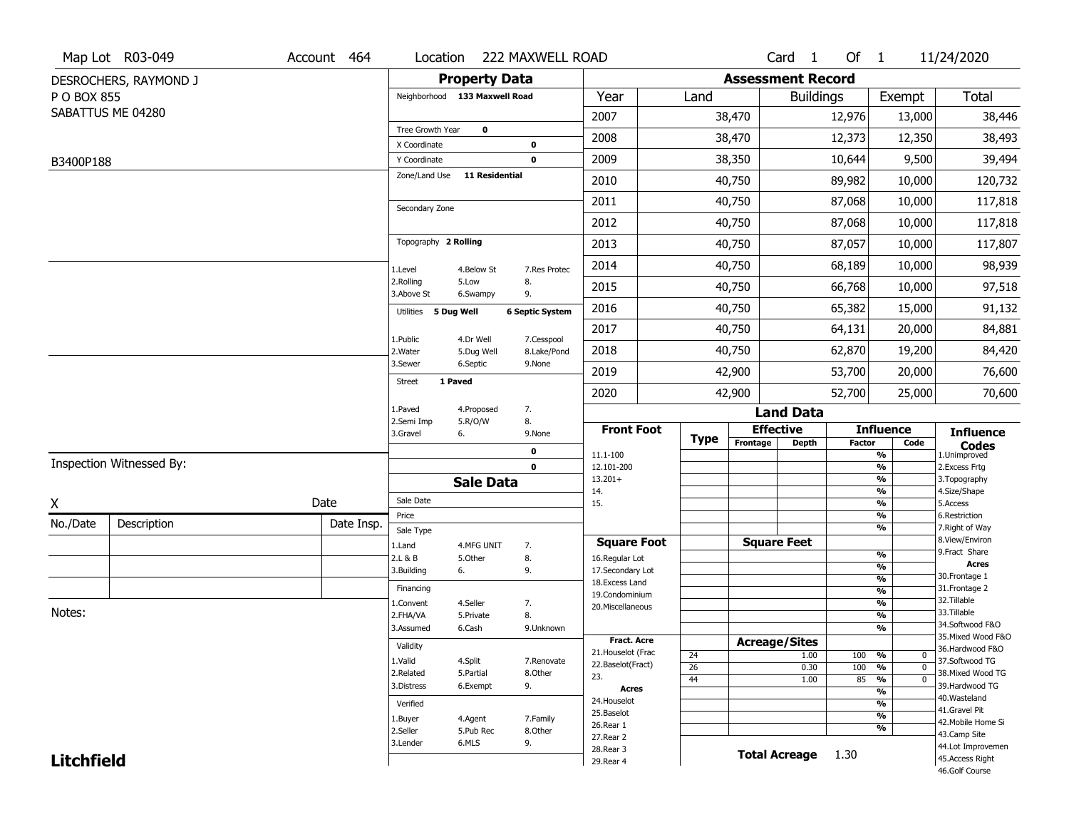|                   | Map Lot R03-049          | Account 464 | Location                      |                       | 222 MAXWELL ROAD       |                                     |                 |                          | Card <sub>1</sub>    | Of $1$        |                                           | 11/24/2020                          |
|-------------------|--------------------------|-------------|-------------------------------|-----------------------|------------------------|-------------------------------------|-----------------|--------------------------|----------------------|---------------|-------------------------------------------|-------------------------------------|
|                   | DESROCHERS, RAYMOND J    |             |                               | <b>Property Data</b>  |                        |                                     |                 | <b>Assessment Record</b> |                      |               |                                           |                                     |
| P O BOX 855       |                          |             | Neighborhood 133 Maxwell Road |                       |                        | Year                                | Land            |                          | <b>Buildings</b>     |               | Exempt                                    | Total                               |
|                   | SABATTUS ME 04280        |             |                               |                       |                        | 2007                                |                 | 38,470                   |                      | 12,976        | 13,000                                    | 38,446                              |
|                   |                          |             | Tree Growth Year              | $\pmb{0}$             |                        | 2008                                |                 | 38,470                   |                      | 12,373        | 12,350                                    | 38,493                              |
|                   |                          |             | X Coordinate<br>Y Coordinate  |                       | 0<br>$\mathbf 0$       | 2009                                |                 | 38,350                   |                      | 10,644        | 9,500                                     | 39,494                              |
| B3400P188         |                          |             | Zone/Land Use                 | <b>11 Residential</b> |                        | 2010                                |                 | 40,750                   |                      |               |                                           | 120,732                             |
|                   |                          |             |                               |                       |                        |                                     |                 |                          |                      | 89,982        | 10,000                                    |                                     |
|                   |                          |             | Secondary Zone                |                       |                        | 2011                                |                 | 40,750                   |                      | 87,068        | 10,000                                    | 117,818                             |
|                   |                          |             |                               |                       |                        | 2012                                |                 | 40,750                   |                      | 87,068        | 10,000                                    | 117,818                             |
|                   |                          |             | Topography 2 Rolling          |                       |                        | 2013                                |                 | 40,750                   |                      | 87,057        | 10,000                                    | 117,807                             |
|                   |                          |             | 1.Level                       | 4.Below St            | 7.Res Protec           | 2014                                |                 | 40,750                   |                      | 68,189        | 10,000                                    | 98,939                              |
|                   |                          |             | 2.Rolling<br>3.Above St       | 5.Low<br>6.Swampy     | 8.<br>9.               | 2015                                |                 | 40,750                   |                      | 66,768        | 10,000                                    | 97,518                              |
|                   |                          |             | Utilities 5 Dug Well          |                       | <b>6 Septic System</b> | 2016                                |                 | 40,750                   |                      | 65,382        | 15,000                                    | 91,132                              |
|                   |                          |             | 1.Public                      | 4.Dr Well             | 7.Cesspool             | 2017                                |                 | 40,750                   |                      | 64,131        | 20,000                                    | 84,881                              |
|                   |                          |             | 2. Water                      | 5.Dug Well            | 8.Lake/Pond            | 2018                                |                 | 40,750                   |                      | 62,870        | 19,200                                    | 84,420                              |
|                   |                          |             | 3.Sewer                       | 6.Septic              | 9.None                 | 2019                                |                 | 42,900                   |                      | 53,700        | 20,000                                    | 76,600                              |
|                   |                          |             | 1 Paved<br><b>Street</b>      |                       |                        | 2020                                |                 | 42,900                   |                      | 52,700        | 25,000                                    | 70,600                              |
|                   |                          |             | 1.Paved                       | 4.Proposed            | 7.                     |                                     |                 |                          | <b>Land Data</b>     |               |                                           |                                     |
|                   |                          |             | 2.Semi Imp<br>3.Gravel        | 5.R/O/W<br>6.         | 8.<br>9.None           | <b>Front Foot</b>                   | <b>Type</b>     |                          | <b>Effective</b>     |               | <b>Influence</b>                          | <b>Influence</b>                    |
|                   |                          |             |                               |                       | 0                      | 11.1-100                            |                 | Frontage                 | <b>Depth</b>         | <b>Factor</b> | Code<br>%                                 | <b>Codes</b><br>1.Unimproved        |
|                   | Inspection Witnessed By: |             |                               |                       | $\mathbf 0$            | 12.101-200                          |                 |                          |                      |               | %                                         | 2. Excess Frtg                      |
|                   |                          |             |                               | <b>Sale Data</b>      |                        | $13.201+$<br>14.                    |                 |                          |                      |               | %<br>%                                    | 3. Topography<br>4.Size/Shape       |
| X                 |                          | Date        | Sale Date                     |                       |                        | 15.                                 |                 |                          |                      |               | %                                         | 5.Access                            |
| No./Date          | Description              | Date Insp.  | Price<br>Sale Type            |                       |                        |                                     |                 |                          |                      |               | %<br>%                                    | 6.Restriction<br>7. Right of Way    |
|                   |                          |             | 1.Land                        | 4.MFG UNIT            | 7.                     | <b>Square Foot</b>                  |                 |                          | <b>Square Feet</b>   |               |                                           | 8.View/Environ                      |
|                   |                          |             | 2.L & B                       | 5.Other               | 8.                     | 16.Regular Lot                      |                 |                          |                      |               | %<br>%                                    | 9.Fract Share<br><b>Acres</b>       |
|                   |                          |             | 3.Building                    | 6.                    | 9.                     | 17.Secondary Lot<br>18. Excess Land |                 |                          |                      |               | $\frac{9}{6}$                             | 30.Frontage 1                       |
|                   |                          |             | Financing                     |                       |                        | 19.Condominium                      |                 |                          |                      |               | $\frac{9}{6}$                             | 31. Frontage 2                      |
| Notes:            |                          |             | 1.Convent                     | 4.Seller              | 7.                     | 20.Miscellaneous                    |                 |                          |                      |               | $\frac{9}{6}$                             | 32.Tillable<br>33.Tillable          |
|                   |                          |             | 2.FHA/VA                      | 5.Private             | 8.                     |                                     |                 |                          |                      |               | $\frac{9}{6}$<br>$\overline{\frac{9}{6}}$ | 34.Softwood F&O                     |
|                   |                          |             | 3.Assumed                     | 6.Cash                | 9.Unknown              | Fract. Acre                         |                 | <b>Acreage/Sites</b>     |                      |               |                                           | 35. Mixed Wood F&O                  |
|                   |                          |             | Validity                      |                       |                        | 21. Houselot (Frac                  | 24              |                          | 1.00                 | 100 %         | $\mathbf 0$                               | 36.Hardwood F&O                     |
|                   |                          |             | 1.Valid                       | 4.Split               | 7.Renovate             | 22.Baselot(Fract)                   | $\overline{26}$ |                          | 0.30                 | 100           | %<br>$\mathbf 0$                          | 37.Softwood TG                      |
|                   |                          |             | 2.Related<br>3.Distress       | 5.Partial             | 8.Other                | 23.                                 | 44              |                          | 1.00                 | 85            | $\frac{9}{6}$<br>$\mathbf 0$              | 38. Mixed Wood TG<br>39.Hardwood TG |
|                   |                          |             |                               | 6.Exempt              | 9.                     | <b>Acres</b>                        |                 |                          |                      |               | $\overline{\mathcal{C}_{\mathbf{0}}}$     | 40. Wasteland                       |
|                   |                          |             | Verified                      |                       |                        | 24. Houselot<br>25.Baselot          |                 |                          |                      |               | %                                         | 41.Gravel Pit                       |
|                   |                          |             | 1.Buyer                       | 4.Agent               | 7.Family               | 26.Rear 1                           |                 |                          |                      |               | $\frac{9}{6}$<br>%                        | 42. Mobile Home Si                  |
|                   |                          |             | 2.Seller                      | 5.Pub Rec             | 8.Other                | 27.Rear 2                           |                 |                          |                      |               |                                           | 43.Camp Site                        |
|                   |                          |             | 3.Lender                      | 6.MLS                 | 9.                     | 28. Rear 3                          |                 |                          | <b>Total Acreage</b> | 1.30          |                                           | 44.Lot Improvemen                   |
| <b>Litchfield</b> |                          |             |                               |                       |                        | 29. Rear 4                          |                 |                          |                      |               |                                           | 45.Access Right<br>46.Golf Course   |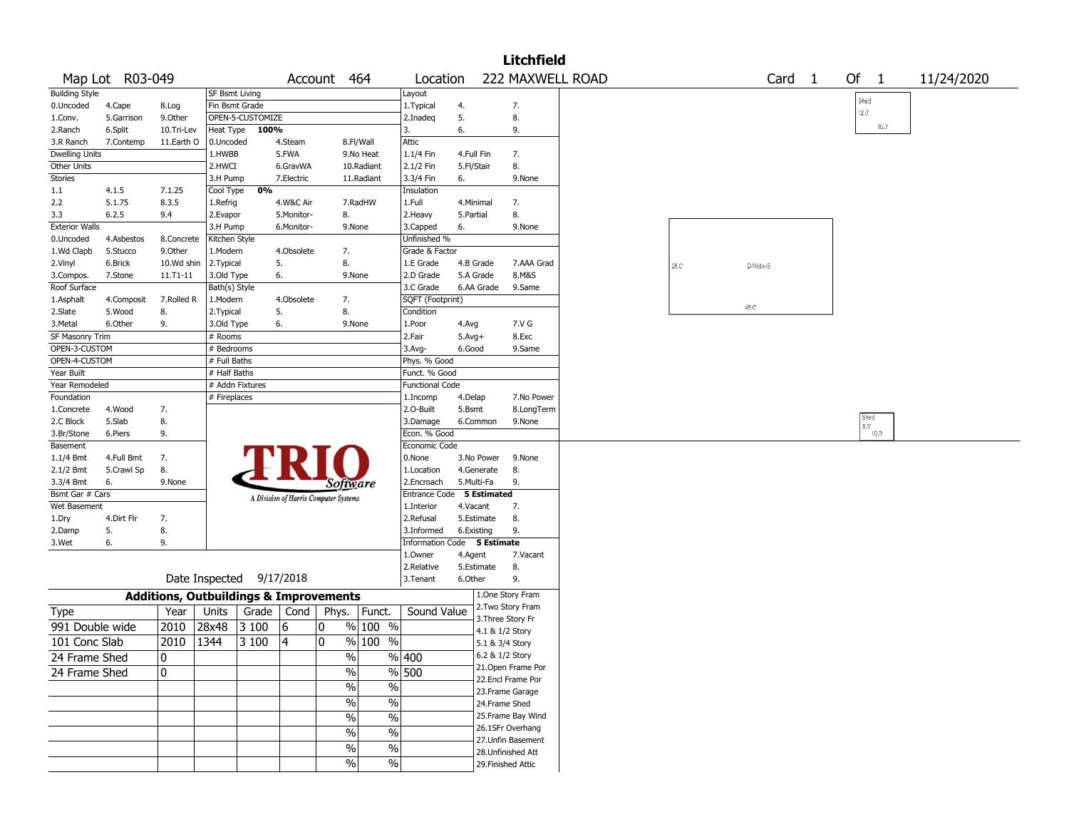|                       |                 |            |                       |                          |            |                                                   |            |                             |              |                 | <b>Litchfield</b>  |      |      |                   |              |                |            |
|-----------------------|-----------------|------------|-----------------------|--------------------------|------------|---------------------------------------------------|------------|-----------------------------|--------------|-----------------|--------------------|------|------|-------------------|--------------|----------------|------------|
|                       | Map Lot R03-049 |            |                       |                          |            | Account 464                                       |            | Location                    |              |                 | 222 MAXWELL ROAD   |      |      | Card <sub>1</sub> | Of $1$       |                | 11/24/2020 |
| <b>Building Style</b> |                 |            | <b>SF Bsmt Living</b> |                          |            |                                                   |            | Layout                      |              |                 |                    |      |      |                   |              |                |            |
| 0.Uncoded             | 4.Cape          | 8.Log      | Fin Bsmt Grade        |                          |            |                                                   |            | 1. Typical                  | 4.           |                 | 7.                 |      |      |                   | Shed<br>12.0 |                |            |
| 1.Conv.               | 5.Garrison      | 9.Other    |                       | OPEN-5-CUSTOMIZE         |            |                                                   |            | 2.Inadeg                    | 5.           |                 | 8.                 |      |      |                   |              |                |            |
| 2.Ranch               | 6.Split         | 10.Tri-Lev | Heat Type             | 100%                     |            |                                                   |            | 3.                          | 6.           |                 | 9.                 |      |      |                   |              | $16.0^{\circ}$ |            |
| 3.R Ranch             | 7.Contemp       | 11.Earth O | 0.Uncoded             |                          | 4.Steam    |                                                   | 8.Fl/Wall  | Attic                       |              |                 |                    |      |      |                   |              |                |            |
| <b>Dwelling Units</b> |                 |            | 1.HWBB                |                          | 5.FWA      |                                                   | 9.No Heat  | 1.1/4 Fin                   | 4.Full Fin   |                 | 7.                 |      |      |                   |              |                |            |
| <b>Other Units</b>    |                 |            | 2.HWCI                |                          | 6.GravWA   |                                                   | 10.Radiant | 2.1/2 Fin                   | 5.Fl/Stair   |                 | 8.                 |      |      |                   |              |                |            |
| Stories               |                 |            | 3.H Pump              |                          | 7.Electric |                                                   | 11.Radiant | 3.3/4 Fin                   | 6.           |                 | 9.None             |      |      |                   |              |                |            |
| 1.1                   | 4.1.5           | 7.1.25     | Cool Type             | 0%                       |            |                                                   |            | Insulation                  |              |                 |                    |      |      |                   |              |                |            |
| 2.2                   | 5.1.75          | 8.3.5      | 1.Refrig              |                          | 4.W&C Air  |                                                   | 7.RadHW    | 1.Full                      | 4.Minimal    |                 | 7.                 |      |      |                   |              |                |            |
| 3.3                   | 6.2.5           | 9.4        | 2.Evapor              |                          | 5.Monitor- | 8.                                                |            | 2.Heavy                     | 5.Partial    |                 | 8.                 |      |      |                   |              |                |            |
| <b>Exterior Walls</b> |                 |            | 3.H Pump              |                          | 6.Monitor- | 9.None                                            |            | 3.Capped                    | 6.           |                 | 9.None             |      |      |                   |              |                |            |
| 0.Uncoded             | 4.Asbestos      | 8.Concrete | Kitchen Style         |                          |            |                                                   |            | Unfinished %                |              |                 |                    |      |      |                   |              |                |            |
| 1.Wd Clapb            | 5.Stucco        | 9.0ther    | 1.Modern              |                          | 4.Obsolete | 7.                                                |            | Grade & Factor              |              |                 |                    |      |      |                   |              |                |            |
|                       | 6.Brick         | 10.Wd shin | 2.Typical             |                          | 5.         | 8.                                                |            | 1.E Grade                   | 4.B Grade    |                 | 7.AAA Grad         |      |      |                   |              |                |            |
| 2.Vinyl               |                 |            |                       |                          | 6.         |                                                   |            | 2.D Grade                   | 5.A Grade    |                 | 8.M&S              | 28.0 |      | D-Wide/S          |              |                |            |
| 3.Compos.             | 7.Stone         | 11.T1-11   | 3.Old Type            |                          |            | 9.None                                            |            |                             |              |                 |                    |      |      |                   |              |                |            |
| Roof Surface          |                 |            | Bath(s) Style         |                          |            |                                                   |            | 3.C Grade                   |              | 6.AA Grade      | 9.Same             |      |      |                   |              |                |            |
| 1.Asphalt             | 4.Composit      | 7.Rolled R | 1.Modern              |                          | 4.Obsolete | 7.                                                |            | SQFT (Footprint)            |              |                 |                    |      | 48.C |                   |              |                |            |
| 2.Slate               | 5.Wood          | 8.         | 2. Typical            |                          | 5.         | 8.                                                |            | Condition                   |              |                 |                    |      |      |                   |              |                |            |
| 3.Metal               | 6.Other         | 9.         | 3.Old Type            |                          | 6.         | 9.None                                            |            | 1.Poor                      | 4.Avg        |                 | 7.V G              |      |      |                   |              |                |            |
| SF Masonry Trim       |                 |            | # Rooms               |                          |            |                                                   |            | 2.Fair                      | $5.$ Avg $+$ |                 | 8.Exc              |      |      |                   |              |                |            |
| OPEN-3-CUSTOM         |                 |            | # Bedrooms            |                          |            |                                                   |            | $3.$ Avg-                   | 6.Good       |                 | 9.Same             |      |      |                   |              |                |            |
| OPEN-4-CUSTOM         |                 |            | # Full Baths          |                          |            |                                                   |            | Phys. % Good                |              |                 |                    |      |      |                   |              |                |            |
| Year Built            |                 |            | # Half Baths          |                          |            |                                                   |            | Funct. % Good               |              |                 |                    |      |      |                   |              |                |            |
| Year Remodeled        |                 |            | # Addn Fixtures       |                          |            |                                                   |            | <b>Functional Code</b>      |              |                 |                    |      |      |                   |              |                |            |
| Foundation            |                 |            | # Fireplaces          |                          |            |                                                   |            | 1.Incomp                    | 4.Delap      |                 | 7.No Power         |      |      |                   |              |                |            |
| 1.Concrete            | 4.Wood          | 7.         |                       |                          |            |                                                   |            | 2.O-Built                   | 5.Bsmt       |                 | 8.LongTerm         |      |      |                   |              | Shed           |            |
| 2.C Block             | 5.Slab          | 8.         |                       |                          |            |                                                   |            | 3.Damage                    |              | 6.Common        | 9.None             |      |      |                   | $8.0^\circ$  |                |            |
| 3.Br/Stone            | 6.Piers         | 9.         |                       |                          |            |                                                   |            | Econ. % Good                |              |                 |                    |      |      |                   |              | $10.0^{\circ}$ |            |
| Basement              |                 |            |                       |                          |            |                                                   |            | Economic Code               |              |                 |                    |      |      |                   |              |                |            |
| $1.1/4$ Bmt           | 4.Full Bmt      | 7.         |                       |                          |            |                                                   |            | 0.None                      |              | 3.No Power      | 9.None             |      |      |                   |              |                |            |
| 2.1/2 Bmt             | 5.Crawl Sp      | 8.         |                       |                          |            |                                                   |            | 1.Location                  |              | 4.Generate      | 8.                 |      |      |                   |              |                |            |
| 3.3/4 Bmt             | 6.              | 9.None     |                       |                          |            | Software                                          |            | 2.Encroach                  | 5.Multi-Fa   |                 | 9.                 |      |      |                   |              |                |            |
| Bsmt Gar # Cars       |                 |            |                       |                          |            | A Division of Harris Computer Systems             |            | Entrance Code 5 Estimated   |              |                 |                    |      |      |                   |              |                |            |
| Wet Basement          |                 |            |                       |                          |            |                                                   |            | 1.Interior                  | 4.Vacant     |                 | 7.                 |      |      |                   |              |                |            |
| 1.Dry                 | 4.Dirt Flr      | 7.         |                       |                          |            |                                                   |            | 2.Refusal                   |              | 5.Estimate      | 8.                 |      |      |                   |              |                |            |
| 2.Damp                | 5.              | 8.         |                       |                          |            |                                                   |            | 3.Informed                  | 6.Existing   |                 | 9.                 |      |      |                   |              |                |            |
| 3.Wet                 | 6.              | 9.         |                       |                          |            |                                                   |            | Information Code 5 Estimate |              |                 |                    |      |      |                   |              |                |            |
|                       |                 |            |                       |                          |            |                                                   |            | 1.Owner                     | 4.Agent      |                 | 7.Vacant           |      |      |                   |              |                |            |
|                       |                 |            |                       |                          |            |                                                   |            | 2.Relative                  |              | 5.Estimate      | 8.                 |      |      |                   |              |                |            |
|                       |                 |            |                       | Date Inspected 9/17/2018 |            |                                                   |            | 3. Tenant                   | 6.Other      |                 | 9.                 |      |      |                   |              |                |            |
|                       |                 |            |                       |                          |            | <b>Additions, Outbuildings &amp; Improvements</b> |            |                             |              |                 | 1.One Story Fram   |      |      |                   |              |                |            |
| Type                  |                 | Year       | Units                 | Grade                    | Cond       | Phys.   Funct.                                    |            | Sound Value                 |              |                 | 2. Two Story Fram  |      |      |                   |              |                |            |
| 991 Double wide       |                 | 2010       | 28x48                 | 3 100                    | 6          | 10                                                | $%100$ %   |                             |              |                 | 3. Three Story Fr  |      |      |                   |              |                |            |
| 101 Conc Slab         |                 | 2010       | 1344                  | 3 100                    | 4          | 0                                                 | $%100$ %   |                             |              | 4.1 & 1/2 Story |                    |      |      |                   |              |                |            |
|                       |                 |            |                       |                          |            |                                                   |            |                             |              | 5.1 & 3/4 Story |                    |      |      |                   |              |                |            |
| 24 Frame Shed         |                 | 0          |                       |                          |            | $\%$                                              |            | % 400                       |              | 6.2 & 1/2 Story | 21. Open Frame Por |      |      |                   |              |                |            |
| 24 Frame Shed         |                 | 10         |                       |                          |            | $\frac{1}{2}$                                     |            | % 500                       |              |                 | 22.Encl Frame Por  |      |      |                   |              |                |            |
|                       |                 |            |                       |                          |            | $\sqrt{6}$                                        | $\%$       |                             |              |                 | 23. Frame Garage   |      |      |                   |              |                |            |
|                       |                 |            |                       |                          |            | $\sqrt{6}$                                        | $\%$       |                             |              | 24.Frame Shed   |                    |      |      |                   |              |                |            |
|                       |                 |            |                       |                          |            | $\frac{1}{2}$                                     | $\%$       |                             |              |                 | 25. Frame Bay Wind |      |      |                   |              |                |            |
|                       |                 |            |                       |                          |            | $\frac{0}{6}$                                     | $\%$       |                             |              |                 | 26.1SFr Overhang   |      |      |                   |              |                |            |
|                       |                 |            |                       |                          |            |                                                   |            |                             |              |                 | 27. Unfin Basement |      |      |                   |              |                |            |
|                       |                 |            |                       |                          |            | $\frac{1}{2}$                                     | $\%$       |                             |              |                 | 28. Unfinished Att |      |      |                   |              |                |            |
|                       |                 |            |                       |                          |            | $\sqrt{6}$                                        | $\sqrt{6}$ |                             |              |                 | 29. Finished Attic |      |      |                   |              |                |            |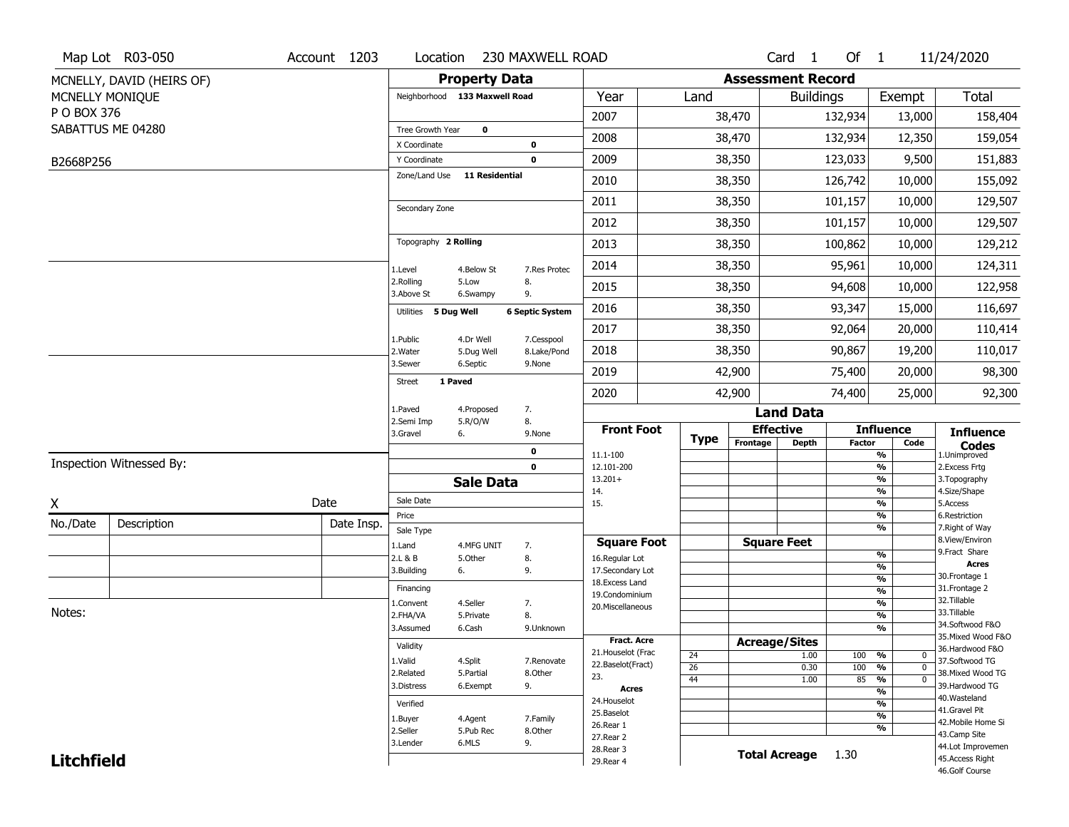|                   | Map Lot R03-050           | Account 1203 | Location                      |                       | 230 MAXWELL ROAD       |                                          |                       |                          | Card <sub>1</sub> | Of $1$        |                                | 11/24/2020                        |
|-------------------|---------------------------|--------------|-------------------------------|-----------------------|------------------------|------------------------------------------|-----------------------|--------------------------|-------------------|---------------|--------------------------------|-----------------------------------|
|                   | MCNELLY, DAVID (HEIRS OF) |              |                               | <b>Property Data</b>  |                        |                                          |                       | <b>Assessment Record</b> |                   |               |                                |                                   |
|                   | MCNELLY MONIQUE           |              | Neighborhood 133 Maxwell Road |                       |                        | Year                                     | Land                  |                          | <b>Buildings</b>  |               | Exempt                         | <b>Total</b>                      |
| P O BOX 376       |                           |              |                               |                       |                        | 2007                                     |                       | 38,470                   |                   | 132,934       | 13,000                         | 158,404                           |
|                   | SABATTUS ME 04280         |              | Tree Growth Year              | $\mathbf 0$           |                        | 2008                                     |                       | 38,470                   |                   | 132,934       | 12,350                         | 159,054                           |
|                   |                           |              | X Coordinate                  |                       | $\mathbf 0$            |                                          |                       |                          |                   |               |                                |                                   |
| B2668P256         |                           |              | Y Coordinate                  |                       | $\mathbf 0$            | 2009                                     |                       | 38,350                   |                   | 123,033       | 9,500                          | 151,883                           |
|                   |                           |              | Zone/Land Use                 | <b>11 Residential</b> |                        | 2010                                     |                       | 38,350                   |                   | 126,742       | 10,000                         | 155,092                           |
|                   |                           |              | Secondary Zone                |                       |                        | 2011                                     |                       | 38,350                   |                   | 101,157       | 10,000                         | 129,507                           |
|                   |                           |              |                               |                       |                        | 2012                                     |                       | 38,350                   |                   | 101,157       | 10,000                         | 129,507                           |
|                   |                           |              | Topography 2 Rolling          |                       |                        | 2013                                     |                       | 38,350                   |                   | 100,862       | 10,000                         | 129,212                           |
|                   |                           |              | 1.Level                       | 4.Below St            | 7.Res Protec           | 2014                                     |                       | 38,350                   |                   | 95,961        | 10,000                         | 124,311                           |
|                   |                           |              | 2.Rolling<br>3.Above St       | 5.Low<br>6.Swampy     | 8.<br>9.               | 2015                                     |                       | 38,350                   |                   | 94,608        | 10,000                         | 122,958                           |
|                   |                           |              | Utilities 5 Dug Well          |                       | <b>6 Septic System</b> | 2016                                     |                       | 38,350                   |                   | 93,347        | 15,000                         | 116,697                           |
|                   |                           |              | 1.Public                      | 4.Dr Well             | 7.Cesspool             | 2017                                     |                       | 38,350                   |                   | 92,064        | 20,000                         | 110,414                           |
|                   |                           |              | 2. Water                      | 5.Dug Well            | 8.Lake/Pond            | 2018                                     |                       | 38,350                   |                   | 90,867        | 19,200                         | 110,017                           |
|                   |                           |              | 3.Sewer                       | 6.Septic              | 9.None                 | 2019                                     |                       | 42,900                   |                   | 75,400        | 20,000                         | 98,300                            |
|                   |                           |              | <b>Street</b>                 | 1 Paved               |                        | 2020                                     |                       | 42,900                   |                   | 74,400        | 25,000                         | 92,300                            |
|                   |                           |              | 1.Paved                       | 4.Proposed            | 7.                     |                                          |                       |                          | <b>Land Data</b>  |               |                                |                                   |
|                   |                           |              | 2.Semi Imp<br>3.Gravel        | 5.R/O/W<br>6.         | 8.<br>9.None           | <b>Front Foot</b>                        | <b>Type</b>           | <b>Effective</b>         |                   |               | <b>Influence</b>               | <b>Influence</b>                  |
|                   |                           |              |                               |                       | $\mathbf 0$            | 11.1-100                                 |                       | Frontage                 | <b>Depth</b>      | <b>Factor</b> | Code<br>%                      | <b>Codes</b><br>1.Unimproved      |
|                   | Inspection Witnessed By:  |              |                               |                       | $\mathbf 0$            | 12.101-200                               |                       |                          |                   |               | $\frac{9}{6}$                  | 2.Excess Frtg                     |
|                   |                           |              |                               | <b>Sale Data</b>      |                        | $13.201+$<br>14.                         |                       |                          |                   |               | %<br>%                         | 3. Topography<br>4.Size/Shape     |
| X                 |                           | Date         | Sale Date                     |                       |                        | 15.                                      |                       |                          |                   |               | $\frac{9}{6}$                  | 5.Access                          |
| No./Date          | Description               | Date Insp.   | Price                         |                       |                        |                                          |                       |                          |                   |               | %<br>%                         | 6.Restriction<br>7. Right of Way  |
|                   |                           |              | Sale Type<br>1.Land           | 4.MFG UNIT            | 7.                     | <b>Square Foot</b>                       |                       | <b>Square Feet</b>       |                   |               |                                | 8.View/Environ                    |
|                   |                           |              | 2.L & B                       | 5.Other               | 8.                     | 16.Regular Lot                           |                       |                          |                   |               | $\frac{9}{6}$                  | 9.Fract Share                     |
|                   |                           |              | 3.Building                    | 6.                    | 9.                     | 17.Secondary Lot                         |                       |                          |                   |               | $\frac{9}{6}$<br>$\frac{9}{6}$ | <b>Acres</b><br>30. Frontage 1    |
|                   |                           |              | Financing                     |                       |                        | 18.Excess Land<br>19.Condominium         |                       |                          |                   |               | $\frac{9}{6}$                  | 31. Frontage 2                    |
|                   |                           |              | 1.Convent                     | 4.Seller              | 7.                     | 20.Miscellaneous                         |                       |                          |                   |               | $\frac{9}{6}$                  | 32. Tillable                      |
| Notes:            |                           |              | 2.FHA/VA                      | 5.Private             | 8.                     |                                          |                       |                          |                   |               | $\frac{9}{6}$                  | 33.Tillable<br>34.Softwood F&O    |
|                   |                           |              | 3.Assumed                     | 6.Cash                | 9.Unknown              |                                          |                       |                          |                   |               | $\frac{9}{6}$                  | 35. Mixed Wood F&O                |
|                   |                           |              | Validity                      |                       |                        | <b>Fract. Acre</b><br>21. Houselot (Frac |                       | <b>Acreage/Sites</b>     |                   |               |                                | 36.Hardwood F&O                   |
|                   |                           |              | 1.Valid                       | 4.Split               | 7.Renovate             | 22.Baselot(Fract)                        | 24<br>$\overline{26}$ |                          | 1.00<br>0.30      | 100<br>100    | %<br>0<br>%<br>$\mathbf 0$     | 37.Softwood TG                    |
|                   |                           |              | 2.Related                     | 5.Partial             | 8.Other                | 23.                                      | 44                    |                          | 1.00              | 85            | $\frac{9}{6}$<br>$\mathbf 0$   | 38. Mixed Wood TG                 |
|                   |                           |              | 3.Distress                    | 6.Exempt              | 9.                     | <b>Acres</b>                             |                       |                          |                   |               | $\frac{9}{6}$                  | 39.Hardwood TG                    |
|                   |                           |              | Verified                      |                       |                        | 24. Houselot                             |                       |                          |                   |               | $\frac{9}{6}$                  | 40. Wasteland<br>41.Gravel Pit    |
|                   |                           |              | 1.Buyer                       | 4.Agent               | 7.Family               | 25.Baselot<br>26.Rear 1                  |                       |                          |                   |               | $\frac{9}{6}$                  | 42. Mobile Home Si                |
|                   |                           |              | 2.Seller                      | 5.Pub Rec             | 8.0ther                | 27.Rear 2                                |                       |                          |                   |               | %                              | 43.Camp Site                      |
|                   |                           |              | 3.Lender                      | 6.MLS                 | 9.                     | 28. Rear 3                               |                       | <b>Total Acreage</b>     |                   | 1.30          |                                | 44.Lot Improvemen                 |
| <b>Litchfield</b> |                           |              |                               |                       |                        | 29. Rear 4                               |                       |                          |                   |               |                                | 45.Access Right<br>46.Golf Course |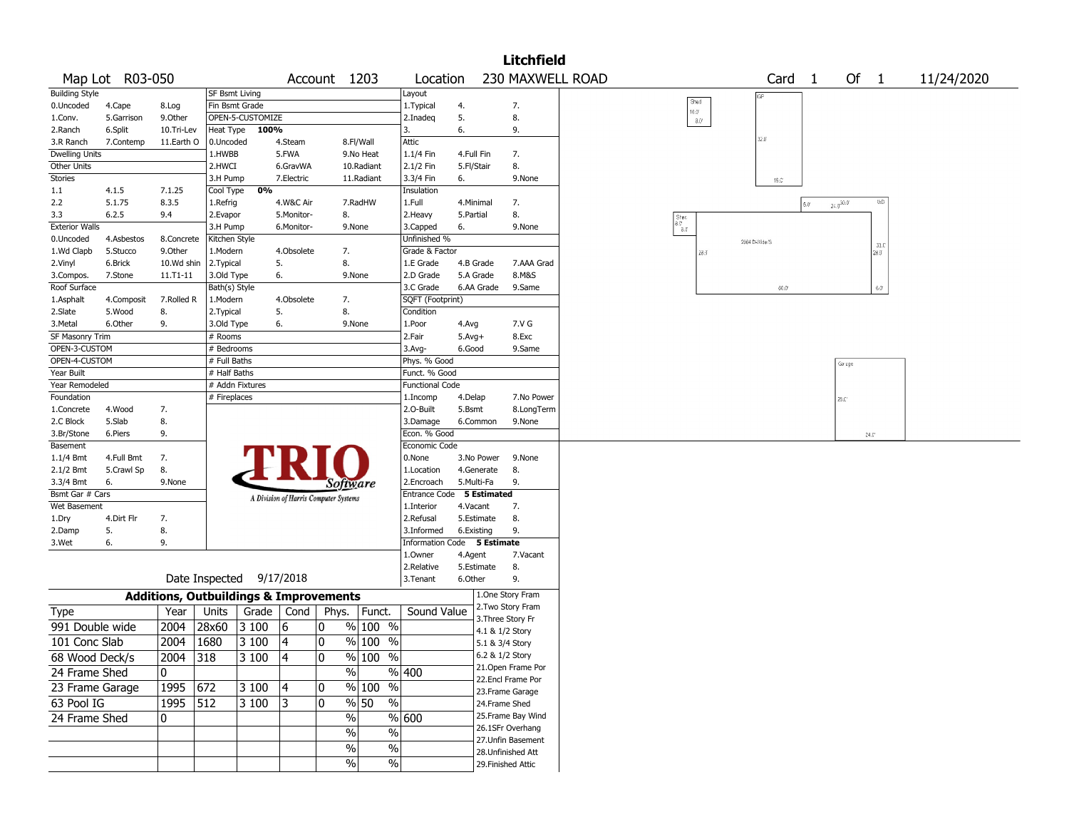|                        |                 |                                                   |                          |                  |            |                                       |                       |                           |            |                                      | <b>Litchfield</b> |                  |                                                                                           |                |                |                |                      |            |  |
|------------------------|-----------------|---------------------------------------------------|--------------------------|------------------|------------|---------------------------------------|-----------------------|---------------------------|------------|--------------------------------------|-------------------|------------------|-------------------------------------------------------------------------------------------|----------------|----------------|----------------|----------------------|------------|--|
|                        | Map Lot R03-050 |                                                   |                          |                  |            | Account 1203                          |                       | Location                  |            |                                      |                   | 230 MAXWELL ROAD |                                                                                           | Card           | $\overline{1}$ |                | Of $1$               | 11/24/2020 |  |
| <b>Building Style</b>  |                 |                                                   | SF Bsmt Living           |                  |            |                                       |                       | Layout                    |            |                                      |                   |                  |                                                                                           |                |                |                |                      |            |  |
| 0.Uncoded              | 4.Cape          | 8.Log                                             | Fin Bsmt Grade           |                  |            |                                       |                       | 1. Typical                | 4.         | 7.                                   |                   |                  | Shed<br>10.3                                                                              |                |                |                |                      |            |  |
| 1.Conv.                | 5.Garrison      | 9.Other                                           |                          | OPEN-5-CUSTOMIZE |            |                                       |                       | 2.Inadeq                  | 5.         | 8.                                   |                   |                  | $3.0^\circ$                                                                               |                |                |                |                      |            |  |
| 2.Ranch                | 6.Split         | 10.Tri-Lev                                        |                          | Heat Type 100%   |            |                                       |                       | 3.                        | 6.         | 9.                                   |                   |                  |                                                                                           | 32.0           |                |                |                      |            |  |
| 3.R Ranch              | 7.Contemp       | 11.Earth O                                        | 0.Uncoded                |                  | 4.Steam    |                                       | 8.Fl/Wall             | Attic                     |            |                                      |                   |                  |                                                                                           |                |                |                |                      |            |  |
| <b>Dwelling Units</b>  |                 |                                                   | 1.HWBB                   |                  | 5.FWA      |                                       | 9.No Heat             | 1.1/4 Fin                 | 4.Full Fin | 7.                                   |                   |                  |                                                                                           |                |                |                |                      |            |  |
| Other Units            |                 |                                                   | 2.HWCI                   |                  | 6.GravWA   |                                       | 10.Radiant            | 2.1/2 Fin                 | 5.Fl/Stair | 8.                                   |                   |                  |                                                                                           |                |                |                |                      |            |  |
| Stories                |                 |                                                   | 3.H Pump                 | 0%               | 7.Electric |                                       | 11.Radiant            | 3.3/4 Fin                 | 6.         |                                      | 9.None            |                  |                                                                                           | $16.0^{\circ}$ |                |                |                      |            |  |
| 1.1<br>2.2             | 4.1.5<br>5.1.75 | 7.1.25<br>8.3.5                                   | Cool Type<br>1.Refrig    |                  | 4.W&C Air  |                                       | 7.RadHW               | Insulation<br>1.Full      | 4.Minimal  | 7.                                   |                   |                  |                                                                                           |                |                |                | WD                   |            |  |
| 3.3                    | 6.2.5           | 9.4                                               | 2.Evapor                 |                  | 5.Monitor- | 8.                                    |                       | 2.Heavy                   | 5.Partial  | 8.                                   |                   |                  |                                                                                           |                | $5.0^{\circ}$  | $24.9^{30.0}$  |                      |            |  |
| <b>Exterior Walls</b>  |                 |                                                   | 3.H Pump                 |                  | 6.Monitor- |                                       | 9.None                | 3.Capped                  | 6.         |                                      | 9.None            |                  | $\begin{array}{c} {\rm Spec} \\ {\rm a}.{\mathbb C}^* \\ {\rm a}.{\mathbb G} \end{array}$ |                |                |                |                      |            |  |
| 0.Uncoded              | 4.Asbestos      | 8.Concrete                                        | Kitchen Style            |                  |            |                                       |                       | Unfinished %              |            |                                      |                   |                  |                                                                                           | 2004 D-Wide/S  |                |                |                      |            |  |
| 1.Wd Clapb             | 5.Stucco        | 9.Other                                           | 1.Modern                 |                  | 4.Obsolete | 7.                                    |                       | Grade & Factor            |            |                                      |                   |                  | 28.9                                                                                      |                |                |                | 33.C<br>$28.0^\circ$ |            |  |
| 2.Vinyl                | 6.Brick         | 10.Wd shin                                        | 2. Typical               |                  | 5.         | 8.                                    |                       | 1.E Grade                 | 4.B Grade  |                                      | 7.AAA Grad        |                  |                                                                                           |                |                |                |                      |            |  |
| 3.Compos.              | 7.Stone         | 11.T1-11                                          | 3.Old Type               |                  | 6.         | 9.None                                |                       | 2.D Grade                 | 5.A Grade  |                                      | 8.M&S             |                  |                                                                                           |                |                |                |                      |            |  |
| Roof Surface           |                 |                                                   | Bath(s) Style            |                  |            |                                       |                       | 3.C Grade                 | 6.AA Grade |                                      | 9.Same            |                  |                                                                                           | $60.0$         |                |                | $6.0^\circ$          |            |  |
| 1.Asphalt              | 4.Composit      | 7.Rolled R                                        | 1.Modern                 |                  | 4.Obsolete | 7.                                    |                       | SQFT (Footprint)          |            |                                      |                   |                  |                                                                                           |                |                |                |                      |            |  |
| 2.Slate                | 5.Wood          | 8.                                                | 2. Typical               |                  | 5.         | 8.                                    |                       | Condition                 |            |                                      |                   |                  |                                                                                           |                |                |                |                      |            |  |
| 3.Metal                | 6.Other         | 9.                                                | 3.Old Type               |                  | 6.         | 9.None                                |                       | 1.Poor                    | 4.Avg      |                                      | 7.V G             |                  |                                                                                           |                |                |                |                      |            |  |
| <b>SF Masonry Trim</b> |                 |                                                   | # Rooms                  |                  |            |                                       |                       | 2.Fair                    | $5.Avg+$   |                                      | 8.Exc             |                  |                                                                                           |                |                |                |                      |            |  |
| OPEN-3-CUSTOM          |                 |                                                   | # Bedrooms               |                  |            |                                       |                       | $3.$ Avg-                 | 6.Good     |                                      | 9.Same            |                  |                                                                                           |                |                |                |                      |            |  |
| OPEN-4-CUSTOM          |                 |                                                   | # Full Baths             |                  |            |                                       |                       | Phys. % Good              |            |                                      |                   |                  |                                                                                           |                |                | Garage         |                      |            |  |
| Year Built             |                 |                                                   | # Half Baths             |                  |            |                                       |                       | Funct. % Good             |            |                                      |                   |                  |                                                                                           |                |                |                |                      |            |  |
| Year Remodeled         |                 |                                                   | # Addn Fixtures          |                  |            |                                       |                       | <b>Functional Code</b>    |            |                                      |                   |                  |                                                                                           |                |                |                |                      |            |  |
| Foundation             |                 |                                                   | # Fireplaces             |                  |            |                                       |                       | 1.Incomp                  | 4.Delap    |                                      | 7.No Power        |                  |                                                                                           |                |                | $28.0^{\circ}$ |                      |            |  |
| 1.Concrete             | 4.Wood          | 7.                                                |                          |                  |            |                                       |                       | 2.O-Built                 | 5.Bsmt     |                                      | 8.LongTerm        |                  |                                                                                           |                |                |                |                      |            |  |
| 2.C Block              | 5.Slab          | 8.                                                |                          |                  |            |                                       |                       | 3.Damage<br>Econ. % Good  | 6.Common   |                                      | 9.None            |                  |                                                                                           |                |                |                |                      |            |  |
| 3.Br/Stone<br>Basement | 6.Piers         | 9.                                                |                          |                  |            |                                       |                       | Economic Code             |            |                                      |                   |                  |                                                                                           |                |                |                | $24.0^\circ$         |            |  |
| $1.1/4$ Bmt            | 4.Full Bmt      | 7.                                                |                          |                  |            |                                       |                       | 0.None                    | 3.No Power |                                      | 9.None            |                  |                                                                                           |                |                |                |                      |            |  |
| 2.1/2 Bmt              | 5.Crawl Sp      | 8.                                                |                          |                  |            |                                       |                       | 1.Location                | 4.Generate | 8.                                   |                   |                  |                                                                                           |                |                |                |                      |            |  |
| 3.3/4 Bmt              | 6.              | 9.None                                            |                          |                  |            | <i>Software</i>                       |                       | 2.Encroach                | 5.Multi-Fa | 9.                                   |                   |                  |                                                                                           |                |                |                |                      |            |  |
| Bsmt Gar # Cars        |                 |                                                   |                          |                  |            |                                       |                       | Entrance Code 5 Estimated |            |                                      |                   |                  |                                                                                           |                |                |                |                      |            |  |
| Wet Basement           |                 |                                                   |                          |                  |            | A Division of Harris Computer Systems |                       | 1.Interior                | 4.Vacant   | 7.                                   |                   |                  |                                                                                           |                |                |                |                      |            |  |
| 1.Dry                  | 4.Dirt Flr      | 7.                                                |                          |                  |            |                                       |                       | 2.Refusal                 | 5.Estimate | 8.                                   |                   |                  |                                                                                           |                |                |                |                      |            |  |
| 2.Damp                 | 5.              | 8.                                                |                          |                  |            |                                       |                       | 3.Informed                | 6.Existing | 9.                                   |                   |                  |                                                                                           |                |                |                |                      |            |  |
| 3.Wet                  | 6.              | 9.                                                |                          |                  |            |                                       |                       | <b>Information Code</b>   |            | 5 Estimate                           |                   |                  |                                                                                           |                |                |                |                      |            |  |
|                        |                 |                                                   |                          |                  |            |                                       |                       | 1.0wner                   | 4.Agent    |                                      | 7.Vacant          |                  |                                                                                           |                |                |                |                      |            |  |
|                        |                 |                                                   |                          |                  |            |                                       |                       | 2.Relative                | 5.Estimate | 8.                                   |                   |                  |                                                                                           |                |                |                |                      |            |  |
|                        |                 |                                                   | Date Inspected 9/17/2018 |                  |            |                                       |                       | 3.Tenant                  | 6.Other    | 9.                                   |                   |                  |                                                                                           |                |                |                |                      |            |  |
|                        |                 | <b>Additions, Outbuildings &amp; Improvements</b> |                          |                  |            |                                       |                       |                           |            | 1.One Story Fram                     |                   |                  |                                                                                           |                |                |                |                      |            |  |
| Type                   |                 | Year                                              | Units                    | Grade   Cond     |            | Phys.                                 | Funct.                | Sound Value               |            | 2. Two Story Fram                    |                   |                  |                                                                                           |                |                |                |                      |            |  |
| 991 Double wide        |                 | 2004                                              | 28x60                    | $\sqrt{3}100$    | 6          | 10                                    | % 100 %               |                           |            | 3. Three Story Fr<br>4.1 & 1/2 Story |                   |                  |                                                                                           |                |                |                |                      |            |  |
| 101 Conc Slab          |                 | 2004                                              | 1680                     | 3 100            | 4          | 0                                     | % 100 %               |                           |            | 5.1 & 3/4 Story                      |                   |                  |                                                                                           |                |                |                |                      |            |  |
| 68 Wood Deck/s         |                 | $\boxed{2004}$ 318                                |                          | 3100             | 4          | $\overline{\mathbf{0}}$               | $\frac{9}{6}$ 100 %   |                           |            | 6.2 & 1/2 Story                      |                   |                  |                                                                                           |                |                |                |                      |            |  |
|                        |                 |                                                   |                          |                  |            |                                       |                       |                           |            | 21.Open Frame Por                    |                   |                  |                                                                                           |                |                |                |                      |            |  |
| 24 Frame Shed          |                 | 10                                                |                          |                  |            | $\%$                                  |                       | % 400                     |            | 22.Encl Frame Por                    |                   |                  |                                                                                           |                |                |                |                      |            |  |
| 23 Frame Garage        |                 | 1995 672                                          |                          | 3 100            | 4          | 10                                    | % 100 %               |                           |            | 23. Frame Garage                     |                   |                  |                                                                                           |                |                |                |                      |            |  |
| 63 Pool IG             |                 | $1995$ 512                                        |                          | 3100             | 13         | 10                                    | $\frac{9}{6}$ 50<br>% |                           |            | 24.Frame Shed                        |                   |                  |                                                                                           |                |                |                |                      |            |  |
| 24 Frame Shed          |                 | 0                                                 |                          |                  |            | %                                     |                       | % 600                     |            | 25. Frame Bay Wind                   |                   |                  |                                                                                           |                |                |                |                      |            |  |
|                        |                 |                                                   |                          |                  |            | %                                     | $\sqrt{6}$            |                           |            | 26.1SFr Overhang                     |                   |                  |                                                                                           |                |                |                |                      |            |  |
|                        |                 |                                                   |                          |                  |            |                                       |                       |                           |            | 27. Unfin Basement                   |                   |                  |                                                                                           |                |                |                |                      |            |  |
|                        |                 |                                                   |                          |                  |            | $\sqrt{6}$                            | $\sqrt{6}$            |                           |            | 28. Unfinished Att                   |                   |                  |                                                                                           |                |                |                |                      |            |  |
|                        |                 |                                                   |                          |                  |            | $\sqrt{6}$                            | $\sqrt{6}$            |                           |            | 29. Finished Attic                   |                   |                  |                                                                                           |                |                |                |                      |            |  |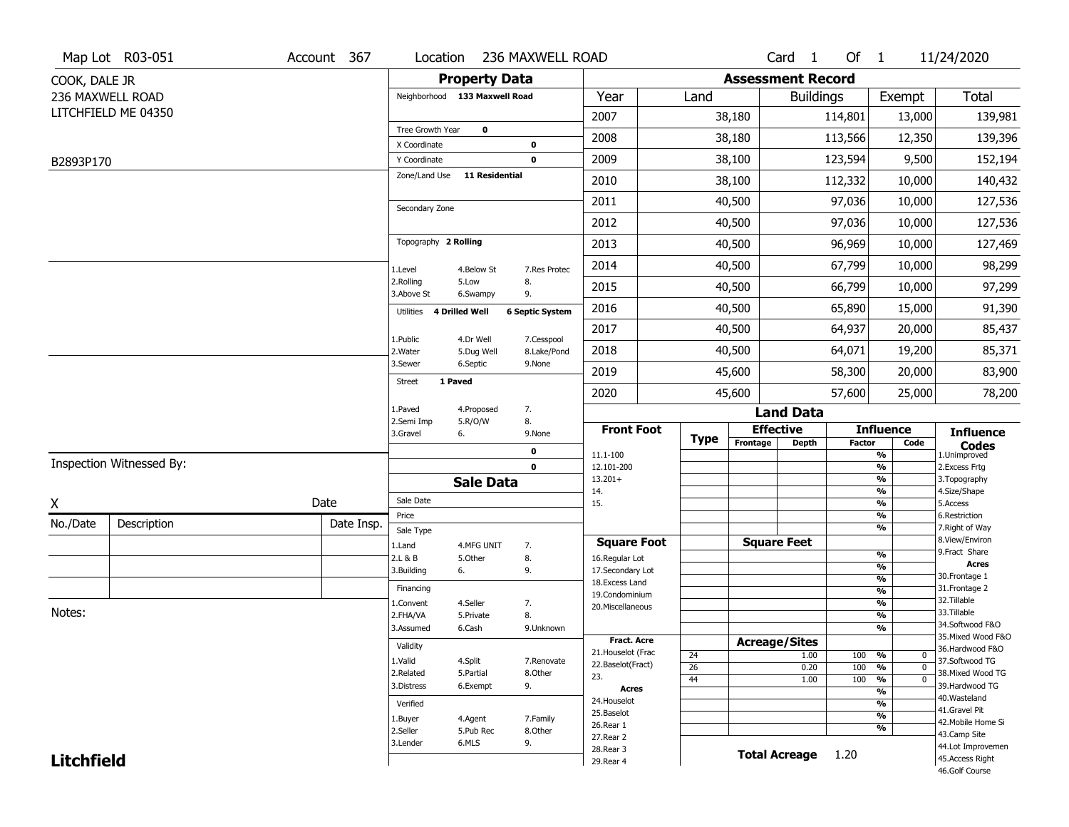|                   | Map Lot R03-051          | Account 367 | Location                      |                       | 236 MAXWELL ROAD           |                                    |             |                          | Card <sub>1</sub> | Of $1$        |                              | 11/24/2020                        |
|-------------------|--------------------------|-------------|-------------------------------|-----------------------|----------------------------|------------------------------------|-------------|--------------------------|-------------------|---------------|------------------------------|-----------------------------------|
| COOK, DALE JR     |                          |             |                               | <b>Property Data</b>  |                            |                                    |             | <b>Assessment Record</b> |                   |               |                              |                                   |
|                   | 236 MAXWELL ROAD         |             | Neighborhood 133 Maxwell Road |                       |                            | Year                               | Land        |                          | <b>Buildings</b>  |               | Exempt                       | Total                             |
|                   | LITCHFIELD ME 04350      |             |                               |                       |                            | 2007                               |             | 38,180                   |                   | 114,801       | 13,000                       | 139,981                           |
|                   |                          |             | Tree Growth Year              | $\mathbf 0$           |                            | 2008                               |             | 38,180                   |                   | 113,566       | 12,350                       | 139,396                           |
| B2893P170         |                          |             | X Coordinate<br>Y Coordinate  |                       | $\mathbf 0$<br>$\mathbf 0$ | 2009                               |             | 38,100                   |                   | 123,594       | 9,500                        | 152,194                           |
|                   |                          |             | Zone/Land Use                 | <b>11 Residential</b> |                            | 2010                               |             | 38,100                   |                   | 112,332       | 10,000                       | 140,432                           |
|                   |                          |             |                               |                       |                            | 2011                               |             | 40,500                   |                   | 97,036        | 10,000                       | 127,536                           |
|                   |                          |             | Secondary Zone                |                       |                            |                                    |             |                          |                   |               |                              |                                   |
|                   |                          |             |                               |                       |                            | 2012                               |             | 40,500                   |                   | 97,036        | 10,000                       | 127,536                           |
|                   |                          |             | Topography 2 Rolling          |                       |                            | 2013                               |             | 40,500                   |                   | 96,969        | 10,000                       | 127,469                           |
|                   |                          |             | 1.Level                       | 4.Below St            | 7.Res Protec               | 2014                               |             | 40,500                   |                   | 67,799        | 10,000                       | 98,299                            |
|                   |                          |             | 2.Rolling<br>3.Above St       | 5.Low<br>6.Swampy     | 8.<br>9.                   | 2015                               |             | 40,500                   |                   | 66,799        | 10,000                       | 97,299                            |
|                   |                          |             | Utilities 4 Drilled Well      |                       | <b>6 Septic System</b>     | 2016                               |             | 40,500                   |                   | 65,890        | 15,000                       | 91,390                            |
|                   |                          |             | 1.Public                      | 4.Dr Well             | 7.Cesspool                 | 2017                               |             | 40,500                   |                   | 64,937        | 20,000                       | 85,437                            |
|                   |                          |             | 2. Water                      | 5.Dug Well            | 8.Lake/Pond                | 2018                               |             | 40,500                   |                   | 64,071        | 19,200                       | 85,371                            |
|                   |                          |             | 3.Sewer                       | 6.Septic              | 9.None                     | 2019                               |             | 45,600                   |                   | 58,300        | 20,000                       | 83,900                            |
|                   |                          |             | 1 Paved<br><b>Street</b>      |                       |                            | 2020                               |             | 45,600                   |                   | 57,600        | 25,000                       | 78,200                            |
|                   |                          |             | 1.Paved                       | 4.Proposed            | 7.                         |                                    |             |                          | <b>Land Data</b>  |               |                              |                                   |
|                   |                          |             | 2.Semi Imp<br>3.Gravel        | 5.R/O/W<br>6.         | 8.<br>9.None               | <b>Front Foot</b>                  | <b>Type</b> | <b>Effective</b>         |                   |               | <b>Influence</b>             | <b>Influence</b>                  |
|                   |                          |             |                               |                       | $\pmb{0}$                  | 11.1-100                           |             | Frontage                 | <b>Depth</b>      | <b>Factor</b> | Code<br>%                    | <b>Codes</b><br>1.Unimproved      |
|                   | Inspection Witnessed By: |             |                               |                       | $\mathbf 0$                | 12.101-200                         |             |                          |                   |               | %                            | 2.Excess Frtg                     |
|                   |                          |             |                               | <b>Sale Data</b>      |                            | $13.201+$<br>14.                   |             |                          |                   |               | %<br>%                       | 3. Topography<br>4.Size/Shape     |
| χ                 |                          | Date        | Sale Date                     |                       |                            | 15.                                |             |                          |                   |               | %                            | 5.Access                          |
| No./Date          | Description              | Date Insp.  | Price<br>Sale Type            |                       |                            |                                    |             |                          |                   |               | %<br>%                       | 6.Restriction<br>7. Right of Way  |
|                   |                          |             | 1.Land                        | 4.MFG UNIT            | 7.                         | <b>Square Foot</b>                 |             | <b>Square Feet</b>       |                   |               |                              | 8.View/Environ                    |
|                   |                          |             | 2.L & B                       | 5.Other               | 8.                         | 16.Regular Lot                     |             |                          |                   |               | %                            | 9.Fract Share<br><b>Acres</b>     |
|                   |                          |             | 3.Building                    | 6.                    | 9.                         | 17.Secondary Lot<br>18.Excess Land |             |                          |                   |               | %<br>$\frac{9}{6}$           | 30.Frontage 1                     |
|                   |                          |             | Financing                     |                       |                            | 19.Condominium                     |             |                          |                   |               | $\frac{9}{6}$                | 31. Frontage 2                    |
|                   |                          |             | 1.Convent                     | 4.Seller              | 7.                         | 20.Miscellaneous                   |             |                          |                   |               | $\frac{9}{6}$                | 32.Tillable                       |
| Notes:            |                          |             | 2.FHA/VA                      | 5.Private             | 8.                         |                                    |             |                          |                   |               | $\frac{9}{6}$                | 33.Tillable<br>34.Softwood F&O    |
|                   |                          |             | 3.Assumed                     | 6.Cash                | 9.Unknown                  | Fract. Acre                        |             |                          |                   |               | $\overline{\frac{9}{6}}$     | 35. Mixed Wood F&O                |
|                   |                          |             | Validity                      |                       |                            | 21. Houselot (Frac                 | 24          | <b>Acreage/Sites</b>     | 1.00              | 100           | %<br>0                       | 36.Hardwood F&O                   |
|                   |                          |             | 1.Valid                       | 4.Split               | 7.Renovate                 | 22.Baselot(Fract)                  | 26          |                          | 0.20              | 100           | $\frac{9}{6}$<br>$\mathbf 0$ | 37.Softwood TG                    |
|                   |                          |             | 2.Related                     | 5.Partial             | 8.Other                    | 23.                                | 44          |                          | 1.00              | 100           | $\frac{9}{6}$<br>0           | 38. Mixed Wood TG                 |
|                   |                          |             | 3.Distress                    | 6.Exempt              | 9.                         | <b>Acres</b>                       |             |                          |                   |               | $\frac{9}{6}$                | 39.Hardwood TG<br>40. Wasteland   |
|                   |                          |             | Verified                      |                       |                            | 24. Houselot<br>25.Baselot         |             |                          |                   |               | %                            | 41.Gravel Pit                     |
|                   |                          |             | 1.Buyer                       | 4.Agent               | 7.Family                   | 26.Rear 1                          |             |                          |                   |               | $\frac{9}{6}$<br>%           | 42. Mobile Home Si                |
|                   |                          |             | 2.Seller                      | 5.Pub Rec             | 8.Other                    | 27.Rear 2                          |             |                          |                   |               |                              | 43.Camp Site                      |
|                   |                          |             | 3.Lender                      | 6.MLS                 | 9.                         | 28. Rear 3                         |             | <b>Total Acreage</b>     |                   | 1.20          |                              | 44.Lot Improvemen                 |
| <b>Litchfield</b> |                          |             |                               |                       |                            | 29. Rear 4                         |             |                          |                   |               |                              | 45.Access Right<br>46.Golf Course |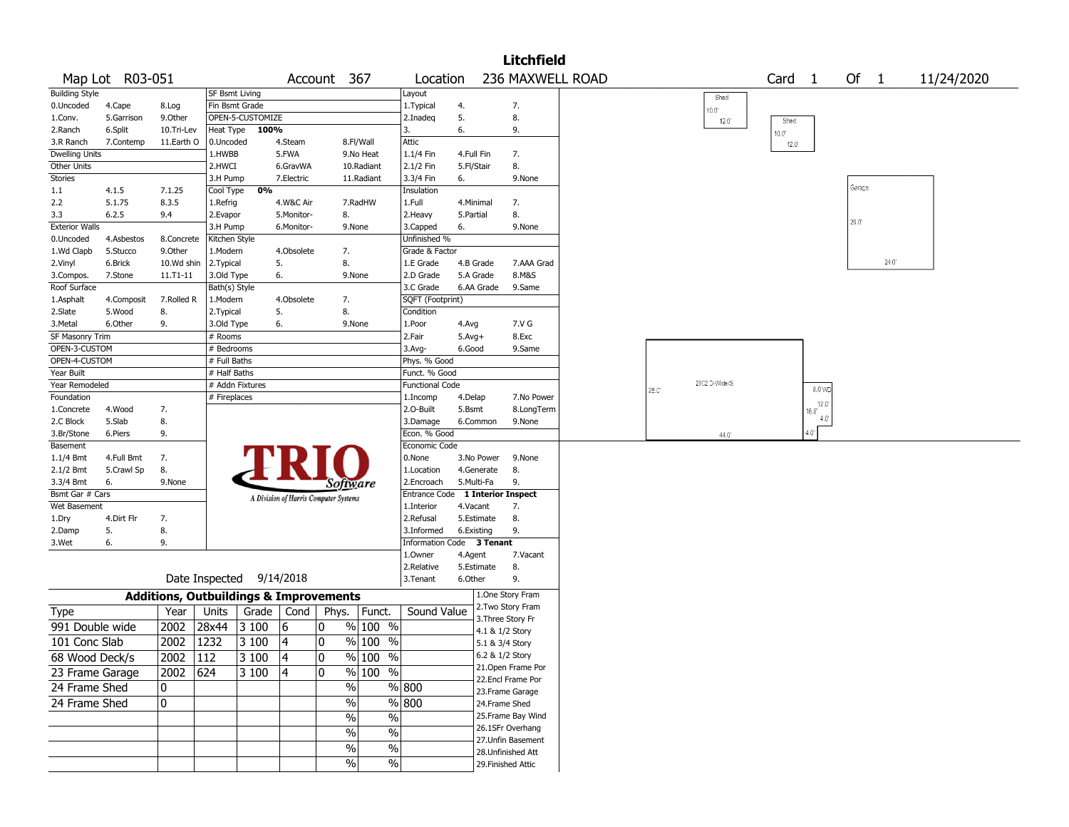|                       |                 |                   |                |                  |            |                                                   |                    |                                  |            |                 | <b>Litchfield</b>  |       |                |                   |                      |                |       |            |
|-----------------------|-----------------|-------------------|----------------|------------------|------------|---------------------------------------------------|--------------------|----------------------------------|------------|-----------------|--------------------|-------|----------------|-------------------|----------------------|----------------|-------|------------|
|                       | Map Lot R03-051 |                   |                |                  |            | Account 367                                       |                    | Location                         |            |                 | 236 MAXWELL ROAD   |       |                | Card <sub>1</sub> |                      | Of $1$         |       | 11/24/2020 |
| <b>Building Style</b> |                 |                   | SF Bsmt Living |                  |            |                                                   |                    | Layout                           |            |                 |                    |       | Shed           |                   |                      |                |       |            |
| 0.Uncoded             | 4.Cape          | 8.Log             |                | Fin Bsmt Grade   |            |                                                   |                    | 1. Typical                       | 4.         |                 | 7.                 |       | $0.0^{\circ}$  |                   |                      |                |       |            |
| 1.Conv.               | 5.Garrison      | 9.0ther           |                | OPEN-5-CUSTOMIZE |            |                                                   |                    | 2.Inadeq                         | 5.         |                 | 8.                 |       | $12.0^{\circ}$ | Shed              |                      |                |       |            |
| 2.Ranch               | 6.Split         | 10.Tri-Lev        | Heat Type      | 100%             |            |                                                   |                    | 3.                               | 6.         |                 | 9.                 |       |                | 10.0"             |                      |                |       |            |
| 3.R Ranch             | 7.Contemp       | 11.Earth O        | 0.Uncoded      |                  | 4.Steam    |                                                   | 8.Fl/Wall          | Attic                            |            |                 |                    |       |                | $12.0^{\circ}$    |                      |                |       |            |
| Dwelling Units        |                 |                   | 1.HWBB         |                  | 5.FWA      |                                                   | 9.No Heat          | $1.1/4$ Fin                      | 4.Full Fin |                 | 7.                 |       |                |                   |                      |                |       |            |
| Other Units           |                 |                   | 2.HWCI         |                  | 6.GravWA   |                                                   | 10.Radiant         | 2.1/2 Fin                        | 5.Fl/Stair |                 | 8.                 |       |                |                   |                      |                |       |            |
| Stories               |                 |                   | 3.H Pump       |                  | 7.Electric |                                                   | 11.Radiant         | 3.3/4 Fin                        | 6.         |                 | 9.None             |       |                |                   |                      |                |       |            |
| $1.1\,$               | 4.1.5           | 7.1.25            | Cool Type      | 0%               |            |                                                   |                    | Insulation                       |            |                 |                    |       |                |                   |                      | Garage         |       |            |
| 2.2                   | 5.1.75          | 8.3.5             | 1.Refrig       |                  | 4.W&C Air  |                                                   | 7.RadHW            | 1.Full                           | 4.Minimal  |                 | 7.                 |       |                |                   |                      |                |       |            |
| 3.3                   | 6.2.5           | 9.4               | 2.Evapor       |                  | 5.Monitor- | 8.                                                |                    | 2.Heavy                          | 5.Partial  |                 | 8.                 |       |                |                   |                      | $26.0^{\circ}$ |       |            |
| <b>Exterior Walls</b> |                 |                   | 3.H Pump       |                  | 6.Monitor- | 9.None                                            |                    | 3.Capped                         | 6.         |                 | 9.None             |       |                |                   |                      |                |       |            |
| 0.Uncoded             | 4.Asbestos      | 8.Concrete        | Kitchen Style  |                  |            |                                                   |                    | Unfinished %                     |            |                 |                    |       |                |                   |                      |                |       |            |
| 1.Wd Clapb            | 5.Stucco        | 9.0ther           | 1.Modern       |                  | 4.Obsolete | 7.                                                |                    | Grade & Factor                   |            |                 |                    |       |                |                   |                      |                |       |            |
| 2.Vinyl               | 6.Brick         | 10.Wd shin        | 2. Typical     |                  | 5.         | 8.                                                |                    | 1.E Grade                        | 4.B Grade  |                 | 7.AAA Grad         |       |                |                   |                      |                | 24.0' |            |
| 3.Compos.             | 7.Stone         | 11.T1-11          | 3.Old Type     |                  | 6.         | 9.None                                            |                    | 2.D Grade                        | 5.A Grade  |                 | 8.M&S              |       |                |                   |                      |                |       |            |
| Roof Surface          |                 |                   | Bath(s) Style  |                  |            |                                                   |                    | 3.C Grade                        |            | 6.AA Grade      | 9.Same             |       |                |                   |                      |                |       |            |
| 1.Asphalt             | 4.Composit      | 7.Rolled R        | 1.Modern       |                  | 4.Obsolete | 7.                                                |                    | SQFT (Footprint)                 |            |                 |                    |       |                |                   |                      |                |       |            |
| 2.Slate               | 5.Wood          | 8.                | 2. Typical     |                  | 5.         | 8.                                                |                    | Condition                        |            |                 |                    |       |                |                   |                      |                |       |            |
| 3.Metal               | 6.Other         | 9.                | 3.Old Type     |                  | 6.         | 9.None                                            |                    | $ 1$ . Poor                      | 4.Avg      |                 | 7.V G              |       |                |                   |                      |                |       |            |
| SF Masonry Trim       |                 |                   | # Rooms        |                  |            |                                                   |                    | 2.Fair                           | $5.Avg+$   |                 | 8.Exc              |       |                |                   |                      |                |       |            |
| OPEN-3-CUSTOM         |                 |                   | # Bedrooms     |                  |            |                                                   |                    | 3.Avg-                           | 6.Good     |                 | 9.Same             |       |                |                   |                      |                |       |            |
| OPEN-4-CUSTOM         |                 |                   | # Full Baths   |                  |            |                                                   |                    | Phys. % Good                     |            |                 |                    |       |                |                   |                      |                |       |            |
| Year Built            |                 |                   | # Half Baths   |                  |            |                                                   |                    | Funct. % Good                    |            |                 |                    |       |                |                   |                      |                |       |            |
| Year Remodeled        |                 |                   |                | # Addn Fixtures  |            |                                                   |                    | Functional Code                  |            |                 |                    | 28.C' | 2002 D-Wide/S  |                   | 8.0 WD               |                |       |            |
| Foundation            |                 |                   | # Fireplaces   |                  |            |                                                   |                    | 1.Incomp                         | 4.Delap    |                 | 7.No Power         |       |                |                   |                      |                |       |            |
| 1.Concrete            | 4.Wood          | 7.                |                |                  |            |                                                   |                    | 2.O-Built                        | 5.Bsmt     |                 | 8.LongTerm         |       |                |                   | 12.0<br>$16.0^\circ$ |                |       |            |
| 2.C Block             | 5.Slab          | 8.                |                |                  |            |                                                   |                    | 3.Damage                         | 6.Common   |                 | 9.None             |       |                |                   | 4.0                  |                |       |            |
| 3.Br/Stone            | 6.Piers         | 9.                |                |                  |            |                                                   |                    | Econ. % Good                     |            |                 |                    |       | 44.0           |                   | $4.0^\circ$          |                |       |            |
| Basement              |                 |                   |                |                  |            |                                                   |                    | Economic Code                    |            |                 |                    |       |                |                   |                      |                |       |            |
| 1.1/4 Bmt             | 4.Full Bmt      | 7.                |                |                  |            |                                                   |                    | 0.None                           |            | 3.No Power      | 9.None             |       |                |                   |                      |                |       |            |
| 2.1/2 Bmt             | 5.Crawl Sp      | 8.                |                |                  |            |                                                   |                    | 1.Location                       |            | 4.Generate      | 8.                 |       |                |                   |                      |                |       |            |
| 3.3/4 Bmt             | 6.              | 9.None            |                |                  |            | Software                                          |                    | 2.Encroach                       | 5.Multi-Fa |                 | 9.                 |       |                |                   |                      |                |       |            |
| Bsmt Gar # Cars       |                 |                   |                |                  |            | A Division of Harris Computer Systems             |                    | Entrance Code 1 Interior Inspect |            |                 |                    |       |                |                   |                      |                |       |            |
| Wet Basement          |                 |                   |                |                  |            |                                                   |                    | 1.Interior                       | 4.Vacant   |                 | 7.                 |       |                |                   |                      |                |       |            |
| 1.Dry                 | 4.Dirt Flr      | 7.                |                |                  |            |                                                   |                    | 2.Refusal                        | 5.Estimate |                 | 8.                 |       |                |                   |                      |                |       |            |
| 2.Damp                | 5.              | 8.                |                |                  |            |                                                   |                    | 3.Informed                       | 6.Existing |                 | 9.                 |       |                |                   |                      |                |       |            |
| 3.Wet                 | 6.              | 9.                |                |                  |            |                                                   |                    | Information                      | Code       | 3 Tenant        |                    |       |                |                   |                      |                |       |            |
|                       |                 |                   |                |                  |            |                                                   |                    | 1.Owner                          | 4.Agent    |                 | 7.Vacant           |       |                |                   |                      |                |       |            |
|                       |                 |                   |                |                  |            |                                                   |                    | 2.Relative                       | 5.Estimate |                 | 8.                 |       |                |                   |                      |                |       |            |
|                       |                 |                   | Date Inspected |                  | 9/14/2018  |                                                   |                    | 3.Tenant                         | 6.Other    |                 | 9.                 |       |                |                   |                      |                |       |            |
|                       |                 |                   |                |                  |            | <b>Additions, Outbuildings &amp; Improvements</b> |                    |                                  |            |                 | 1.One Story Fram   |       |                |                   |                      |                |       |            |
| Type                  |                 | Year              | Units          | Grade            | Cond       | Phys.                                             | Funct.             | Sound Value                      |            |                 | 2. Two Story Fram  |       |                |                   |                      |                |       |            |
| 991 Double wide       |                 | 2002              | 28x44          | 3 100            | 6          | 10                                                | $\sqrt[6]{}$ 100 % |                                  |            |                 | 3. Three Story Fr  |       |                |                   |                      |                |       |            |
|                       |                 |                   |                |                  |            |                                                   |                    |                                  |            | 4.1 & 1/2 Story |                    |       |                |                   |                      |                |       |            |
| 101 Conc Slab         |                 | $\overline{2002}$ | 1232           | 3 100            | 4          | 10                                                | % 100 %            |                                  |            | 5.1 & 3/4 Story |                    |       |                |                   |                      |                |       |            |
| 68 Wood Deck/s        |                 | 2002              | 112            | 3 100            | 4          | ١o                                                | % 100 %            |                                  |            | 6.2 & 1/2 Story |                    |       |                |                   |                      |                |       |            |
| 23 Frame Garage       |                 | 2002 624          |                | 3 100            | 4          | 10                                                | % 100 %            |                                  |            |                 | 21. Open Frame Por |       |                |                   |                      |                |       |            |
| 24 Frame Shed         |                 | 0                 |                |                  |            | %                                                 |                    | % 800                            |            |                 | 22.Encl Frame Por  |       |                |                   |                      |                |       |            |
|                       |                 |                   |                |                  |            |                                                   |                    |                                  |            |                 | 23.Frame Garage    |       |                |                   |                      |                |       |            |
| 24 Frame Shed         |                 | 0                 |                |                  |            | $\%$                                              |                    | % 800                            |            | 24.Frame Shed   |                    |       |                |                   |                      |                |       |            |
|                       |                 |                   |                |                  |            | $\frac{0}{0}$                                     | $\frac{1}{2}$      |                                  |            |                 | 25. Frame Bay Wind |       |                |                   |                      |                |       |            |
|                       |                 |                   |                |                  |            | $\frac{0}{0}$                                     | $\sqrt{6}$         |                                  |            |                 | 26.1SFr Overhang   |       |                |                   |                      |                |       |            |
|                       |                 |                   |                |                  |            | $\%$                                              | $\sqrt{6}$         |                                  |            |                 | 27.Unfin Basement  |       |                |                   |                      |                |       |            |
|                       |                 |                   |                |                  |            |                                                   |                    |                                  |            |                 | 28. Unfinished Att |       |                |                   |                      |                |       |            |
|                       |                 |                   |                |                  |            | $\%$                                              | $\sqrt{6}$         |                                  |            |                 | 29. Finished Attic |       |                |                   |                      |                |       |            |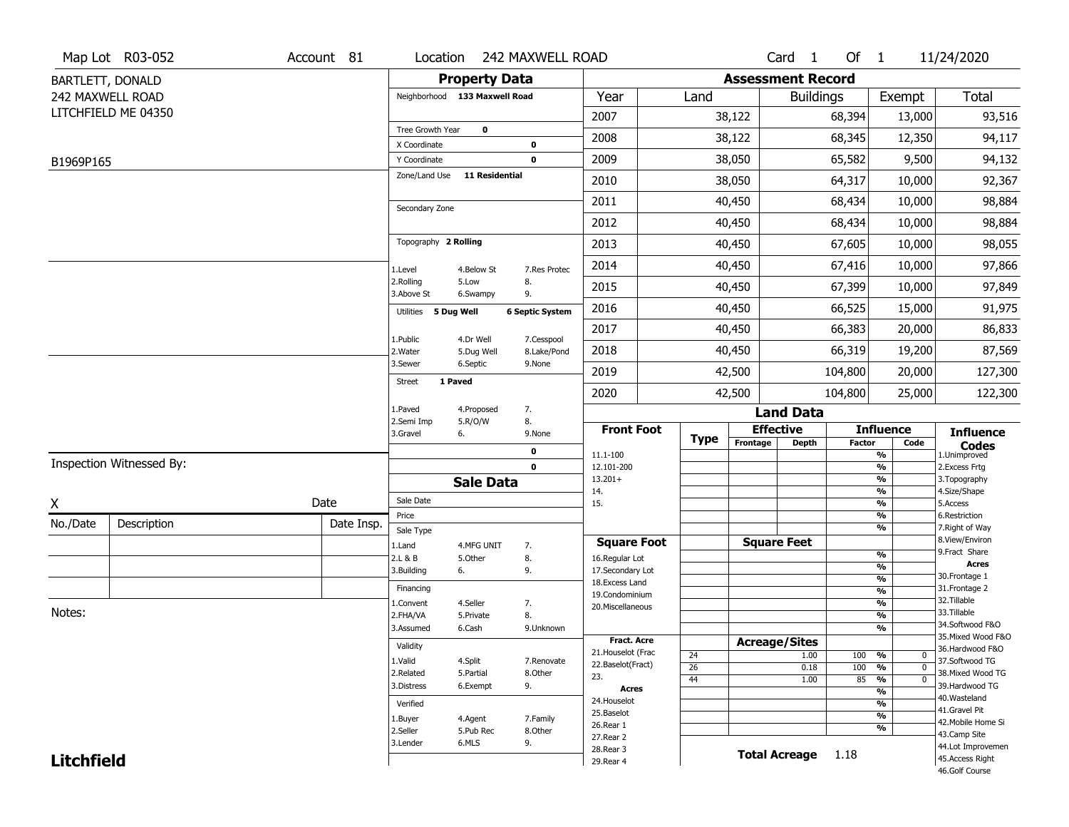|                   | Map Lot R03-052          | Account 81 | Location                           |                         | 242 MAXWELL ROAD             |                                         |                       |                          | Card <sub>1</sub>    | Of $1$        |                                                  | 11/24/2020                            |
|-------------------|--------------------------|------------|------------------------------------|-------------------------|------------------------------|-----------------------------------------|-----------------------|--------------------------|----------------------|---------------|--------------------------------------------------|---------------------------------------|
|                   | BARTLETT, DONALD         |            |                                    | <b>Property Data</b>    |                              |                                         |                       | <b>Assessment Record</b> |                      |               |                                                  |                                       |
|                   | 242 MAXWELL ROAD         |            | Neighborhood 133 Maxwell Road      |                         |                              | Year                                    | Land                  |                          | <b>Buildings</b>     |               | Exempt                                           | Total                                 |
|                   | LITCHFIELD ME 04350      |            |                                    |                         |                              | 2007                                    |                       | 38,122                   |                      | 68,394        | 13,000                                           | 93,516                                |
|                   |                          |            | Tree Growth Year                   | $\pmb{0}$               |                              | 2008                                    |                       | 38,122                   |                      | 68,345        | 12,350                                           | 94,117                                |
| B1969P165         |                          |            | X Coordinate<br>Y Coordinate       |                         | 0<br>$\mathbf 0$             | 2009                                    |                       | 38,050                   |                      | 65,582        | 9,500                                            | 94,132                                |
|                   |                          |            | Zone/Land Use                      | <b>11 Residential</b>   |                              | 2010                                    |                       | 38,050                   |                      | 64,317        | 10,000                                           | 92,367                                |
|                   |                          |            |                                    |                         |                              | 2011                                    |                       | 40,450                   |                      | 68,434        | 10,000                                           | 98,884                                |
|                   |                          |            | Secondary Zone                     |                         |                              | 2012                                    |                       | 40,450                   |                      | 68,434        | 10,000                                           | 98,884                                |
|                   |                          |            | Topography 2 Rolling               |                         |                              | 2013                                    |                       | 40,450                   |                      | 67,605        | 10,000                                           | 98,055                                |
|                   |                          |            |                                    | 4.Below St              | 7.Res Protec                 | 2014                                    |                       | 40,450                   |                      | 67,416        | 10,000                                           | 97,866                                |
|                   |                          |            | 1.Level<br>2.Rolling               | 5.Low                   | 8.                           | 2015                                    |                       | 40,450                   |                      | 67,399        | 10,000                                           | 97,849                                |
|                   |                          |            | 3.Above St<br>Utilities 5 Dug Well | 6.Swampy                | 9.<br><b>6 Septic System</b> | 2016                                    |                       | 40,450                   | 66,525               |               | 15,000                                           | 91,975                                |
|                   |                          |            |                                    |                         |                              | 2017                                    |                       | 40,450                   |                      | 66,383        | 20,000                                           | 86,833                                |
|                   |                          |            | 1.Public<br>2. Water               | 4.Dr Well<br>5.Dug Well | 7.Cesspool<br>8.Lake/Pond    | 2018                                    |                       | 40,450                   |                      | 66,319        | 19,200                                           | 87,569                                |
|                   |                          |            | 3.Sewer                            | 6.Septic                | 9.None                       | 2019                                    |                       | 42,500                   |                      | 104,800       | 20,000                                           | 127,300                               |
|                   |                          |            | 1 Paved<br><b>Street</b>           |                         |                              | 2020                                    |                       | 42,500                   |                      | 104,800       | 25,000                                           | 122,300                               |
|                   |                          |            | 1.Paved                            | 4.Proposed              | 7.                           |                                         |                       |                          | <b>Land Data</b>     |               |                                                  |                                       |
|                   |                          |            | 2.Semi Imp<br>3.Gravel<br>6.       | 5.R/O/W                 | 8.<br>9.None                 | <b>Front Foot</b>                       | <b>Type</b>           |                          | <b>Effective</b>     |               | <b>Influence</b>                                 | <b>Influence</b>                      |
|                   |                          |            |                                    |                         | 0                            | 11.1-100                                |                       | Frontage                 | <b>Depth</b>         | <b>Factor</b> | Code<br>%                                        | <b>Codes</b><br>1.Unimproved          |
|                   | Inspection Witnessed By: |            |                                    |                         | $\mathbf 0$                  | 12.101-200                              |                       |                          |                      |               | $\frac{9}{6}$                                    | 2. Excess Frtg                        |
|                   |                          |            |                                    | <b>Sale Data</b>        |                              | $13.201+$<br>14.                        |                       |                          |                      |               | %<br>%                                           | 3. Topography<br>4.Size/Shape         |
| X                 |                          | Date       | Sale Date                          |                         |                              | 15.                                     |                       |                          |                      |               | %                                                | 5.Access                              |
| No./Date          | Description              | Date Insp. | Price<br>Sale Type                 |                         |                              |                                         |                       |                          |                      |               | %<br>%                                           | 6.Restriction<br>7. Right of Way      |
|                   |                          |            | 1.Land                             | 4.MFG UNIT              | 7.                           | <b>Square Foot</b>                      |                       |                          | <b>Square Feet</b>   |               |                                                  | 8.View/Environ                        |
|                   |                          |            | 2.L & B                            | 5.Other                 | 8.                           | 16.Regular Lot                          |                       |                          |                      |               | %                                                | 9.Fract Share                         |
|                   |                          |            | 3.Building<br>6.                   |                         | 9.                           | 17.Secondary Lot                        |                       |                          |                      |               | $\frac{9}{6}$<br>$\frac{9}{6}$                   | <b>Acres</b><br>30.Frontage 1         |
|                   |                          |            | Financing                          |                         |                              | 18. Excess Land<br>19.Condominium       |                       |                          |                      |               | $\frac{9}{6}$                                    | 31. Frontage 2                        |
|                   |                          |            | 1.Convent                          | 4.Seller                | 7.                           | 20.Miscellaneous                        |                       |                          |                      |               | $\frac{9}{6}$                                    | 32.Tillable                           |
| Notes:            |                          |            | 2.FHA/VA                           | 5.Private               | 8.                           |                                         |                       |                          |                      |               | $\frac{9}{6}$                                    | 33.Tillable                           |
|                   |                          |            | 3.Assumed                          | 6.Cash                  | 9.Unknown                    |                                         |                       |                          |                      |               | $\overline{\frac{9}{6}}$                         | 34.Softwood F&O<br>35. Mixed Wood F&O |
|                   |                          |            | Validity                           |                         |                              | Fract. Acre                             |                       | <b>Acreage/Sites</b>     |                      |               |                                                  | 36.Hardwood F&O                       |
|                   |                          |            | 1.Valid                            | 4.Split                 | 7.Renovate                   | 21. Houselot (Frac<br>22.Baselot(Fract) | 24                    |                          | 1.00                 | 100 %         | $\mathbf 0$                                      | 37.Softwood TG                        |
|                   |                          |            | 2.Related                          | 5.Partial               | 8.Other                      | 23.                                     | $\overline{26}$<br>44 |                          | 0.18<br>1.00         | 100<br>85     | %<br>$\mathbf 0$<br>$\frac{9}{6}$<br>$\mathbf 0$ | 38. Mixed Wood TG                     |
|                   |                          |            | 3.Distress                         | 6.Exempt                | 9.                           | <b>Acres</b>                            |                       |                          |                      |               | $\overline{\mathcal{C}_{\mathbf{0}}}$            | 39.Hardwood TG                        |
|                   |                          | Verified   |                                    |                         | 24. Houselot                 |                                         |                       |                          |                      | %             | 40. Wasteland                                    |                                       |
|                   |                          |            | 1.Buyer                            | 4.Agent                 | 7.Family                     | 25.Baselot                              |                       |                          |                      |               | $\frac{9}{6}$                                    | 41.Gravel Pit<br>42. Mobile Home Si   |
|                   |                          |            | 2.Seller                           | 5.Pub Rec               | 8.Other                      | 26.Rear 1<br>27.Rear 2                  |                       |                          |                      |               | %                                                | 43.Camp Site                          |
|                   |                          |            | 3.Lender                           | 6.MLS                   | 9.                           | 28. Rear 3                              |                       |                          |                      |               |                                                  | 44.Lot Improvemen                     |
| <b>Litchfield</b> |                          |            |                                    |                         |                              | 29. Rear 4                              |                       |                          | <b>Total Acreage</b> | 1.18          |                                                  | 45.Access Right<br>46.Golf Course     |
|                   |                          |            |                                    |                         |                              |                                         |                       |                          |                      |               |                                                  |                                       |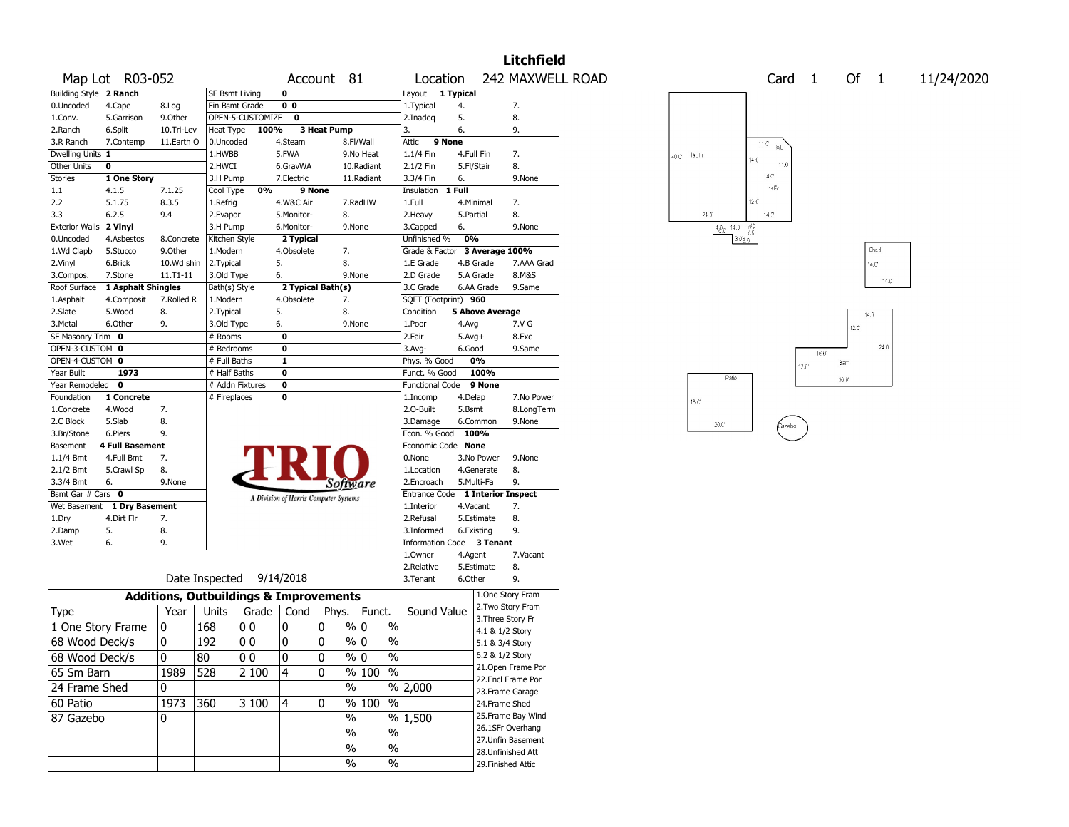|                        |                     |                       |                                                   |                  |                                       |             |                         |                                         |              |                        | <b>Litchfield</b>            |                               |                        |       |                |                |            |
|------------------------|---------------------|-----------------------|---------------------------------------------------|------------------|---------------------------------------|-------------|-------------------------|-----------------------------------------|--------------|------------------------|------------------------------|-------------------------------|------------------------|-------|----------------|----------------|------------|
|                        | Map Lot R03-052     |                       |                                                   |                  | Account 81                            |             |                         | Location                                |              |                        | 242 MAXWELL ROAD             |                               | Card 1                 |       | Of 1           |                | 11/24/2020 |
| Building Style 2 Ranch |                     |                       | <b>SF Bsmt Living</b>                             |                  | 0                                     |             |                         | Layout 1 Typical                        |              |                        |                              |                               |                        |       |                |                |            |
| 0.Uncoded              | 4.Cape              | 8.Log                 |                                                   | Fin Bsmt Grade   | 0 <sub>0</sub>                        |             |                         | 1. Typical                              | 4.           |                        | 7.                           |                               |                        |       |                |                |            |
| 1.Conv.                | 5.Garrison          | 9.Other               |                                                   | OPEN-5-CUSTOMIZE | $\mathbf{o}$                          |             |                         | 2.Inadeg                                | 5.           |                        | 8.                           |                               |                        |       |                |                |            |
| 2.Ranch                | 6.Split             | 10.Tri-Lev            | Heat Type                                         | 100%             |                                       | 3 Heat Pump |                         | 3.                                      | 6.           |                        | 9.                           |                               |                        |       |                |                |            |
| 3.R Ranch              | 7.Contemp           | 11.Earth O            | 0.Uncoded                                         |                  | 4.Steam                               |             | 8.Fl/Wall               | 9 None<br>Attic                         |              |                        |                              |                               | $\overline{11.0}$ WD   |       |                |                |            |
| Dwelling Units 1       |                     |                       | 1.HWBB                                            |                  | 5.FWA                                 |             | 9.No Heat               | 1.1/4 Fin                               |              | 4.Full Fin             | 7.                           | $40.0 - 188$ Fr               | 14.01                  |       |                |                |            |
| Other Units            | 0                   |                       | 2.HWCI                                            |                  | 6.GravWA                              |             | 10.Radiant              | 2.1/2 Fin                               | 5.Fl/Stair   |                        | 8.                           |                               | 11.0<br>$14.0^{\circ}$ |       |                |                |            |
| Stories                | 1 One Story         |                       | 3.H Pump                                          |                  | 7.Electric                            |             | 11.Radiant              | 3.3/4 Fin                               | 6.           |                        | 9.None                       |                               | 1sFr                   |       |                |                |            |
| $1.1\,$                | 4.1.5               | 7.1.25                | Cool Type                                         | 0%               | 9 None                                |             |                         | Insulation                              | 1 Full       |                        |                              |                               |                        |       |                |                |            |
| 2.2                    | 5.1.75              | 8.3.5                 | 1.Refrig                                          |                  | 4.W&C Air                             |             | 7.RadHW                 | 1.Full                                  | 4.Minimal    |                        | 7.                           |                               | $12.0^{\circ}$         |       |                |                |            |
| 3.3                    | 6.2.5               | 9.4                   | 2.Evapor                                          |                  | 5.Monitor-                            |             | 8.                      | 2. Heavy                                | 5.Partial    |                        | 8.                           | 24.0                          | 14.0                   |       |                |                |            |
| <b>Exterior Walls</b>  | 2 Vinyl             |                       | 3.H Pump                                          |                  | 6.Monitor-                            |             | 9.None                  | 3.Capped                                | 6.<br>0%     |                        | 9.None                       | $480$ $14.0$ $\frac{VD}{7.0}$ | 3.08 <sub>0</sub>      |       |                |                |            |
| 0.Uncoded              | 4.Asbestos          | 8.Concrete            | Kitchen Style                                     |                  | 2 Typical                             |             |                         | Unfinished %                            |              |                        |                              |                               |                        |       |                | Shed           |            |
| 1.Wd Clapb<br>2.Vinyl  | 5.Stucco<br>6.Brick | 9.Other<br>10.Wd shin | 1.Modern                                          |                  | 4.Obsolete<br>5.                      |             | 7.<br>8.                | Grade & Factor<br>1.E Grade             |              | 4.B Grade              | 3 Average 100%<br>7.AAA Grad |                               |                        |       |                |                |            |
| 3.Compos.              | 7.Stone             | 11.T1-11              | 2. Typical<br>3.Old Type                          |                  | 6.                                    |             | 9.None                  | 2.D Grade                               |              | 5.A Grade              | 8.M&S                        |                               |                        |       | $14.0^{\circ}$ |                |            |
| Roof Surface           | 1 Asphalt Shingles  |                       | Bath(s) Style                                     |                  | 2 Typical Bath(s)                     |             |                         | 3.C Grade                               |              | 6.AA Grade             | 9.Same                       |                               |                        |       |                | $14.0^{\circ}$ |            |
| 1.Asphalt              | 4.Composit          | 7.Rolled R            | 1.Modern                                          |                  | 4.Obsolete                            |             | 7.                      | SQFT (Footprint) 960                    |              |                        |                              |                               |                        |       |                |                |            |
| 2.Slate                | 5.Wood              | 8.                    | 2. Typical                                        |                  | 5.                                    |             | 8.                      | Condition                               |              | <b>5 Above Average</b> |                              |                               |                        |       |                |                |            |
| 3.Metal                | 6.Other             | 9.                    | 3.Old Type                                        |                  | 6.                                    |             | 9.None                  | 1.Poor                                  | 4.Avg        |                        | 7.V G                        |                               |                        |       | 14.0           |                |            |
| SF Masonry Trim 0      |                     |                       | # Rooms                                           |                  | 0                                     |             |                         | 2.Fair                                  | $5.$ Avg $+$ |                        | 8.Exc                        |                               |                        |       | 12.C'          |                |            |
| OPEN-3-CUSTOM 0        |                     |                       | # Bedrooms                                        |                  | 0                                     |             |                         | $3.$ Avg-                               | 6.Good       |                        | 9.Same                       |                               |                        |       |                | 24.0           |            |
| OPEN-4-CUSTOM 0        |                     |                       | # Full Baths                                      |                  | $\mathbf{1}$                          |             |                         | Phys. % Good                            |              | 0%                     |                              |                               |                        | 16.0  | Barr           |                |            |
| Year Built             | 1973                |                       | # Half Baths                                      |                  | 0                                     |             |                         | Funct. % Good                           |              | 100%                   |                              | Patio                         |                        | 12.C' |                |                |            |
| Year Remodeled 0       |                     |                       |                                                   | # Addn Fixtures  | 0                                     |             |                         | <b>Functional Code</b>                  |              | 9 None                 |                              |                               |                        |       | 30.0           |                |            |
| Foundation             | 1 Concrete          |                       | # Fireplaces                                      |                  | 0                                     |             |                         | 1.Incomp                                | 4.Delap      |                        | 7.No Power                   | 18.C <sup>*</sup>             |                        |       |                |                |            |
| 1.Concrete             | 4.Wood              | 7.                    |                                                   |                  |                                       |             |                         | 2.0-Built                               | 5.Bsmt       |                        | 8.LongTerm                   |                               |                        |       |                |                |            |
| 2.C Block              | 5.Slab              | 8.                    |                                                   |                  |                                       |             |                         | 3.Damage                                |              | 6.Common               | 9.None                       | $20.0^\circ$                  | Gazebo                 |       |                |                |            |
| 3.Br/Stone             | 6.Piers             | 9.                    |                                                   |                  |                                       |             |                         | Econ. % Good 100%                       |              |                        |                              |                               |                        |       |                |                |            |
| Basement               | 4 Full Basement     |                       |                                                   |                  |                                       |             |                         | Economic Code None                      |              |                        |                              |                               |                        |       |                |                |            |
| $1.1/4$ Bmt            | 4.Full Bmt          | 7.                    |                                                   |                  |                                       |             |                         | 0.None                                  |              | 3.No Power             | 9.None                       |                               |                        |       |                |                |            |
| 2.1/2 Bmt              | 5.Crawl Sp          | 8.                    |                                                   |                  |                                       |             |                         | 1.Location                              |              | 4.Generate             | 8.                           |                               |                        |       |                |                |            |
| 3.3/4 Bmt              | 6.                  | 9.None                |                                                   |                  |                                       |             | Software                | 2.Encroach                              |              | 5.Multi-Fa             | 9.                           |                               |                        |       |                |                |            |
| Bsmt Gar # Cars 0      |                     |                       |                                                   |                  | A Division of Harris Computer Systems |             |                         | Entrance Code                           |              |                        | 1 Interior Inspect           |                               |                        |       |                |                |            |
| Wet Basement           | 1 Dry Basement      |                       |                                                   |                  |                                       |             |                         | 1.Interior                              | 4.Vacant     |                        | 7.                           |                               |                        |       |                |                |            |
| 1.Dry                  | 4.Dirt Flr          | 7.                    |                                                   |                  |                                       |             |                         | 2.Refusal                               |              | 5.Estimate             | 8.                           |                               |                        |       |                |                |            |
| 2.Damp                 | 5.<br>6.            | 8.<br>9.              |                                                   |                  |                                       |             |                         | 3.Informed<br>Information Code 3 Tenant |              | 6.Existing             | 9.                           |                               |                        |       |                |                |            |
| 3.Wet                  |                     |                       |                                                   |                  |                                       |             |                         | 1.Owner                                 | 4.Agent      |                        | 7.Vacant                     |                               |                        |       |                |                |            |
|                        |                     |                       |                                                   |                  |                                       |             |                         | 2.Relative                              |              | 5.Estimate             | 8.                           |                               |                        |       |                |                |            |
|                        |                     |                       | Date Inspected                                    |                  | 9/14/2018                             |             |                         | 3. Tenant                               | 6.Other      |                        | 9.                           |                               |                        |       |                |                |            |
|                        |                     |                       | <b>Additions, Outbuildings &amp; Improvements</b> |                  |                                       |             |                         |                                         |              |                        | 1.One Story Fram             |                               |                        |       |                |                |            |
| Type                   |                     | Year                  | Units                                             | Grade   Cond     |                                       | Phys.       | Funct.                  | Sound Value                             |              |                        | 2. Two Story Fram            |                               |                        |       |                |                |            |
|                        |                     |                       |                                                   |                  |                                       |             |                         |                                         |              |                        | 3. Three Story Fr            |                               |                        |       |                |                |            |
| 1 One Story Frame      |                     | 0                     | 168                                               | O O              | 0                                     | 10          | $\%$<br>% 0             |                                         |              |                        | 4.1 & 1/2 Story              |                               |                        |       |                |                |            |
| 68 Wood Deck/s         |                     | 0                     | 192                                               | 0 <sub>0</sub>   | 0                                     | 0           | $\%$<br>% 0             |                                         |              |                        | 5.1 & 3/4 Story              |                               |                        |       |                |                |            |
| 68 Wood Deck/s         |                     | $\mathbf{0}$          | 80                                                | 00               | ۱o                                    | 0           | $\frac{9}{0}$<br>$\%$ 0 |                                         |              |                        | 6.2 & 1/2 Story              |                               |                        |       |                |                |            |
| 65 Sm Barn             |                     | 1989 528              |                                                   | 2 100            | $ 4\rangle$                           | 0           | % 100 %                 |                                         |              |                        | 21. Open Frame Por           |                               |                        |       |                |                |            |
|                        |                     |                       |                                                   |                  |                                       |             | $\sqrt{6}$              |                                         |              |                        | 22.Encl Frame Por            |                               |                        |       |                |                |            |
| 24 Frame Shed          |                     | 0                     |                                                   |                  |                                       |             |                         | % 2,000                                 |              |                        | 23. Frame Garage             |                               |                        |       |                |                |            |
| 60 Patio               |                     | 1973 360              |                                                   | 3 100            | 4                                     | 0           | % 100 %                 |                                         |              |                        | 24.Frame Shed                |                               |                        |       |                |                |            |
| 87 Gazebo              |                     | 0                     |                                                   |                  |                                       |             | $\%$                    | % 1,500                                 |              |                        | 25. Frame Bay Wind           |                               |                        |       |                |                |            |
|                        |                     |                       |                                                   |                  |                                       |             | $\frac{1}{2}$<br>$\%$   |                                         |              |                        | 26.1SFr Overhang             |                               |                        |       |                |                |            |
|                        |                     |                       |                                                   |                  |                                       |             | $\%$<br>$\%$            |                                         |              |                        | 27. Unfin Basement           |                               |                        |       |                |                |            |
|                        |                     |                       |                                                   |                  |                                       |             | $\%$<br>%               |                                         |              |                        | 28. Unfinished Att           |                               |                        |       |                |                |            |
|                        |                     |                       |                                                   |                  |                                       |             |                         |                                         |              |                        | 29. Finished Attic           |                               |                        |       |                |                |            |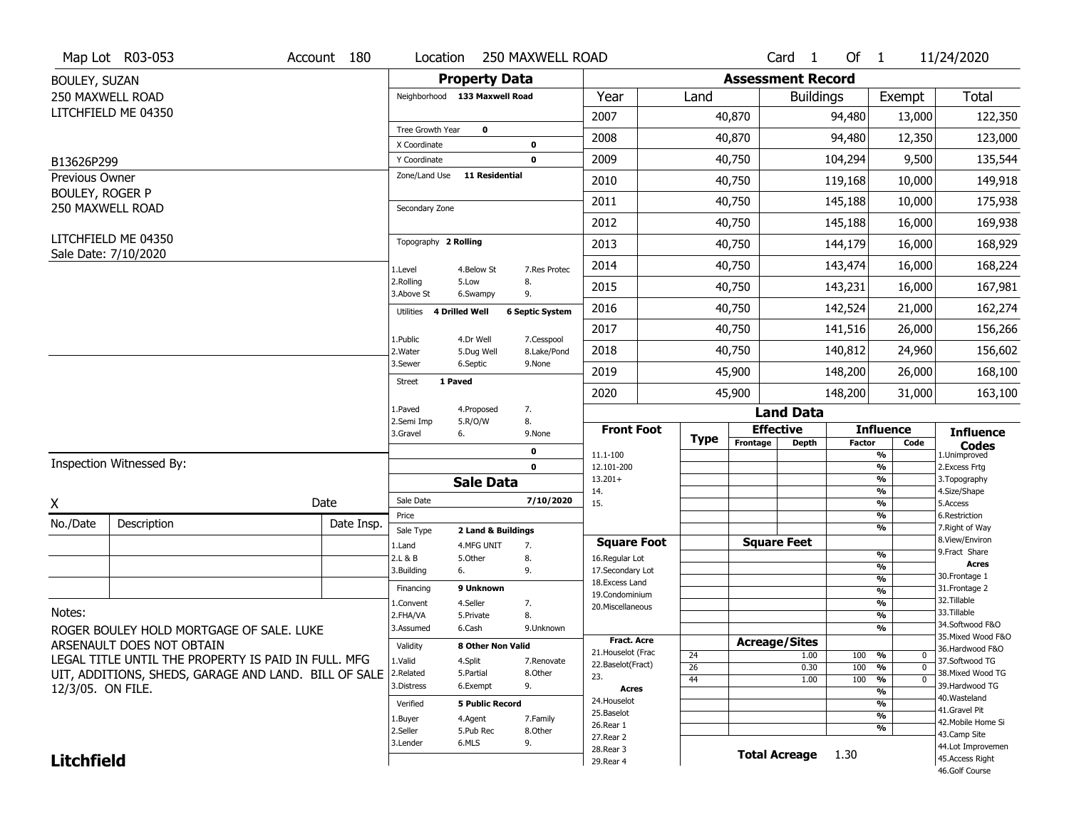|                        | Map Lot R03-053                                      | Account 180 | Location                     | <b>250 MAXWELL ROAD</b>       |                           |                                    |             |                          | Card <sub>1</sub>                | Of $1$        |                          | 11/24/2020                                                  |
|------------------------|------------------------------------------------------|-------------|------------------------------|-------------------------------|---------------------------|------------------------------------|-------------|--------------------------|----------------------------------|---------------|--------------------------|-------------------------------------------------------------|
| BOULEY, SUZAN          |                                                      |             |                              | <b>Property Data</b>          |                           |                                    |             | <b>Assessment Record</b> |                                  |               |                          |                                                             |
|                        | 250 MAXWELL ROAD                                     |             |                              | Neighborhood 133 Maxwell Road |                           | Year                               | Land        |                          | <b>Buildings</b>                 |               | Exempt                   | <b>Total</b>                                                |
|                        | LITCHFIELD ME 04350                                  |             |                              |                               |                           | 2007                               |             | 40,870                   |                                  | 94,480        | 13,000                   | 122,350                                                     |
|                        |                                                      |             | Tree Growth Year             | $\mathbf 0$                   |                           | 2008                               |             | 40,870                   |                                  | 94,480        | 12,350                   | 123,000                                                     |
| B13626P299             |                                                      |             | X Coordinate<br>Y Coordinate |                               | 0<br>$\mathbf 0$          | 2009                               |             | 40,750                   |                                  | 104,294       | 9,500                    | 135,544                                                     |
| Previous Owner         |                                                      |             | Zone/Land Use                | <b>11 Residential</b>         |                           | 2010                               |             | 40,750                   |                                  | 119,168       | 10,000                   | 149,918                                                     |
| <b>BOULEY, ROGER P</b> | 250 MAXWELL ROAD                                     |             | Secondary Zone               |                               |                           | 2011                               |             | 40,750                   |                                  | 145,188       | 10,000                   | 175,938                                                     |
|                        |                                                      |             |                              |                               |                           | 2012                               |             | 40,750                   |                                  | 145,188       | 16,000                   | 169,938                                                     |
|                        | LITCHFIELD ME 04350                                  |             | Topography 2 Rolling         |                               |                           | 2013                               |             | 40,750                   |                                  | 144,179       | 16,000                   | 168,929                                                     |
|                        | Sale Date: 7/10/2020                                 |             | 1.Level                      | 4.Below St                    | 7.Res Protec              | 2014                               |             | 40,750                   |                                  | 143,474       | 16,000                   | 168,224                                                     |
|                        |                                                      |             | 2.Rolling<br>3.Above St      | 5.Low<br>6.Swampy             | 8.<br>9.                  | 2015                               |             | 40,750                   |                                  | 143,231       | 16,000                   | 167,981                                                     |
|                        |                                                      |             | Utilities                    | 4 Drilled Well                | <b>6 Septic System</b>    | 2016                               |             | 40,750                   |                                  | 142,524       | 21,000                   | 162,274                                                     |
|                        |                                                      |             | 1.Public                     | 4.Dr Well                     |                           | 2017                               |             | 40,750                   |                                  | 141,516       | 26,000                   | 156,266                                                     |
|                        |                                                      |             | 2. Water                     | 5.Dug Well                    | 7.Cesspool<br>8.Lake/Pond | 2018                               |             | 40,750                   |                                  | 140,812       | 24,960                   | 156,602                                                     |
|                        |                                                      |             | 3.Sewer<br>Street            | 6.Septic<br>1 Paved           | 9.None                    | 2019                               |             | 45,900                   |                                  | 148,200       | 26,000                   | 168,100                                                     |
|                        |                                                      |             |                              |                               |                           | 2020                               |             | 45,900                   |                                  | 148,200       | 31,000                   | 163,100                                                     |
|                        |                                                      |             | 1.Paved<br>2.Semi Imp        | 4.Proposed<br>5.R/O/W         | 7.<br>8.                  |                                    |             |                          | <b>Land Data</b>                 |               |                          |                                                             |
|                        |                                                      |             | 3.Gravel                     | 6.                            | 9.None                    | <b>Front Foot</b>                  | <b>Type</b> | Frontage                 | <b>Effective</b><br><b>Depth</b> | <b>Factor</b> | <b>Influence</b><br>Code | <b>Influence</b>                                            |
|                        |                                                      |             |                              |                               | $\mathbf 0$               | 11.1-100                           |             |                          |                                  |               | $\frac{9}{6}$            | $\mathop{{\textbf{Codes}}}\limits_{\text{1.Uniformproved}}$ |
|                        | Inspection Witnessed By:                             |             |                              |                               |                           |                                    |             |                          |                                  |               |                          |                                                             |
|                        |                                                      |             |                              |                               | $\mathbf 0$               | 12.101-200                         |             |                          |                                  |               | $\frac{9}{6}$            | 2.Excess Frtg                                               |
|                        |                                                      |             |                              | <b>Sale Data</b>              |                           | $13.201+$<br>14.                   |             |                          |                                  |               | $\frac{9}{6}$<br>%       | 3. Topography<br>4.Size/Shape                               |
| X                      |                                                      | Date        | Sale Date                    |                               | 7/10/2020                 | 15.                                |             |                          |                                  |               | $\frac{9}{6}$            | 5.Access                                                    |
| No./Date               | Description                                          | Date Insp.  | Price                        |                               |                           |                                    |             |                          |                                  |               | %                        | 6.Restriction                                               |
|                        |                                                      |             | Sale Type                    | 2 Land & Buildings            |                           | <b>Square Foot</b>                 |             |                          | <b>Square Feet</b>               |               | %                        | 7. Right of Way<br>8.View/Environ                           |
|                        |                                                      |             | 1.Land<br>2.L & B            | 4.MFG UNIT<br>5.Other         | 7.<br>8.                  | 16.Regular Lot                     |             |                          |                                  |               | $\frac{9}{6}$            | 9. Fract Share                                              |
|                        |                                                      |             | 3.Building                   | 6.                            | 9.                        | 17.Secondary Lot                   |             |                          |                                  |               | %                        | <b>Acres</b>                                                |
|                        |                                                      |             | Financing                    | 9 Unknown                     |                           | 18.Excess Land                     |             |                          |                                  |               | %<br>%                   | 30. Frontage 1<br>31. Frontage 2                            |
|                        |                                                      |             | 1.Convent                    | 4.Seller                      | 7.                        | 19.Condominium<br>20.Miscellaneous |             |                          |                                  |               | %                        | 32.Tillable                                                 |
| Notes:                 |                                                      |             | 2.FHA/VA                     | 5.Private                     | 8.                        |                                    |             |                          |                                  |               | %                        | 33.Tillable                                                 |
|                        | ROGER BOULEY HOLD MORTGAGE OF SALE. LUKE             |             | 3.Assumed                    | 6.Cash                        | 9.Unknown                 |                                    |             |                          |                                  |               | %                        | 34.Softwood F&O                                             |
|                        | ARSENAULT DOES NOT OBTAIN                            |             | Validity                     | 8 Other Non Valid             |                           | <b>Fract. Acre</b>                 |             |                          | <b>Acreage/Sites</b>             |               |                          | 35. Mixed Wood F&O<br>36.Hardwood F&O                       |
|                        | LEGAL TITLE UNTIL THE PROPERTY IS PAID IN FULL. MFG  |             | 1.Valid                      | 4.Split                       | 7.Renovate                | 21. Houselot (Frac                 | 24          |                          | 1.00                             | 100           | %<br>0                   | 37.Softwood TG                                              |
|                        | UIT, ADDITIONS, SHEDS, GARAGE AND LAND. BILL OF SALE |             | 2.Related                    | 5.Partial                     | 8.Other                   | 22.Baselot(Fract)<br>23.           | 26          |                          | 0.30                             | 100           | %<br>$\mathbf 0$         | 38. Mixed Wood TG                                           |
| 12/3/05. ON FILE.      |                                                      |             | 3.Distress                   | 6.Exempt                      | 9.                        | <b>Acres</b>                       | 44          |                          | 1.00                             | 100           | %<br>$\Omega$            | 39.Hardwood TG                                              |
|                        |                                                      |             | Verified                     | <b>5 Public Record</b>        |                           | 24. Houselot                       |             |                          |                                  |               | %<br>%                   | 40. Wasteland                                               |
|                        |                                                      |             | 1.Buyer                      | 4.Agent                       | 7.Family                  | 25.Baselot                         |             |                          |                                  |               | %                        | 41.Gravel Pit                                               |
|                        |                                                      |             | 2.Seller                     | 5.Pub Rec                     | 8.Other                   | 26.Rear 1                          |             |                          |                                  |               | %                        | 42. Mobile Home Si<br>43.Camp Site                          |
|                        |                                                      |             | 3.Lender                     | 6.MLS                         | 9.                        | 27. Rear 2                         |             |                          |                                  |               |                          | 44.Lot Improvemen                                           |
| <b>Litchfield</b>      |                                                      |             |                              |                               |                           | 28. Rear 3<br>29. Rear 4           |             |                          | <b>Total Acreage</b>             | 1.30          |                          | 45.Access Right<br>46.Golf Course                           |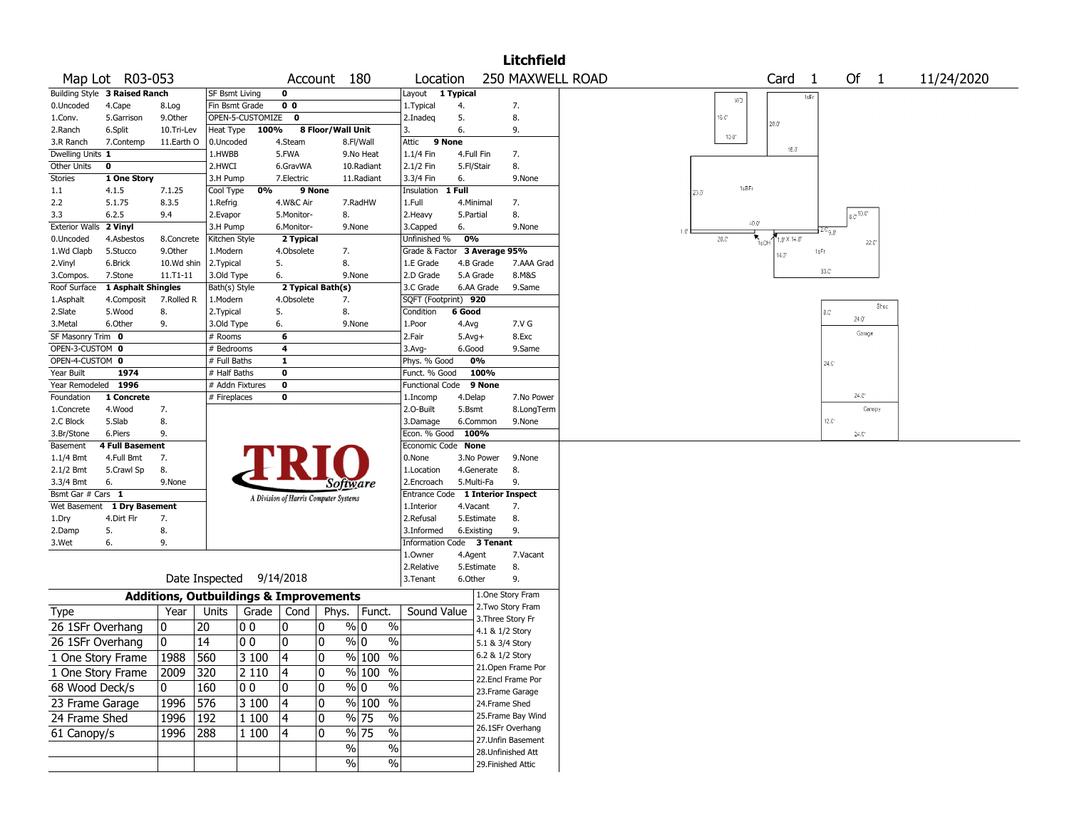|                       |                               |                                                   |                          |                  |                                       |                   |                                              |                              |                                    |                 | <b>Litchfield</b>                      |      |                |                                        |                   |                       |            |  |
|-----------------------|-------------------------------|---------------------------------------------------|--------------------------|------------------|---------------------------------------|-------------------|----------------------------------------------|------------------------------|------------------------------------|-----------------|----------------------------------------|------|----------------|----------------------------------------|-------------------|-----------------------|------------|--|
|                       | Map Lot R03-053               |                                                   |                          |                  |                                       | Account 180       |                                              | Location                     |                                    |                 | 250 MAXWELL ROAD                       |      |                | Card <sub>1</sub>                      |                   | Of $1$                | 11/24/2020 |  |
|                       | Building Style 3 Raised Ranch |                                                   | SF Bsmt Living           |                  | 0                                     |                   |                                              | Layout                       | $\overline{\phantom{a}}$ 1 Typical |                 |                                        |      |                | 1sFr                                   |                   |                       |            |  |
| 0.Uncoded             | 4.Cape                        | 8.Log                                             | Fin Bsmt Grade           |                  | 0 <sub>0</sub>                        |                   |                                              | 1. Typical                   | 4.                                 |                 | 7.                                     |      | WD             |                                        |                   |                       |            |  |
| 1.Conv.               | 5.Garrison                    | 9.0ther                                           |                          | OPEN-5-CUSTOMIZE | $\mathbf 0$                           |                   |                                              | 2.Inadeq                     | 5.                                 |                 | 8.                                     |      | 16.C'          | $20.0^{\circ}$                         |                   |                       |            |  |
| 2.Ranch               | 6.Split                       | 10.Tri-Lev                                        | Heat Type                | 100%             |                                       | 8 Floor/Wall Unit |                                              |                              | 6.                                 |                 | 9.                                     |      |                |                                        |                   |                       |            |  |
| 3.R Ranch             | 7.Contemp                     | 11.Earth O                                        | 0.Uncoded                |                  | 4.Steam                               |                   | 8.Fl/Wall                                    | Attic                        | 9 None                             |                 |                                        |      | $10.0^{\circ}$ |                                        |                   |                       |            |  |
| Dwelling Units 1      |                               |                                                   | 1.HWBB                   |                  | 5.FWA                                 |                   | 9.No Heat                                    | 1.1/4 Fin                    | 4.Full Fin                         |                 | 7.                                     |      |                | 16.0                                   |                   |                       |            |  |
| Other Units           | 0                             |                                                   | 2.HWCI                   |                  | 6.GravWA                              |                   | 10.Radiant                                   | 2.1/2 Fin                    | 5.Fl/Stair                         |                 | 8.                                     |      |                |                                        |                   |                       |            |  |
| Stories               | 1 One Story                   |                                                   | 3.H Pump                 |                  | 7.Electric                            |                   | 11.Radiant                                   | 3.3/4 Fin                    | 6.                                 |                 | 9.None                                 |      |                |                                        |                   |                       |            |  |
| 1.1                   | 4.1.5                         | 7.1.25                                            | Cool Type                | 0%               | 9 None                                |                   |                                              | Insulation                   | 1 Full                             |                 |                                        | 23.0 | 1sBFr          |                                        |                   |                       |            |  |
| 2.2                   | 5.1.75                        | 8.3.5                                             | 1.Refrig                 |                  | 4.W&C Air                             |                   | 7.RadHW                                      | 1.Full                       | 4.Minimal                          |                 | 7.                                     |      |                |                                        |                   |                       |            |  |
| 3.3                   | 6.2.5                         | 9.4                                               | 2.Evapor                 |                  | 5.Monitor-                            | 8.                |                                              | 2. Heavy                     | 5.Partial                          |                 | 8.                                     |      |                |                                        |                   | $6.0^{+10.0^{\circ}}$ |            |  |
| <b>Exterior Walls</b> | 2 Vinyl                       |                                                   | 3.H Pump                 |                  | 6.Monitor-                            |                   | 9.None                                       | 3.Capped                     | 6.                                 |                 | 9.None                                 |      | $-0.0$         |                                        | ۹۵۰ میلا          |                       |            |  |
| 0.Uncoded             | 4.Asbestos                    | 8.Concrete                                        | Kitchen Style            |                  | 2 Typical                             |                   |                                              | Unfinished %                 | 0%                                 |                 |                                        |      | 20.C           | $1.0^{\circ}$ X $14.0^{\circ}$<br>1sCH |                   | 22.C                  |            |  |
| 1.Wd Clapb            | 5.Stucco                      | 9.0ther                                           | 1.Modern                 |                  | 4.Obsolete                            | 7.                |                                              | Grade & Factor 3 Average 95% |                                    |                 |                                        |      |                | $4.3^{\circ}$                          | 1sFr              |                       |            |  |
| 2.Vinyl               | 6.Brick                       | 10.Wd shin                                        | 2. Typical               |                  | 5.                                    | 8.                |                                              | 1.E Grade                    | 4.B Grade                          |                 | 7.AAA Grad                             |      |                |                                        |                   |                       |            |  |
| 3.Compos.             | 7.Stone                       | 11.T1-11                                          | 3.Old Type               |                  | 6.                                    |                   | 9.None                                       | 2.D Grade                    | 5.A Grade                          |                 | 8.M&S                                  |      |                |                                        | 33.C              |                       |            |  |
| Roof Surface          | 1 Asphalt Shingles            |                                                   | Bath(s) Style            |                  |                                       | 2 Typical Bath(s) |                                              | 3.C Grade                    |                                    | 6.AA Grade      | 9.Same                                 |      |                |                                        |                   |                       |            |  |
| 1.Asphalt             | 4.Composit                    | 7.Rolled R                                        | 1.Modern                 |                  | 4.Obsolete                            | 7.                |                                              | SQFT (Footprint) 920         |                                    |                 |                                        |      |                |                                        |                   |                       |            |  |
| 2.Slate               | 5.Wood                        | 8.                                                | 2. Typical               |                  | 5.                                    | 8.                |                                              | Condition                    | 6 Good                             |                 |                                        |      |                |                                        | 8.C               | Shed                  |            |  |
| 3.Metal               | 6.Other                       | 9.                                                | 3.Old Type               |                  | 6.                                    |                   | 9.None                                       | 1.Poor                       | 4.Avg                              |                 | 7.V G                                  |      |                |                                        |                   | 24.0                  |            |  |
| SF Masonry Trim 0     |                               |                                                   | # Rooms                  |                  | 6                                     |                   |                                              | 2.Fair                       | $5.Avg+$                           |                 | 8.Exc                                  |      |                |                                        |                   | Garage                |            |  |
| OPEN-3-CUSTOM 0       |                               |                                                   | # Bedrooms               |                  | 4                                     |                   |                                              | 3.Avg-                       | 6.Good                             |                 | 9.Same                                 |      |                |                                        |                   |                       |            |  |
| OPEN-4-CUSTOM 0       |                               |                                                   | # Full Baths             |                  | 1                                     |                   |                                              | Phys. % Good                 |                                    | 0%              |                                        |      |                |                                        | 24.C <sup>*</sup> |                       |            |  |
| Year Built            | 1974                          |                                                   | # Half Baths             |                  | $\bf{0}$                              |                   |                                              | Funct. % Good                |                                    | 100%            |                                        |      |                |                                        |                   |                       |            |  |
| Year Remodeled        | 1996                          |                                                   | # Addn Fixtures          |                  | $\bf o$                               |                   |                                              | Functional Code              |                                    | 9 None          |                                        |      |                |                                        |                   |                       |            |  |
| Foundation            | 1 Concrete                    |                                                   | # Fireplaces             |                  | 0                                     |                   |                                              | 1.Incomp                     | 4.Delap                            |                 | 7.No Power                             |      |                |                                        |                   | $24.0^{\circ}$        |            |  |
| 1.Concrete            | 4.Wood                        | 7.                                                |                          |                  |                                       |                   |                                              | 2.0-Built                    | 5.Bsmt                             |                 | 8.LongTerm                             |      |                |                                        |                   | Canopy                |            |  |
| 2.C Block             | 5.Slab                        | 8.                                                |                          |                  |                                       |                   |                                              | 3.Damage                     | 6.Common                           |                 | 9.None                                 |      |                |                                        | $12.0^{\circ}$    |                       |            |  |
| 3.Br/Stone            | 6.Piers                       | 9.                                                |                          |                  |                                       |                   |                                              | Econ. % Good 100%            |                                    |                 |                                        |      |                |                                        |                   | $24.0^{\circ}$        |            |  |
| Basement              | <b>4 Full Basement</b>        |                                                   |                          |                  |                                       |                   |                                              | Economic Code None           |                                    |                 |                                        |      |                |                                        |                   |                       |            |  |
| $1.1/4$ Bmt           | 4.Full Bmt                    | 7.                                                |                          |                  |                                       |                   |                                              | 0.None                       |                                    | 3.No Power      | 9.None                                 |      |                |                                        |                   |                       |            |  |
| 2.1/2 Bmt             | 5.Crawl Sp                    | 8.                                                |                          |                  |                                       |                   |                                              | 1.Location                   |                                    | 4.Generate      | 8.                                     |      |                |                                        |                   |                       |            |  |
| 3.3/4 Bmt             | 6.                            | 9.None                                            |                          |                  |                                       | Software          |                                              | 2.Encroach                   | 5.Multi-Fa                         |                 | 9.                                     |      |                |                                        |                   |                       |            |  |
| Bsmt Gar # Cars 1     |                               |                                                   |                          |                  | A Division of Harris Computer Systems |                   |                                              | Entrance Code                |                                    |                 | <b>1 Interior Inspect</b>              |      |                |                                        |                   |                       |            |  |
| Wet Basement          | 1 Dry Basement                |                                                   |                          |                  |                                       |                   |                                              | 1.Interior                   | 4.Vacant                           |                 | 7.                                     |      |                |                                        |                   |                       |            |  |
| 1.Dry                 | 4.Dirt Flr                    | 7.                                                |                          |                  |                                       |                   |                                              | 2.Refusal                    |                                    | 5.Estimate      | 8.                                     |      |                |                                        |                   |                       |            |  |
| 2.Damp                | 5.                            | 8.                                                |                          |                  |                                       |                   |                                              | 3.Informed                   | 6.Existing                         |                 | 9.                                     |      |                |                                        |                   |                       |            |  |
| 3.Wet                 | 6.                            | 9.                                                |                          |                  |                                       |                   |                                              | Information                  |                                    | Code 3 Tenant   |                                        |      |                |                                        |                   |                       |            |  |
|                       |                               |                                                   |                          |                  |                                       |                   |                                              | 1.Owner                      | 4.Agent                            |                 | 7.Vacant                               |      |                |                                        |                   |                       |            |  |
|                       |                               |                                                   |                          |                  |                                       |                   |                                              | 2.Relative                   |                                    | 5.Estimate      | 8.                                     |      |                |                                        |                   |                       |            |  |
|                       |                               |                                                   | Date Inspected 9/14/2018 |                  |                                       |                   |                                              | 3.Tenant                     | 6.Other                            |                 | 9.                                     |      |                |                                        |                   |                       |            |  |
|                       |                               | <b>Additions, Outbuildings &amp; Improvements</b> |                          |                  |                                       |                   |                                              |                              |                                    |                 | 1.One Story Fram                       |      |                |                                        |                   |                       |            |  |
| Type                  |                               | Year                                              | Units                    |                  | Grade   Cond                          |                   | Phys.   Funct.                               | Sound Value                  |                                    |                 | 2.Two Story Fram                       |      |                |                                        |                   |                       |            |  |
| 26 1SFr Overhang      |                               | 0                                                 | 20                       | O O              | 0                                     | $\mathbf{0}$      | $\frac{9}{0}$ 0<br>$\frac{0}{0}$             |                              |                                    |                 | 3. Three Story Fr                      |      |                |                                        |                   |                       |            |  |
| 26 1SFr Overhang      |                               | 0                                                 | 14                       | 00               | 0                                     | 0                 | $\frac{9}{0}$ 0<br>$\%$                      |                              |                                    | 4.1 & 1/2 Story |                                        |      |                |                                        |                   |                       |            |  |
|                       |                               |                                                   |                          |                  |                                       |                   |                                              |                              |                                    | 5.1 & 3/4 Story |                                        |      |                |                                        |                   |                       |            |  |
| 1 One Story Frame     |                               | 1988                                              | 560                      | 3 100            | 14                                    | $\Omega$          | $\sqrt{96}$ 100<br>$\frac{0}{6}$             |                              |                                    | 6.2 & 1/2 Story |                                        |      |                |                                        |                   |                       |            |  |
| 1 One Story Frame     |                               | 2009                                              | 320                      | 2 1 1 0          | 4                                     | 0                 | % 100 %                                      |                              |                                    |                 | 21.Open Frame Por<br>22.Encl Frame Por |      |                |                                        |                   |                       |            |  |
| 68 Wood Deck/s        |                               | 0                                                 | 160                      | 00               | 0                                     | 0                 | $\sqrt[6]{0}$<br>$\sqrt[6]{\ }$              |                              |                                    |                 | 23. Frame Garage                       |      |                |                                        |                   |                       |            |  |
| 23 Frame Garage       |                               | 1996                                              | 576                      | 3 100            | 4                                     | 0                 | $\frac{9}{6}$ 100 %                          |                              |                                    | 24.Frame Shed   |                                        |      |                |                                        |                   |                       |            |  |
| 24 Frame Shed         |                               | 1996                                              | 192                      | 1 100            | 4                                     | 0                 | $\frac{9}{6}$ 75<br>$\%$                     |                              |                                    |                 | 25. Frame Bay Wind                     |      |                |                                        |                   |                       |            |  |
|                       |                               |                                                   |                          |                  |                                       |                   | $\frac{9}{6}$ 75<br>$\overline{\frac{0}{0}}$ |                              |                                    |                 | 26.1SFr Overhang                       |      |                |                                        |                   |                       |            |  |
| 61 Canopy/s           |                               | 1996                                              | 288                      | 1 100            | 4                                     | 0                 |                                              |                              |                                    |                 | 27. Unfin Basement                     |      |                |                                        |                   |                       |            |  |
|                       |                               |                                                   |                          |                  |                                       | $\%$              | %                                            |                              |                                    |                 | 28.Unfinished Att                      |      |                |                                        |                   |                       |            |  |
|                       |                               |                                                   |                          |                  |                                       | $\sqrt{6}$        | $\sqrt{6}$                                   |                              |                                    |                 | 29. Finished Attic                     |      |                |                                        |                   |                       |            |  |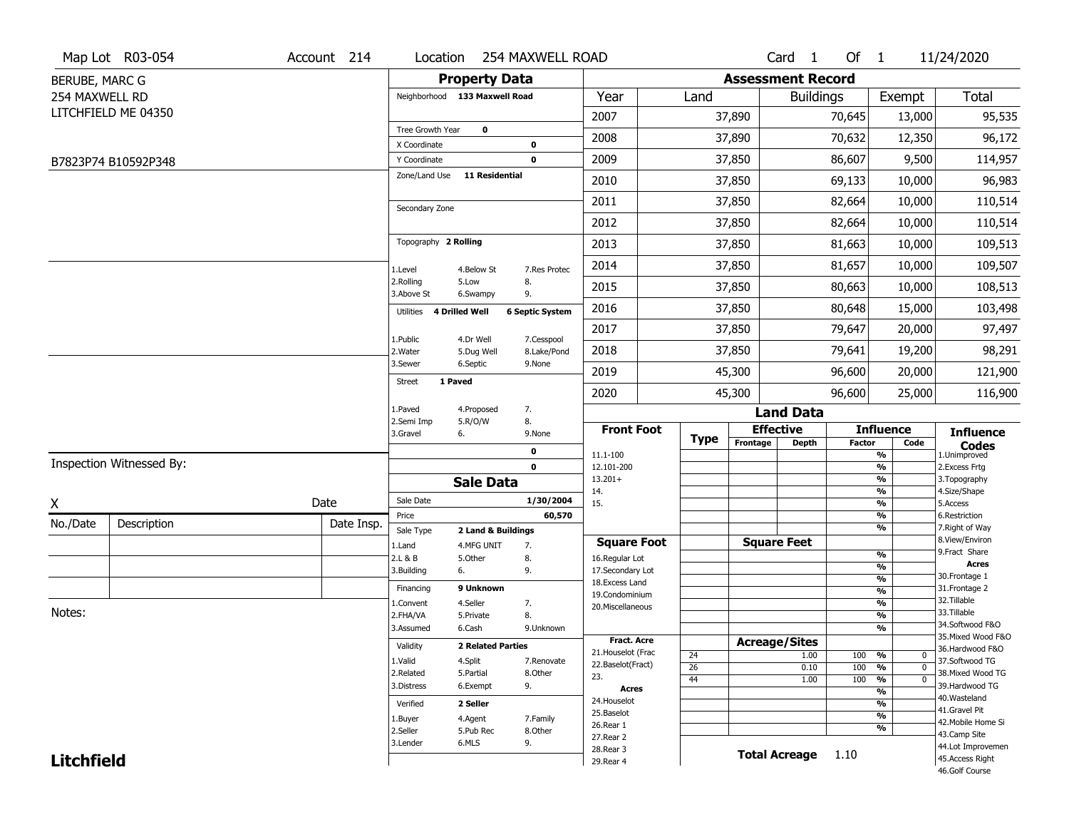|                   | Map Lot R03-054          | Account 214 |                               | Location 254 MAXWELL ROAD                            |                                    |                 |                          | Card <sub>1</sub>  | Of 1              |                                | 11/24/2020                          |
|-------------------|--------------------------|-------------|-------------------------------|------------------------------------------------------|------------------------------------|-----------------|--------------------------|--------------------|-------------------|--------------------------------|-------------------------------------|
| BERUBE, MARC G    |                          |             |                               | <b>Property Data</b>                                 |                                    |                 | <b>Assessment Record</b> |                    |                   |                                |                                     |
| 254 MAXWELL RD    |                          |             | Neighborhood 133 Maxwell Road |                                                      | Year                               | Land            |                          | <b>Buildings</b>   |                   | Exempt                         | Total                               |
|                   | LITCHFIELD ME 04350      |             |                               |                                                      | 2007                               |                 | 37,890                   |                    | 70,645            | 13,000                         | 95,535                              |
|                   |                          |             | Tree Growth Year              | $\mathbf 0$                                          | 2008                               |                 | 37,890                   |                    | 70,632            | 12,350                         | 96,172                              |
|                   |                          |             | X Coordinate                  | 0                                                    |                                    |                 |                          |                    |                   |                                |                                     |
|                   | B7823P74 B10592P348      |             | Y Coordinate<br>Zone/Land Use | $\mathbf 0$<br><b>11 Residential</b>                 | 2009                               |                 | 37,850                   |                    | 86,607            | 9,500                          | 114,957                             |
|                   |                          |             |                               |                                                      | 2010                               |                 | 37,850                   |                    | 69,133            | 10,000                         | 96,983                              |
|                   |                          |             | Secondary Zone                |                                                      | 2011                               |                 | 37,850                   |                    | 82,664            | 10,000                         | 110,514                             |
|                   |                          |             |                               |                                                      | 2012                               |                 | 37,850                   |                    | 82,664            | 10,000                         | 110,514                             |
|                   |                          |             | Topography 2 Rolling          |                                                      | 2013                               |                 | 37,850                   |                    | 81,663            | 10,000                         | 109,513                             |
|                   |                          |             | 1.Level                       | 4.Below St<br>7.Res Protec                           | 2014                               |                 | 37,850                   |                    | 81,657            | 10,000                         | 109,507                             |
|                   |                          |             | 2.Rolling<br>3.Above St       | 5.Low<br>8.<br>6.Swampy<br>9.                        | 2015                               |                 | 37,850                   |                    | 80,663            | 10,000                         | 108,513                             |
|                   |                          |             | Utilities 4 Drilled Well      | <b>6 Septic System</b>                               | 2016                               |                 | 37,850                   | 80,648             |                   | 15,000                         | 103,498                             |
|                   |                          |             |                               |                                                      | 2017                               |                 | 37,850                   |                    | 79,647            | 20,000                         | 97,497                              |
|                   |                          |             | 1.Public<br>2. Water          | 4.Dr Well<br>7.Cesspool<br>8.Lake/Pond<br>5.Dug Well | 2018                               |                 | 37,850                   |                    | 79,641            | 19,200                         | 98,291                              |
|                   |                          |             | 3.Sewer                       | 6.Septic<br>9.None                                   | 2019                               |                 | 45,300                   |                    | 20,000            | 121,900                        |                                     |
|                   |                          |             | 1 Paved<br>Street             |                                                      | 2020                               |                 | 45,300                   |                    | 96,600            | 25,000                         | 116,900                             |
|                   |                          |             | 1.Paved                       | 7.<br>4.Proposed                                     |                                    |                 |                          | <b>Land Data</b>   |                   |                                |                                     |
|                   |                          |             | 2.Semi Imp<br>3.Gravel<br>6.  | 5.R/O/W<br>8.<br>9.None                              | <b>Front Foot</b>                  |                 | <b>Effective</b>         |                    |                   | <b>Influence</b>               | <b>Influence</b>                    |
|                   |                          |             |                               | $\mathbf 0$                                          | 11.1-100                           | Type            | Frontage                 | <b>Depth</b>       | <b>Factor</b>     | Code<br>$\frac{9}{6}$          | <b>Codes</b><br>1.Unimproved        |
|                   | Inspection Witnessed By: |             |                               | $\mathbf 0$                                          | 12.101-200                         |                 |                          |                    |                   | $\frac{9}{6}$                  | 2.Excess Frtg                       |
|                   |                          |             |                               | <b>Sale Data</b>                                     | $13.201+$<br>14.                   |                 |                          |                    |                   | $\frac{9}{6}$<br>$\frac{9}{6}$ | 3. Topography<br>4.Size/Shape       |
| X                 |                          | Date        | Sale Date                     | 1/30/2004                                            | 15.                                |                 |                          |                    |                   | $\frac{9}{6}$                  | 5.Access                            |
| No./Date          | Description              | Date Insp.  | Price                         | 60,570                                               |                                    |                 |                          |                    |                   | %<br>$\frac{9}{6}$             | 6.Restriction<br>7. Right of Way    |
|                   |                          |             | Sale Type                     | 2 Land & Buildings                                   | <b>Square Foot</b>                 |                 |                          | <b>Square Feet</b> |                   |                                | 8.View/Environ                      |
|                   |                          |             | 1.Land<br>2.L & B             | 4.MFG UNIT<br>7.<br>5.Other<br>8.                    | 16.Regular Lot                     |                 |                          |                    |                   | $\frac{9}{6}$                  | 9.Fract Share                       |
|                   |                          |             | 3.Building<br>6.              | 9.                                                   | 17.Secondary Lot                   |                 |                          |                    |                   | %                              | <b>Acres</b><br>30. Frontage 1      |
|                   |                          |             | Financing                     | 9 Unknown                                            | 18.Excess Land                     |                 |                          |                    |                   | %<br>$\frac{9}{6}$             | 31. Frontage 2                      |
|                   |                          |             | 1.Convent                     | 4.Seller<br>7.                                       | 19.Condominium<br>20.Miscellaneous |                 |                          |                    |                   | %                              | 32.Tillable                         |
| Notes:            |                          |             | 2.FHA/VA                      | 8.<br>5.Private                                      |                                    |                 |                          |                    |                   | %                              | 33.Tillable                         |
|                   |                          |             | 3.Assumed                     | 6.Cash<br>9.Unknown                                  |                                    |                 |                          |                    |                   | %                              | 34.Softwood F&O                     |
|                   |                          |             | Validity                      | <b>2 Related Parties</b>                             | <b>Fract. Acre</b>                 |                 | <b>Acreage/Sites</b>     |                    |                   |                                | 35. Mixed Wood F&O                  |
|                   |                          |             |                               |                                                      | 21. Houselot (Frac                 | 24              |                          | 1.00               | 100 %             | 0                              | 36.Hardwood F&O                     |
|                   |                          |             | 1.Valid<br>2.Related          | 4.Split<br>7.Renovate<br>5.Partial<br>8.Other        | 22.Baselot(Fract)                  | $\overline{26}$ |                          | 0.10               | 100               | %<br>$\mathbf{0}$              | 37.Softwood TG<br>38. Mixed Wood TG |
|                   |                          | 3.Distress  | 9.<br>6.Exempt                | 23.                                                  | 44                                 |                 | 1.00                     | 100                | %<br>$\mathbf{0}$ | 39.Hardwood TG                 |                                     |
|                   |                          |             |                               | <b>Acres</b><br>24. Houselot                         |                                    |                 |                          |                    | $\frac{9}{6}$     | 40. Wasteland                  |                                     |
|                   |                          |             | Verified                      | 2 Seller                                             | 25.Baselot                         |                 |                          |                    |                   | $\frac{9}{6}$<br>$\frac{9}{6}$ | 41.Gravel Pit                       |
|                   |                          |             | 1.Buyer                       | 4.Agent<br>7.Family                                  | 26.Rear 1                          |                 |                          |                    |                   | $\frac{9}{6}$                  | 42. Mobile Home Si                  |
|                   |                          |             | 2.Seller                      | 5.Pub Rec<br>8.Other                                 | 27. Rear 2                         |                 |                          |                    |                   |                                | 43.Camp Site                        |
|                   |                          |             | 3.Lender                      | 6.MLS<br>9.                                          | 28. Rear 3                         |                 |                          | Total Acreage 1.10 |                   |                                | 44.Lot Improvemen                   |
| <b>Litchfield</b> |                          |             |                               |                                                      | 29. Rear 4                         |                 |                          |                    |                   |                                | 45.Access Right<br>46.Golf Course   |